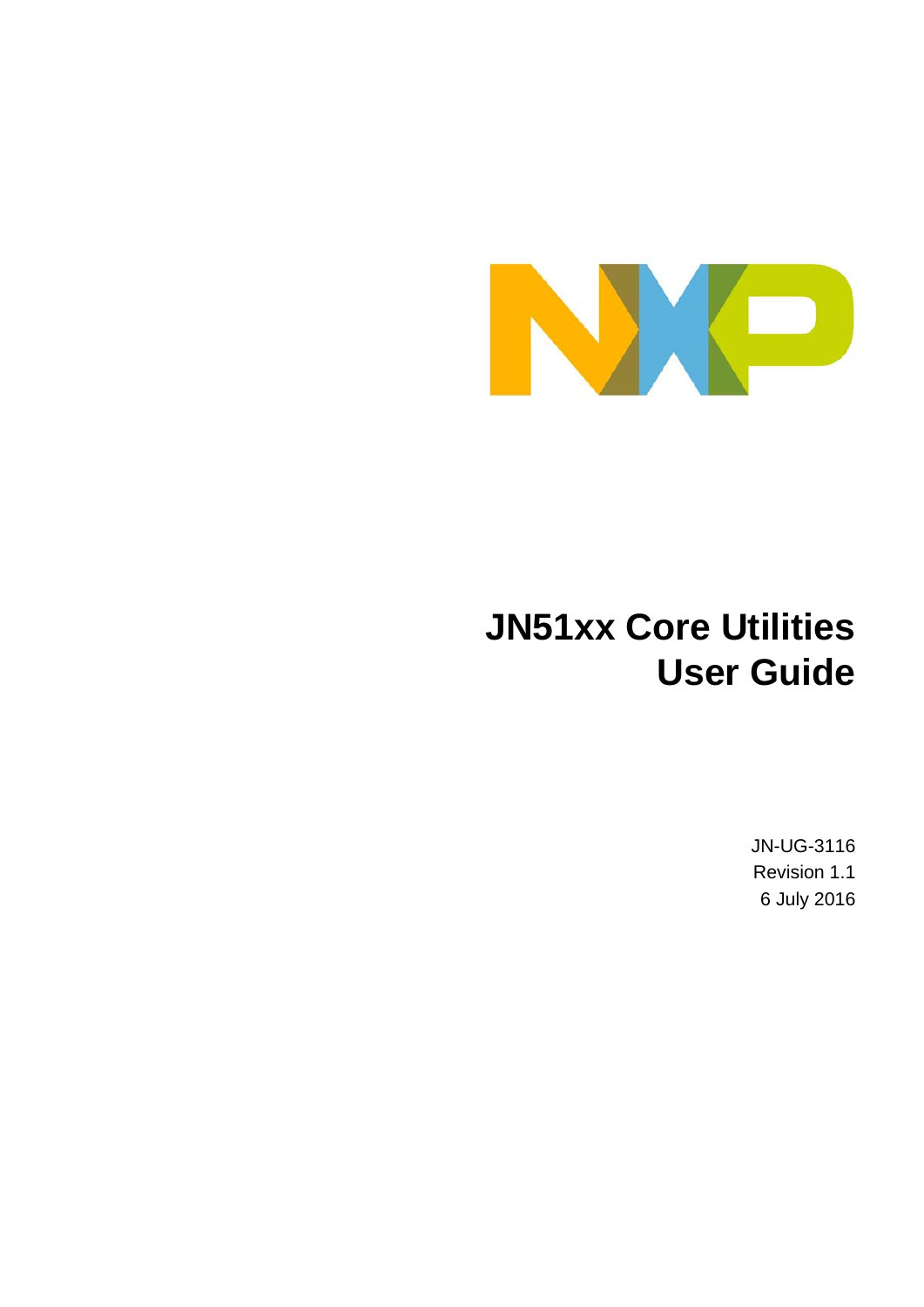

# **JN51xx Core Utilities User Guide**

JN-UG-3116 Revision 1.1 6 July 2016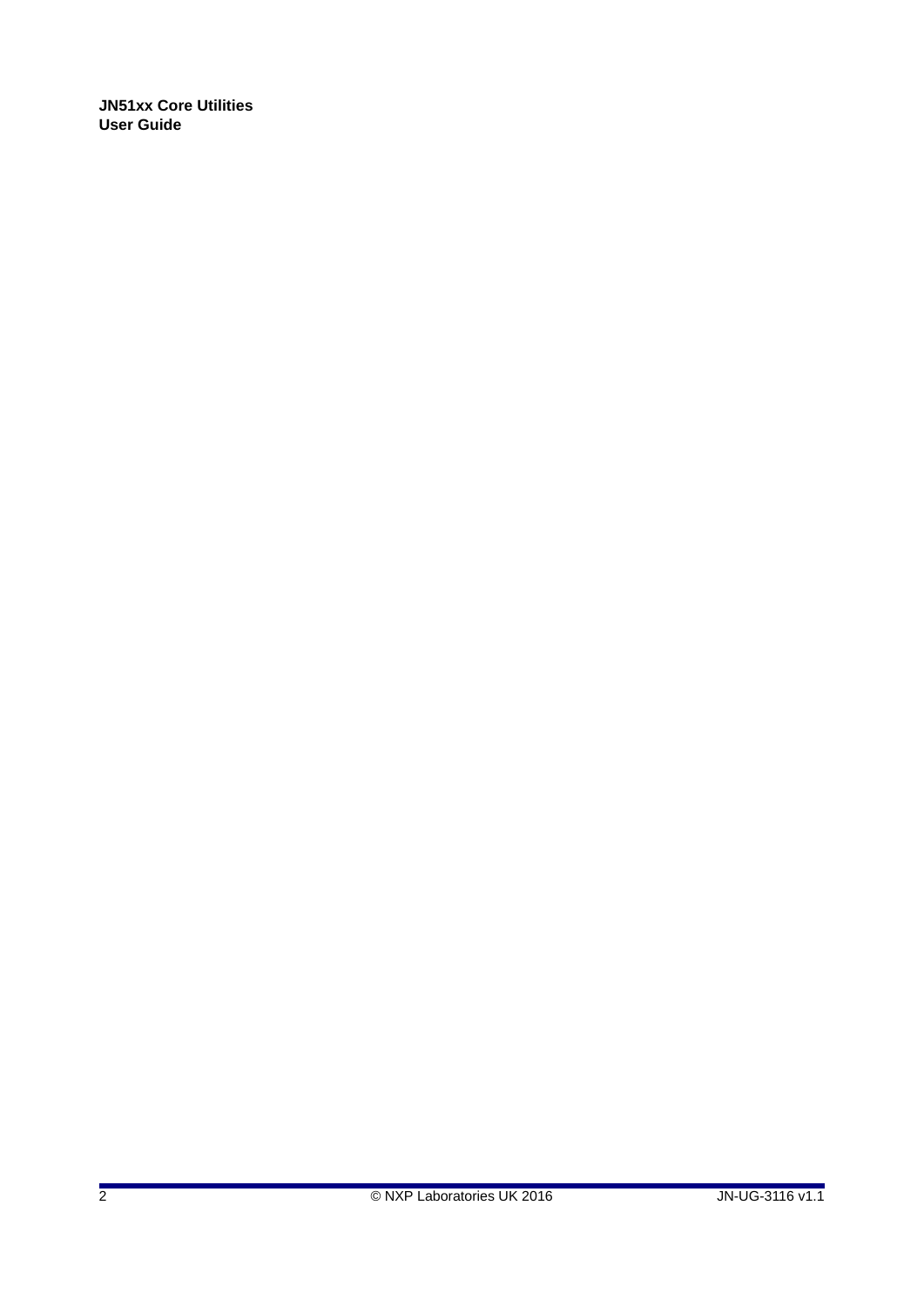**JN51xx Core Utilities User Guide**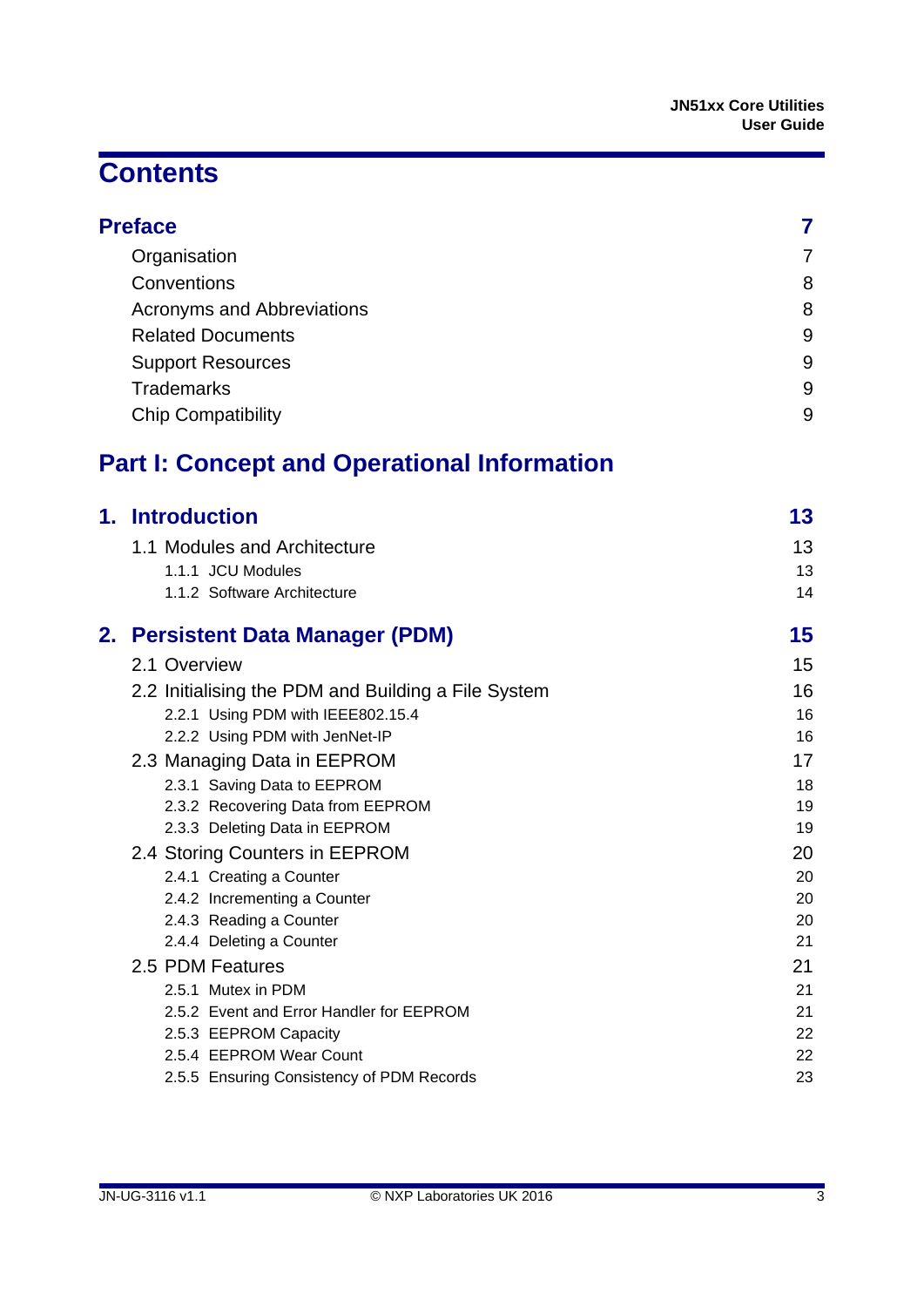# **Contents**

| <b>Preface</b>                    |   |
|-----------------------------------|---|
| Organisation                      |   |
| Conventions                       | 8 |
| <b>Acronyms and Abbreviations</b> | 8 |
| <b>Related Documents</b>          | 9 |
| <b>Support Resources</b>          | 9 |
| <b>Trademarks</b>                 | 9 |
| <b>Chip Compatibility</b>         | 9 |

## **[Part I: Concept and Operational Information](#page-10-0)**

| 1. | <b>Introduction</b>                                 | 13 |
|----|-----------------------------------------------------|----|
|    | 1.1 Modules and Architecture                        | 13 |
|    | 1.1.1 JCU Modules                                   | 13 |
|    | 1.1.2 Software Architecture                         | 14 |
|    | 2. Persistent Data Manager (PDM)                    | 15 |
|    | 2.1 Overview                                        | 15 |
|    | 2.2 Initialising the PDM and Building a File System | 16 |
|    | 2.2.1 Using PDM with IEEE802.15.4                   | 16 |
|    | 2.2.2 Using PDM with JenNet-IP                      | 16 |
|    | 2.3 Managing Data in EEPROM                         | 17 |
|    | 2.3.1 Saving Data to EEPROM                         | 18 |
|    | 2.3.2 Recovering Data from EEPROM                   | 19 |
|    | 2.3.3 Deleting Data in EEPROM                       | 19 |
|    | 2.4 Storing Counters in EEPROM                      | 20 |
|    | 2.4.1 Creating a Counter                            | 20 |
|    | 2.4.2 Incrementing a Counter                        | 20 |
|    | 2.4.3 Reading a Counter                             | 20 |
|    | 2.4.4 Deleting a Counter                            | 21 |
|    | 2.5 PDM Features                                    | 21 |
|    | 2.5.1 Mutex in PDM                                  | 21 |
|    | 2.5.2 Event and Error Handler for EEPROM            | 21 |
|    | 2.5.3 EEPROM Capacity                               | 22 |
|    | 2.5.4 EEPROM Wear Count                             | 22 |
|    | 2.5.5 Ensuring Consistency of PDM Records           | 23 |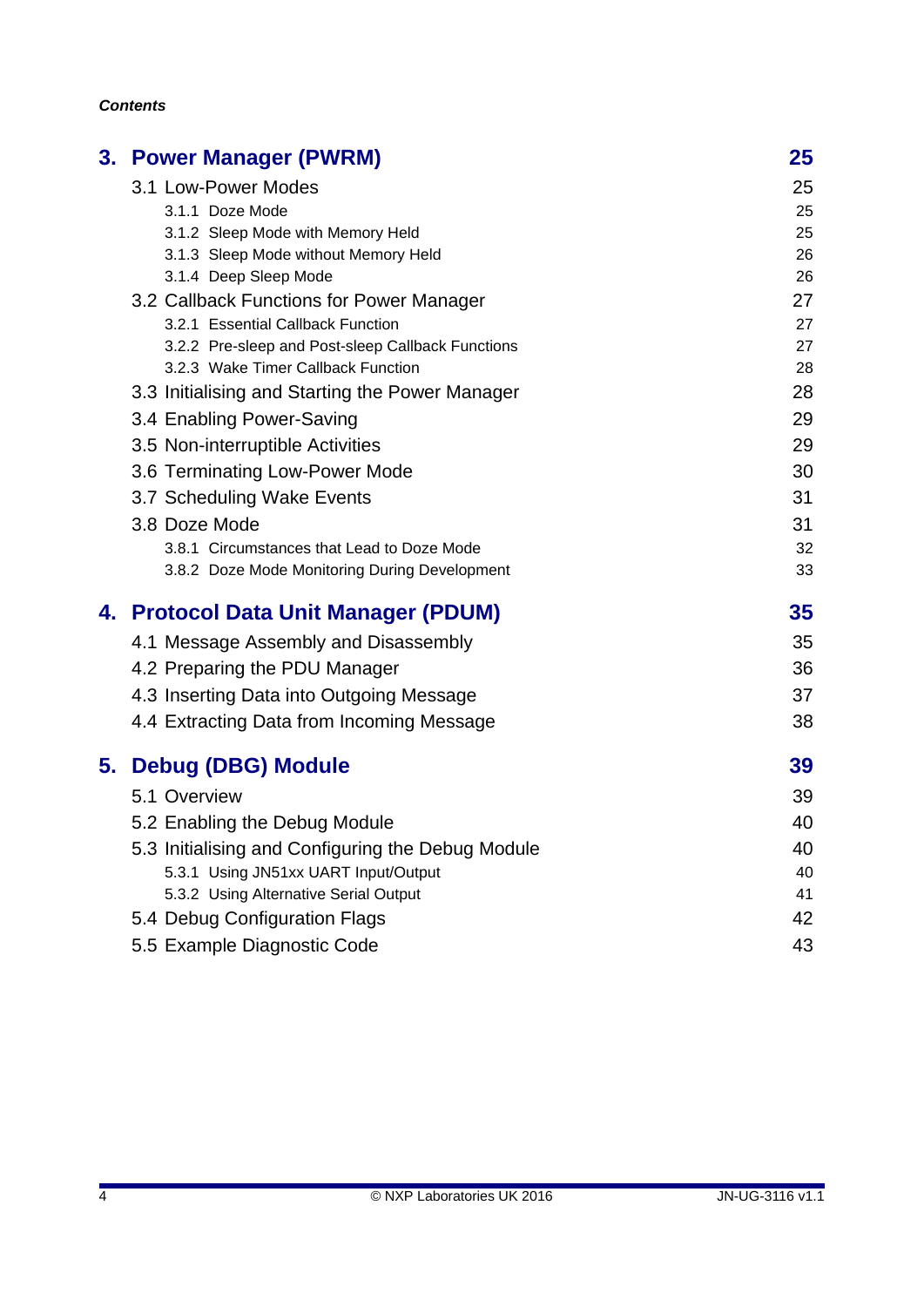|    | 3. Power Manager (PWRM)                           | 25       |
|----|---------------------------------------------------|----------|
|    | 3.1 Low-Power Modes                               | 25       |
|    | 3.1.1 Doze Mode                                   | 25       |
|    | 3.1.2 Sleep Mode with Memory Held                 | 25       |
|    | 3.1.3 Sleep Mode without Memory Held              | 26       |
|    | 3.1.4 Deep Sleep Mode                             | 26       |
|    | 3.2 Callback Functions for Power Manager          | 27       |
|    | 3.2.1 Essential Callback Function                 | 27       |
|    | 3.2.2 Pre-sleep and Post-sleep Callback Functions | 27       |
|    | 3.2.3 Wake Timer Callback Function                | 28<br>28 |
|    | 3.3 Initialising and Starting the Power Manager   |          |
|    | 3.4 Enabling Power-Saving                         | 29       |
|    | 3.5 Non-interruptible Activities                  | 29       |
|    | 3.6 Terminating Low-Power Mode                    | 30       |
|    | 3.7 Scheduling Wake Events                        | 31       |
|    | 3.8 Doze Mode                                     | 31       |
|    | 3.8.1 Circumstances that Lead to Doze Mode        | 32       |
|    | 3.8.2 Doze Mode Monitoring During Development     | 33       |
| 4. | <b>Protocol Data Unit Manager (PDUM)</b>          | 35       |
|    | 4.1 Message Assembly and Disassembly              | 35       |
|    | 4.2 Preparing the PDU Manager                     | 36       |
|    | 4.3 Inserting Data into Outgoing Message          | 37       |
|    | 4.4 Extracting Data from Incoming Message         | 38       |
|    | 5. Debug (DBG) Module                             | 39       |
|    | 5.1 Overview                                      | 39       |
|    | 5.2 Enabling the Debug Module                     | 40       |
|    | 5.3 Initialising and Configuring the Debug Module | 40       |
|    | 5.3.1 Using JN51xx UART Input/Output              | 40       |
|    | 5.3.2 Using Alternative Serial Output             | 41       |
|    | 5.4 Debug Configuration Flags                     | 42       |
|    | 5.5 Example Diagnostic Code                       | 43       |
|    |                                                   |          |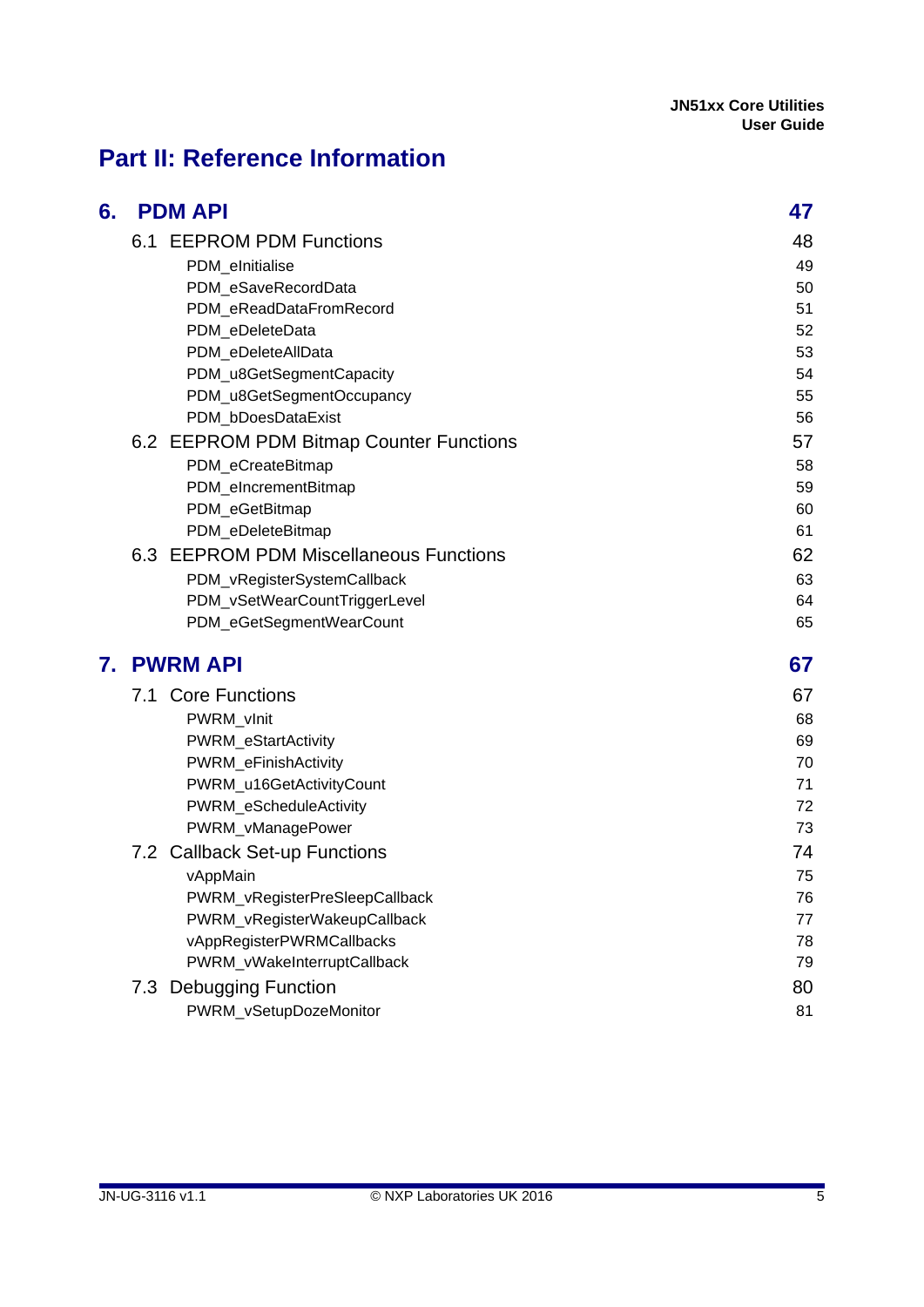## **[Part II: Reference Information](#page-44-0)**

| 6. | <b>PDM API</b>                          | 47 |
|----|-----------------------------------------|----|
|    | 6.1 EEPROM PDM Functions                | 48 |
|    | PDM_eInitialise                         | 49 |
|    | PDM_eSaveRecordData                     | 50 |
|    | PDM_eReadDataFromRecord                 | 51 |
|    | PDM_eDeleteData                         | 52 |
|    | PDM_eDeleteAllData                      | 53 |
|    | PDM_u8GetSegmentCapacity                | 54 |
|    | PDM_u8GetSegmentOccupancy               | 55 |
|    | PDM bDoesDataExist                      | 56 |
|    | 6.2 EEPROM PDM Bitmap Counter Functions | 57 |
|    | PDM_eCreateBitmap                       | 58 |
|    | PDM_eIncrementBitmap                    | 59 |
|    | PDM eGetBitmap                          | 60 |
|    | PDM_eDeleteBitmap                       | 61 |
|    | 6.3 EEPROM PDM Miscellaneous Functions  | 62 |
|    | PDM_vRegisterSystemCallback             | 63 |
|    | PDM_vSetWearCountTriggerLevel           | 64 |
|    | PDM_eGetSegmentWearCount                | 65 |
| 7. | <b>PWRM API</b>                         | 67 |
|    | 7.1 Core Functions                      | 67 |
|    | PWRM_vlnit                              | 68 |
|    | PWRM_eStartActivity                     | 69 |
|    | PWRM_eFinishActivity                    | 70 |
|    | PWRM_u16GetActivityCount                | 71 |
|    | PWRM_eScheduleActivity                  | 72 |
|    | PWRM_vManagePower                       | 73 |
|    | 7.2 Callback Set-up Functions           | 74 |
|    | vAppMain                                | 75 |
|    | PWRM_vRegisterPreSleepCallback          | 76 |
|    | PWRM_vRegisterWakeupCallback            | 77 |
|    | vAppRegisterPWRMCallbacks               | 78 |
|    | PWRM_vWakeInterruptCallback             | 79 |
|    | 7.3 Debugging Function                  | 80 |
|    | PWRM_vSetupDozeMonitor                  | 81 |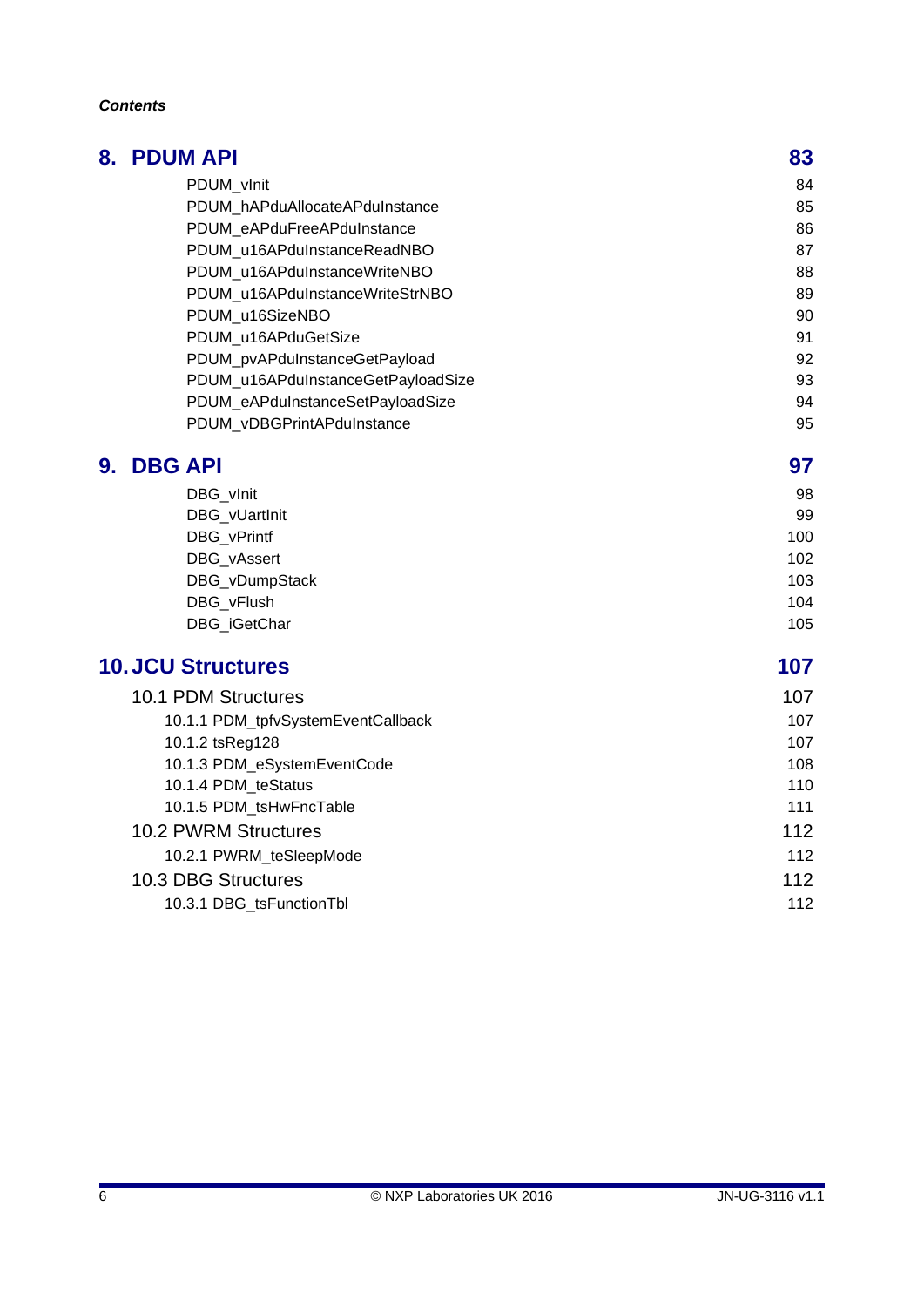## **[8. PDUM API 83](#page-82-0)**

| PDUM vlnit                         | 84 |
|------------------------------------|----|
| PDUM hAPduAllocateAPduInstance     | 85 |
| PDUM eAPduFreeAPduInstance         | 86 |
| PDUM u16APdulnstanceReadNBO        | 87 |
| PDUM u16APduInstanceWriteNBO       | 88 |
| PDUM u16APduInstanceWriteStrNBO    | 89 |
| PDUM u16SizeNBO                    | 90 |
| PDUM u16APduGetSize                | 91 |
| PDUM_pvAPduInstanceGetPayload      | 92 |
| PDUM u16APduInstanceGetPayloadSize | 93 |
| PDUM_eAPduInstanceSetPayloadSize   | 94 |
| PDUM vDBGPrintAPduInstance         | 95 |

#### **9. DBG API**

| I<br>×.<br>۰, |
|---------------|
|---------------|

| DBG vlnit      | 98  |
|----------------|-----|
| DBG vUartInit  | 99  |
| DBG vPrintf    | 100 |
| DBG vAssert    | 102 |
| DBG_vDumpStack | 103 |
| DBG vFlush     | 104 |
| DBG iGetChar   | 105 |

## **10. JCU Structures 107**

| 10.1 PDM Structures                | 107 |
|------------------------------------|-----|
| 10.1.1 PDM_tpfvSystemEventCallback | 107 |
| 10.1.2 tsReg128                    | 107 |
| 10.1.3 PDM_eSystemEventCode        | 108 |
| 10.1.4 PDM_teStatus                | 110 |
| 10.1.5 PDM tsHwFncTable            | 111 |
| 10.2 PWRM Structures               | 112 |
| 10.2.1 PWRM_teSleepMode            | 112 |
| 10.3 DBG Structures                | 112 |
| 10.3.1 DBG tsFunctionTbl           | 112 |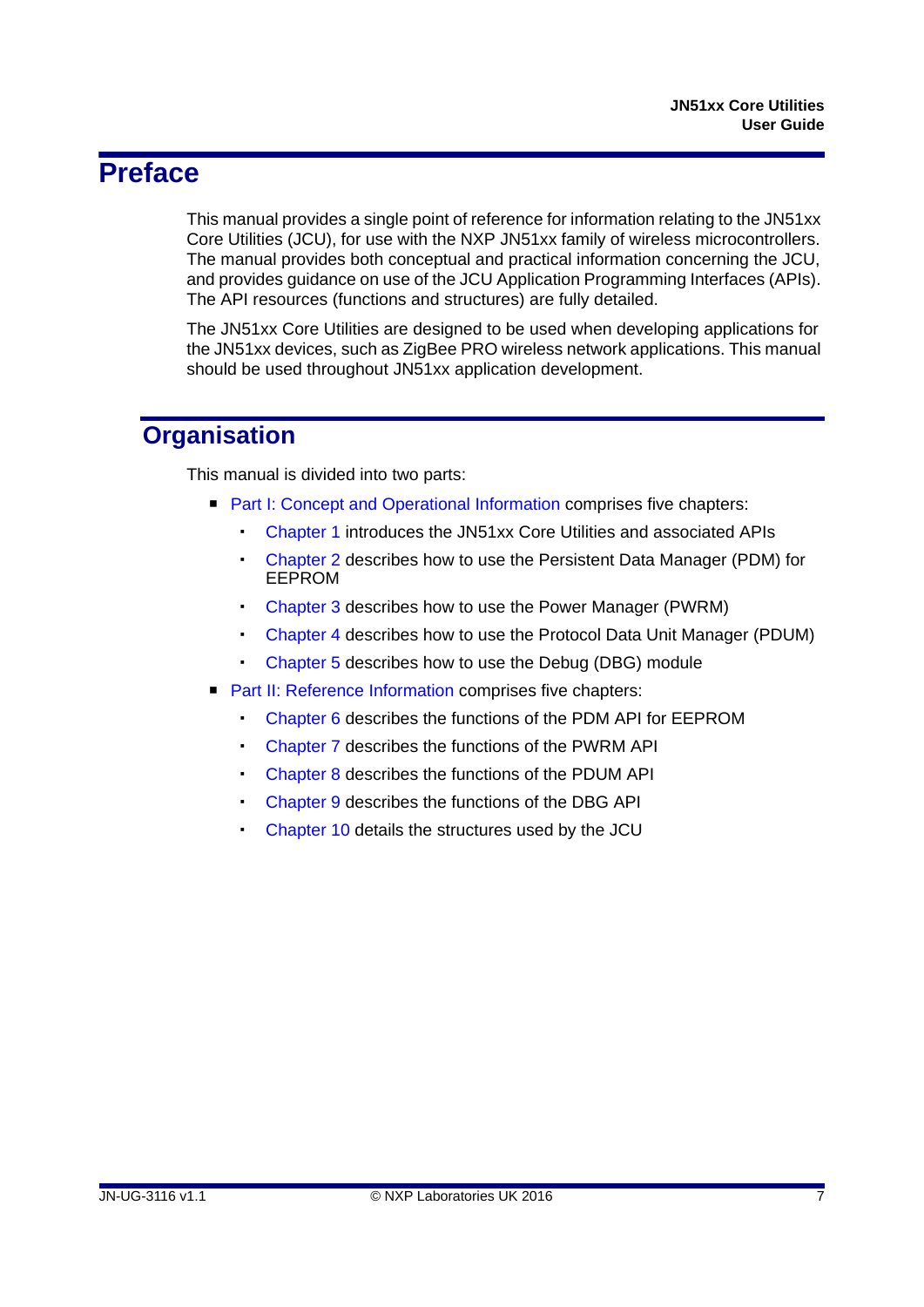## <span id="page-6-0"></span>**Preface**

This manual provides a single point of reference for information relating to the JN51xx Core Utilities (JCU), for use with the NXP JN51xx family of wireless microcontrollers. The manual provides both conceptual and practical information concerning the JCU, and provides guidance on use of the JCU Application Programming Interfaces (APIs). The API resources (functions and structures) are fully detailed.

The JN51xx Core Utilities are designed to be used when developing applications for the JN51xx devices, such as ZigBee PRO wireless network applications. This manual should be used throughout JN51xx application development.

## <span id="page-6-1"></span>**Organisation**

This manual is divided into two parts:

- **[Part I: Concept and Operational Information](#page-10-1) comprises five chapters:** 
	- [Chapter 1](#page-12-3) introduces the JN51xx Core Utilities and associated APIs
	- [Chapter 2](#page-14-2) describes how to use the Persistent Data Manager (PDM) for EEPROM
	- [Chapter 3](#page-24-4) describes how to use the Power Manager (PWRM)
	- [Chapter 4](#page-34-2) describes how to use the Protocol Data Unit Manager (PDUM)
	- [Chapter 5](#page-38-2) describes how to use the Debug (DBG) module
- **[Part II: Reference Information](#page-44-1) comprises five chapters:** 
	- [Chapter 6](#page-46-1) describes the functions of the PDM API for EEPROM
	- [Chapter 7](#page-66-2) describes the functions of the PWRM API
	- [Chapter 8](#page-82-1) describes the functions of the PDUM API
	- [Chapter 9](#page-96-1) describes the functions of the DBG API
	- [Chapter 10](#page-106-4) details the structures used by the JCU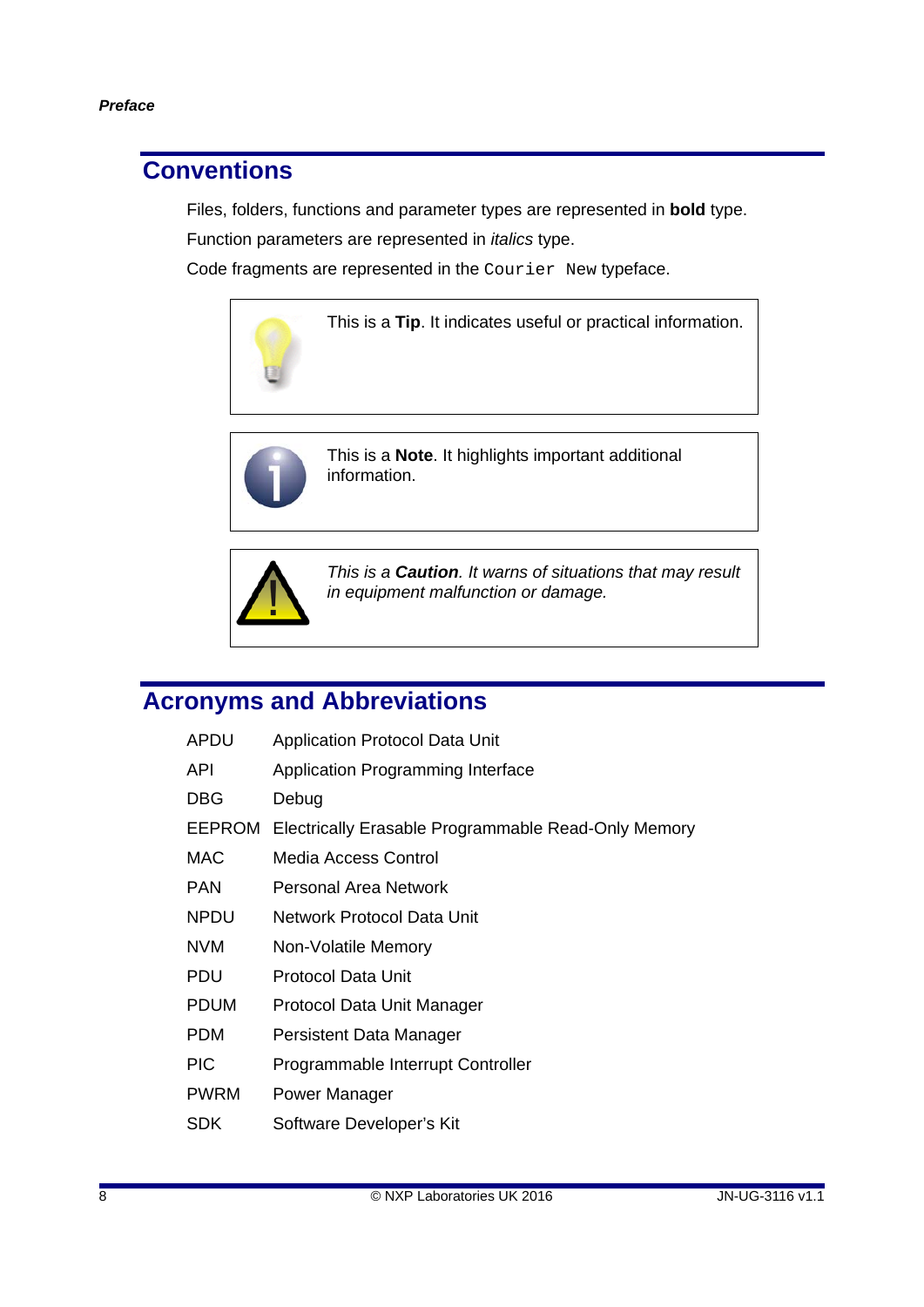## <span id="page-7-0"></span>**Conventions**

Files, folders, functions and parameter types are represented in **bold** type.

Function parameters are represented in *italics* type.

Code fragments are represented in the Courier New typeface.



This is a **Tip**. It indicates useful or practical information.



This is a **Note**. It highlights important additional information.



*This is a Caution. It warns of situations that may result in equipment malfunction or damage.*

## <span id="page-7-1"></span>**Acronyms and Abbreviations**

- APDU Application Protocol Data Unit
- API Application Programming Interface
- DBG Debug
- EEPROM Electrically Erasable Programmable Read-Only Memory
- MAC Media Access Control
- PAN Personal Area Network
- NPDU Network Protocol Data Unit
- NVM Non-Volatile Memory
- PDU Protocol Data Unit
- PDUM Protocol Data Unit Manager
- PDM Persistent Data Manager
- PIC Programmable Interrupt Controller
- PWRM Power Manager
- SDK Software Developer's Kit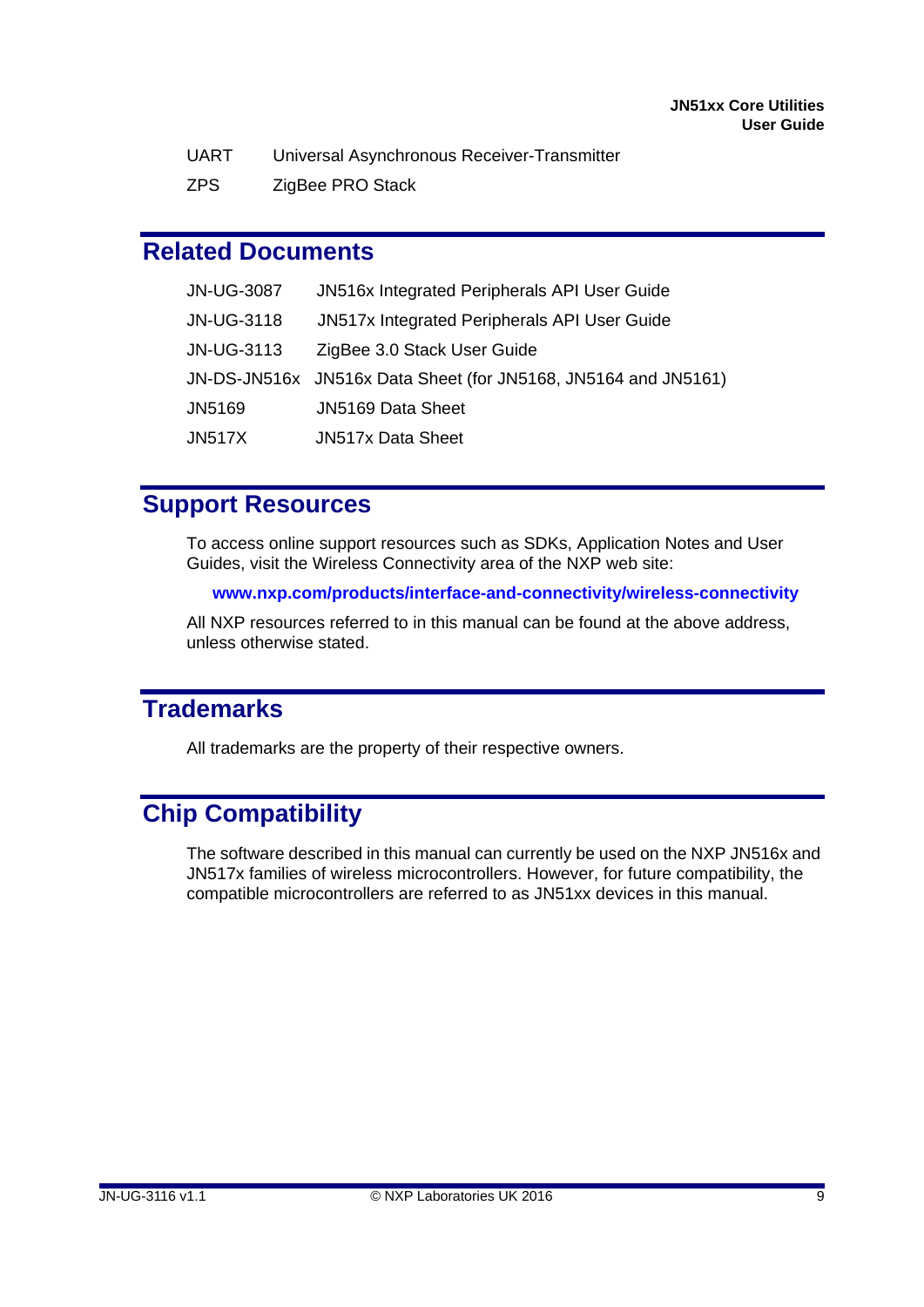- UART Universal Asynchronous Receiver-Transmitter
- ZPS ZigBee PRO Stack

## <span id="page-8-0"></span>**Related Documents**

| <b>JN-UG-3087</b> | JN516x Integrated Peripherals API User Guide                   |
|-------------------|----------------------------------------------------------------|
| <b>JN-UG-3118</b> | JN517x Integrated Peripherals API User Guide                   |
| JN-UG-3113        | ZigBee 3.0 Stack User Guide                                    |
|                   | JN-DS-JN516x JN516x Data Sheet (for JN5168, JN5164 and JN5161) |
| <b>JN5169</b>     | JN5169 Data Sheet                                              |
| <b>JN517X</b>     | <b>JN517x Data Sheet</b>                                       |

## <span id="page-8-1"></span>**Support Resources**

To access online support resources such as SDKs, Application Notes and User Guides, visit the Wireless Connectivity area of the NXP web site:

**www.nxp.com/products/interface-and-connectivity/wireless-connectivity**

All NXP resources referred to in this manual can be found at the above address, unless otherwise stated.

## <span id="page-8-2"></span>**Trademarks**

All trademarks are the property of their respective owners.

## <span id="page-8-3"></span>**Chip Compatibility**

The software described in this manual can currently be used on the NXP JN516x and JN517x families of wireless microcontrollers. However, for future compatibility, the compatible microcontrollers are referred to as JN51xx devices in this manual.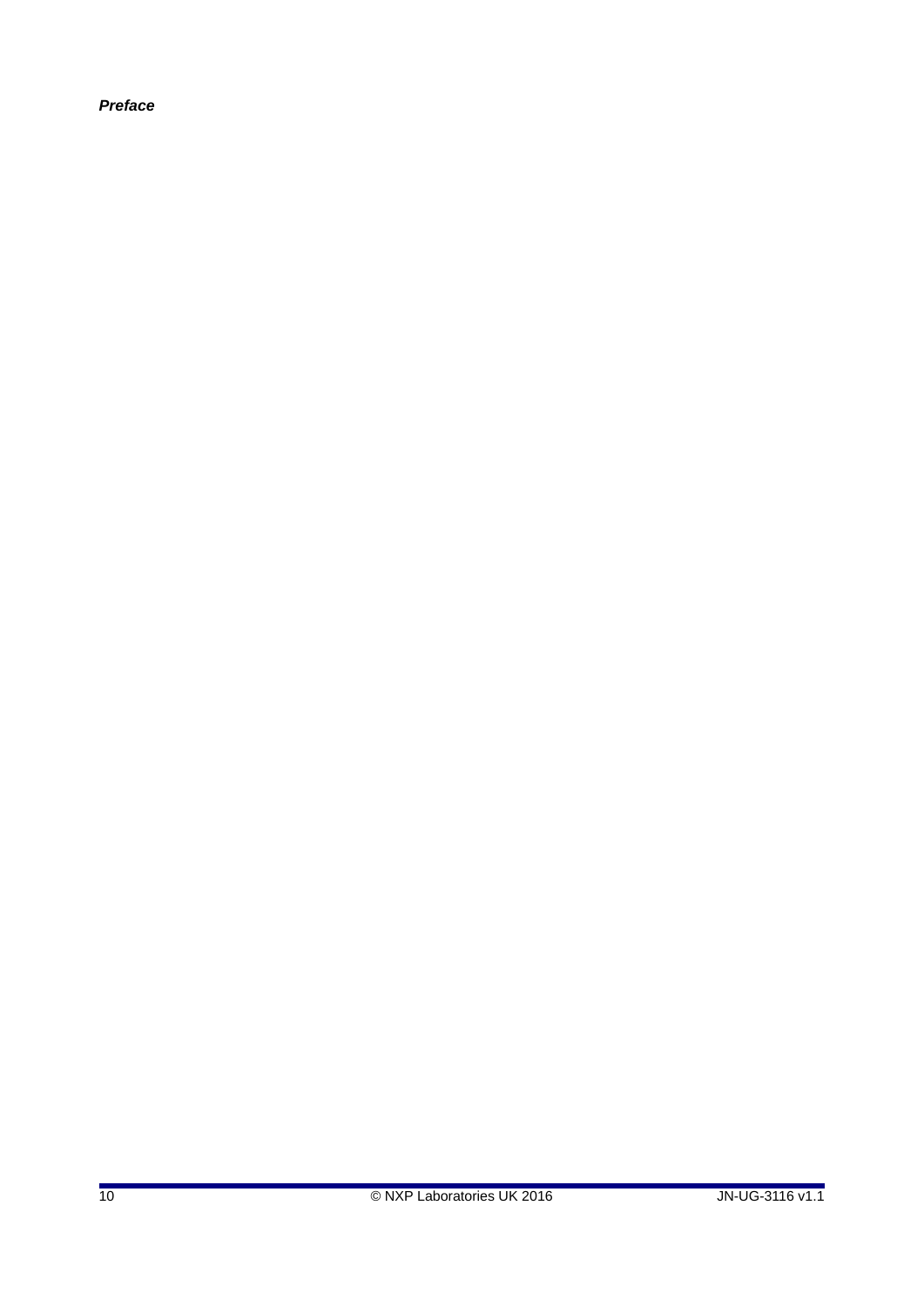*Preface*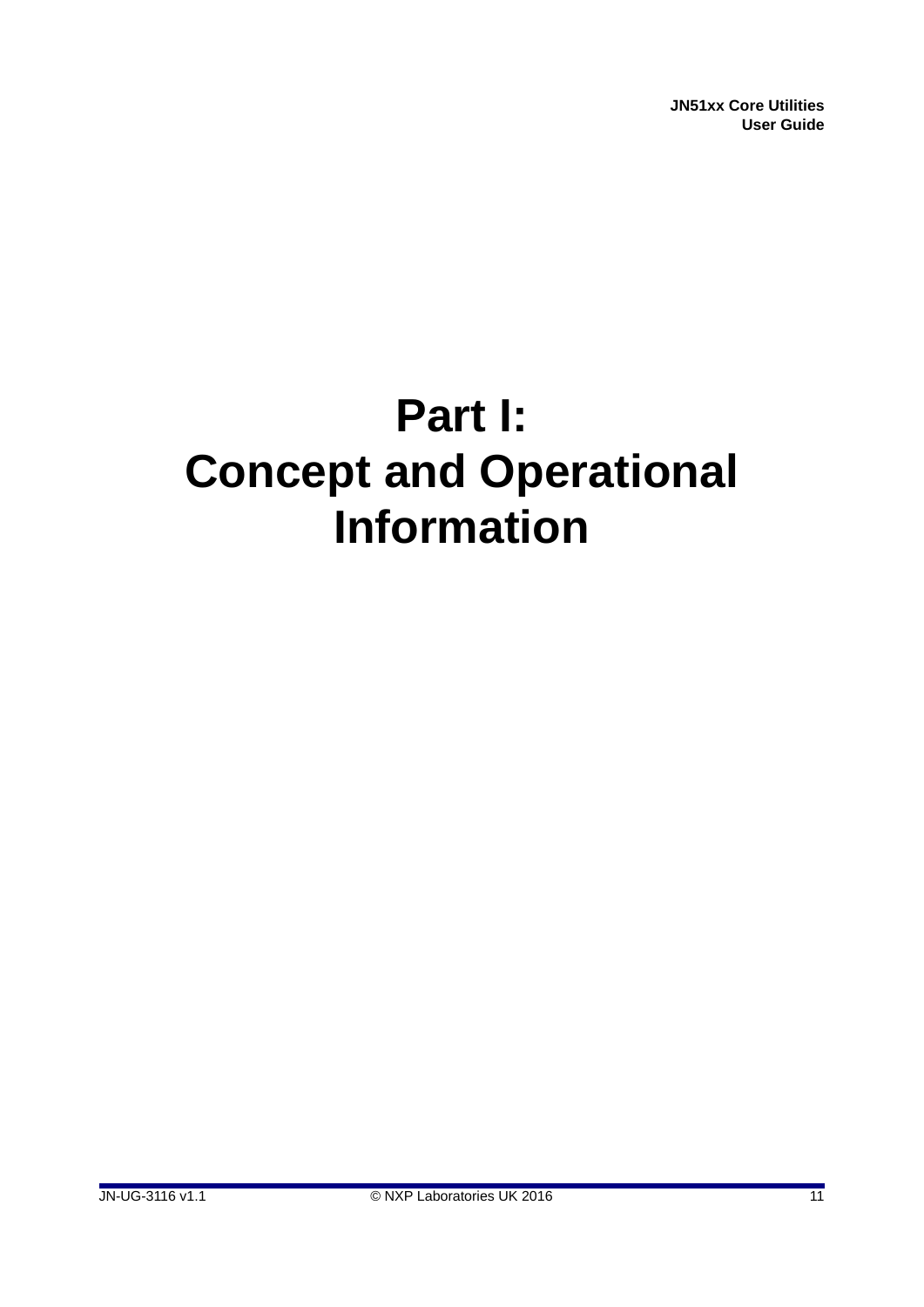# <span id="page-10-1"></span><span id="page-10-0"></span>**Part I: Concept and Operational Information**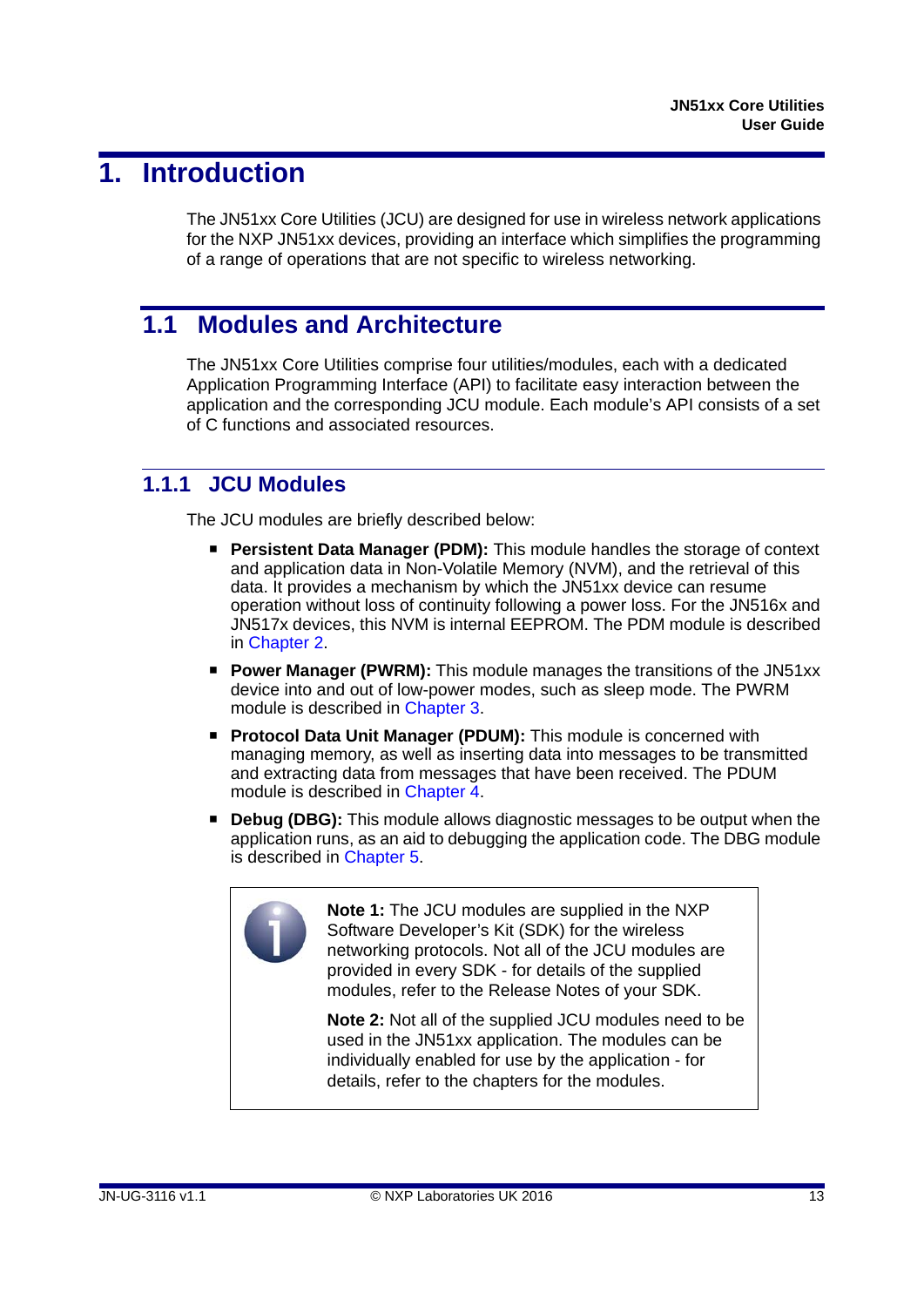## <span id="page-12-3"></span><span id="page-12-0"></span>**1. Introduction**

The JN51xx Core Utilities (JCU) are designed for use in wireless network applications for the NXP JN51xx devices, providing an interface which simplifies the programming of a range of operations that are not specific to wireless networking.

## <span id="page-12-1"></span>**1.1 Modules and Architecture**

The JN51xx Core Utilities comprise four utilities/modules, each with a dedicated Application Programming Interface (API) to facilitate easy interaction between the application and the corresponding JCU module. Each module's API consists of a set of C functions and associated resources.

#### <span id="page-12-2"></span>**1.1.1 JCU Modules**

The JCU modules are briefly described below:

- **Persistent Data Manager (PDM):** This module handles the storage of context and application data in Non-Volatile Memory (NVM), and the retrieval of this data. It provides a mechanism by which the JN51xx device can resume operation without loss of continuity following a power loss. For the JN516x and JN517x devices, this NVM is internal EEPROM. The PDM module is described in [Chapter 2](#page-14-2).
- **Power Manager (PWRM):** This module manages the transitions of the JN51xx device into and out of low-power modes, such as sleep mode. The PWRM module is described in [Chapter 3](#page-24-4).
- **Protocol Data Unit Manager (PDUM):** This module is concerned with managing memory, as well as inserting data into messages to be transmitted and extracting data from messages that have been received. The PDUM module is described in [Chapter 4](#page-34-2).
- **Debug (DBG):** This module allows diagnostic messages to be output when the application runs, as an aid to debugging the application code. The DBG module is described in [Chapter 5](#page-38-2).



**Note 2:** Not all of the supplied JCU modules need to be used in the JN51xx application. The modules can be individually enabled for use by the application - for details, refer to the chapters for the modules.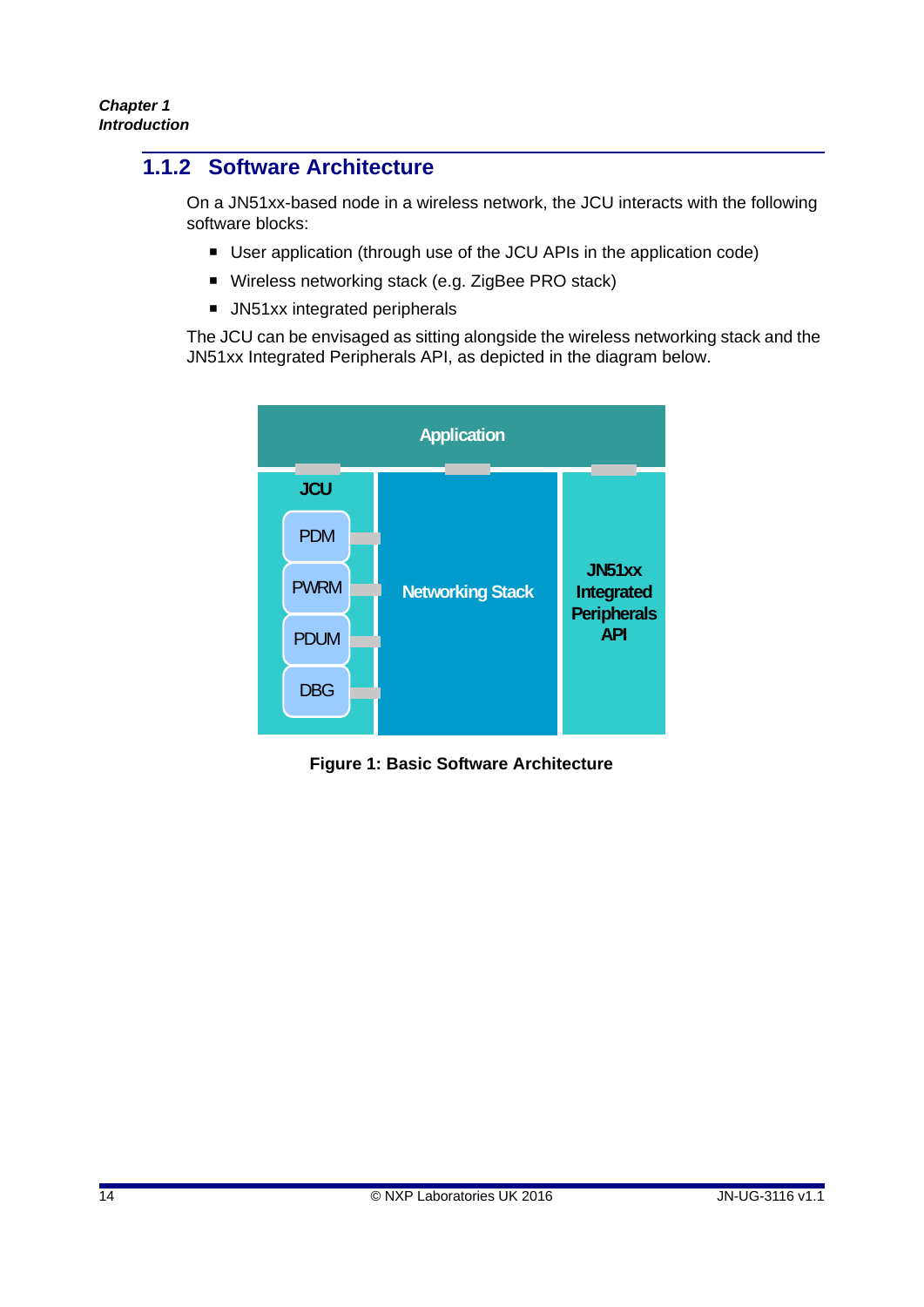#### <span id="page-13-0"></span>**1.1.2 Software Architecture**

On a JN51xx-based node in a wireless network, the JCU interacts with the following software blocks:

- User application (through use of the JCU APIs in the application code)
- Wireless networking stack (e.g. ZigBee PRO stack)
- **JN51xx integrated peripherals**

The JCU can be envisaged as sitting alongside the wireless networking stack and the JN51xx Integrated Peripherals API, as depicted in the diagram below.



**Figure 1: Basic Software Architecture**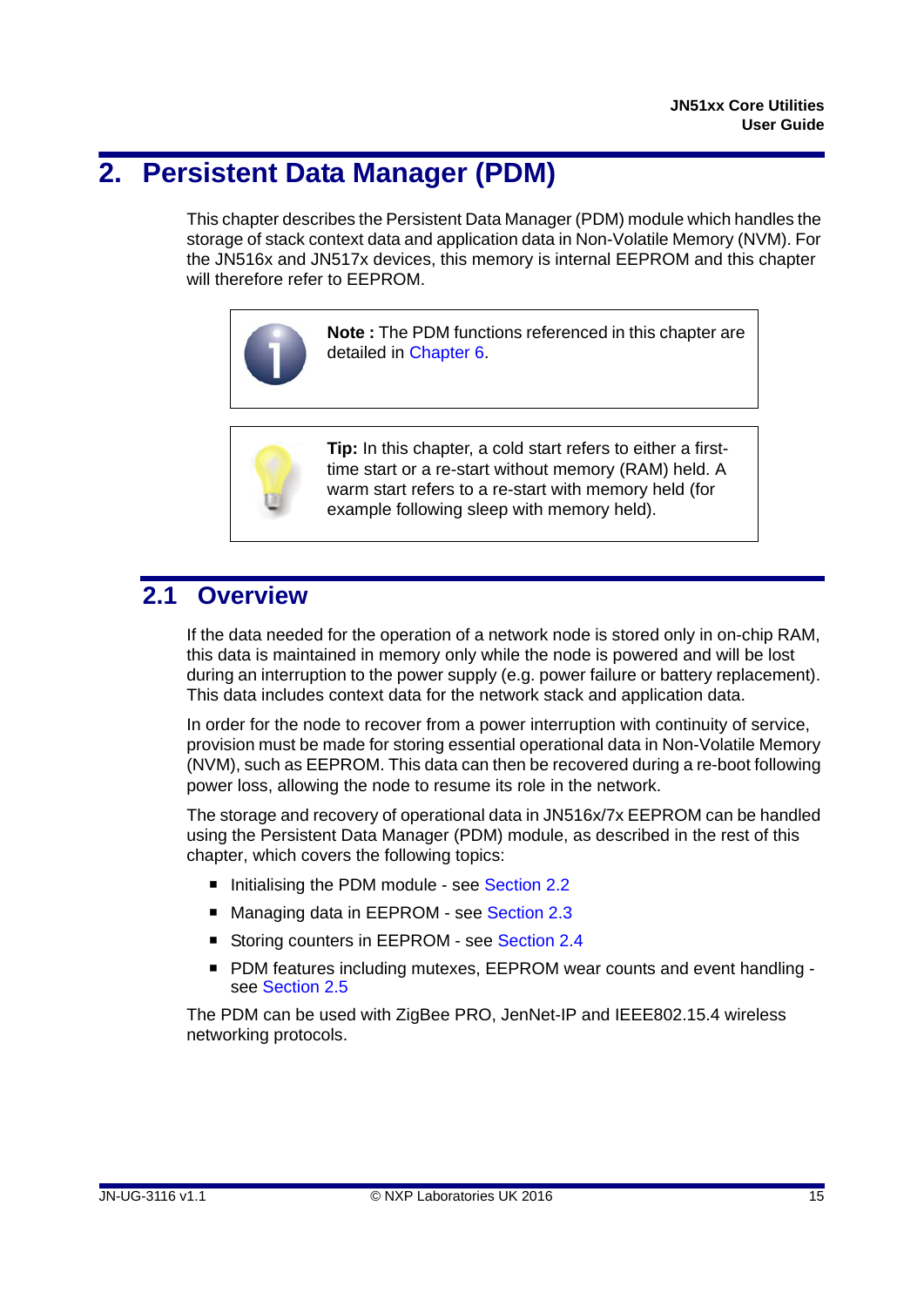## <span id="page-14-2"></span><span id="page-14-0"></span>**2. Persistent Data Manager (PDM)**

This chapter describes the Persistent Data Manager (PDM) module which handles the storage of stack context data and application data in Non-Volatile Memory (NVM). For the JN516x and JN517x devices, this memory is internal EEPROM and this chapter will therefore refer to EEPROM.



**Note :** The PDM functions referenced in this chapter are detailed in [Chapter 6](#page-46-1).



**Tip:** In this chapter, a cold start refers to either a firsttime start or a re-start without memory (RAM) held. A warm start refers to a re-start with memory held (for example following sleep with memory held).

## <span id="page-14-1"></span>**2.1 Overview**

If the data needed for the operation of a network node is stored only in on-chip RAM, this data is maintained in memory only while the node is powered and will be lost during an interruption to the power supply (e.g. power failure or battery replacement). This data includes context data for the network stack and application data.

In order for the node to recover from a power interruption with continuity of service, provision must be made for storing essential operational data in Non-Volatile Memory (NVM), such as EEPROM. This data can then be recovered during a re-boot following power loss, allowing the node to resume its role in the network.

The storage and recovery of operational data in JN516x/7x EEPROM can be handled using the Persistent Data Manager (PDM) module, as described in the rest of this chapter, which covers the following topics:

- Initialising the PDM module see [Section 2.2](#page-15-0)
- Managing data in EEPROM see [Section 2.3](#page-16-0)
- Storing counters in EEPROM see [Section 2.4](#page-19-0)
- PDM features including mutexes, EEPROM wear counts and event handling see [Section 2.5](#page-20-1)

The PDM can be used with ZigBee PRO, JenNet-IP and IEEE802.15.4 wireless networking protocols.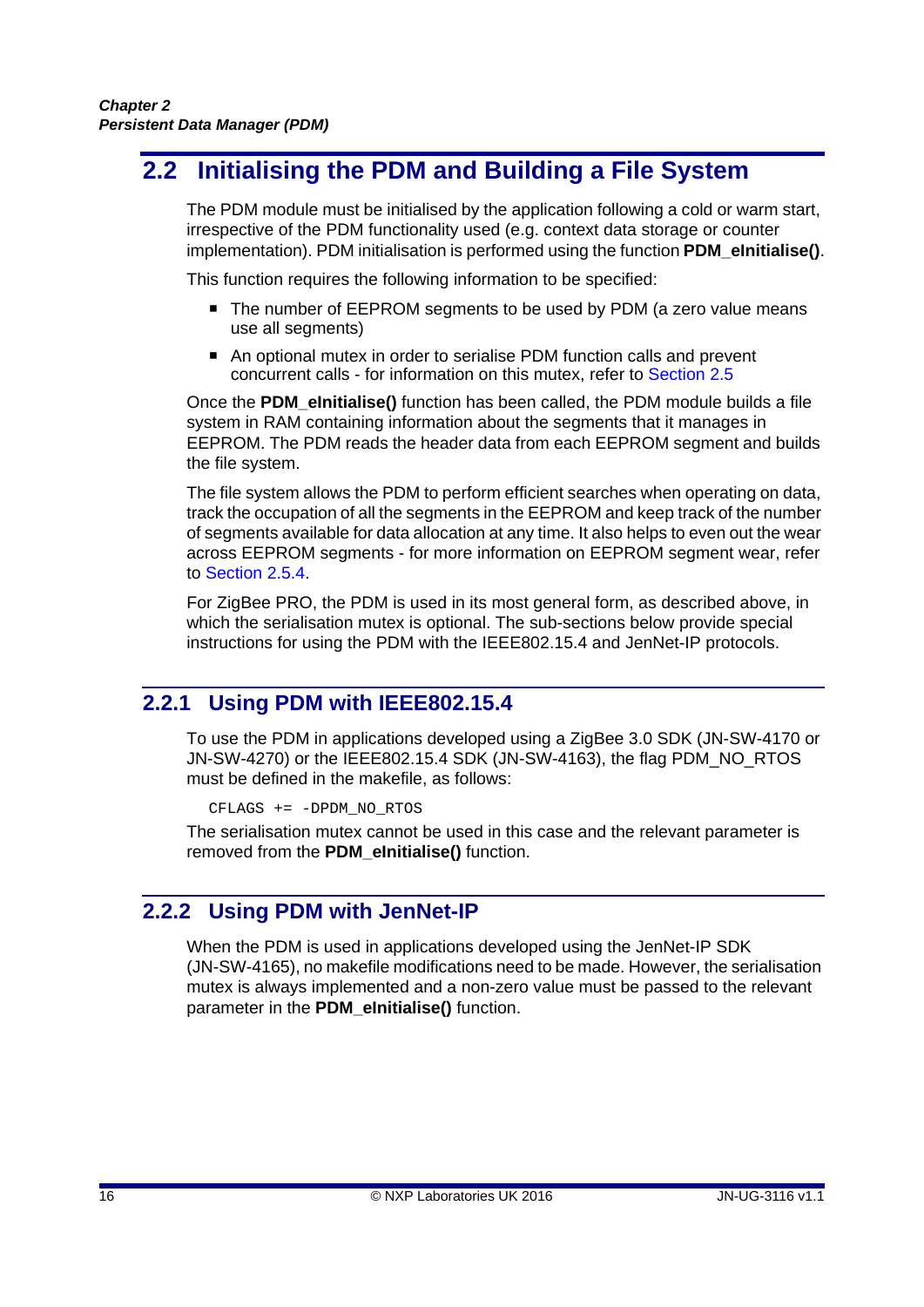## <span id="page-15-0"></span>**2.2 Initialising the PDM and Building a File System**

The PDM module must be initialised by the application following a cold or warm start, irrespective of the PDM functionality used (e.g. context data storage or counter implementation). PDM initialisation is performed using the function **PDM\_eInitialise()**.

This function requires the following information to be specified:

- The number of EEPROM segments to be used by PDM (a zero value means use all segments)
- An optional mutex in order to serialise PDM function calls and prevent concurrent calls - for information on this mutex, refer to [Section 2.5](#page-20-1)

Once the **PDM\_eInitialise()** function has been called, the PDM module builds a file system in RAM containing information about the segments that it manages in EEPROM. The PDM reads the header data from each EEPROM segment and builds the file system.

The file system allows the PDM to perform efficient searches when operating on data, track the occupation of all the segments in the EEPROM and keep track of the number of segments available for data allocation at any time. It also helps to even out the wear across EEPROM segments - for more information on EEPROM segment wear, refer to [Section 2.5.4.](#page-21-1)

For ZigBee PRO, the PDM is used in its most general form, as described above, in which the serialisation mutex is optional. The sub-sections below provide special instructions for using the PDM with the IEEE802.15.4 and JenNet-IP protocols.

#### <span id="page-15-1"></span>**2.2.1 Using PDM with IEEE802.15.4**

To use the PDM in applications developed using a ZigBee 3.0 SDK (JN-SW-4170 or JN-SW-4270) or the IEEE802.15.4 SDK (JN-SW-4163), the flag PDM\_NO\_RTOS must be defined in the makefile, as follows:

CFLAGS += -DPDM\_NO\_RTOS

The serialisation mutex cannot be used in this case and the relevant parameter is removed from the **PDM\_eInitialise()** function.

#### <span id="page-15-2"></span>**2.2.2 Using PDM with JenNet-IP**

When the PDM is used in applications developed using the JenNet-IP SDK (JN-SW-4165), no makefile modifications need to be made. However, the serialisation mutex is always implemented and a non-zero value must be passed to the relevant parameter in the **PDM\_eInitialise()** function.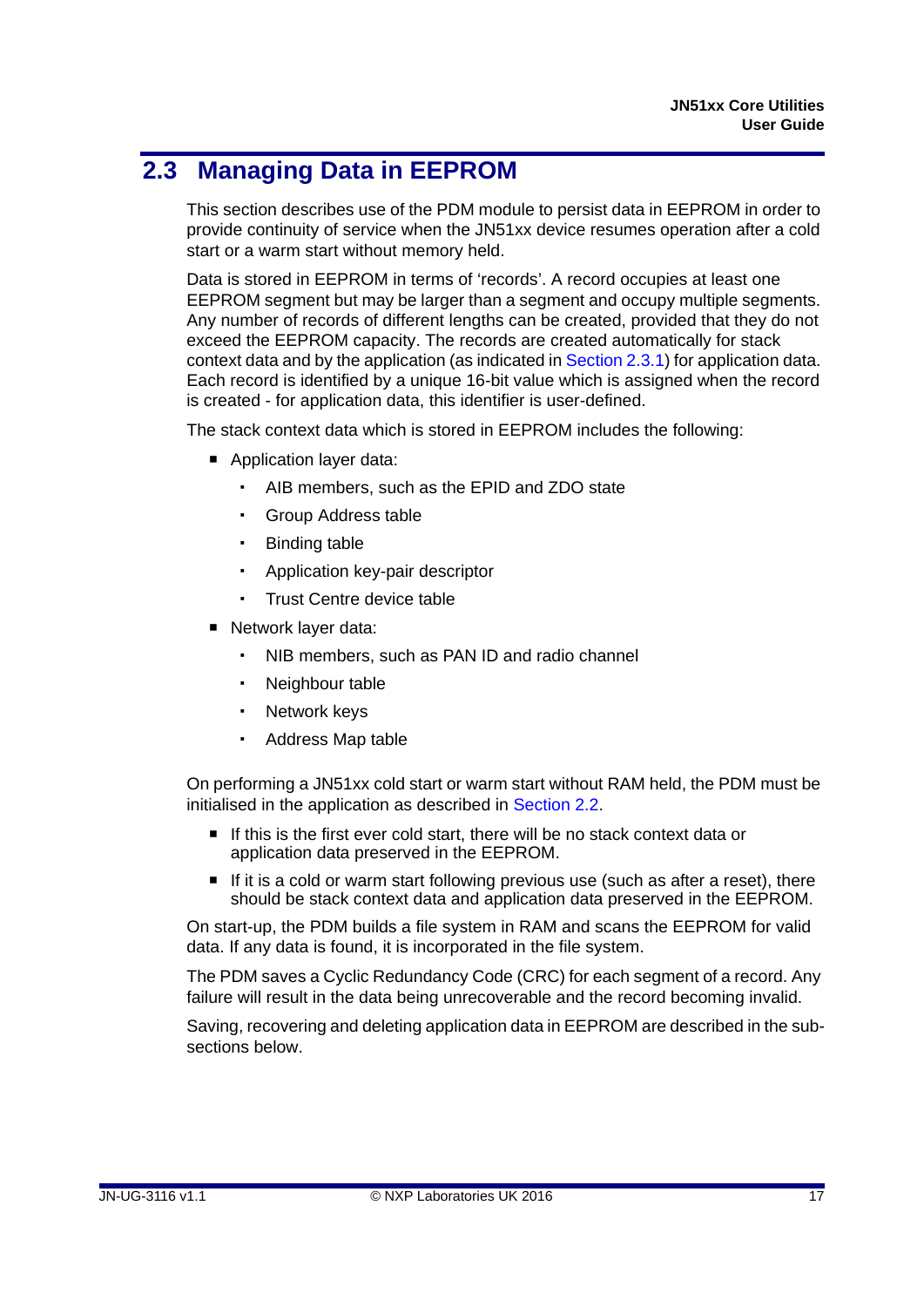## <span id="page-16-0"></span>**2.3 Managing Data in EEPROM**

This section describes use of the PDM module to persist data in EEPROM in order to provide continuity of service when the JN51xx device resumes operation after a cold start or a warm start without memory held.

Data is stored in EEPROM in terms of 'records'. A record occupies at least one EEPROM segment but may be larger than a segment and occupy multiple segments. Any number of records of different lengths can be created, provided that they do not exceed the EEPROM capacity. The records are created automatically for stack context data and by the application (as indicated in [Section 2.3.1](#page-17-0)) for application data. Each record is identified by a unique 16-bit value which is assigned when the record is created - for application data, this identifier is user-defined.

The stack context data which is stored in EEPROM includes the following:

- Application layer data:
	- AIB members, such as the EPID and ZDO state
	- Group Address table
	- Binding table
	- Application key-pair descriptor
	- Trust Centre device table
- Network layer data:
	- NIB members, such as PAN ID and radio channel
	- Neighbour table
	- Network keys
	- Address Map table

On performing a JN51xx cold start or warm start without RAM held, the PDM must be initialised in the application as described in [Section 2.2.](#page-15-0)

- If this is the first ever cold start, there will be no stack context data or application data preserved in the EEPROM.
- If it is a cold or warm start following previous use (such as after a reset), there should be stack context data and application data preserved in the EEPROM.

On start-up, the PDM builds a file system in RAM and scans the EEPROM for valid data. If any data is found, it is incorporated in the file system.

The PDM saves a Cyclic Redundancy Code (CRC) for each segment of a record. Any failure will result in the data being unrecoverable and the record becoming invalid.

Saving, recovering and deleting application data in EEPROM are described in the subsections below.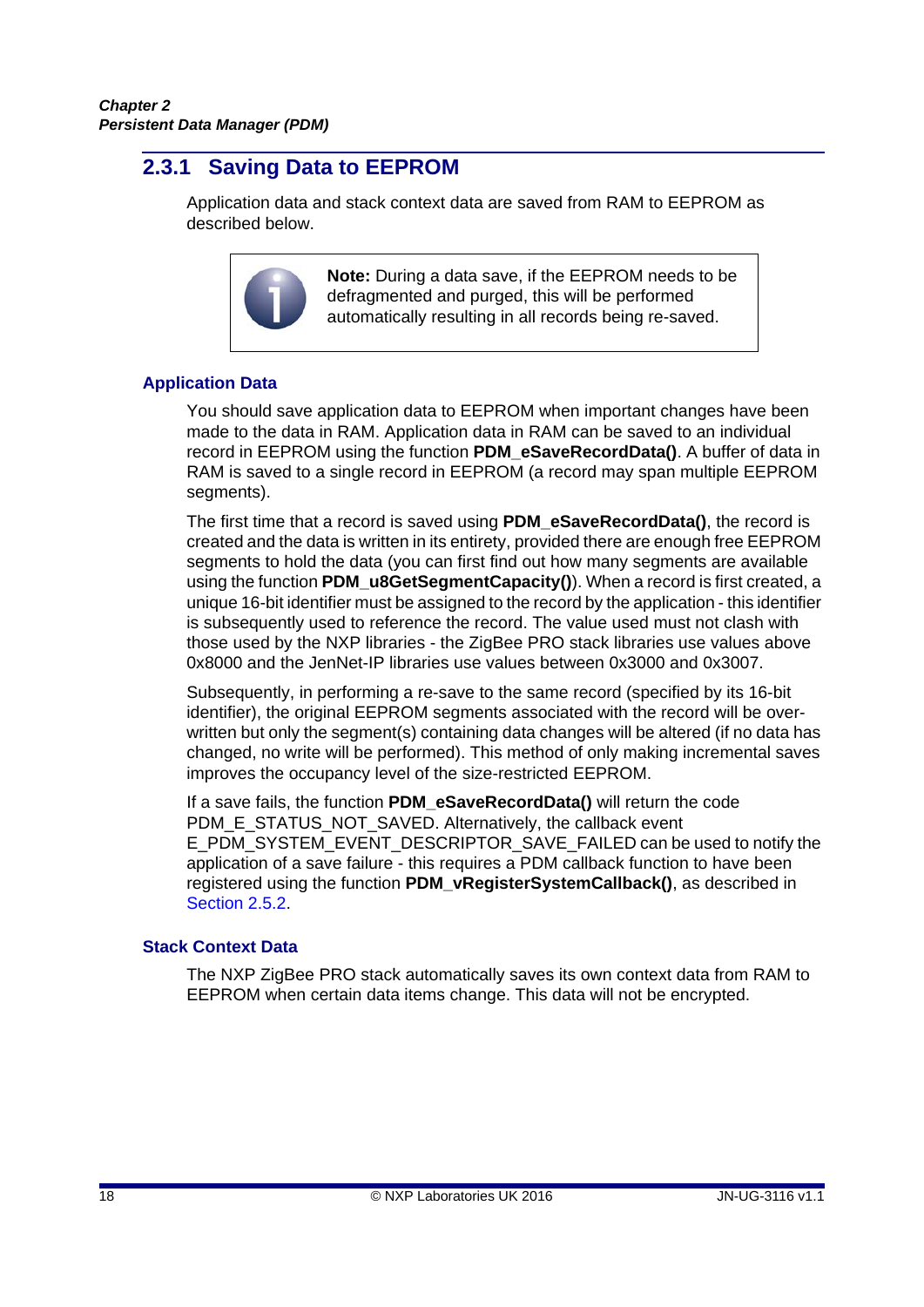### <span id="page-17-0"></span>**2.3.1 Saving Data to EEPROM**

Application data and stack context data are saved from RAM to EEPROM as described below.



**Note:** During a data save, if the EEPROM needs to be defragmented and purged, this will be performed automatically resulting in all records being re-saved.

#### **Application Data**

You should save application data to EEPROM when important changes have been made to the data in RAM. Application data in RAM can be saved to an individual record in EEPROM using the function **PDM\_eSaveRecordData()**. A buffer of data in RAM is saved to a single record in EEPROM (a record may span multiple EEPROM segments).

The first time that a record is saved using **PDM\_eSaveRecordData()**, the record is created and the data is written in its entirety, provided there are enough free EEPROM segments to hold the data (you can first find out how many segments are available using the function **PDM\_u8GetSegmentCapacity()**). When a record is first created, a unique 16-bit identifier must be assigned to the record by the application - this identifier is subsequently used to reference the record. The value used must not clash with those used by the NXP libraries - the ZigBee PRO stack libraries use values above 0x8000 and the JenNet-IP libraries use values between 0x3000 and 0x3007.

Subsequently, in performing a re-save to the same record (specified by its 16-bit identifier), the original EEPROM segments associated with the record will be overwritten but only the segment(s) containing data changes will be altered (if no data has changed, no write will be performed). This method of only making incremental saves improves the occupancy level of the size-restricted EEPROM.

If a save fails, the function **PDM\_eSaveRecordData()** will return the code PDM\_E\_STATUS\_NOT\_SAVED. Alternatively, the callback event E\_PDM\_SYSTEM\_EVENT\_DESCRIPTOR\_SAVE\_FAILED can be used to notify the application of a save failure - this requires a PDM callback function to have been registered using the function **PDM\_vRegisterSystemCallback()**, as described in [Section 2.5.2](#page-20-3).

#### **Stack Context Data**

The NXP ZigBee PRO stack automatically saves its own context data from RAM to EEPROM when certain data items change. This data will not be encrypted.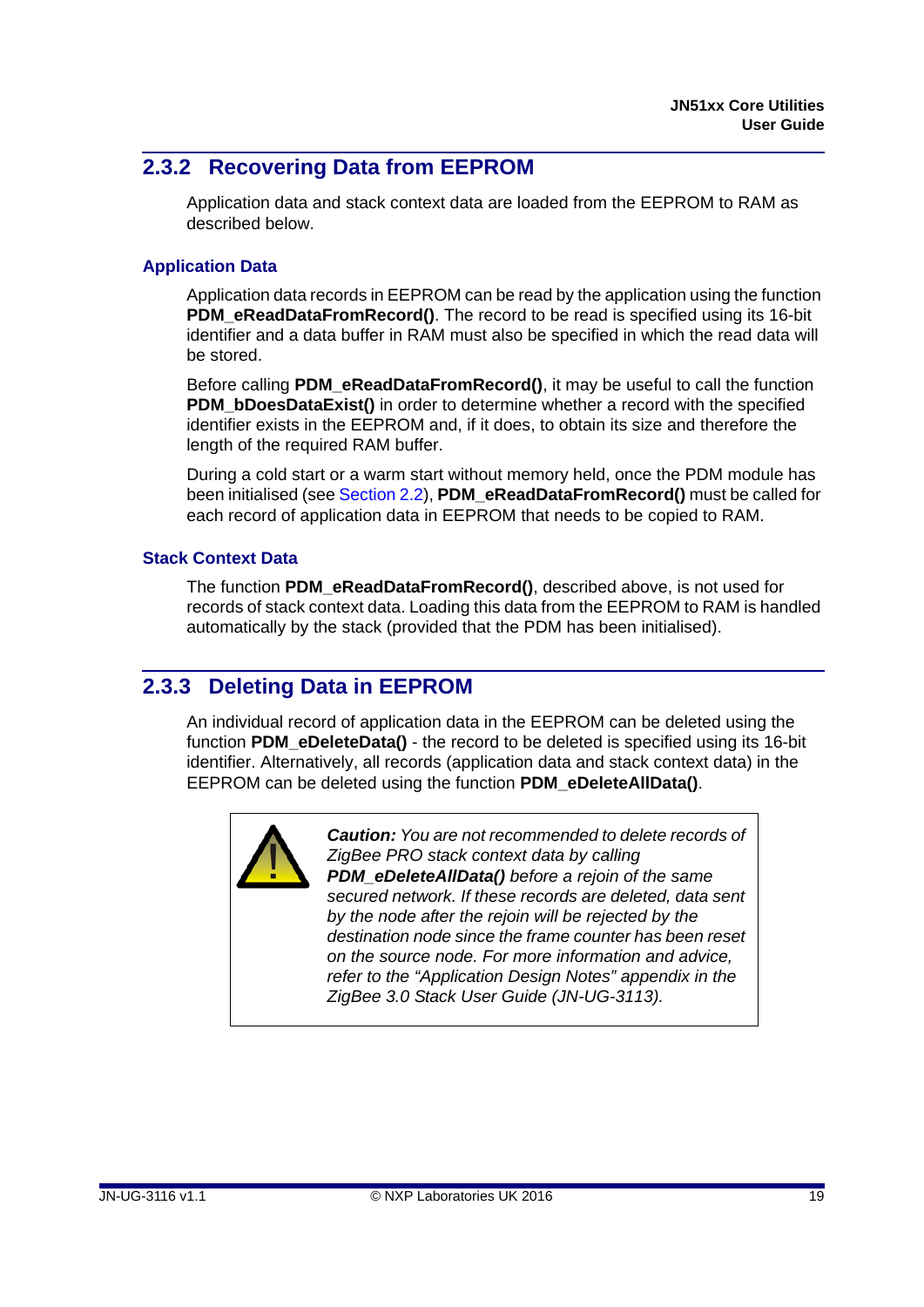#### <span id="page-18-0"></span>**2.3.2 Recovering Data from EEPROM**

Application data and stack context data are loaded from the EEPROM to RAM as described below.

#### **Application Data**

Application data records in EEPROM can be read by the application using the function **PDM\_eReadDataFromRecord().** The record to be read is specified using its 16-bit identifier and a data buffer in RAM must also be specified in which the read data will be stored.

Before calling **PDM\_eReadDataFromRecord()**, it may be useful to call the function **PDM\_bDoesDataExist()** in order to determine whether a record with the specified identifier exists in the EEPROM and, if it does, to obtain its size and therefore the length of the required RAM buffer.

During a cold start or a warm start without memory held, once the PDM module has been initialised (see [Section 2.2\)](#page-15-0), **PDM\_eReadDataFromRecord()** must be called for each record of application data in EEPROM that needs to be copied to RAM.

#### **Stack Context Data**

The function **PDM\_eReadDataFromRecord()**, described above, is not used for records of stack context data. Loading this data from the EEPROM to RAM is handled automatically by the stack (provided that the PDM has been initialised).

#### <span id="page-18-1"></span>**2.3.3 Deleting Data in EEPROM**

An individual record of application data in the EEPROM can be deleted using the function **PDM\_eDeleteData()** - the record to be deleted is specified using its 16-bit identifier. Alternatively, all records (application data and stack context data) in the EEPROM can be deleted using the function **PDM\_eDeleteAllData()**.



*Caution: You are not recommended to delete records of ZigBee PRO stack context data by calling PDM\_eDeleteAllData() before a rejoin of the same secured network. If these records are deleted, data sent by the node after the rejoin will be rejected by the destination node since the frame counter has been reset on the source node. For more information and advice, refer to the "Application Design Notes" appendix in the ZigBee 3.0 Stack User Guide (JN-UG-3113).*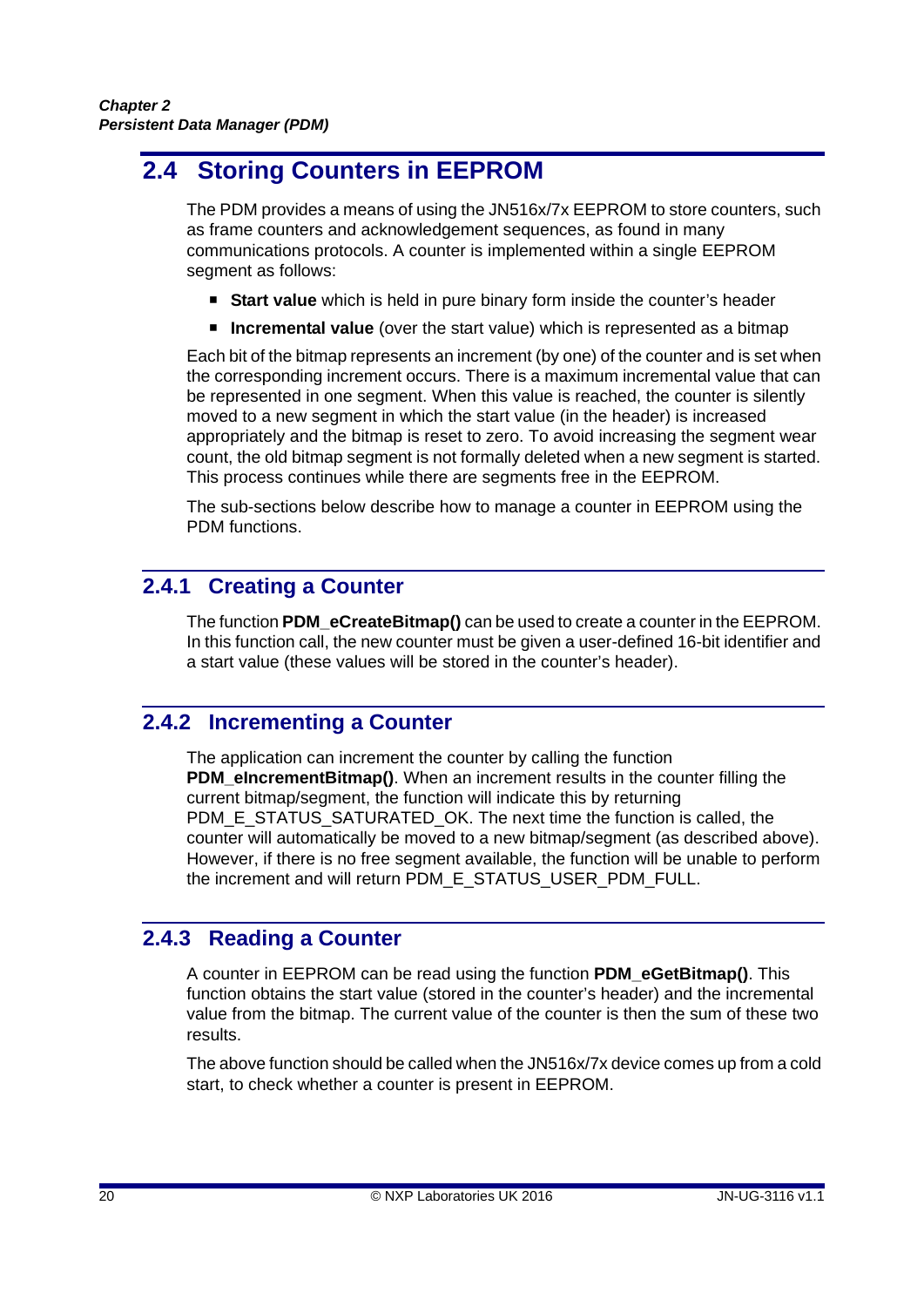## <span id="page-19-0"></span>**2.4 Storing Counters in EEPROM**

The PDM provides a means of using the JN516x/7x EEPROM to store counters, such as frame counters and acknowledgement sequences, as found in many communications protocols. A counter is implemented within a single EEPROM segment as follows:

- **Start value** which is held in pure binary form inside the counter's header
- **Incremental value** (over the start value) which is represented as a bitmap

Each bit of the bitmap represents an increment (by one) of the counter and is set when the corresponding increment occurs. There is a maximum incremental value that can be represented in one segment. When this value is reached, the counter is silently moved to a new segment in which the start value (in the header) is increased appropriately and the bitmap is reset to zero. To avoid increasing the segment wear count, the old bitmap segment is not formally deleted when a new segment is started. This process continues while there are segments free in the EEPROM.

The sub-sections below describe how to manage a counter in EEPROM using the PDM functions.

#### <span id="page-19-1"></span>**2.4.1 Creating a Counter**

The function **PDM\_eCreateBitmap()** can be used to create a counter in the EEPROM. In this function call, the new counter must be given a user-defined 16-bit identifier and a start value (these values will be stored in the counter's header).

#### <span id="page-19-2"></span>**2.4.2 Incrementing a Counter**

The application can increment the counter by calling the function **PDM\_eIncrementBitmap()**. When an increment results in the counter filling the current bitmap/segment, the function will indicate this by returning PDM\_E\_STATUS\_SATURATED\_OK. The next time the function is called, the counter will automatically be moved to a new bitmap/segment (as described above). However, if there is no free segment available, the function will be unable to perform the increment and will return PDM\_E\_STATUS\_USER\_PDM\_FULL.

#### <span id="page-19-3"></span>**2.4.3 Reading a Counter**

A counter in EEPROM can be read using the function **PDM\_eGetBitmap()**. This function obtains the start value (stored in the counter's header) and the incremental value from the bitmap. The current value of the counter is then the sum of these two results.

The above function should be called when the JN516x/7x device comes up from a cold start, to check whether a counter is present in EEPROM.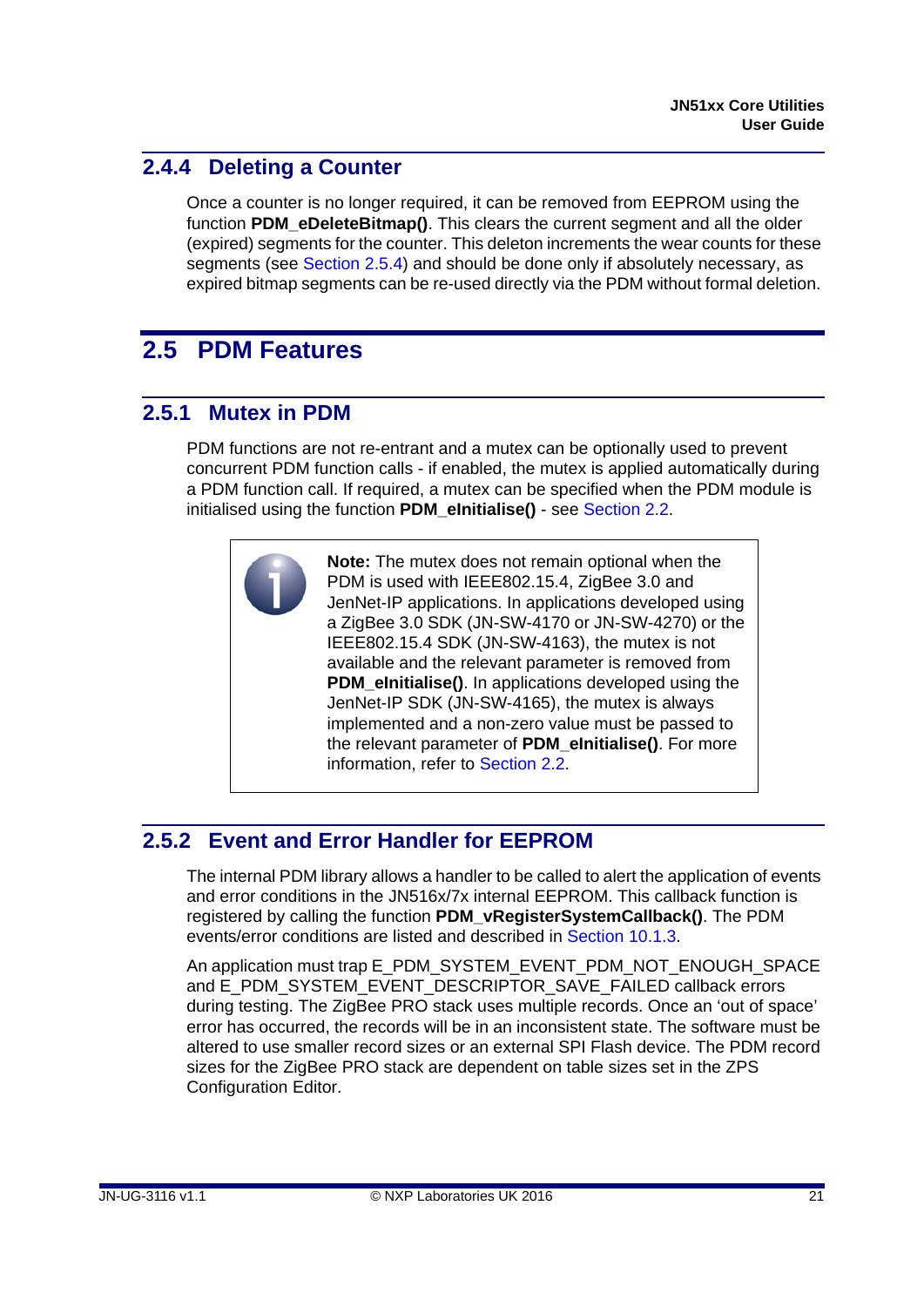#### <span id="page-20-0"></span>**2.4.4 Deleting a Counter**

Once a counter is no longer required, it can be removed from EEPROM using the function **PDM\_eDeleteBitmap()**. This clears the current segment and all the older (expired) segments for the counter. This deleton increments the wear counts for these segments (see [Section 2.5.4\)](#page-21-1) and should be done only if absolutely necessary, as expired bitmap segments can be re-used directly via the PDM without formal deletion.

## <span id="page-20-1"></span>**2.5 PDM Features**

#### <span id="page-20-2"></span>**2.5.1 Mutex in PDM**

PDM functions are not re-entrant and a mutex can be optionally used to prevent concurrent PDM function calls - if enabled, the mutex is applied automatically during a PDM function call. If required, a mutex can be specified when the PDM module is initialised using the function **PDM\_eInitialise()** - see [Section 2.2](#page-15-0).



**Note:** The mutex does not remain optional when the PDM is used with IEEE802.15.4, ZigBee 3.0 and JenNet-IP applications. In applications developed using a ZigBee 3.0 SDK (JN-SW-4170 or JN-SW-4270) or the IEEE802.15.4 SDK (JN-SW-4163), the mutex is not available and the relevant parameter is removed from **PDM\_eInitialise()**. In applications developed using the JenNet-IP SDK (JN-SW-4165), the mutex is always implemented and a non-zero value must be passed to the relevant parameter of **PDM\_eInitialise()**. For more information, refer to [Section 2.2](#page-15-0).

#### <span id="page-20-3"></span>**2.5.2 Event and Error Handler for EEPROM**

The internal PDM library allows a handler to be called to alert the application of events and error conditions in the JN516x/7x internal EEPROM. This callback function is registered by calling the function **PDM\_vRegisterSystemCallback()**. The PDM events/error conditions are listed and described in [Section 10.1.3.](#page-107-1)

An application must trap E\_PDM\_SYSTEM\_EVENT\_PDM\_NOT\_ENOUGH\_SPACE and E\_PDM\_SYSTEM\_EVENT\_DESCRIPTOR\_SAVE\_FAILED callback errors during testing. The ZigBee PRO stack uses multiple records. Once an 'out of space' error has occurred, the records will be in an inconsistent state. The software must be altered to use smaller record sizes or an external SPI Flash device. The PDM record sizes for the ZigBee PRO stack are dependent on table sizes set in the ZPS Configuration Editor.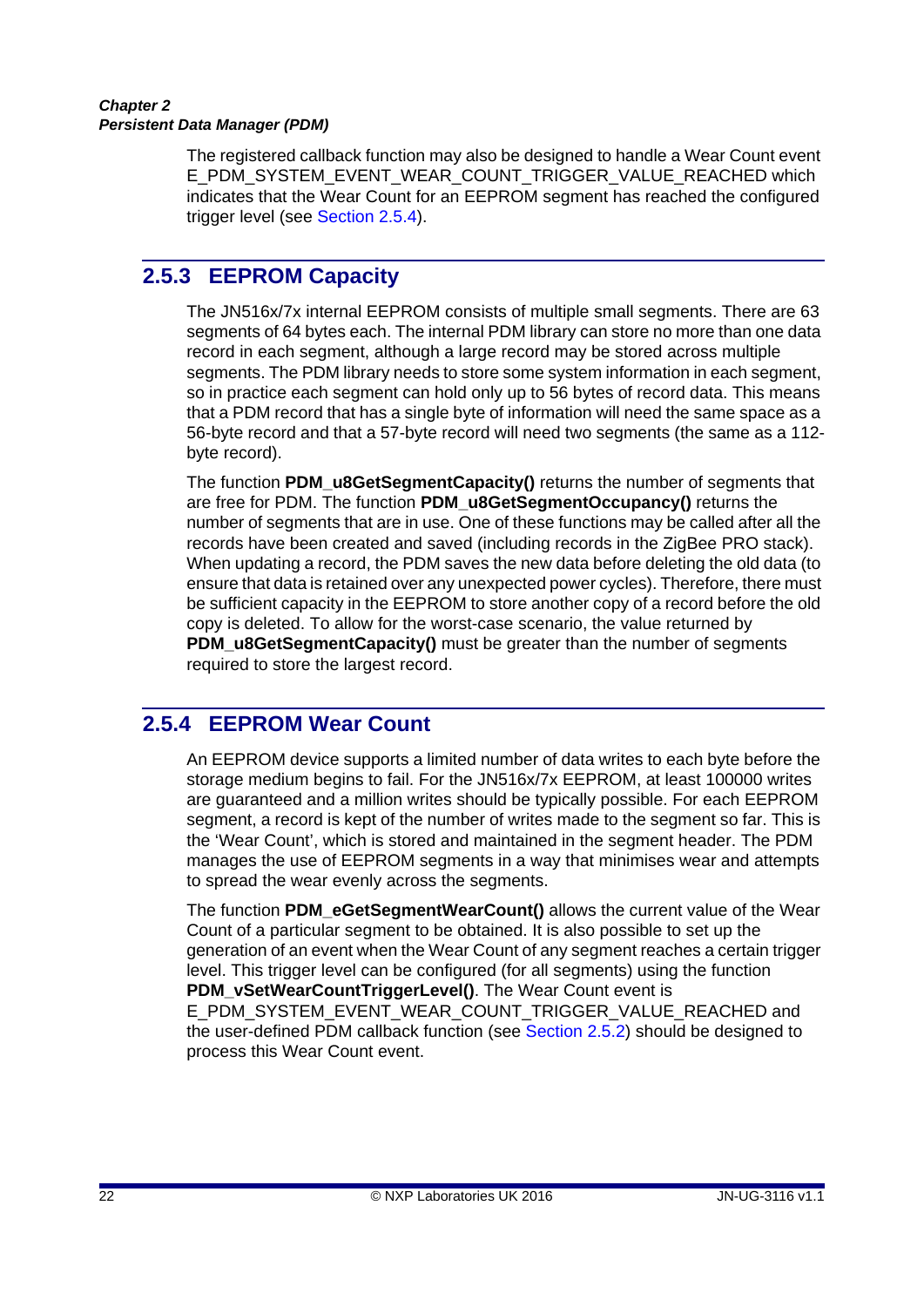#### *Chapter 2 Persistent Data Manager (PDM)*

The registered callback function may also be designed to handle a Wear Count event E\_PDM\_SYSTEM\_EVENT\_WEAR\_COUNT\_TRIGGER\_VALUE\_REACHED which indicates that the Wear Count for an EEPROM segment has reached the configured trigger level (see [Section 2.5.4\)](#page-21-1).

### <span id="page-21-0"></span>**2.5.3 EEPROM Capacity**

The JN516x/7x internal EEPROM consists of multiple small segments. There are 63 segments of 64 bytes each. The internal PDM library can store no more than one data record in each segment, although a large record may be stored across multiple segments. The PDM library needs to store some system information in each segment, so in practice each segment can hold only up to 56 bytes of record data. This means that a PDM record that has a single byte of information will need the same space as a 56-byte record and that a 57-byte record will need two segments (the same as a 112 byte record).

The function **PDM\_u8GetSegmentCapacity()** returns the number of segments that are free for PDM. The function **PDM\_u8GetSegmentOccupancy()** returns the number of segments that are in use. One of these functions may be called after all the records have been created and saved (including records in the ZigBee PRO stack). When updating a record, the PDM saves the new data before deleting the old data (to ensure that data is retained over any unexpected power cycles). Therefore, there must be sufficient capacity in the EEPROM to store another copy of a record before the old copy is deleted. To allow for the worst-case scenario, the value returned by **PDM\_u8GetSegmentCapacity()** must be greater than the number of segments required to store the largest record.

## <span id="page-21-1"></span>**2.5.4 EEPROM Wear Count**

An EEPROM device supports a limited number of data writes to each byte before the storage medium begins to fail. For the JN516x/7x EEPROM, at least 100000 writes are guaranteed and a million writes should be typically possible. For each EEPROM segment, a record is kept of the number of writes made to the segment so far. This is the 'Wear Count', which is stored and maintained in the segment header. The PDM manages the use of EEPROM segments in a way that minimises wear and attempts to spread the wear evenly across the segments.

The function **PDM\_eGetSegmentWearCount()** allows the current value of the Wear Count of a particular segment to be obtained. It is also possible to set up the generation of an event when the Wear Count of any segment reaches a certain trigger level. This trigger level can be configured (for all segments) using the function **PDM\_vSetWearCountTriggerLevel()**. The Wear Count event is E\_PDM\_SYSTEM\_EVENT\_WEAR\_COUNT\_TRIGGER\_VALUE\_REACHED and the user-defined PDM callback function (see [Section 2.5.2](#page-20-3)) should be designed to process this Wear Count event.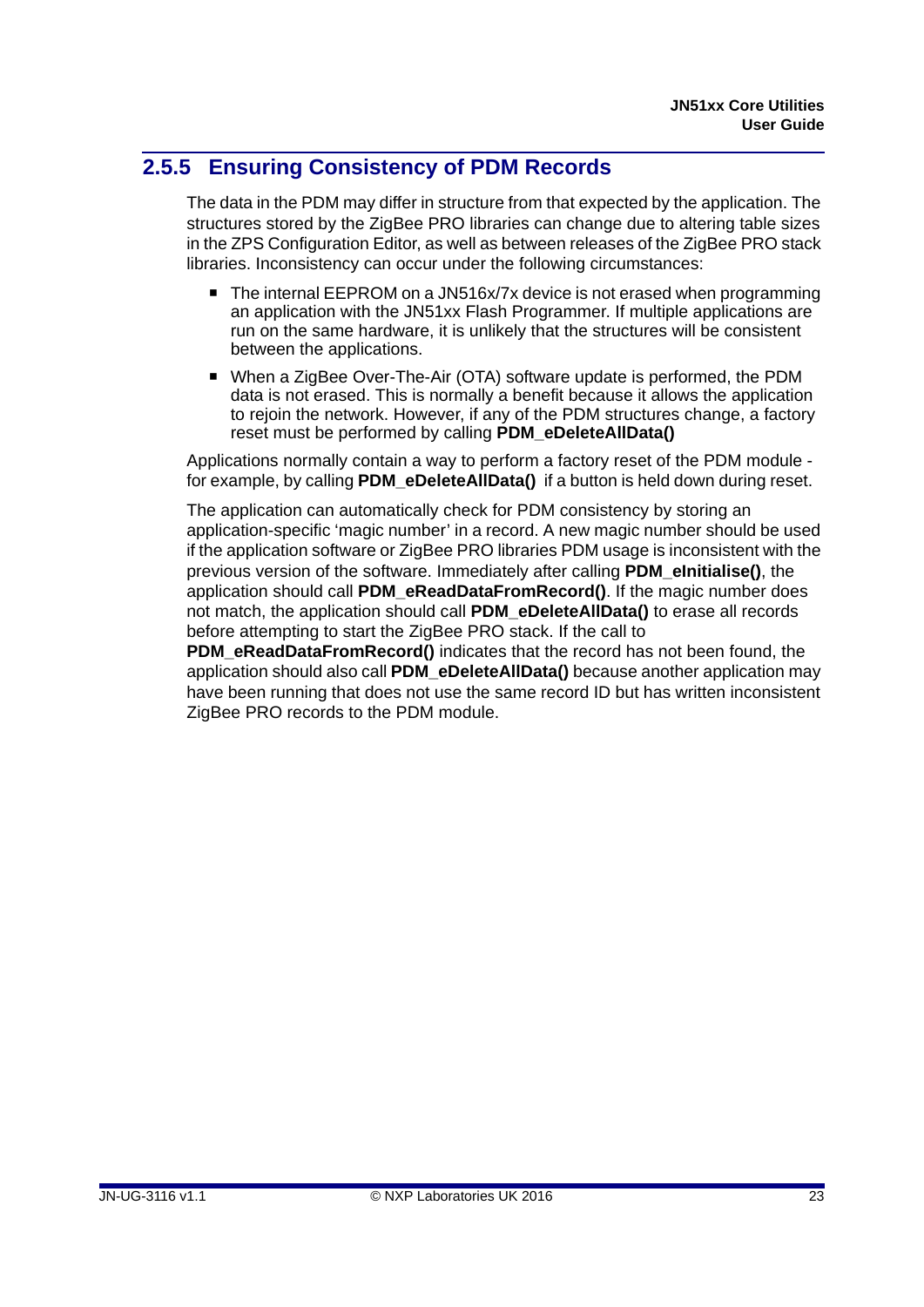#### <span id="page-22-0"></span>**2.5.5 Ensuring Consistency of PDM Records**

The data in the PDM may differ in structure from that expected by the application. The structures stored by the ZigBee PRO libraries can change due to altering table sizes in the ZPS Configuration Editor, as well as between releases of the ZigBee PRO stack libraries. Inconsistency can occur under the following circumstances:

- The internal EEPROM on a JN516x/7x device is not erased when programming an application with the JN51xx Flash Programmer. If multiple applications are run on the same hardware, it is unlikely that the structures will be consistent between the applications.
- When a ZigBee Over-The-Air (OTA) software update is performed, the PDM data is not erased. This is normally a benefit because it allows the application to rejoin the network. However, if any of the PDM structures change, a factory reset must be performed by calling **PDM\_eDeleteAllData()**

Applications normally contain a way to perform a factory reset of the PDM module for example, by calling **PDM\_eDeleteAllData()** if a button is held down during reset.

The application can automatically check for PDM consistency by storing an application-specific 'magic number' in a record. A new magic number should be used if the application software or ZigBee PRO libraries PDM usage is inconsistent with the previous version of the software. Immediately after calling **PDM\_eInitialise()**, the application should call **PDM\_eReadDataFromRecord()**. If the magic number does not match, the application should call **PDM\_eDeleteAllData()** to erase all records before attempting to start the ZigBee PRO stack. If the call to

**PDM\_eReadDataFromRecord()** indicates that the record has not been found, the application should also call **PDM\_eDeleteAllData()** because another application may have been running that does not use the same record ID but has written inconsistent ZigBee PRO records to the PDM module.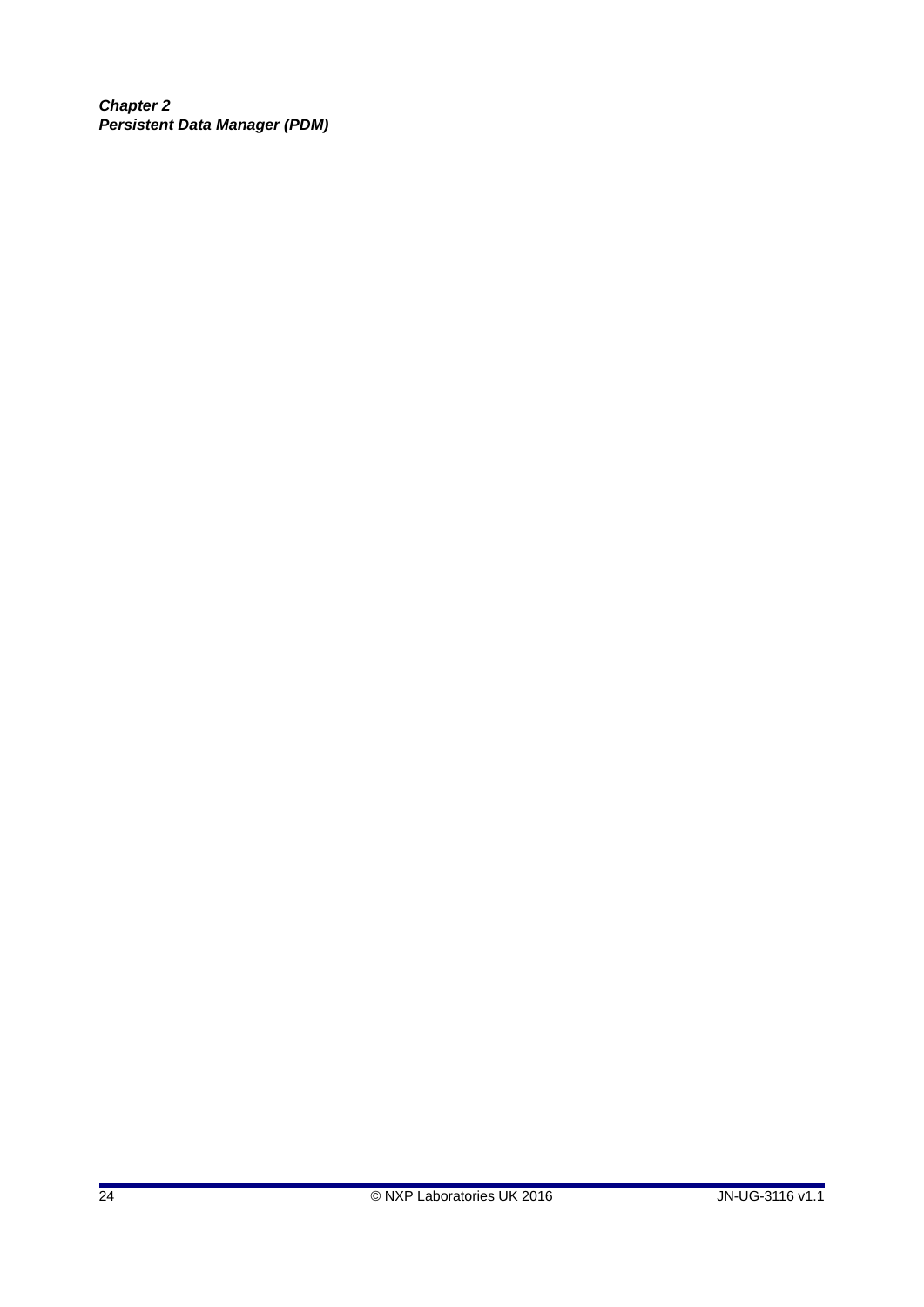*Chapter 2 Persistent Data Manager (PDM)*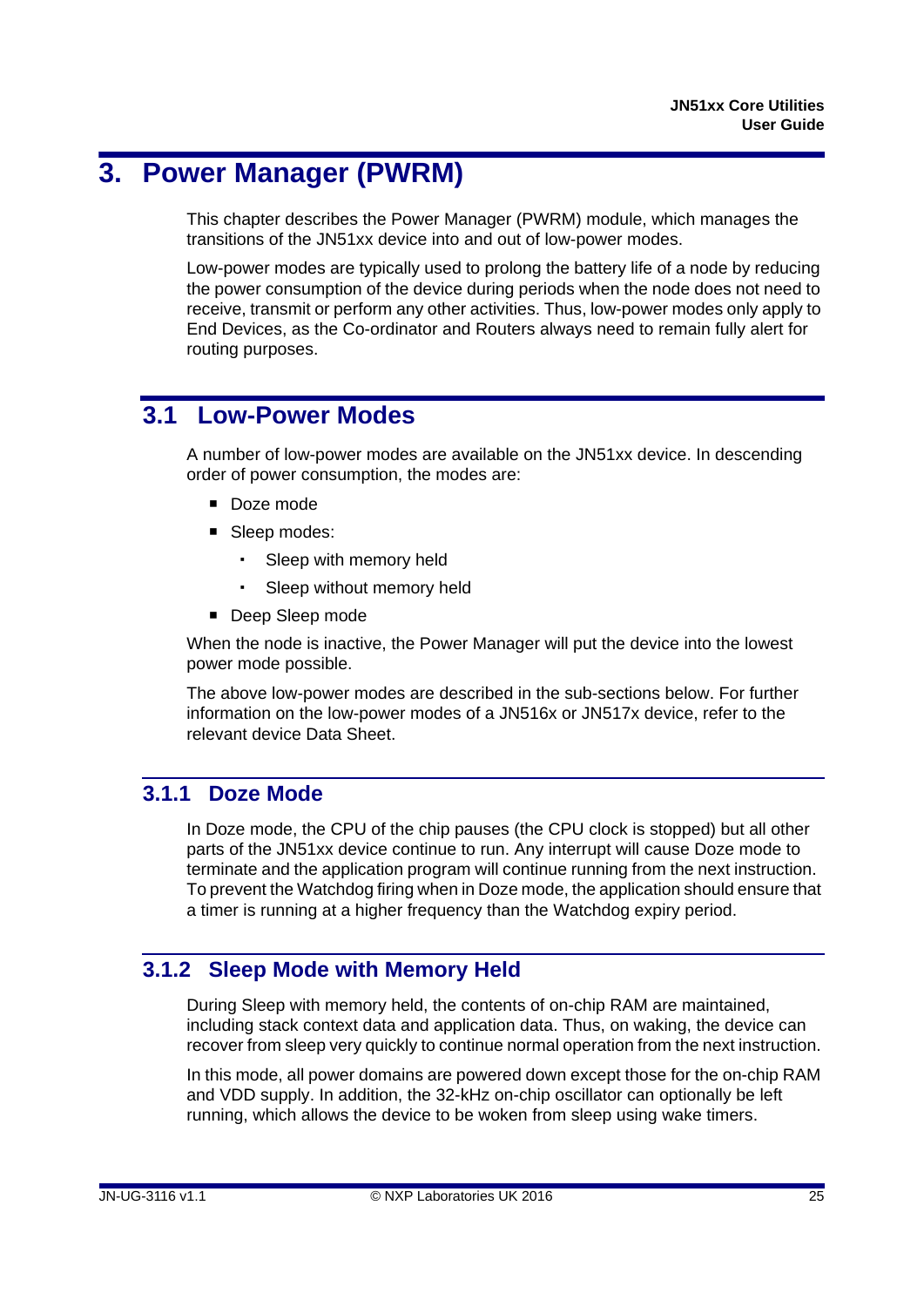## <span id="page-24-4"></span><span id="page-24-0"></span>**3. Power Manager (PWRM)**

This chapter describes the Power Manager (PWRM) module, which manages the transitions of the JN51xx device into and out of low-power modes.

Low-power modes are typically used to prolong the battery life of a node by reducing the power consumption of the device during periods when the node does not need to receive, transmit or perform any other activities. Thus, low-power modes only apply to End Devices, as the Co-ordinator and Routers always need to remain fully alert for routing purposes.

## <span id="page-24-1"></span>**3.1 Low-Power Modes**

A number of low-power modes are available on the JN51xx device. In descending order of power consumption, the modes are:

- Doze mode
- Sleep modes:
	- Sleep with memory held
	- Sleep without memory held
- Deep Sleep mode

When the node is inactive, the Power Manager will put the device into the lowest power mode possible.

The above low-power modes are described in the sub-sections below. For further information on the low-power modes of a JN516x or JN517x device, refer to the relevant device Data Sheet.

#### <span id="page-24-2"></span>**3.1.1 Doze Mode**

In Doze mode, the CPU of the chip pauses (the CPU clock is stopped) but all other parts of the JN51xx device continue to run. Any interrupt will cause Doze mode to terminate and the application program will continue running from the next instruction. To prevent the Watchdog firing when in Doze mode, the application should ensure that a timer is running at a higher frequency than the Watchdog expiry period.

#### <span id="page-24-3"></span>**3.1.2 Sleep Mode with Memory Held**

During Sleep with memory held, the contents of on-chip RAM are maintained, including stack context data and application data. Thus, on waking, the device can recover from sleep very quickly to continue normal operation from the next instruction.

In this mode, all power domains are powered down except those for the on-chip RAM and VDD supply. In addition, the 32-kHz on-chip oscillator can optionally be left running, which allows the device to be woken from sleep using wake timers.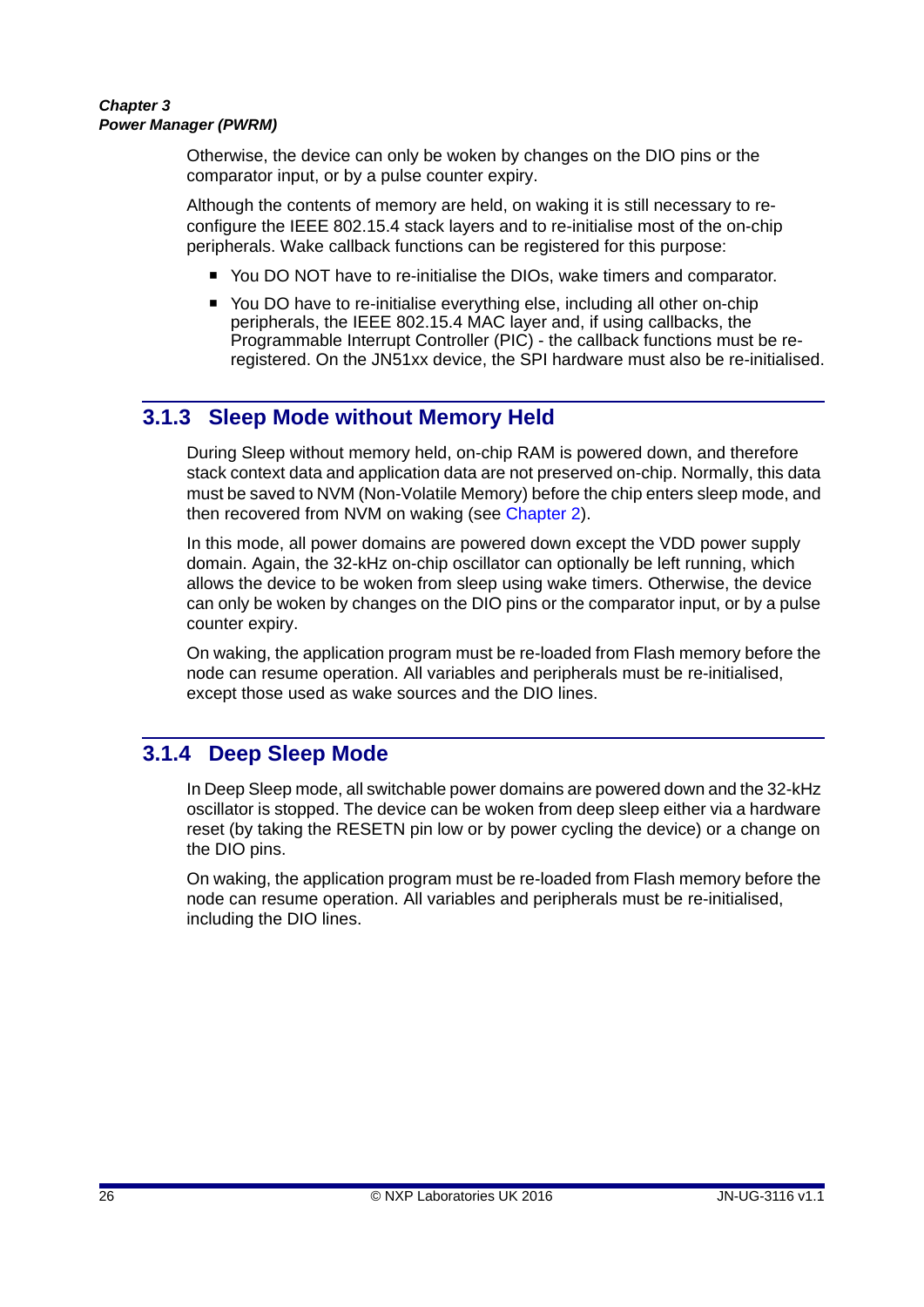Otherwise, the device can only be woken by changes on the DIO pins or the comparator input, or by a pulse counter expiry.

Although the contents of memory are held, on waking it is still necessary to reconfigure the IEEE 802.15.4 stack layers and to re-initialise most of the on-chip peripherals. Wake callback functions can be registered for this purpose:

- You DO NOT have to re-initialise the DIOs, wake timers and comparator.
- You DO have to re-initialise everything else, including all other on-chip peripherals, the IEEE 802.15.4 MAC layer and, if using callbacks, the Programmable Interrupt Controller (PIC) - the callback functions must be reregistered. On the JN51xx device, the SPI hardware must also be re-initialised.

#### <span id="page-25-0"></span>**3.1.3 Sleep Mode without Memory Held**

During Sleep without memory held, on-chip RAM is powered down, and therefore stack context data and application data are not preserved on-chip. Normally, this data must be saved to NVM (Non-Volatile Memory) before the chip enters sleep mode, and then recovered from NVM on waking (see [Chapter 2](#page-14-2)).

In this mode, all power domains are powered down except the VDD power supply domain. Again, the 32-kHz on-chip oscillator can optionally be left running, which allows the device to be woken from sleep using wake timers. Otherwise, the device can only be woken by changes on the DIO pins or the comparator input, or by a pulse counter expiry.

On waking, the application program must be re-loaded from Flash memory before the node can resume operation. All variables and peripherals must be re-initialised, except those used as wake sources and the DIO lines.

## <span id="page-25-1"></span>**3.1.4 Deep Sleep Mode**

In Deep Sleep mode, all switchable power domains are powered down and the 32-kHz oscillator is stopped. The device can be woken from deep sleep either via a hardware reset (by taking the RESETN pin low or by power cycling the device) or a change on the DIO pins.

On waking, the application program must be re-loaded from Flash memory before the node can resume operation. All variables and peripherals must be re-initialised, including the DIO lines.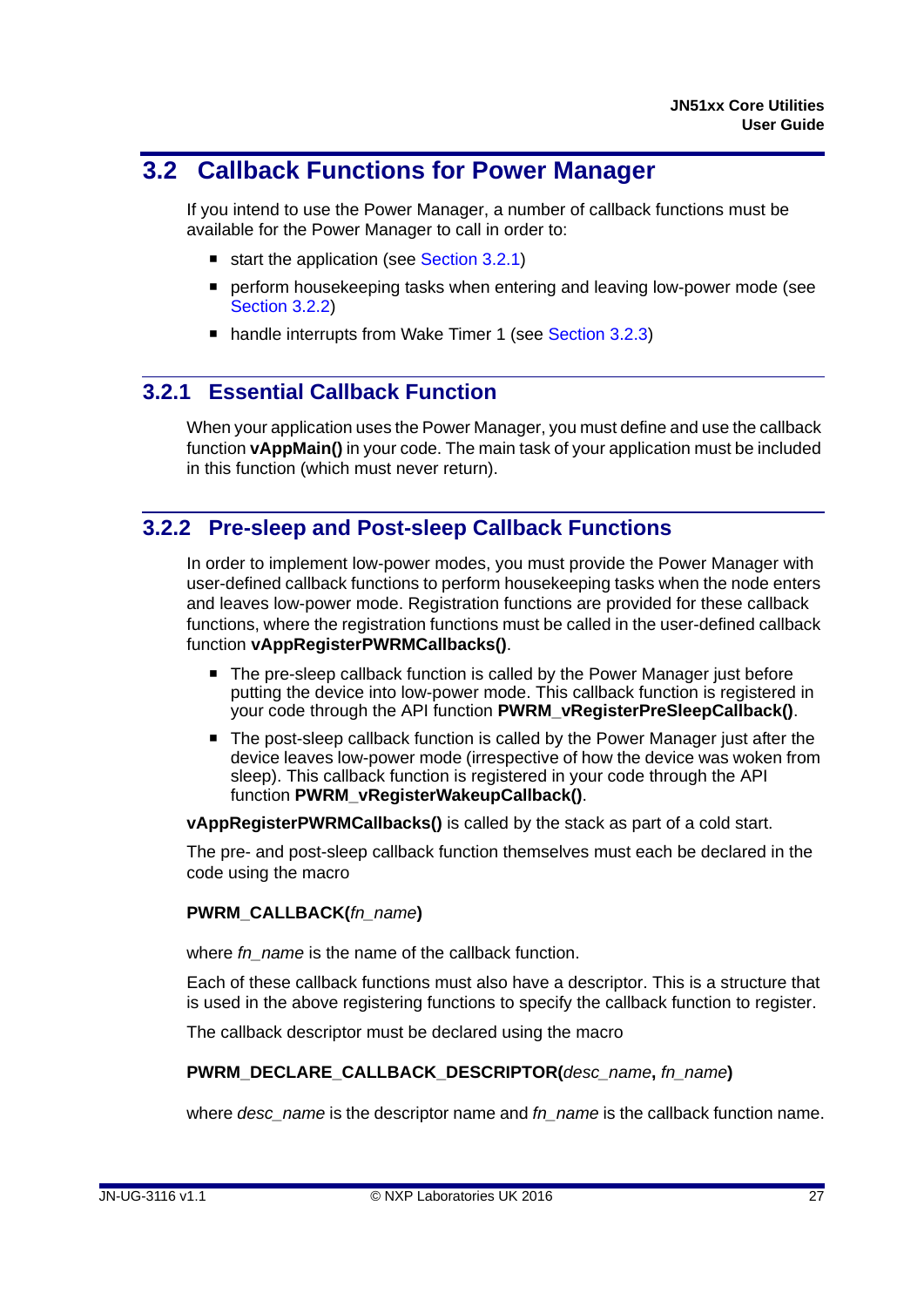#### <span id="page-26-0"></span>**3.2 Callback Functions for Power Manager**

If you intend to use the Power Manager, a number of callback functions must be available for the Power Manager to call in order to:

- start the application (see [Section 3.2.1](#page-26-1))
- **Perform housekeeping tasks when entering and leaving low-power mode (see**) [Section 3.2.2\)](#page-26-2)
- handle interrupts from Wake Timer 1 (see [Section 3.2.3\)](#page-27-0)

#### <span id="page-26-1"></span>**3.2.1 Essential Callback Function**

When your application uses the Power Manager, you must define and use the callback function **vAppMain()** in your code. The main task of your application must be included in this function (which must never return).

#### <span id="page-26-2"></span>**3.2.2 Pre-sleep and Post-sleep Callback Functions**

In order to implement low-power modes, you must provide the Power Manager with user-defined callback functions to perform housekeeping tasks when the node enters and leaves low-power mode. Registration functions are provided for these callback functions, where the registration functions must be called in the user-defined callback function **vAppRegisterPWRMCallbacks()**.

- The pre-sleep callback function is called by the Power Manager just before putting the device into low-power mode. This callback function is registered in your code through the API function **PWRM\_vRegisterPreSleepCallback()**.
- The post-sleep callback function is called by the Power Manager just after the device leaves low-power mode (irrespective of how the device was woken from sleep). This callback function is registered in your code through the API function **PWRM\_vRegisterWakeupCallback()**.

**vAppRegisterPWRMCallbacks()** is called by the stack as part of a cold start.

The pre- and post-sleep callback function themselves must each be declared in the code using the macro

#### **PWRM\_CALLBACK(***fn\_name***)**

where *fn\_name* is the name of the callback function.

Each of these callback functions must also have a descriptor. This is a structure that is used in the above registering functions to specify the callback function to register.

The callback descriptor must be declared using the macro

#### **PWRM\_DECLARE\_CALLBACK\_DESCRIPTOR(***desc\_name***,** *fn\_name***)**

where *desc\_name* is the descriptor name and *fn\_name* is the callback function name.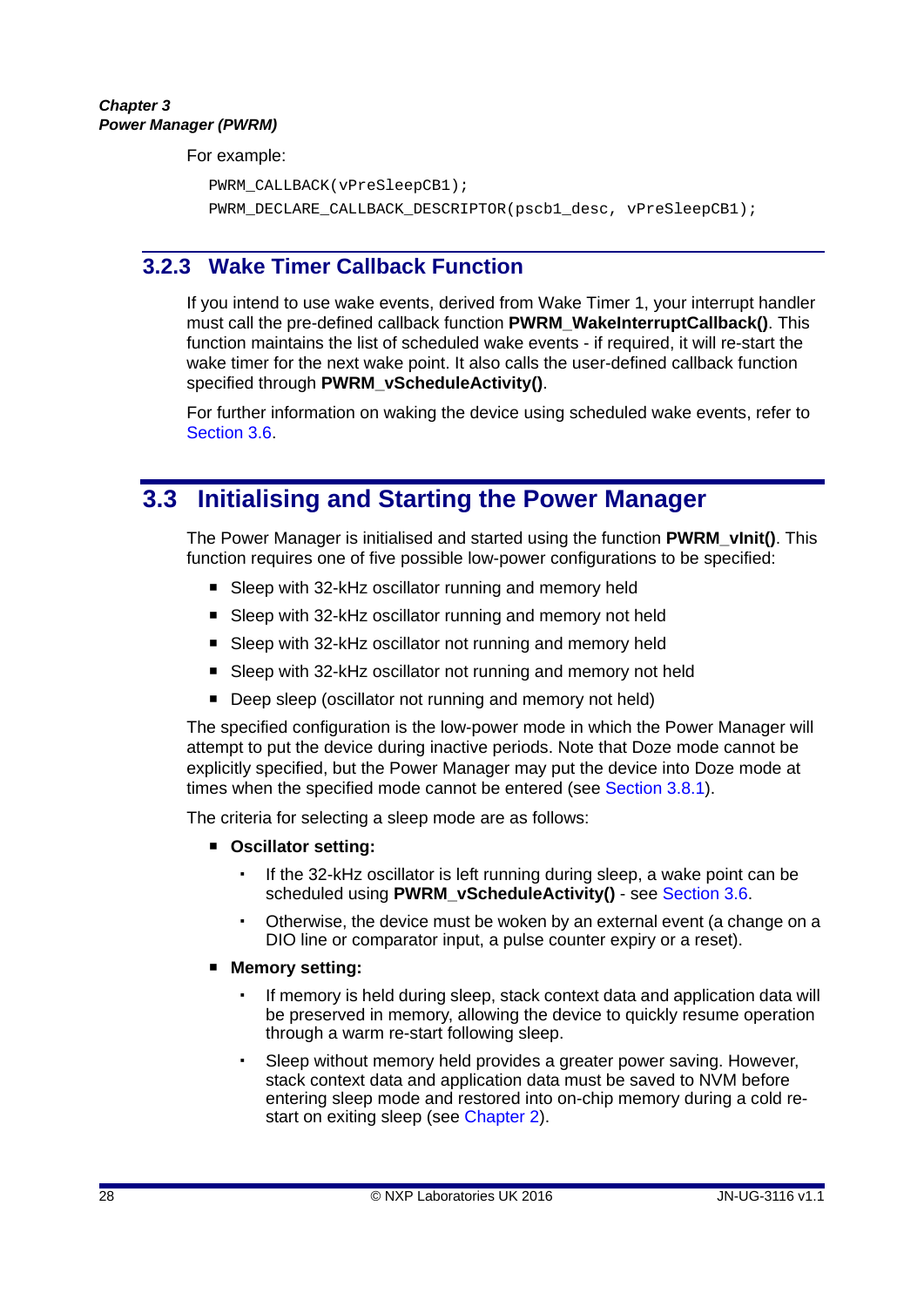For example:

```
PWRM_CALLBACK(vPreSleepCB1);
PWRM_DECLARE_CALLBACK_DESCRIPTOR(pscb1_desc, vPreSleepCB1);
```
#### <span id="page-27-0"></span>**3.2.3 Wake Timer Callback Function**

If you intend to use wake events, derived from Wake Timer 1, your interrupt handler must call the pre-defined callback function **PWRM\_WakeInterruptCallback()**. This function maintains the list of scheduled wake events - if required, it will re-start the wake timer for the next wake point. It also calls the user-defined callback function specified through **PWRM\_vScheduleActivity()**.

For further information on waking the device using scheduled wake events, refer to [Section 3.6](#page-29-0).

## <span id="page-27-1"></span>**3.3 Initialising and Starting the Power Manager**

The Power Manager is initialised and started using the function **PWRM\_vInit()**. This function requires one of five possible low-power configurations to be specified:

- Sleep with 32-kHz oscillator running and memory held
- Sleep with 32-kHz oscillator running and memory not held
- Sleep with 32-kHz oscillator not running and memory held
- Sleep with 32-kHz oscillator not running and memory not held
- Deep sleep (oscillator not running and memory not held)

The specified configuration is the low-power mode in which the Power Manager will attempt to put the device during inactive periods. Note that Doze mode cannot be explicitly specified, but the Power Manager may put the device into Doze mode at times when the specified mode cannot be entered (see [Section 3.8.1](#page-31-0)).

The criteria for selecting a sleep mode are as follows:

- **Oscillator setting:**
	- If the 32-kHz oscillator is left running during sleep, a wake point can be scheduled using **PWRM\_vScheduleActivity()** - see [Section 3.6](#page-29-0).
	- Otherwise, the device must be woken by an external event (a change on a DIO line or comparator input, a pulse counter expiry or a reset).
- **Memory setting:**
	- If memory is held during sleep, stack context data and application data will be preserved in memory, allowing the device to quickly resume operation through a warm re-start following sleep.
	- Sleep without memory held provides a greater power saving. However, stack context data and application data must be saved to NVM before entering sleep mode and restored into on-chip memory during a cold restart on exiting sleep (see [Chapter 2\)](#page-14-2).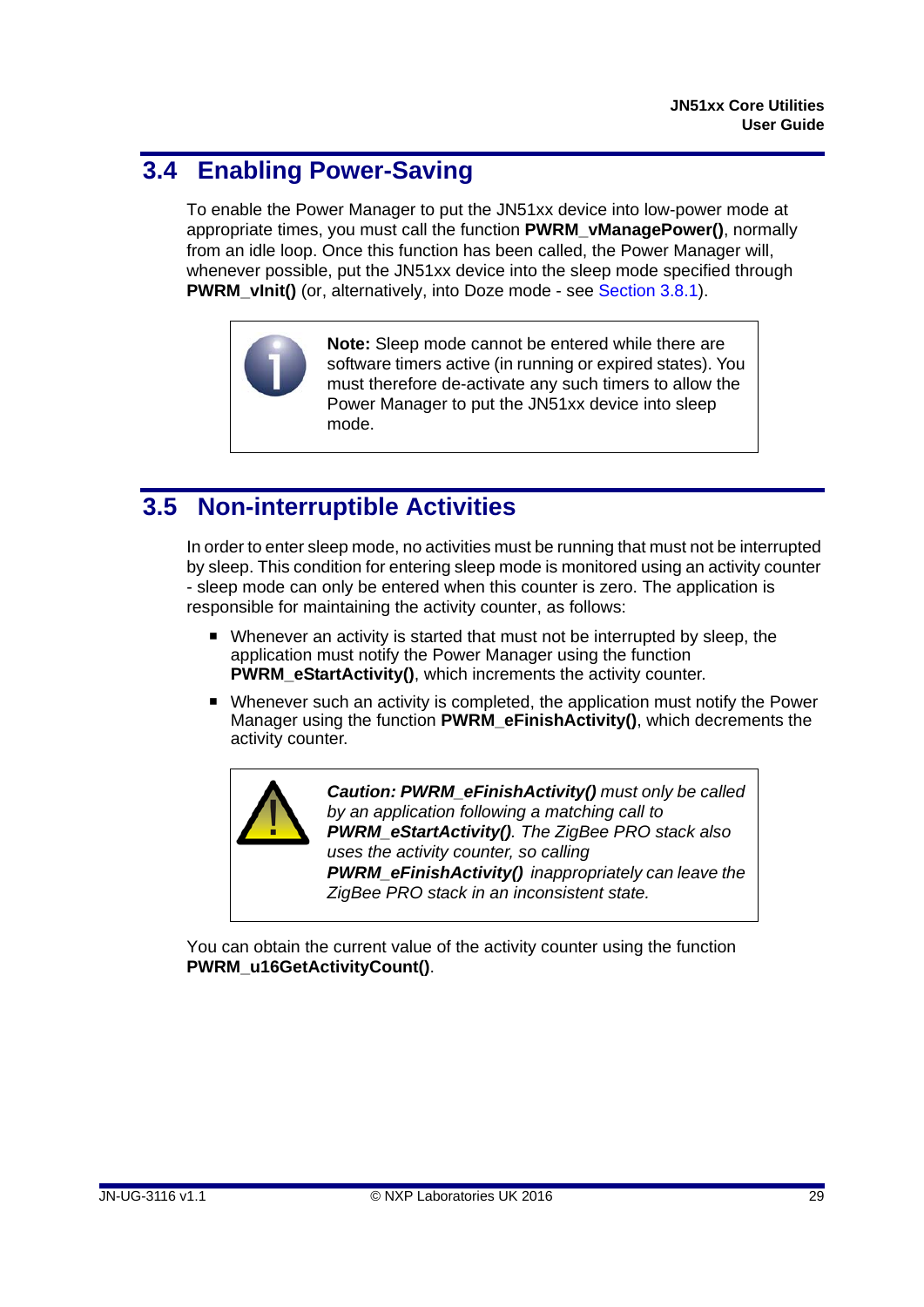## <span id="page-28-0"></span>**3.4 Enabling Power-Saving**

To enable the Power Manager to put the JN51xx device into low-power mode at appropriate times, you must call the function **PWRM\_vManagePower()**, normally from an idle loop. Once this function has been called, the Power Manager will, whenever possible, put the JN51xx device into the sleep mode specified through **PWRM\_vInit()** (or, alternatively, into Doze mode - see [Section 3.8.1\)](#page-31-0).



**Note:** Sleep mode cannot be entered while there are software timers active (in running or expired states). You must therefore de-activate any such timers to allow the Power Manager to put the JN51xx device into sleep mode.

## <span id="page-28-1"></span>**3.5 Non-interruptible Activities**

In order to enter sleep mode, no activities must be running that must not be interrupted by sleep. This condition for entering sleep mode is monitored using an activity counter - sleep mode can only be entered when this counter is zero. The application is responsible for maintaining the activity counter, as follows:

- Whenever an activity is started that must not be interrupted by sleep, the application must notify the Power Manager using the function **PWRM\_eStartActivity()**, which increments the activity counter.
- Whenever such an activity is completed, the application must notify the Power Manager using the function **PWRM\_eFinishActivity()**, which decrements the activity counter.



*Caution: PWRM\_eFinishActivity() must only be called by an application following a matching call to PWRM\_eStartActivity(). The ZigBee PRO stack also uses the activity counter, so calling PWRM\_eFinishActivity() inappropriately can leave the ZigBee PRO stack in an inconsistent state.*

You can obtain the current value of the activity counter using the function **PWRM\_u16GetActivityCount()**.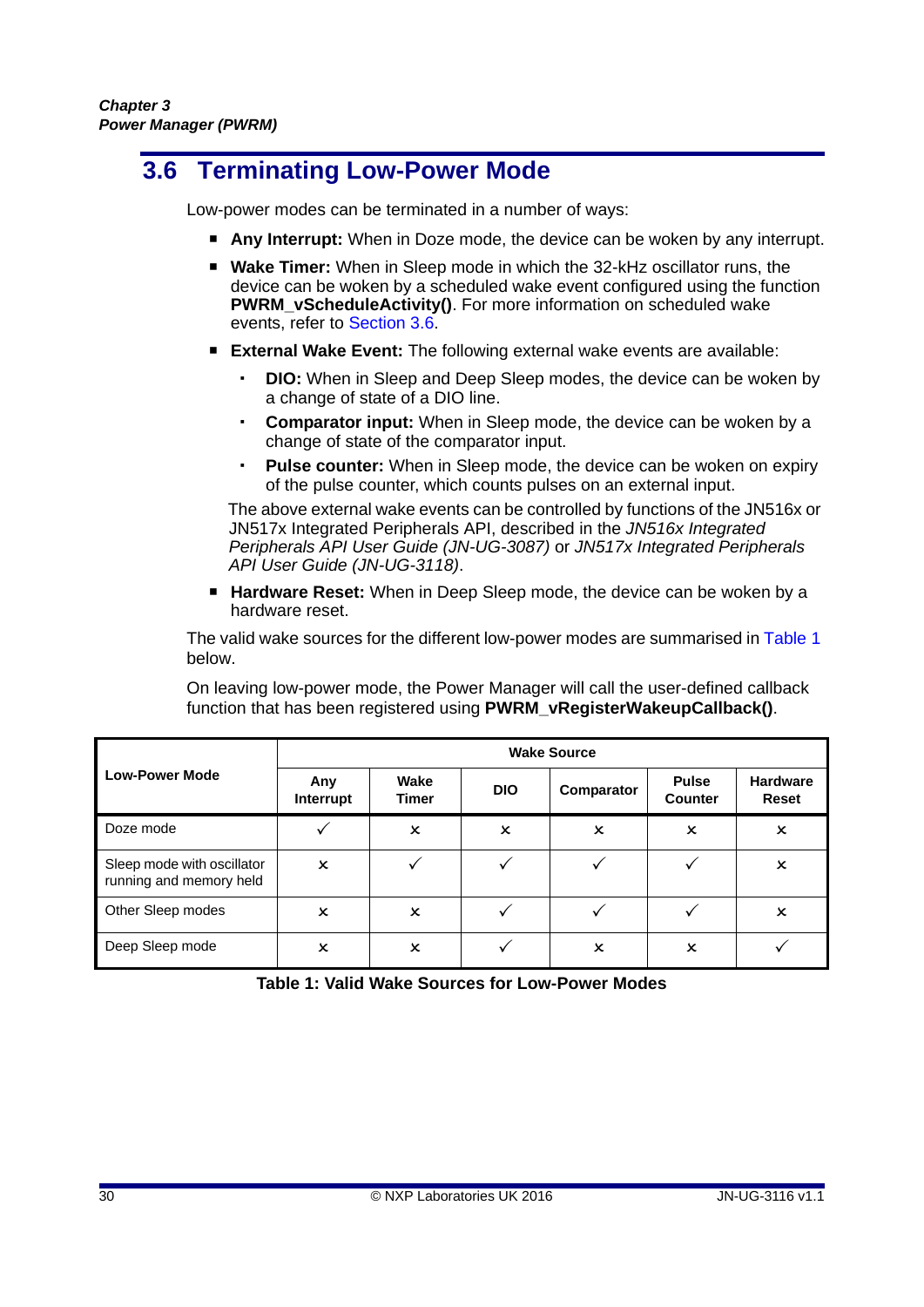## <span id="page-29-0"></span>**3.6 Terminating Low-Power Mode**

Low-power modes can be terminated in a number of ways:

- **Any Interrupt:** When in Doze mode, the device can be woken by any interrupt.
- **Wake Timer:** When in Sleep mode in which the 32-kHz oscillator runs, the device can be woken by a scheduled wake event configured using the function **PWRM\_vScheduleActivity().** For more information on scheduled wake events, refer to [Section 3.6.](#page-29-0)
- **External Wake Event:** The following external wake events are available:
	- **DIO:** When in Sleep and Deep Sleep modes, the device can be woken by a change of state of a DIO line.
	- **Comparator input:** When in Sleep mode, the device can be woken by a change of state of the comparator input.
	- **Pulse counter:** When in Sleep mode, the device can be woken on expiry of the pulse counter, which counts pulses on an external input.

The above external wake events can be controlled by functions of the JN516x or JN517x Integrated Peripherals API, described in the *JN516x Integrated Peripherals API User Guide (JN-UG-3087)* or *JN517x Integrated Peripherals API User Guide (JN-UG-3118)*.

 **Hardware Reset:** When in Deep Sleep mode, the device can be woken by a hardware reset.

The valid wake sources for the different low-power modes are summarised in [Table 1](#page-29-1) below.

On leaving low-power mode, the Power Manager will call the user-defined callback function that has been registered using **PWRM\_vRegisterWakeupCallback()**.

|                                                       | <b>Wake Source</b> |                      |            |            |                           |                          |
|-------------------------------------------------------|--------------------|----------------------|------------|------------|---------------------------|--------------------------|
| <b>Low-Power Mode</b>                                 | Any<br>Interrupt   | Wake<br><b>Timer</b> | <b>DIO</b> | Comparator | <b>Pulse</b><br>Counter   | <b>Hardware</b><br>Reset |
| Doze mode                                             |                    | x                    | x          | x          | $\boldsymbol{\mathsf{x}}$ | x                        |
| Sleep mode with oscillator<br>running and memory held | x                  |                      |            |            |                           | x                        |
| Other Sleep modes                                     | x                  | x                    |            |            |                           | x                        |
| Deep Sleep mode                                       | x                  | x                    |            | x          | x                         |                          |

<span id="page-29-1"></span>

|  |  | Table 1: Valid Wake Sources for Low-Power Modes |
|--|--|-------------------------------------------------|
|--|--|-------------------------------------------------|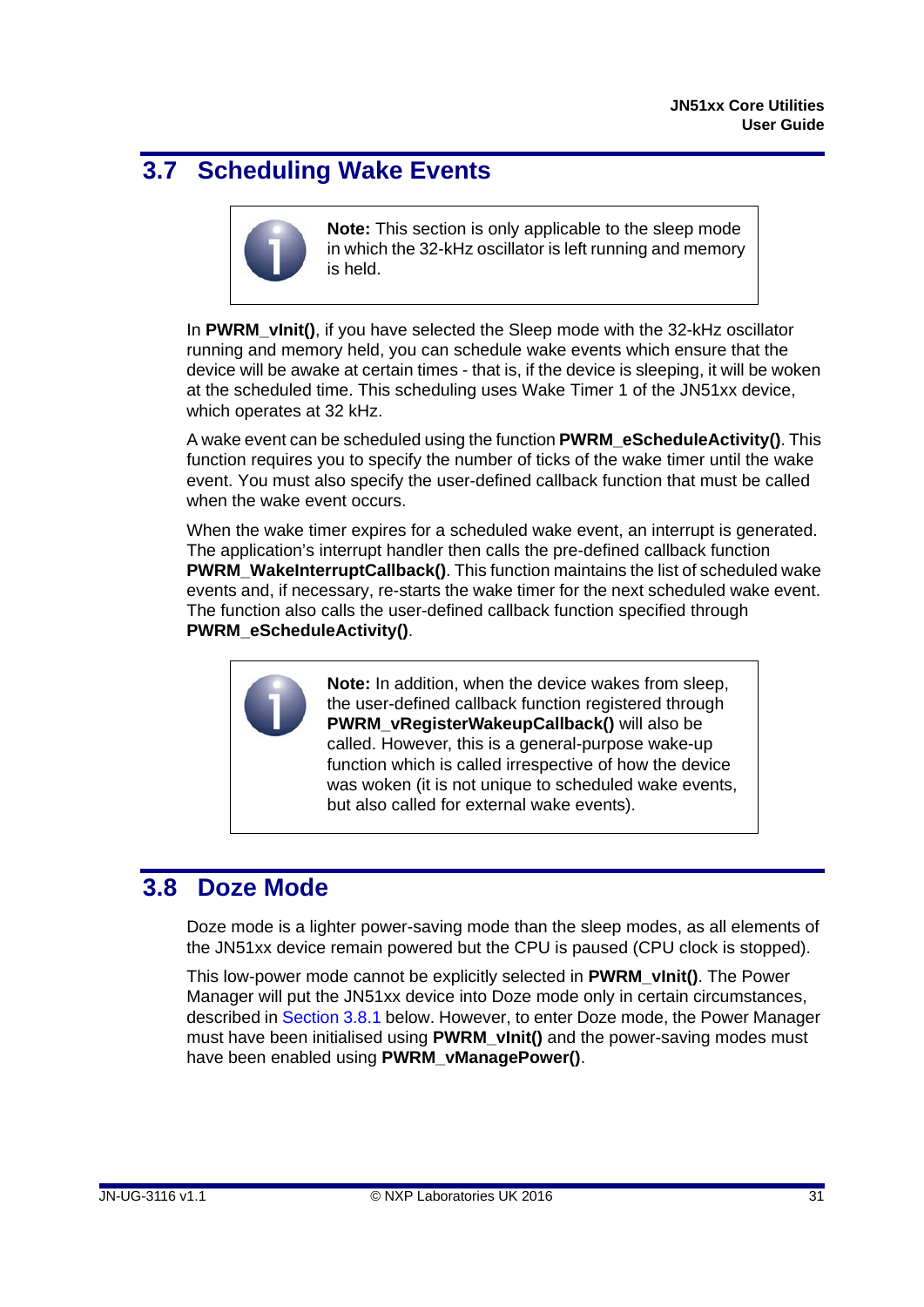## <span id="page-30-0"></span>**3.7 Scheduling Wake Events**

**Note:** This section is only applicable to the sleep mode in which the 32-kHz oscillator is left running and memory is held.

In **PWRM\_vInit()**, if you have selected the Sleep mode with the 32-kHz oscillator running and memory held, you can schedule wake events which ensure that the device will be awake at certain times - that is, if the device is sleeping, it will be woken at the scheduled time. This scheduling uses Wake Timer 1 of the JN51xx device, which operates at 32 kHz.

A wake event can be scheduled using the function **PWRM\_eScheduleActivity()**. This function requires you to specify the number of ticks of the wake timer until the wake event. You must also specify the user-defined callback function that must be called when the wake event occurs.

When the wake timer expires for a scheduled wake event, an interrupt is generated. The application's interrupt handler then calls the pre-defined callback function **PWRM\_WakeInterruptCallback()**. This function maintains the list of scheduled wake events and, if necessary, re-starts the wake timer for the next scheduled wake event. The function also calls the user-defined callback function specified through **PWRM\_eScheduleActivity()**.

> **Note:** In addition, when the device wakes from sleep, the user-defined callback function registered through **PWRM\_vRegisterWakeupCallback()** will also be called. However, this is a general-purpose wake-up function which is called irrespective of how the device was woken (it is not unique to scheduled wake events, but also called for external wake events).

## <span id="page-30-1"></span>**3.8 Doze Mode**

Doze mode is a lighter power-saving mode than the sleep modes, as all elements of the JN51xx device remain powered but the CPU is paused (CPU clock is stopped).

This low-power mode cannot be explicitly selected in **PWRM\_vInit()**. The Power Manager will put the JN51xx device into Doze mode only in certain circumstances, described in [Section 3.8.1](#page-31-0) below. However, to enter Doze mode, the Power Manager must have been initialised using **PWRM\_vInit()** and the power-saving modes must have been enabled using **PWRM\_vManagePower()**.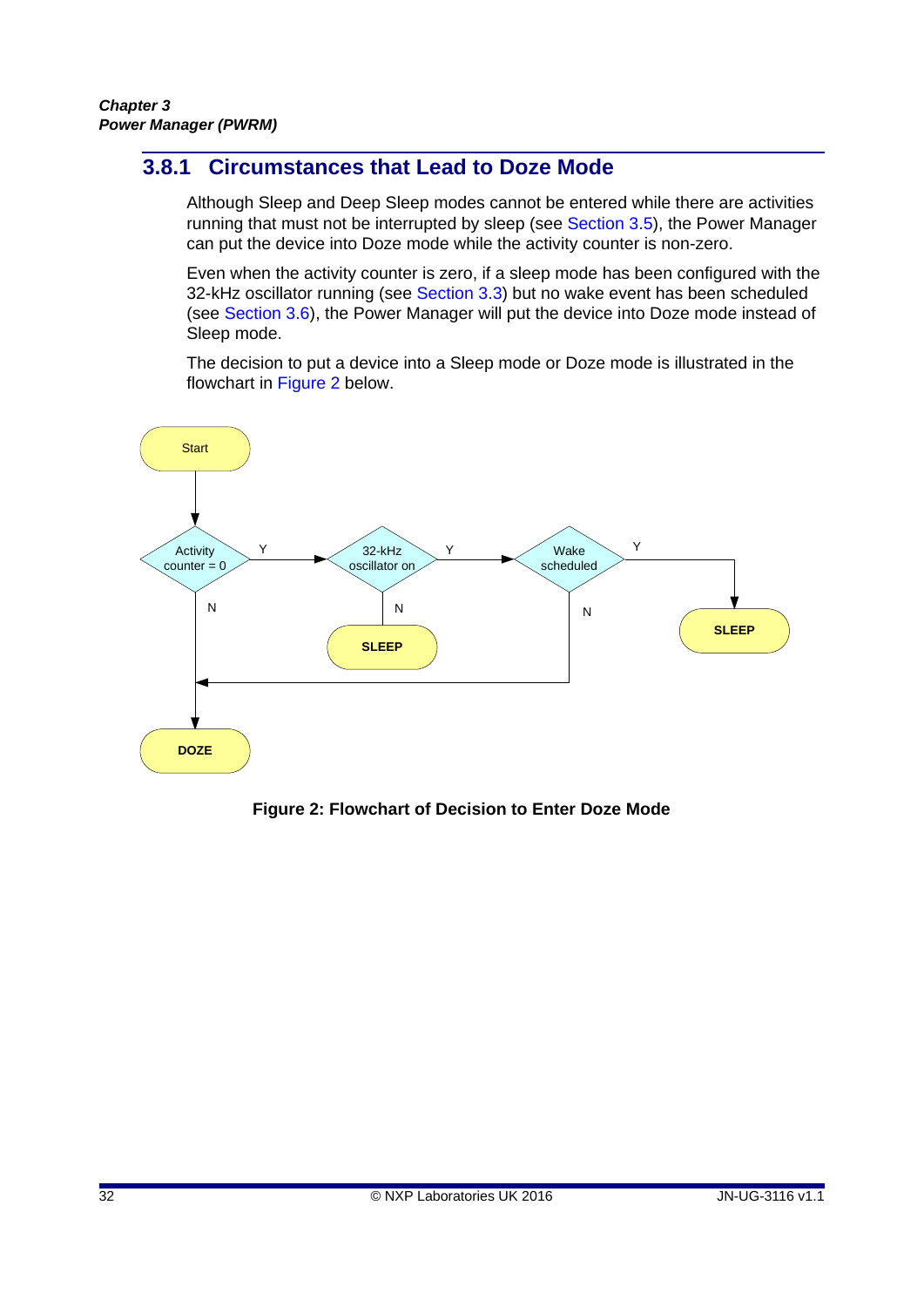#### <span id="page-31-0"></span>**3.8.1 Circumstances that Lead to Doze Mode**

Although Sleep and Deep Sleep modes cannot be entered while there are activities running that must not be interrupted by sleep (see [Section 3.5\)](#page-28-1), the Power Manager can put the device into Doze mode while the activity counter is non-zero.

Even when the activity counter is zero, if a sleep mode has been configured with the 32-kHz oscillator running (see [Section 3.3\)](#page-27-1) but no wake event has been scheduled (see [Section 3.6\)](#page-29-0), the Power Manager will put the device into Doze mode instead of Sleep mode.

The decision to put a device into a Sleep mode or Doze mode is illustrated in the flowchart in [Figure 2](#page-31-1) below.



<span id="page-31-1"></span>**Figure 2: Flowchart of Decision to Enter Doze Mode**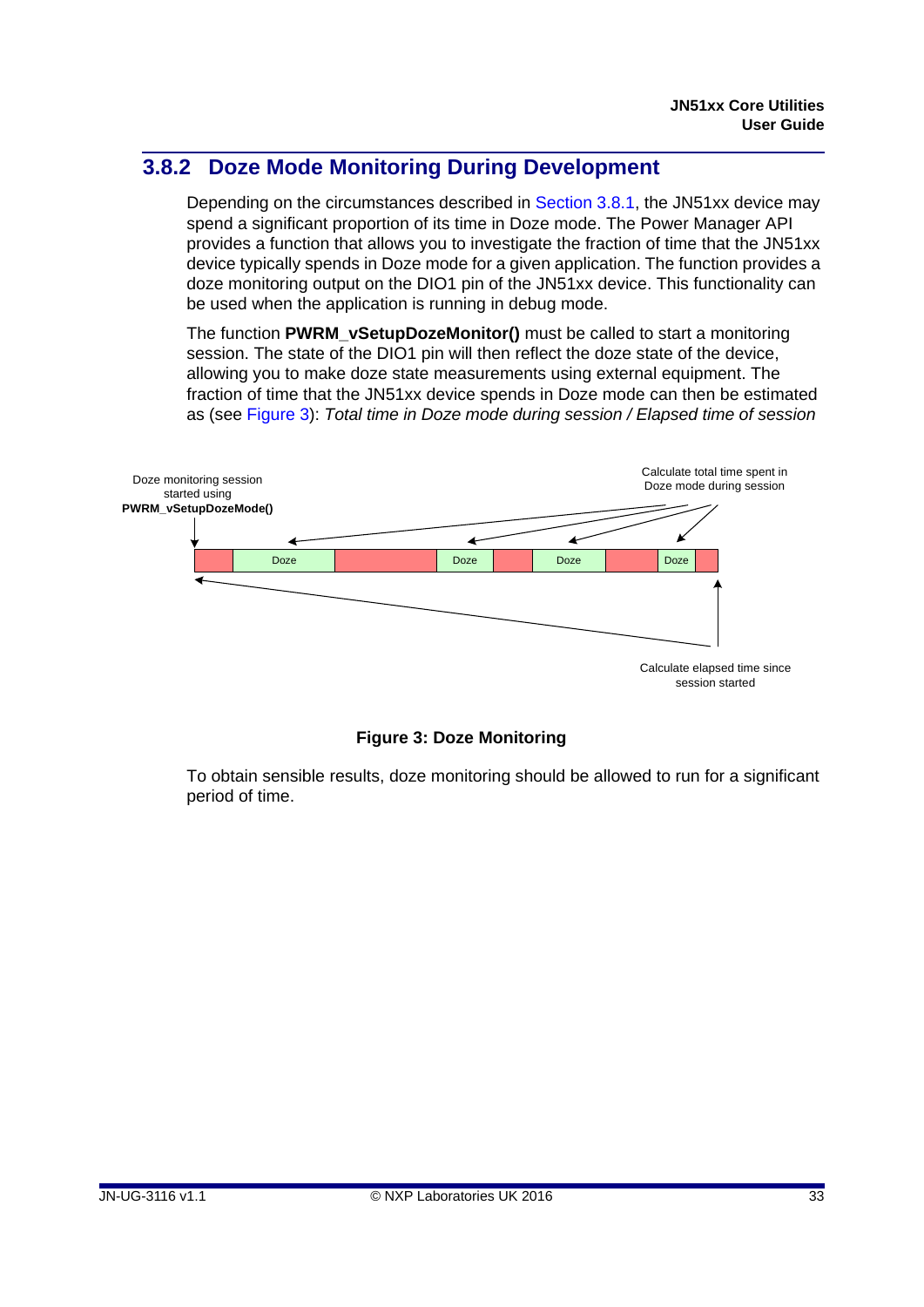#### <span id="page-32-0"></span>**3.8.2 Doze Mode Monitoring During Development**

Depending on the circumstances described in [Section 3.8.1](#page-31-0), the JN51xx device may spend a significant proportion of its time in Doze mode. The Power Manager API provides a function that allows you to investigate the fraction of time that the JN51xx device typically spends in Doze mode for a given application. The function provides a doze monitoring output on the DIO1 pin of the JN51xx device. This functionality can be used when the application is running in debug mode.

The function **PWRM\_vSetupDozeMonitor()** must be called to start a monitoring session. The state of the DIO1 pin will then reflect the doze state of the device, allowing you to make doze state measurements using external equipment. The fraction of time that the JN51xx device spends in Doze mode can then be estimated as (see [Figure 3](#page-32-1)): *Total time in Doze mode during session / Elapsed time of session*



**Figure 3: Doze Monitoring**

<span id="page-32-1"></span>To obtain sensible results, doze monitoring should be allowed to run for a significant period of time.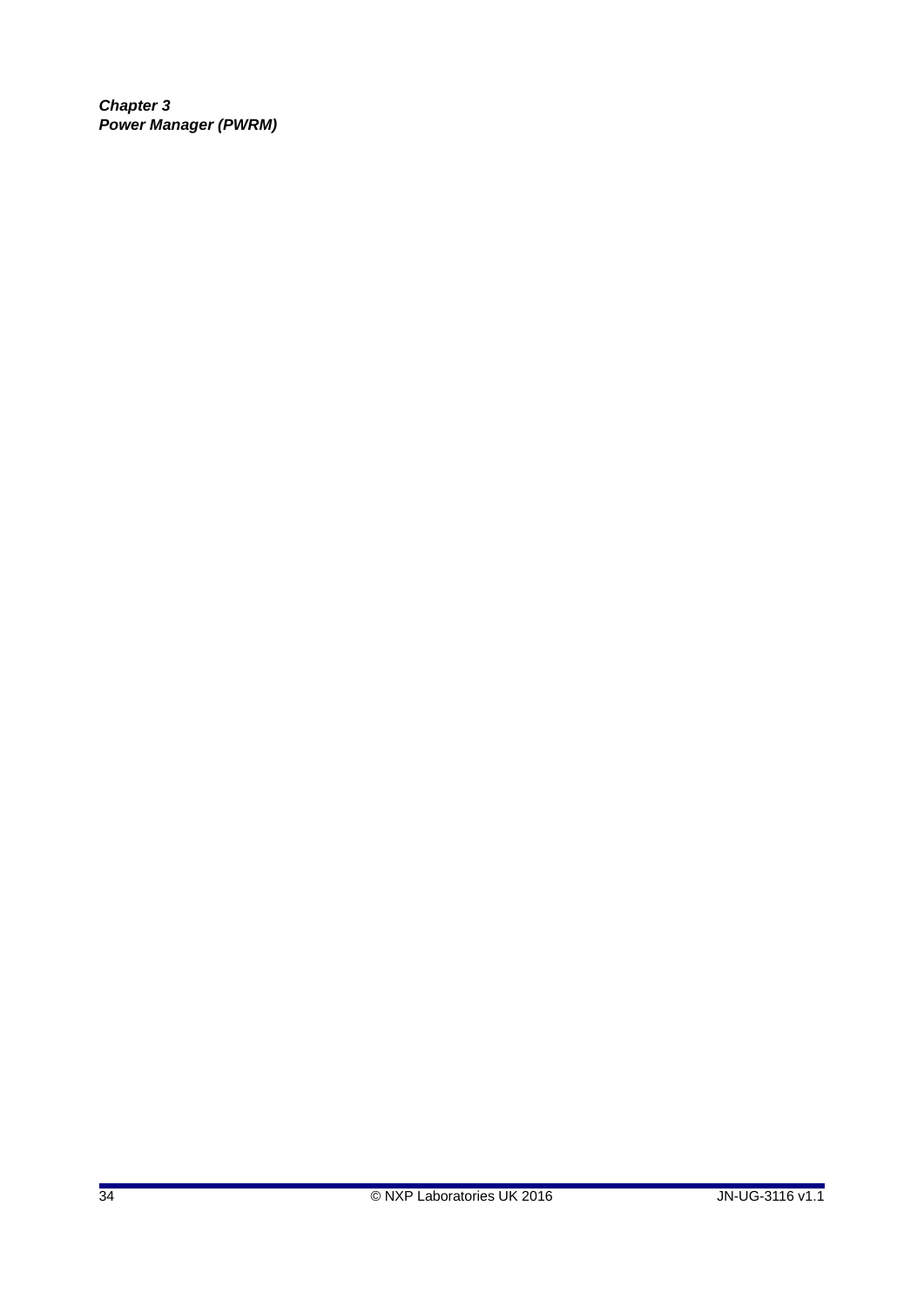*Chapter 3 Power Manager (PWRM)*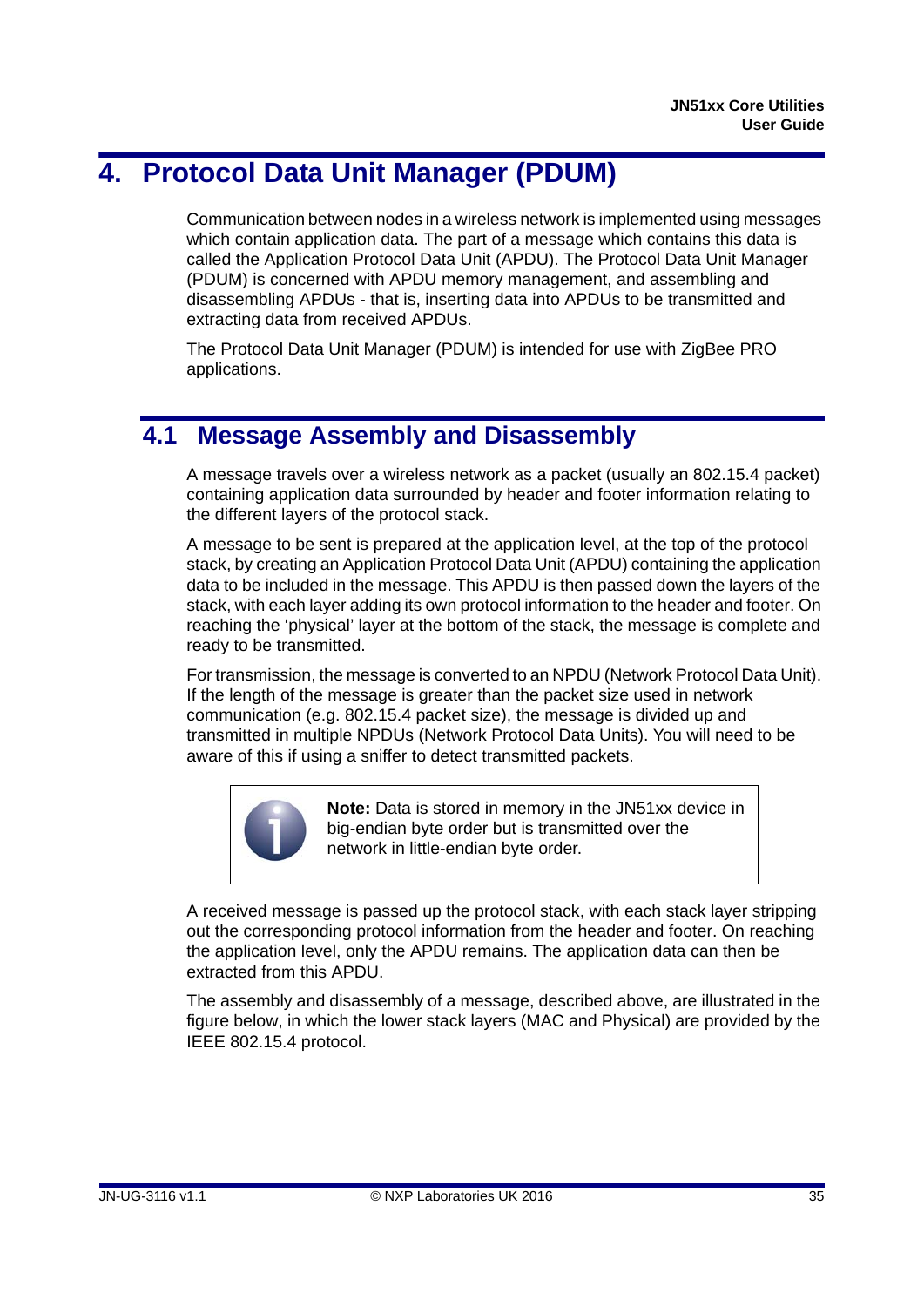## <span id="page-34-2"></span><span id="page-34-0"></span>**4. Protocol Data Unit Manager (PDUM)**

Communication between nodes in a wireless network is implemented using messages which contain application data. The part of a message which contains this data is called the Application Protocol Data Unit (APDU). The Protocol Data Unit Manager (PDUM) is concerned with APDU memory management, and assembling and disassembling APDUs - that is, inserting data into APDUs to be transmitted and extracting data from received APDUs.

The Protocol Data Unit Manager (PDUM) is intended for use with ZigBee PRO applications.

## <span id="page-34-1"></span>**4.1 Message Assembly and Disassembly**

A message travels over a wireless network as a packet (usually an 802.15.4 packet) containing application data surrounded by header and footer information relating to the different layers of the protocol stack.

A message to be sent is prepared at the application level, at the top of the protocol stack, by creating an Application Protocol Data Unit (APDU) containing the application data to be included in the message. This APDU is then passed down the layers of the stack, with each layer adding its own protocol information to the header and footer. On reaching the 'physical' layer at the bottom of the stack, the message is complete and ready to be transmitted.

For transmission, the message is converted to an NPDU (Network Protocol Data Unit). If the length of the message is greater than the packet size used in network communication (e.g. 802.15.4 packet size), the message is divided up and transmitted in multiple NPDUs (Network Protocol Data Units). You will need to be aware of this if using a sniffer to detect transmitted packets.



**Note:** Data is stored in memory in the JN51xx device in big-endian byte order but is transmitted over the network in little-endian byte order.

A received message is passed up the protocol stack, with each stack layer stripping out the corresponding protocol information from the header and footer. On reaching the application level, only the APDU remains. The application data can then be extracted from this APDU.

The assembly and disassembly of a message, described above, are illustrated in the figure below, in which the lower stack layers (MAC and Physical) are provided by the IEEE 802.15.4 protocol.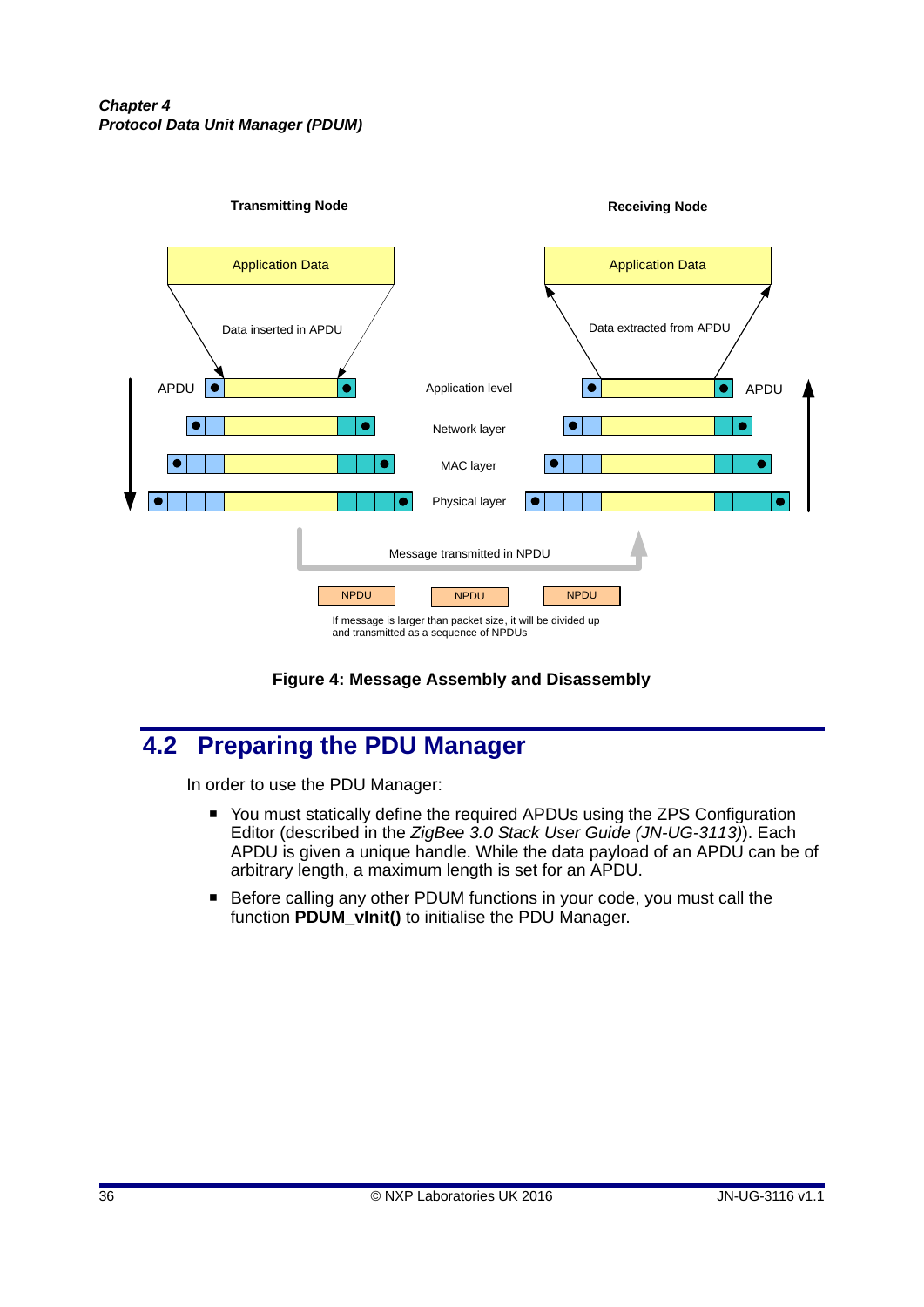

#### **Figure 4: Message Assembly and Disassembly**

## <span id="page-35-0"></span>**4.2 Preparing the PDU Manager**

In order to use the PDU Manager:

- You must statically define the required APDUs using the ZPS Configuration Editor (described in the *ZigBee 3.0 Stack User Guide (JN-UG-3113)*). Each APDU is given a unique handle. While the data payload of an APDU can be of arbitrary length, a maximum length is set for an APDU.
- Before calling any other PDUM functions in your code, you must call the function **PDUM\_vInit()** to initialise the PDU Manager.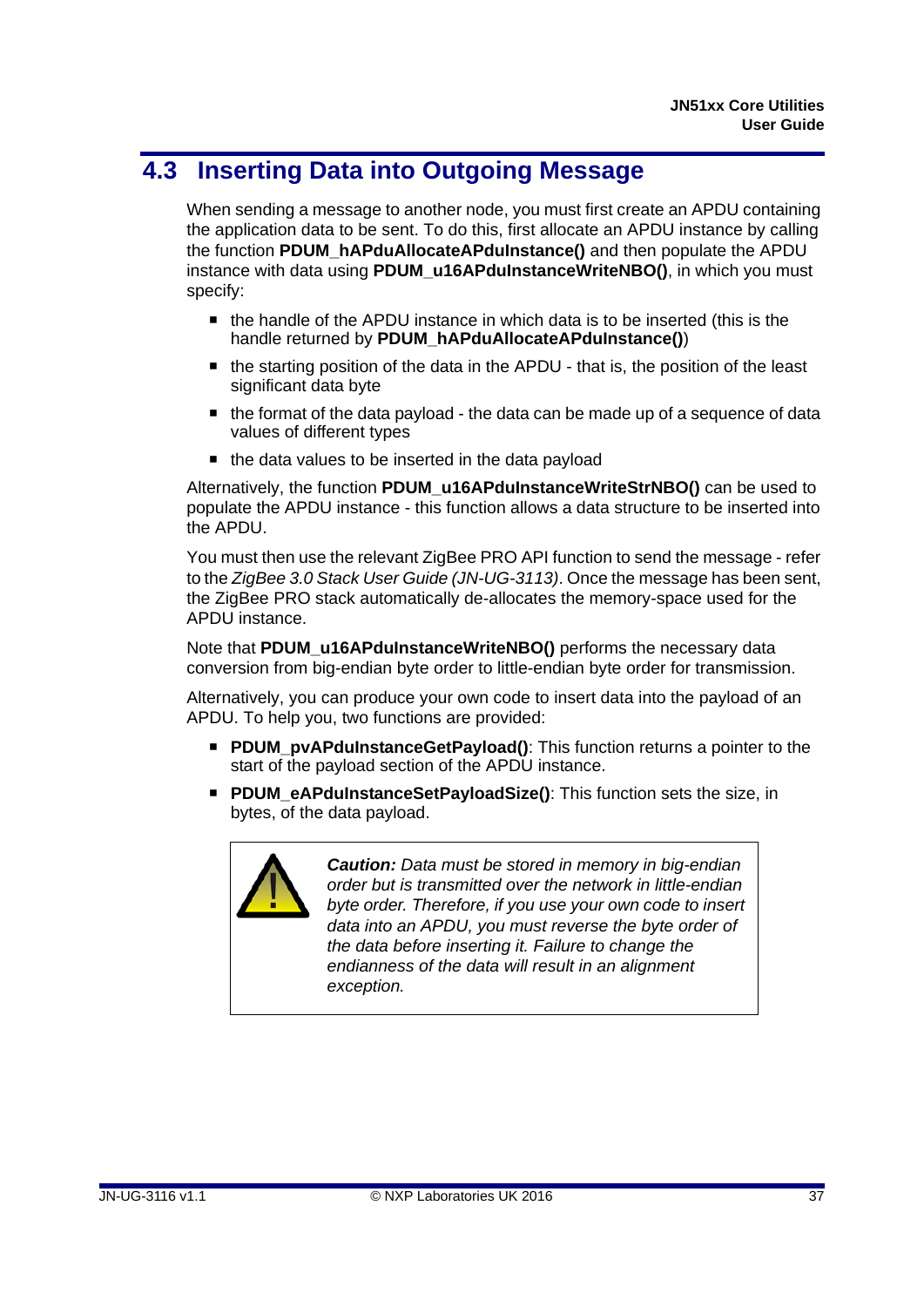# **4.3 Inserting Data into Outgoing Message**

When sending a message to another node, you must first create an APDU containing the application data to be sent. To do this, first allocate an APDU instance by calling the function **PDUM\_hAPduAllocateAPduInstance()** and then populate the APDU instance with data using **PDUM\_u16APduInstanceWriteNBO()**, in which you must specify:

- $\blacksquare$  the handle of the APDU instance in which data is to be inserted (this is the handle returned by **PDUM\_hAPduAllocateAPduInstance()**)
- $\blacksquare$  the starting position of the data in the APDU that is, the position of the least significant data byte
- the format of the data payload the data can be made up of a sequence of data values of different types
- $\blacksquare$  the data values to be inserted in the data payload

Alternatively, the function **PDUM\_u16APduInstanceWriteStrNBO()** can be used to populate the APDU instance - this function allows a data structure to be inserted into the APDU.

You must then use the relevant ZigBee PRO API function to send the message - refer to the *ZigBee 3.0 Stack User Guide (JN-UG-3113)*. Once the message has been sent, the ZigBee PRO stack automatically de-allocates the memory-space used for the APDU instance.

Note that **PDUM\_u16APduInstanceWriteNBO()** performs the necessary data conversion from big-endian byte order to little-endian byte order for transmission.

Alternatively, you can produce your own code to insert data into the payload of an APDU. To help you, two functions are provided:

- **PDUM\_pvAPduInstanceGetPayload()**: This function returns a pointer to the start of the payload section of the APDU instance.
- **PDUM\_eAPduInstanceSetPayloadSize():** This function sets the size, in bytes, of the data payload.



*Caution: Data must be stored in memory in big-endian order but is transmitted over the network in little-endian byte order. Therefore, if you use your own code to insert data into an APDU, you must reverse the byte order of the data before inserting it. Failure to change the endianness of the data will result in an alignment exception.*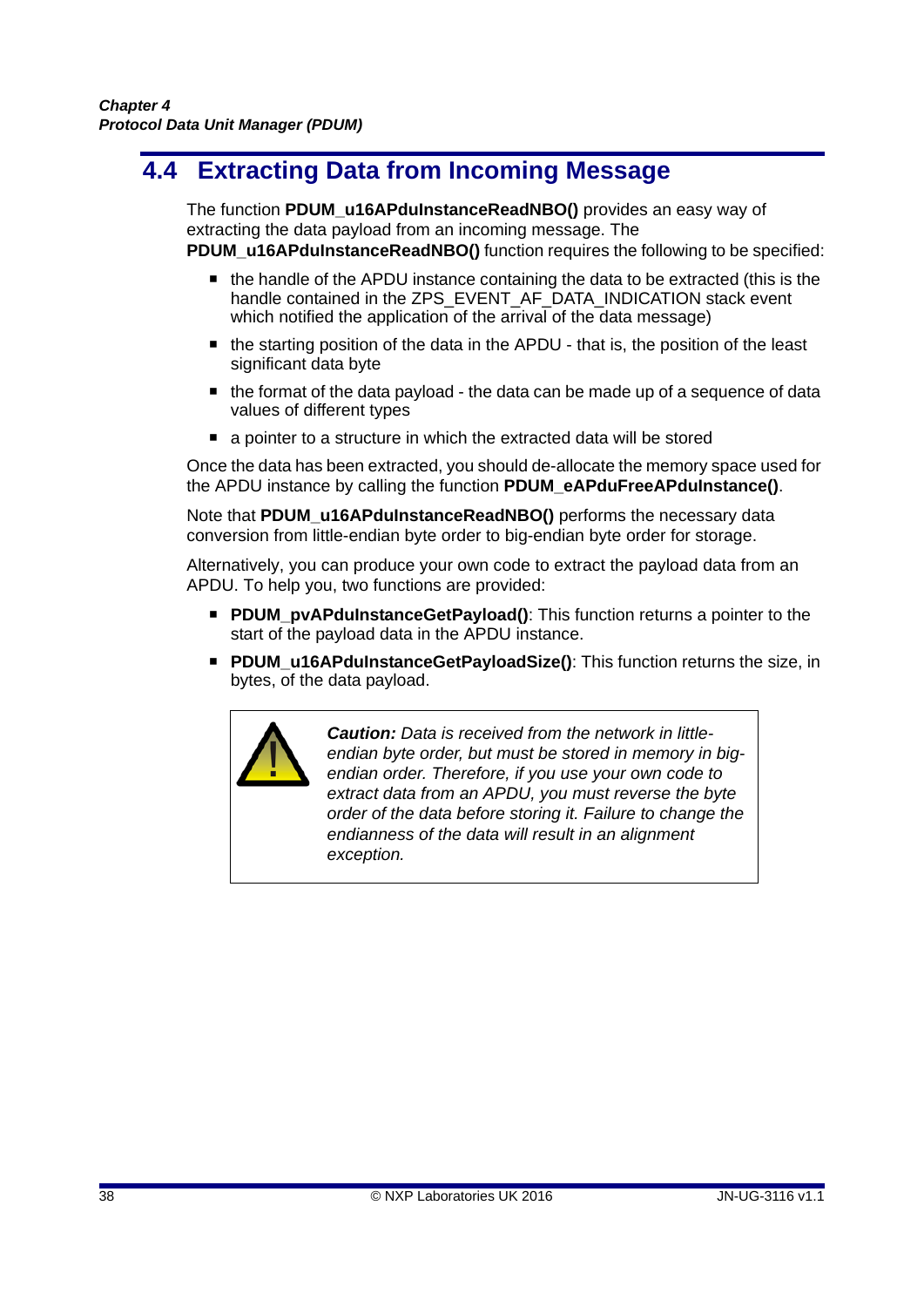# **4.4 Extracting Data from Incoming Message**

The function **PDUM\_u16APduInstanceReadNBO()** provides an easy way of extracting the data payload from an incoming message. The **PDUM** u16APduInstanceReadNBO() function requires the following to be specified:

- $\blacksquare$  the handle of the APDU instance containing the data to be extracted (this is the handle contained in the ZPS\_EVENT\_AF\_DATA\_INDICATION stack event which notified the application of the arrival of the data message)
- the starting position of the data in the APDU that is, the position of the least significant data byte
- $\blacksquare$  the format of the data payload the data can be made up of a sequence of data values of different types
- a pointer to a structure in which the extracted data will be stored

Once the data has been extracted, you should de-allocate the memory space used for the APDU instance by calling the function **PDUM\_eAPduFreeAPduInstance()**.

Note that **PDUM\_u16APduInstanceReadNBO()** performs the necessary data conversion from little-endian byte order to big-endian byte order for storage.

Alternatively, you can produce your own code to extract the payload data from an APDU. To help you, two functions are provided:

- **PDUM\_pvAPduInstanceGetPayload()**: This function returns a pointer to the start of the payload data in the APDU instance.
- **PDUM\_u16APduInstanceGetPayloadSize()**: This function returns the size, in bytes, of the data payload.



*Caution: Data is received from the network in littleendian byte order, but must be stored in memory in bigendian order. Therefore, if you use your own code to extract data from an APDU, you must reverse the byte order of the data before storing it. Failure to change the endianness of the data will result in an alignment exception.*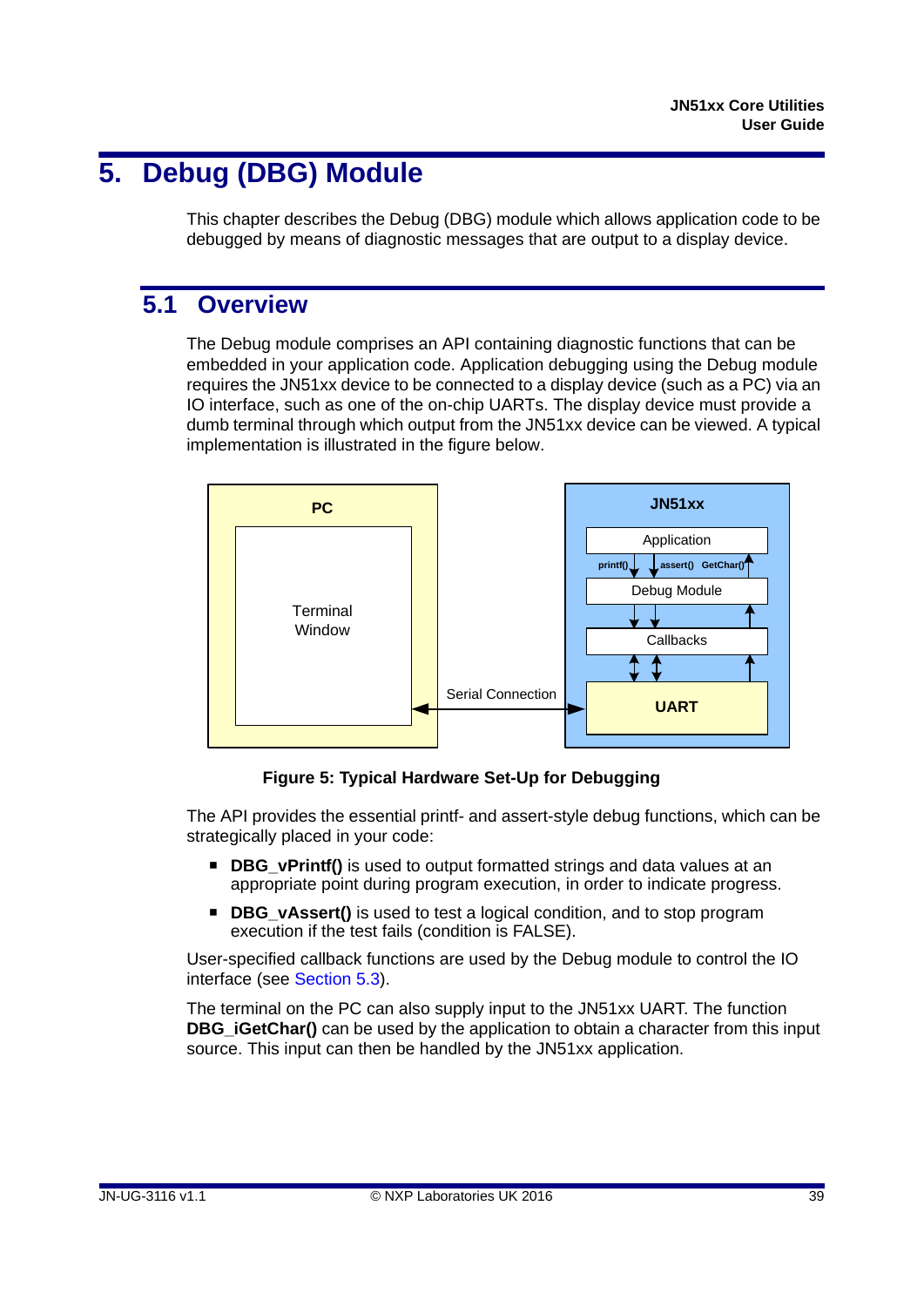# **5. Debug (DBG) Module**

This chapter describes the Debug (DBG) module which allows application code to be debugged by means of diagnostic messages that are output to a display device.

# **5.1 Overview**

The Debug module comprises an API containing diagnostic functions that can be embedded in your application code. Application debugging using the Debug module requires the JN51xx device to be connected to a display device (such as a PC) via an IO interface, such as one of the on-chip UARTs. The display device must provide a dumb terminal through which output from the JN51xx device can be viewed. A typical implementation is illustrated in the figure below.



**Figure 5: Typical Hardware Set-Up for Debugging**

The API provides the essential printf- and assert-style debug functions, which can be strategically placed in your code:

- **DBG\_vPrintf()** is used to output formatted strings and data values at an appropriate point during program execution, in order to indicate progress.
- **DBG\_vAssert()** is used to test a logical condition, and to stop program execution if the test fails (condition is FALSE).

User-specified callback functions are used by the Debug module to control the IO interface (see [Section 5.3\)](#page-39-0).

The terminal on the PC can also supply input to the JN51xx UART. The function **DBG\_iGetChar()** can be used by the application to obtain a character from this input source. This input can then be handled by the JN51xx application.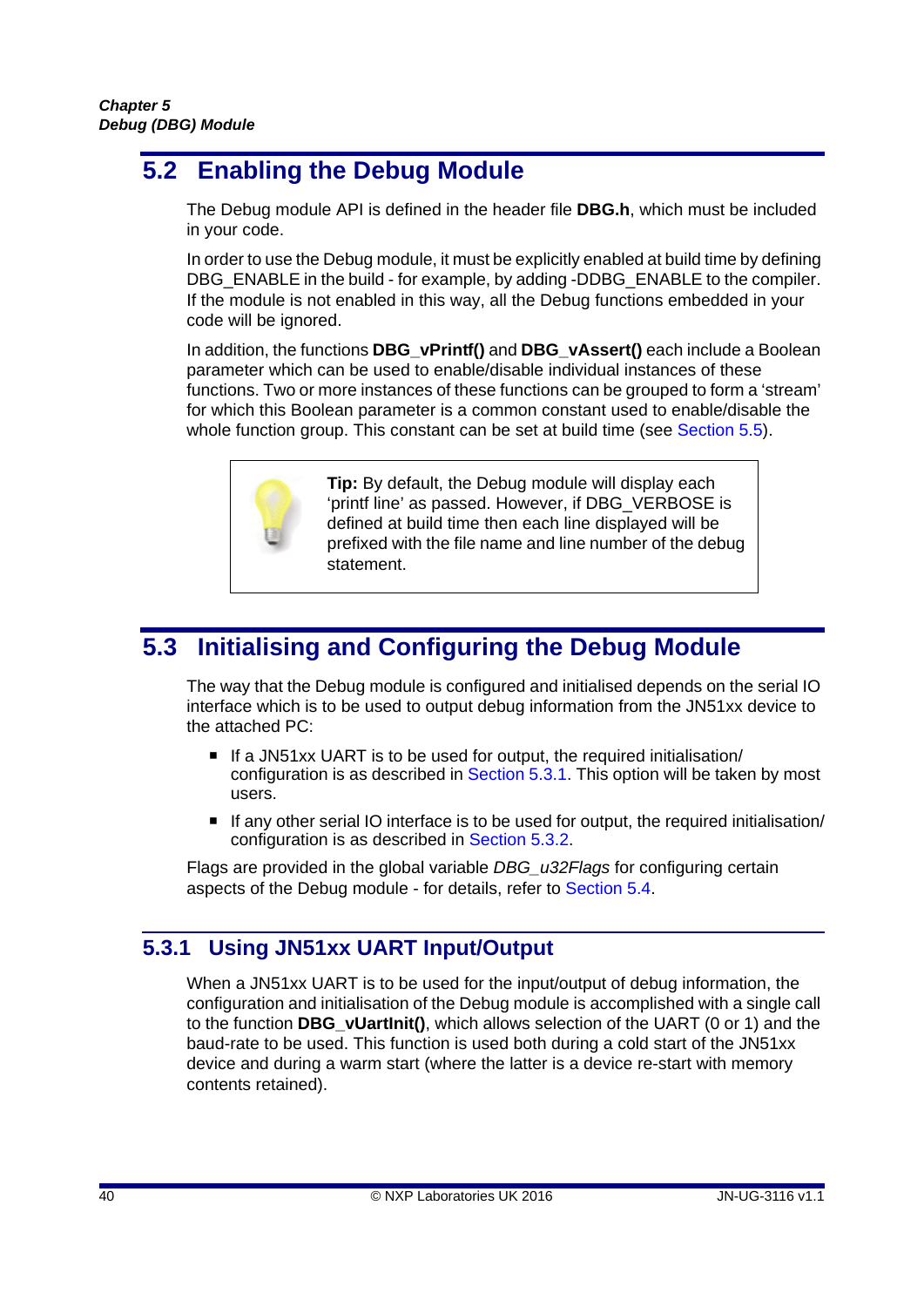# **5.2 Enabling the Debug Module**

The Debug module API is defined in the header file **DBG.h**, which must be included in your code.

In order to use the Debug module, it must be explicitly enabled at build time by defining DBG ENABLE in the build - for example, by adding -DDBG ENABLE to the compiler. If the module is not enabled in this way, all the Debug functions embedded in your code will be ignored.

In addition, the functions **DBG\_vPrintf()** and **DBG\_vAssert()** each include a Boolean parameter which can be used to enable/disable individual instances of these functions. Two or more instances of these functions can be grouped to form a 'stream' for which this Boolean parameter is a common constant used to enable/disable the whole function group. This constant can be set at build time (see [Section 5.5\)](#page-42-0).



**Tip:** By default, the Debug module will display each 'printf line' as passed. However, if DBG\_VERBOSE is defined at build time then each line displayed will be prefixed with the file name and line number of the debug statement.

# <span id="page-39-0"></span>**5.3 Initialising and Configuring the Debug Module**

The way that the Debug module is configured and initialised depends on the serial IO interface which is to be used to output debug information from the JN51xx device to the attached PC:

- If a JN51xx UART is to be used for output, the required initialisation/ configuration is as described in [Section 5.3.1](#page-39-1). This option will be taken by most users.
- If any other serial IO interface is to be used for output, the required initialisation/ configuration is as described in [Section 5.3.2.](#page-40-0)

Flags are provided in the global variable *DBG\_u32Flags* for configuring certain aspects of the Debug module - for details, refer to [Section 5.4.](#page-41-0)

# <span id="page-39-1"></span>**5.3.1 Using JN51xx UART Input/Output**

When a JN51xx UART is to be used for the input/output of debug information, the configuration and initialisation of the Debug module is accomplished with a single call to the function **DBG\_vUartInit()**, which allows selection of the UART (0 or 1) and the baud-rate to be used. This function is used both during a cold start of the JN51xx device and during a warm start (where the latter is a device re-start with memory contents retained).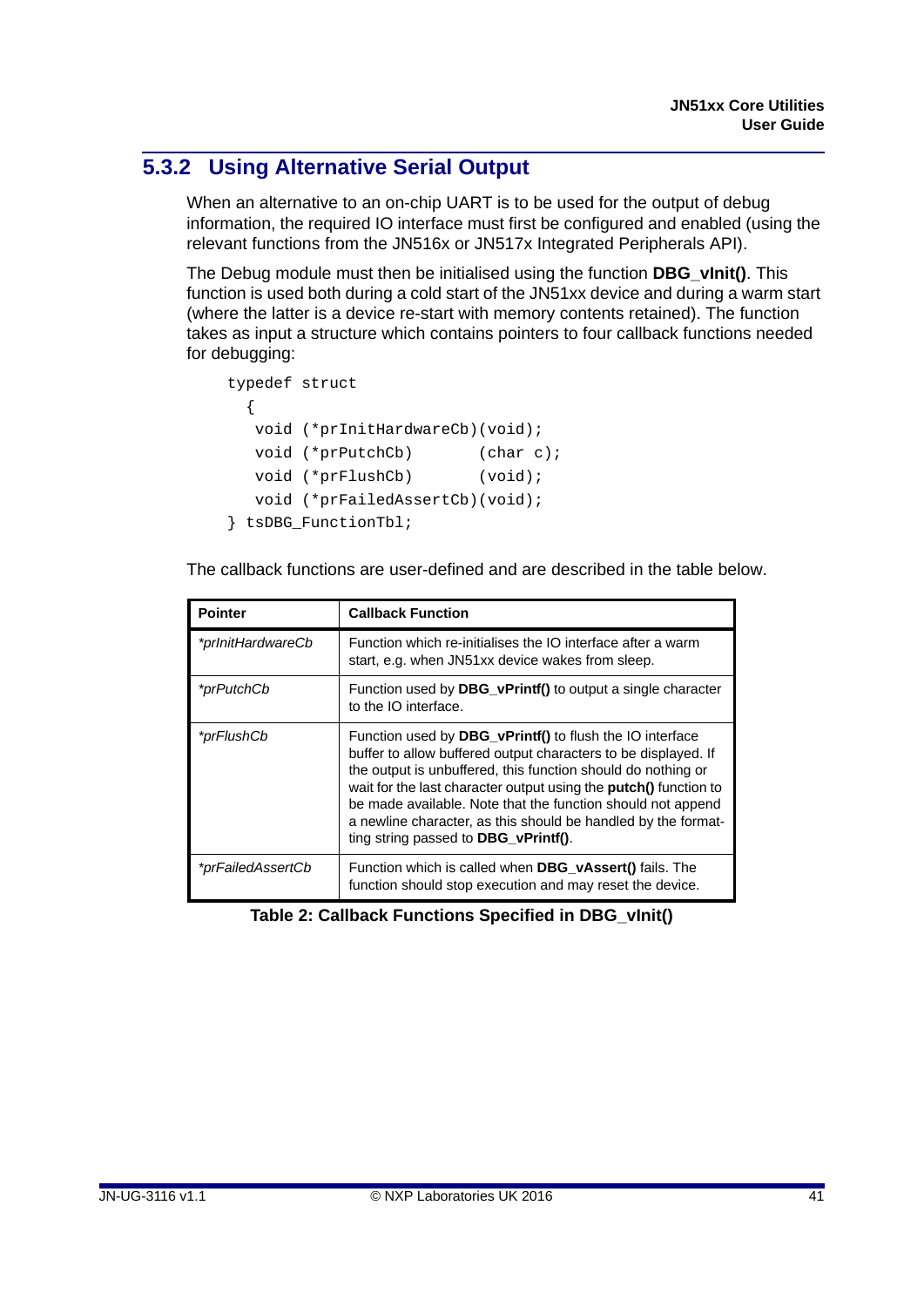# <span id="page-40-0"></span>**5.3.2 Using Alternative Serial Output**

When an alternative to an on-chip UART is to be used for the output of debug information, the required IO interface must first be configured and enabled (using the relevant functions from the JN516x or JN517x Integrated Peripherals API).

The Debug module must then be initialised using the function **DBG\_vInit()**. This function is used both during a cold start of the JN51xx device and during a warm start (where the latter is a device re-start with memory contents retained). The function takes as input a structure which contains pointers to four callback functions needed for debugging:

```
 typedef struct
   {
   void (*prInitHardwareCb)(void);
  void (*prPutchCb) (char c);
  void (*prFlushCb) (void);
   void (*prFailedAssertCb)(void);
 } tsDBG_FunctionTbl;
```
The callback functions are user-defined and are described in the table below.

| <b>Pointer</b>    | <b>Callback Function</b>                                                                                                                                                                                                                                                                                                                                                                                                                             |
|-------------------|------------------------------------------------------------------------------------------------------------------------------------------------------------------------------------------------------------------------------------------------------------------------------------------------------------------------------------------------------------------------------------------------------------------------------------------------------|
| *prInitHardwareCb | Function which re-initialises the IO interface after a warm<br>start, e.g. when JN51xx device wakes from sleep.                                                                                                                                                                                                                                                                                                                                      |
| *prPutchCb        | Function used by DBG_vPrintf() to output a single character<br>to the IO interface.                                                                                                                                                                                                                                                                                                                                                                  |
| *prFlushCb        | Function used by DBG_vPrintf() to flush the IO interface<br>buffer to allow buffered output characters to be displayed. If<br>the output is unbuffered, this function should do nothing or<br>wait for the last character output using the <b>putch()</b> function to<br>be made available. Note that the function should not append<br>a newline character, as this should be handled by the format-<br>ting string passed to <b>DBG</b> vPrintf(). |
| *prFailedAssertCb | Function which is called when DBG_vAssert() fails. The<br>function should stop execution and may reset the device.                                                                                                                                                                                                                                                                                                                                   |

**Table 2: Callback Functions Specified in DBG\_vInit()**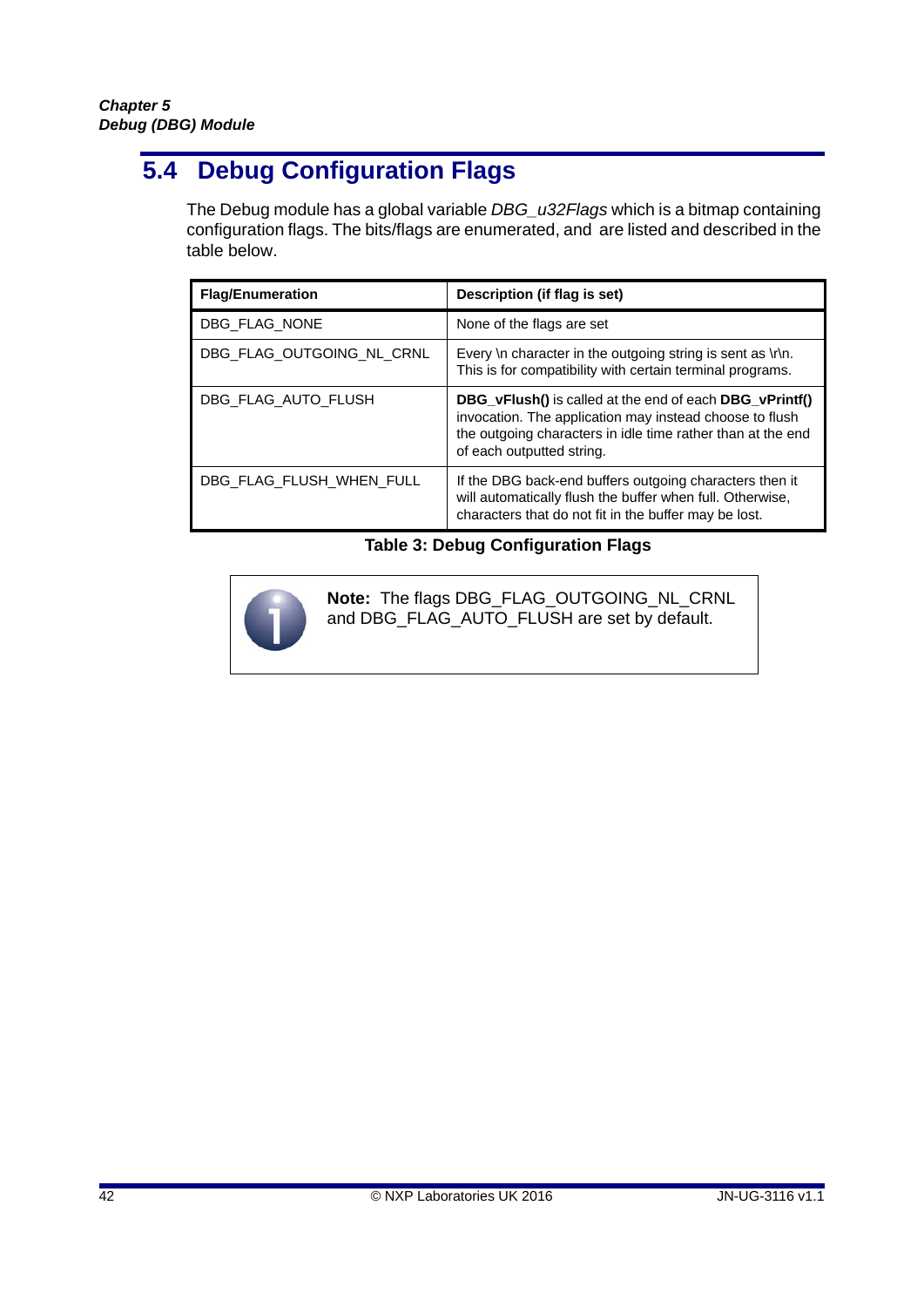# <span id="page-41-0"></span>**5.4 Debug Configuration Flags**

The Debug module has a global variable *DBG\_u32Flags* which is a bitmap containing configuration flags. The bits/flags are enumerated, and are listed and described in the table below.

| <b>Flag/Enumeration</b>   | Description (if flag is set)                                                                                                                                                                                   |
|---------------------------|----------------------------------------------------------------------------------------------------------------------------------------------------------------------------------------------------------------|
| DBG FLAG NONE             | None of the flags are set                                                                                                                                                                                      |
| DBG FLAG OUTGOING NL CRNL | Every \n character in the outgoing string is sent as \r\n.<br>This is for compatibility with certain terminal programs.                                                                                        |
| DBG FLAG AUTO FLUSH       | DBG_vFlush() is called at the end of each DBG_vPrintf()<br>invocation. The application may instead choose to flush<br>the outgoing characters in idle time rather than at the end<br>of each outputted string. |
| DBG FLAG FLUSH WHEN FULL  | If the DBG back-end buffers outgoing characters then it<br>will automatically flush the buffer when full. Otherwise,<br>characters that do not fit in the buffer may be lost.                                  |

# **Table 3: Debug Configuration Flags**



**Note:** The flags DBG\_FLAG\_OUTGOING\_NL\_CRNL and DBG\_FLAG\_AUTO\_FLUSH are set by default.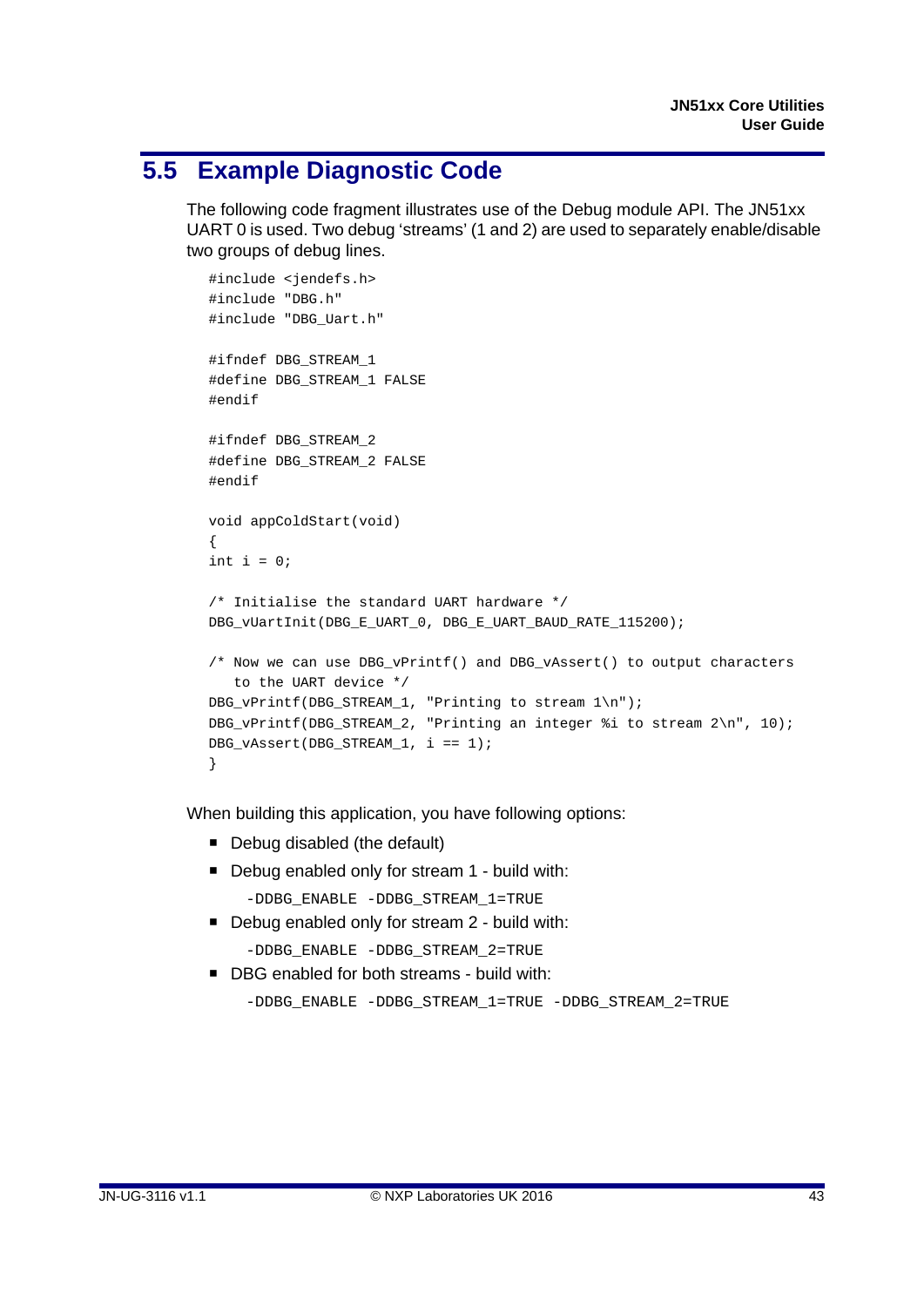# <span id="page-42-0"></span>**5.5 Example Diagnostic Code**

The following code fragment illustrates use of the Debug module API. The JN51xx UART 0 is used. Two debug 'streams' (1 and 2) are used to separately enable/disable two groups of debug lines.

```
#include <jendefs.h>
#include "DBG.h"
#include "DBG_Uart.h"
#ifndef DBG_STREAM_1
#define DBG_STREAM_1 FALSE
#endif
#ifndef DBG_STREAM_2
#define DBG_STREAM_2 FALSE
#endif
void appColdStart(void)
{
int i = 0;
/* Initialise the standard UART hardware */
DBG_vUartInit(DBG_E_UART_0, DBG_E_UART_BAUD_RATE_115200);
/* Now we can use DBG_vPrintf() and DBG_vAssert() to output characters
    to the UART device */
DBG_vPrintf(DBG_STREAM_1, "Printing to stream 1\n");
DBG_vPrintf(DBG_STREAM_2, "Printing an integer %i to stream 2\n", 10);
DBG_vAssert(DBG_STREAM_1, i == 1);
}
```
When building this application, you have following options:

- Debug disabled (the default)
- Debug enabled only for stream 1 build with:
	- -DDBG\_ENABLE -DDBG\_STREAM\_1=TRUE
- Debug enabled only for stream 2 build with:

```
 -DDBG_ENABLE -DDBG_STREAM_2=TRUE
```
■ DBG enabled for both streams - build with:

```
 -DDBG_ENABLE -DDBG_STREAM_1=TRUE -DDBG_STREAM_2=TRUE
```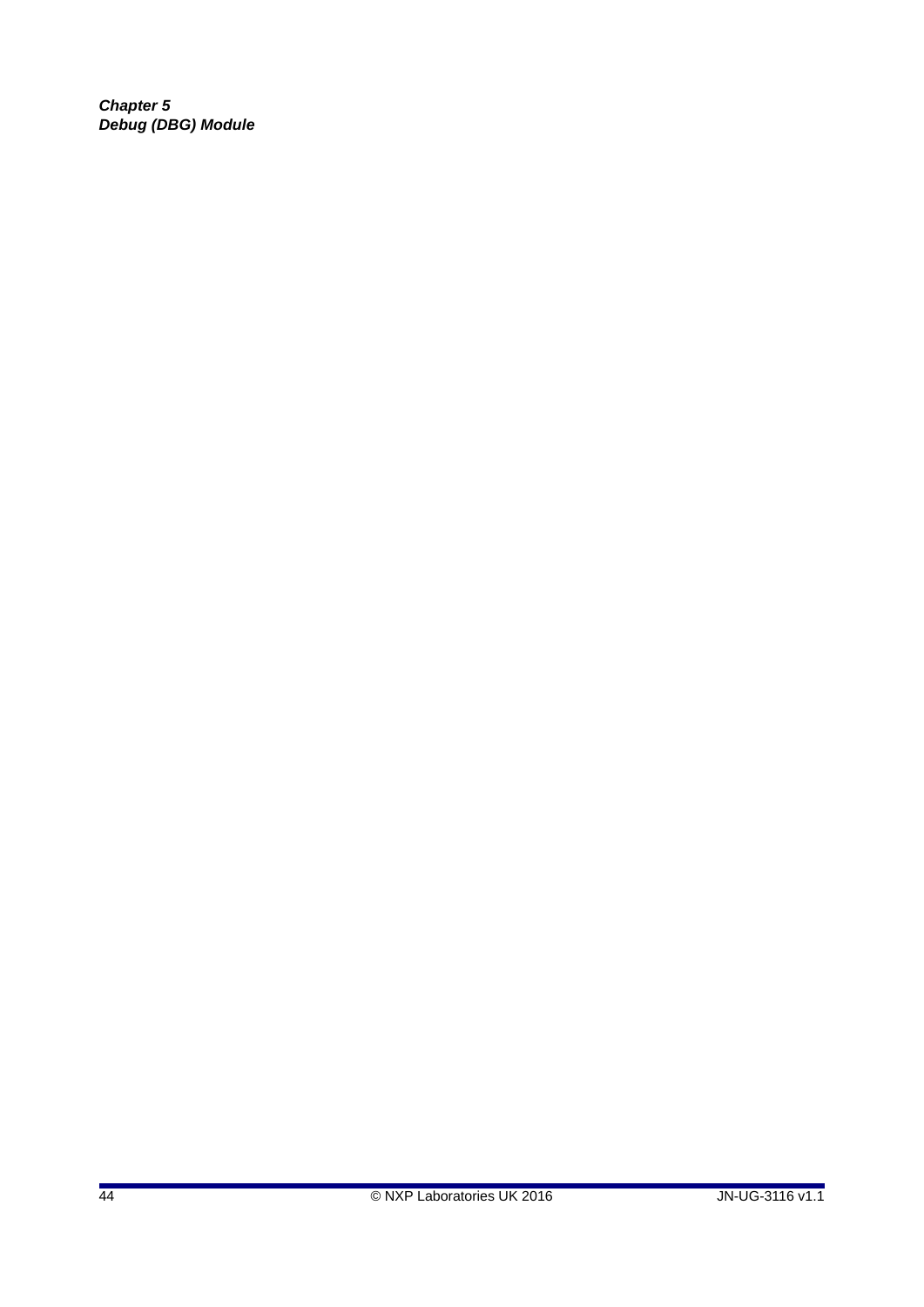*Chapter 5 Debug (DBG) Module*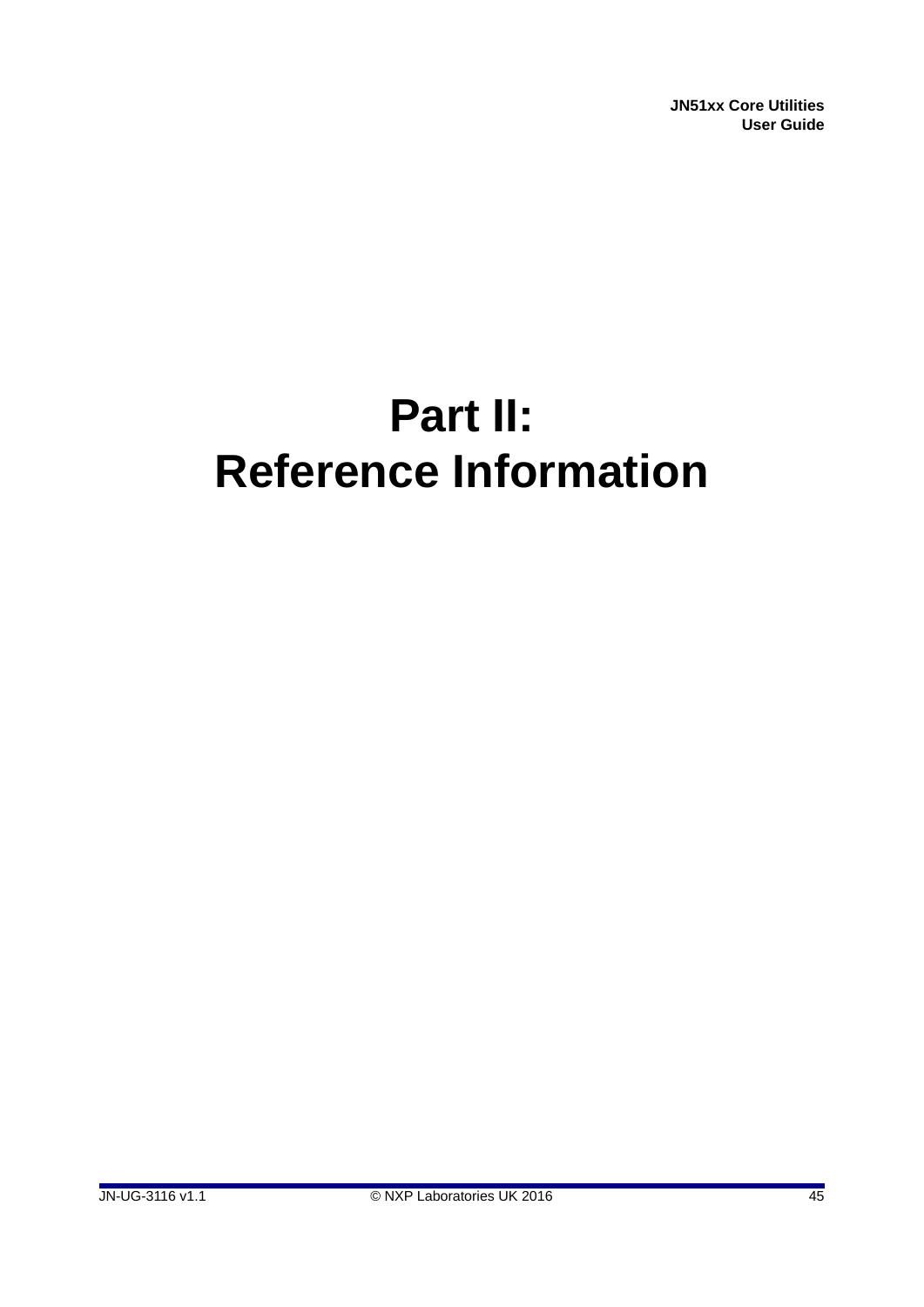# **Part II: Reference Information**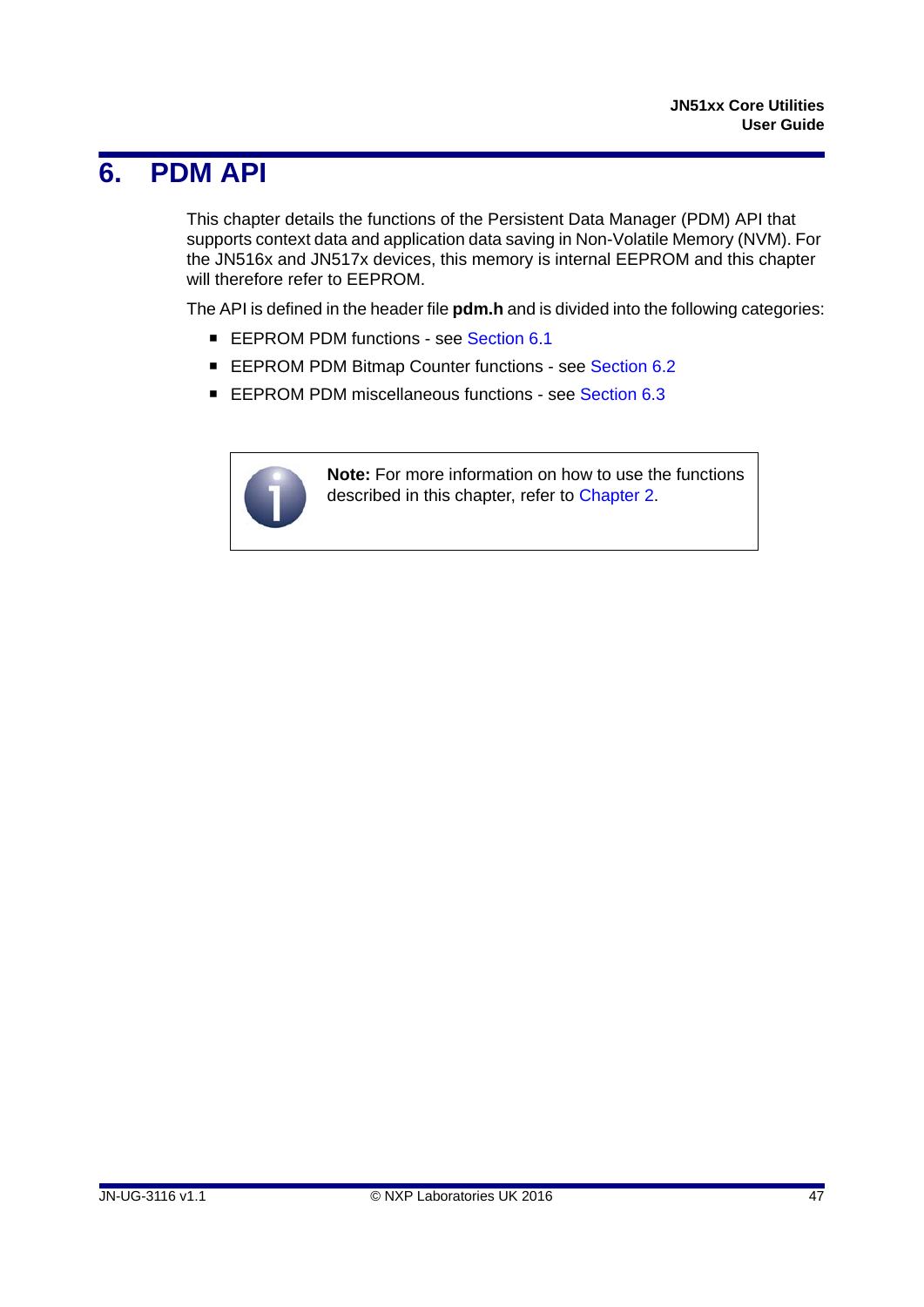# **6. PDM API**

This chapter details the functions of the Persistent Data Manager (PDM) API that supports context data and application data saving in Non-Volatile Memory (NVM). For the JN516x and JN517x devices, this memory is internal EEPROM and this chapter will therefore refer to EEPROM.

The API is defined in the header file **pdm.h** and is divided into the following categories:

- EEPROM PDM functions see [Section 6.1](#page-47-0)
- EEPROM PDM Bitmap Counter functions see [Section 6.2](#page-56-0)
- EEPROM PDM miscellaneous functions see [Section 6.3](#page-61-0)



**Note:** For more information on how to use the functions described in this chapter, refer to [Chapter 2.](#page-14-0)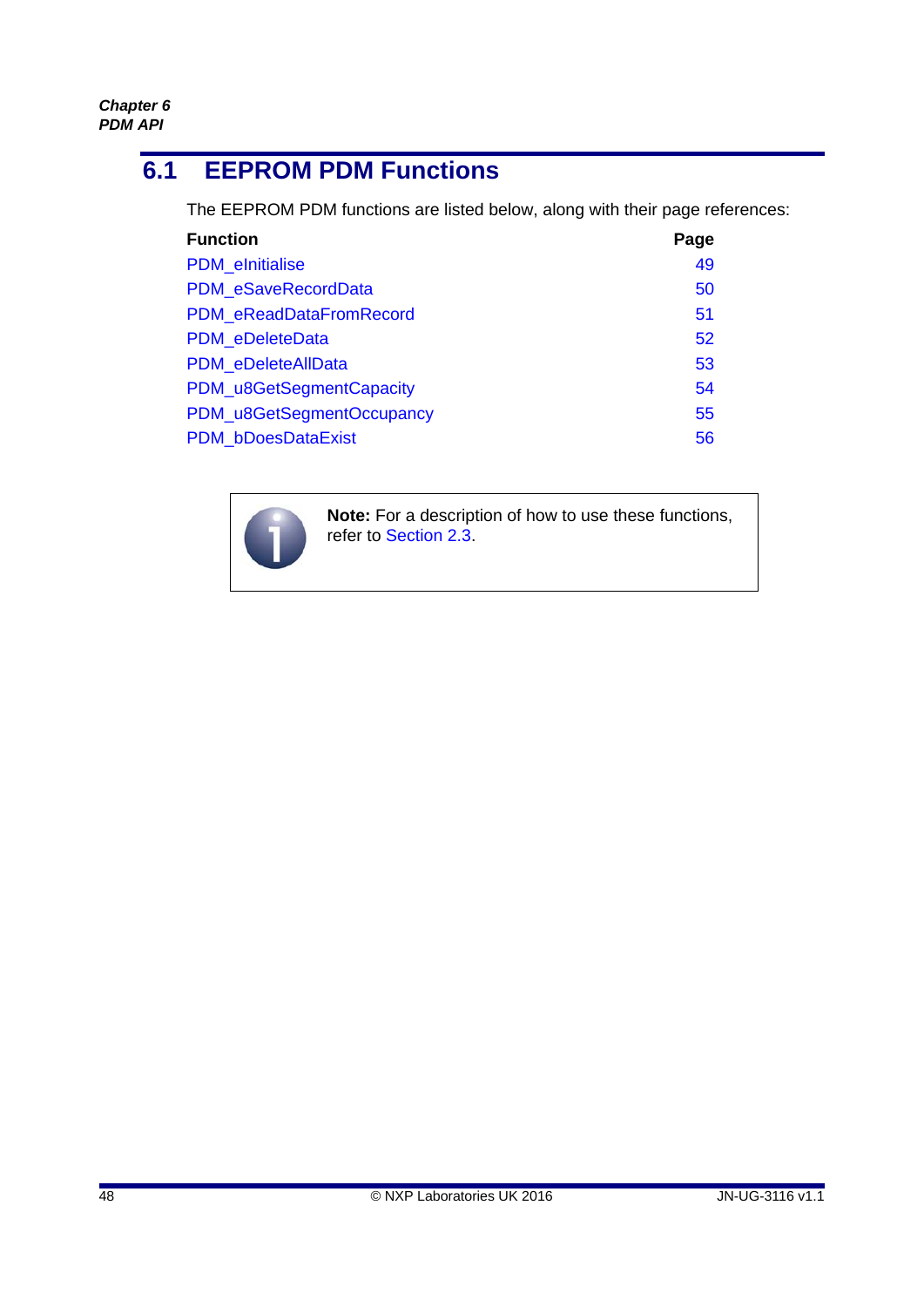# <span id="page-47-0"></span>**6.1 EEPROM PDM Functions**

The EEPROM PDM functions are listed below, along with their page references:

| <b>Function</b>                | Page |
|--------------------------------|------|
| <b>PDM</b> eInitialise         | 49   |
| <b>PDM</b> eSaveRecordData     | 50   |
| <b>PDM</b> eReadDataFromRecord | 51   |
| <b>PDM</b> eDeleteData         | 52   |
| <b>PDM</b> eDeleteAllData      | 53   |
| PDM_u8GetSegmentCapacity       | 54   |
| PDM_u8GetSegmentOccupancy      | 55   |
| <b>PDM</b> bDoesDataExist      | 56   |



**Note:** For a description of how to use these functions, refer to [Section 2.3.](#page-16-0)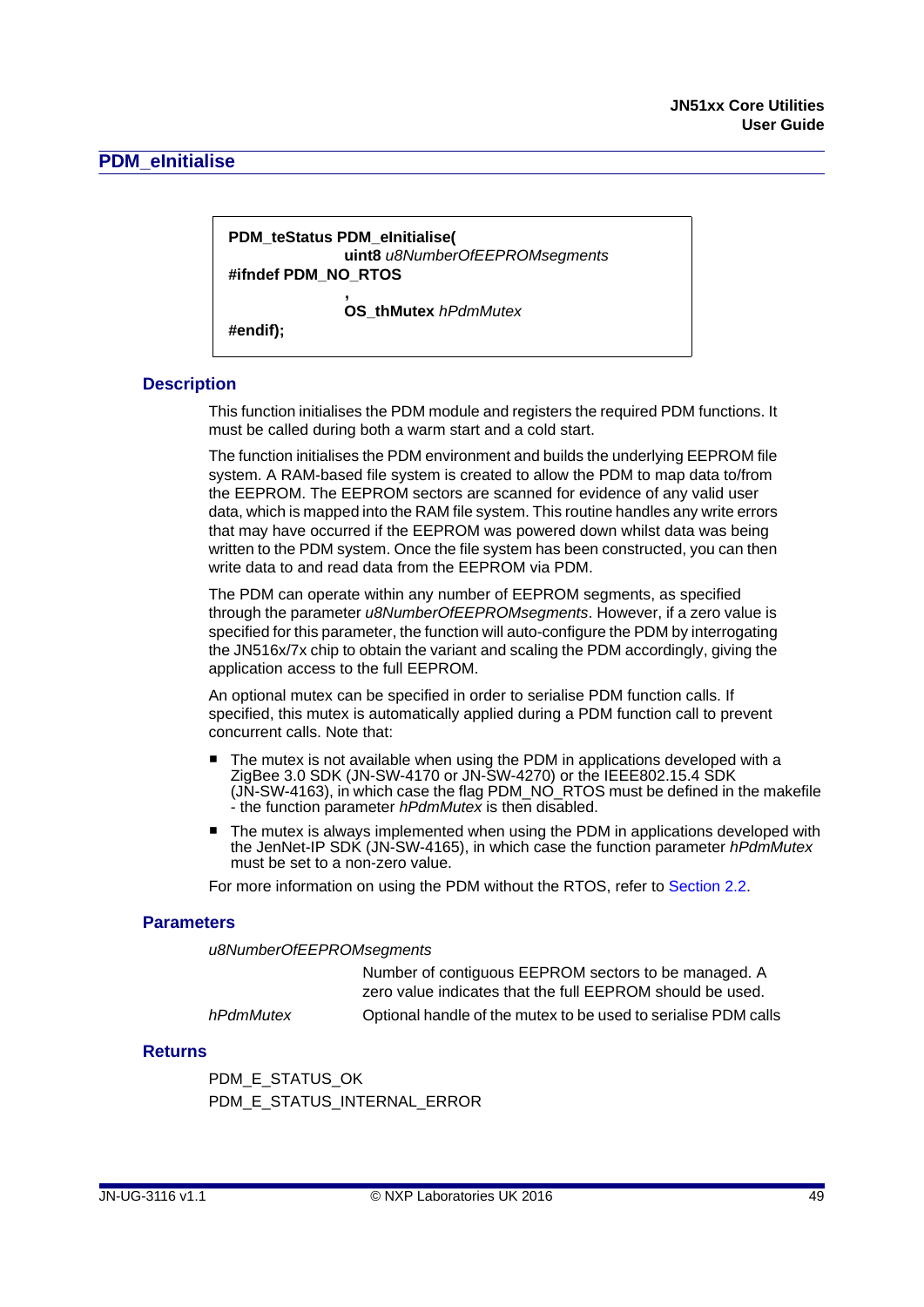```
PDM_teStatus PDM_eInitialise(
              uint8 u8NumberOfEEPROMsegments
#ifndef PDM_NO_RTOS
              ,
```
**OS\_thMutex** *hPdmMutex*

**#endif);**

# **Description**

This function initialises the PDM module and registers the required PDM functions. It must be called during both a warm start and a cold start.

The function initialises the PDM environment and builds the underlying EEPROM file system. A RAM-based file system is created to allow the PDM to map data to/from the EEPROM. The EEPROM sectors are scanned for evidence of any valid user data, which is mapped into the RAM file system. This routine handles any write errors that may have occurred if the EEPROM was powered down whilst data was being written to the PDM system. Once the file system has been constructed, you can then write data to and read data from the EEPROM via PDM.

The PDM can operate within any number of EEPROM segments, as specified through the parameter *u8NumberOfEEPROMsegments*. However, if a zero value is specified for this parameter, the function will auto-configure the PDM by interrogating the JN516x/7x chip to obtain the variant and scaling the PDM accordingly, giving the application access to the full EEPROM.

An optional mutex can be specified in order to serialise PDM function calls. If specified, this mutex is automatically applied during a PDM function call to prevent concurrent calls. Note that:

- The mutex is not available when using the PDM in applications developed with a ZigBee 3.0 SDK (JN-SW-4170 or JN-SW-4270) or the IEEE802.15.4 SDK (JN-SW-4163), in which case the flag PDM\_NO\_RTOS must be defined in the makefile - the function parameter *hPdmMutex* is then disabled.
- $\blacksquare$  The mutex is always implemented when using the PDM in applications developed with the JenNet-IP SDK (JN-SW-4165), in which case the function parameter *hPdmMutex* must be set to a non-zero value.

For more information on using the PDM without the RTOS, refer to [Section 2.2](#page-15-0).

#### **Parameters**

#### *u8NumberOfEEPROMsegments*

|           | Number of contiguous EEPROM sectors to be managed. A           |  |
|-----------|----------------------------------------------------------------|--|
|           | zero value indicates that the full EEPROM should be used.      |  |
| hPdmMutex | Optional handle of the mutex to be used to serialise PDM calls |  |

#### **Returns**

PDM\_E\_STATUS\_OK PDM\_E\_STATUS\_INTERNAL\_ERROR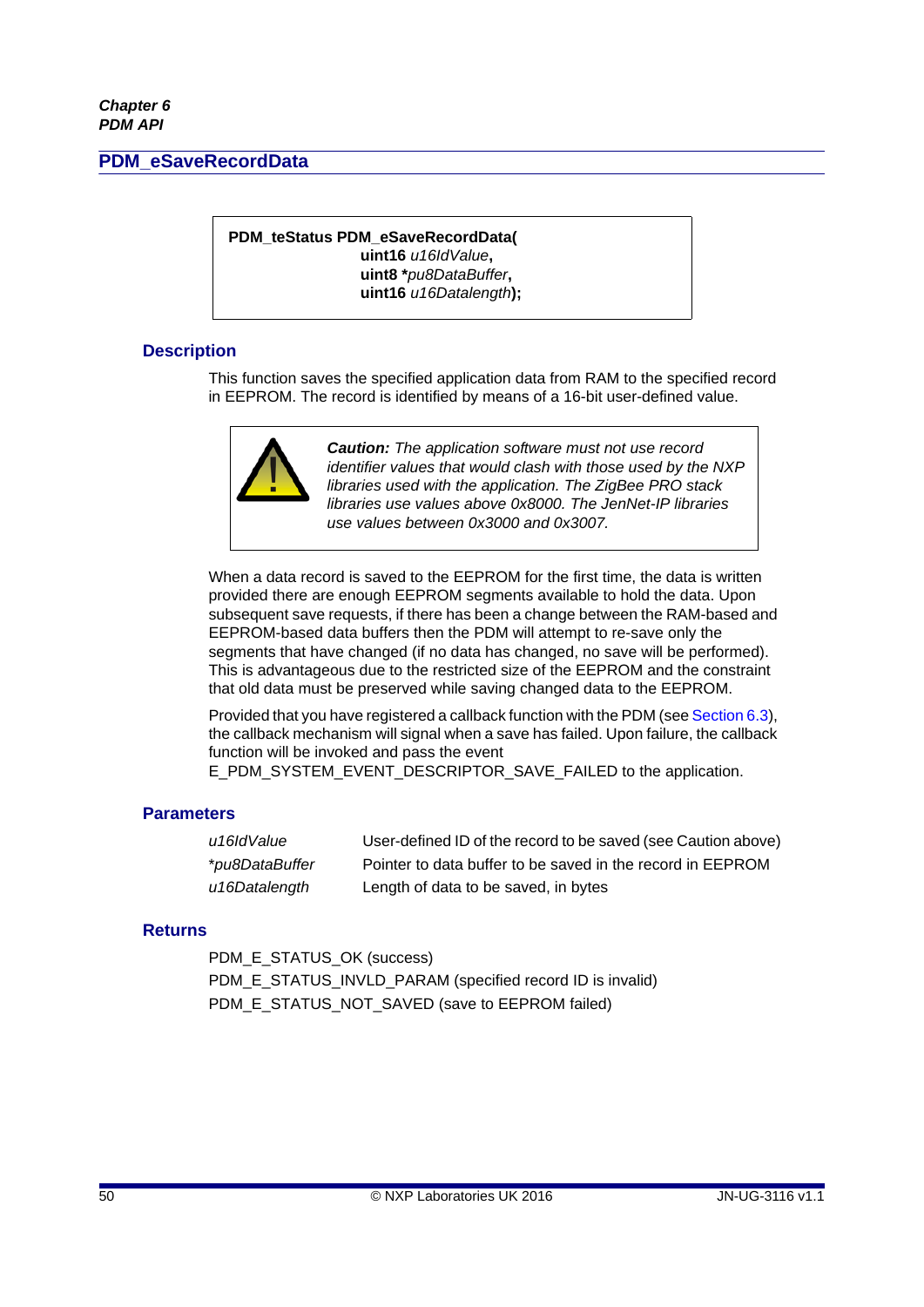# <span id="page-49-0"></span>**PDM\_eSaveRecordData**

# **PDM\_teStatus PDM\_eSaveRecordData( uint16** *u16IdValue***, uint8 \****pu8DataBuffer***, uint16** *u16Datalength***);**

# **Description**

This function saves the specified application data from RAM to the specified record in EEPROM. The record is identified by means of a 16-bit user-defined value.



*Caution: The application software must not use record identifier values that would clash with those used by the NXP libraries used with the application. The ZigBee PRO stack libraries use values above 0x8000. The JenNet-IP libraries use values between 0x3000 and 0x3007.*

When a data record is saved to the EEPROM for the first time, the data is written provided there are enough EEPROM segments available to hold the data. Upon subsequent save requests, if there has been a change between the RAM-based and EEPROM-based data buffers then the PDM will attempt to re-save only the segments that have changed (if no data has changed, no save will be performed). This is advantageous due to the restricted size of the EEPROM and the constraint that old data must be preserved while saving changed data to the EEPROM.

Provided that you have registered a callback function with the PDM (see [Section 6.3](#page-61-0)), the callback mechanism will signal when a save has failed. Upon failure, the callback function will be invoked and pass the event

E\_PDM\_SYSTEM\_EVENT\_DESCRIPTOR\_SAVE\_FAILED to the application.

#### **Parameters**

| u16ldValue     | User-defined ID of the record to be saved (see Caution above) |
|----------------|---------------------------------------------------------------|
| *pu8DataBuffer | Pointer to data buffer to be saved in the record in EEPROM    |
| u16Datalength  | Length of data to be saved, in bytes                          |

#### **Returns**

PDM\_E\_STATUS\_OK (success) PDM\_E\_STATUS\_INVLD\_PARAM (specified record ID is invalid) PDM\_E\_STATUS\_NOT\_SAVED (save to EEPROM failed)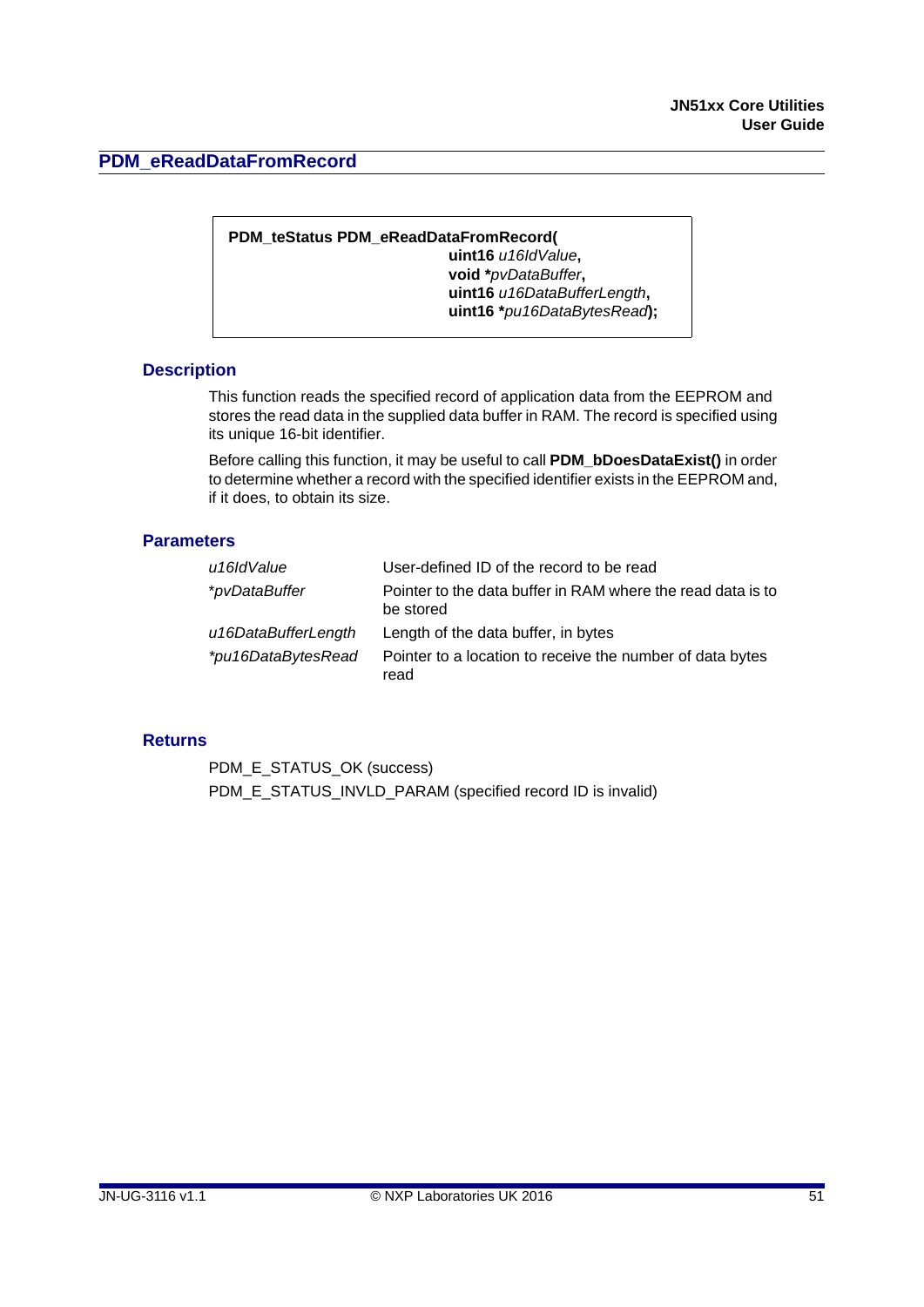<span id="page-50-0"></span>**PDM\_teStatus PDM\_eReadDataFromRecord( uint16** *u16IdValue***, void \****pvDataBuffer***, uint16** *u16DataBufferLength***, uint16 \****pu16DataBytesRead***);**

# **Description**

This function reads the specified record of application data from the EEPROM and stores the read data in the supplied data buffer in RAM. The record is specified using its unique 16-bit identifier.

Before calling this function, it may be useful to call **PDM\_bDoesDataExist()** in order to determine whether a record with the specified identifier exists in the EEPROM and, if it does, to obtain its size.

### **Parameters**

| u16IdValue          | User-defined ID of the record to be read                                 |
|---------------------|--------------------------------------------------------------------------|
| *pvDataBuffer       | Pointer to the data buffer in RAM where the read data is to<br>be stored |
| u16DataBufferLength | Length of the data buffer, in bytes                                      |
| *pu16DataBytesRead  | Pointer to a location to receive the number of data bytes<br>read        |

# **Returns**

PDM\_E\_STATUS\_OK (success) PDM\_E\_STATUS\_INVLD\_PARAM (specified record ID is invalid)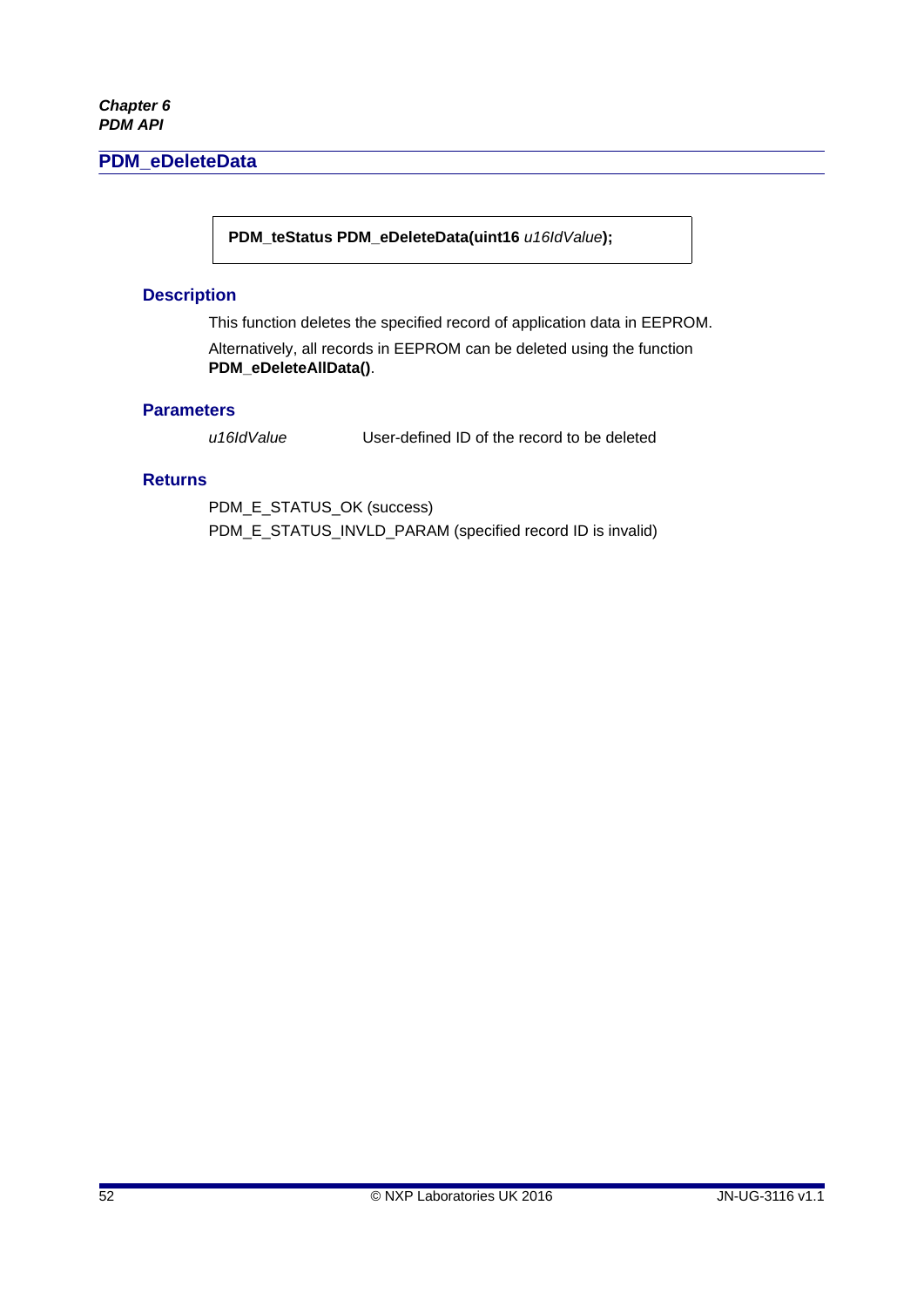# <span id="page-51-0"></span>**PDM\_eDeleteData**

**PDM\_teStatus PDM\_eDeleteData(uint16** *u16IdValue***);**

# **Description**

This function deletes the specified record of application data in EEPROM.

Alternatively, all records in EEPROM can be deleted using the function **PDM\_eDeleteAllData()**.

# **Parameters**

*u16IdValue* User-defined ID of the record to be deleted

# **Returns**

PDM\_E\_STATUS\_OK (success) PDM\_E\_STATUS\_INVLD\_PARAM (specified record ID is invalid)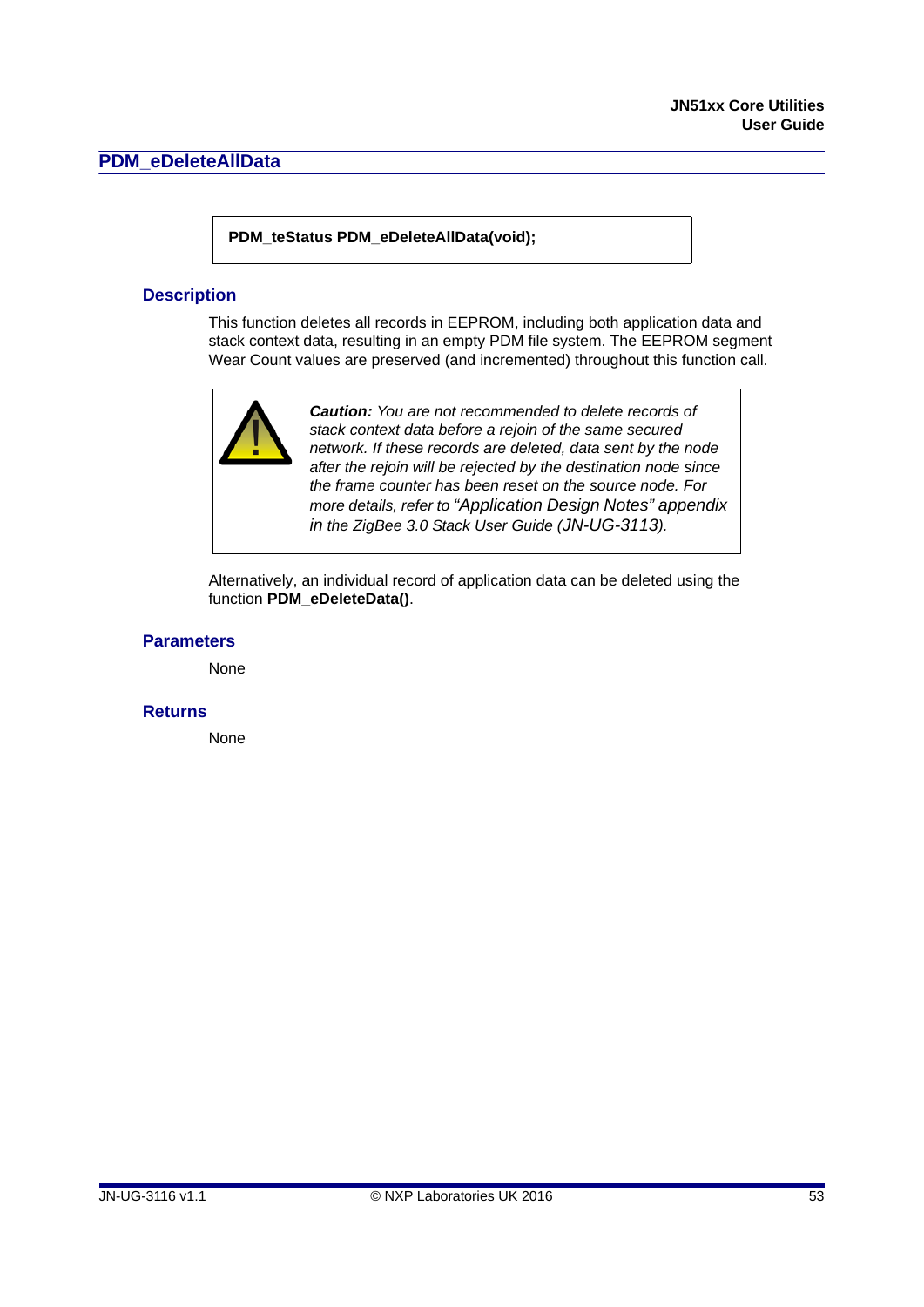# **PDM\_teStatus PDM\_eDeleteAllData(void);**

# <span id="page-52-0"></span>**Description**

This function deletes all records in EEPROM, including both application data and stack context data, resulting in an empty PDM file system. The EEPROM segment Wear Count values are preserved (and incremented) throughout this function call.



*Caution: You are not recommended to delete records of stack context data before a rejoin of the same secured network. If these records are deleted, data sent by the node after the rejoin will be rejected by the destination node since the frame counter has been reset on the source node. For more details, refer to "Application Design Notes" appendix in the ZigBee 3.0 Stack User Guide (JN-UG-3113).*

Alternatively, an individual record of application data can be deleted using the function **PDM\_eDeleteData()**.

#### **Parameters**

None

#### **Returns**

None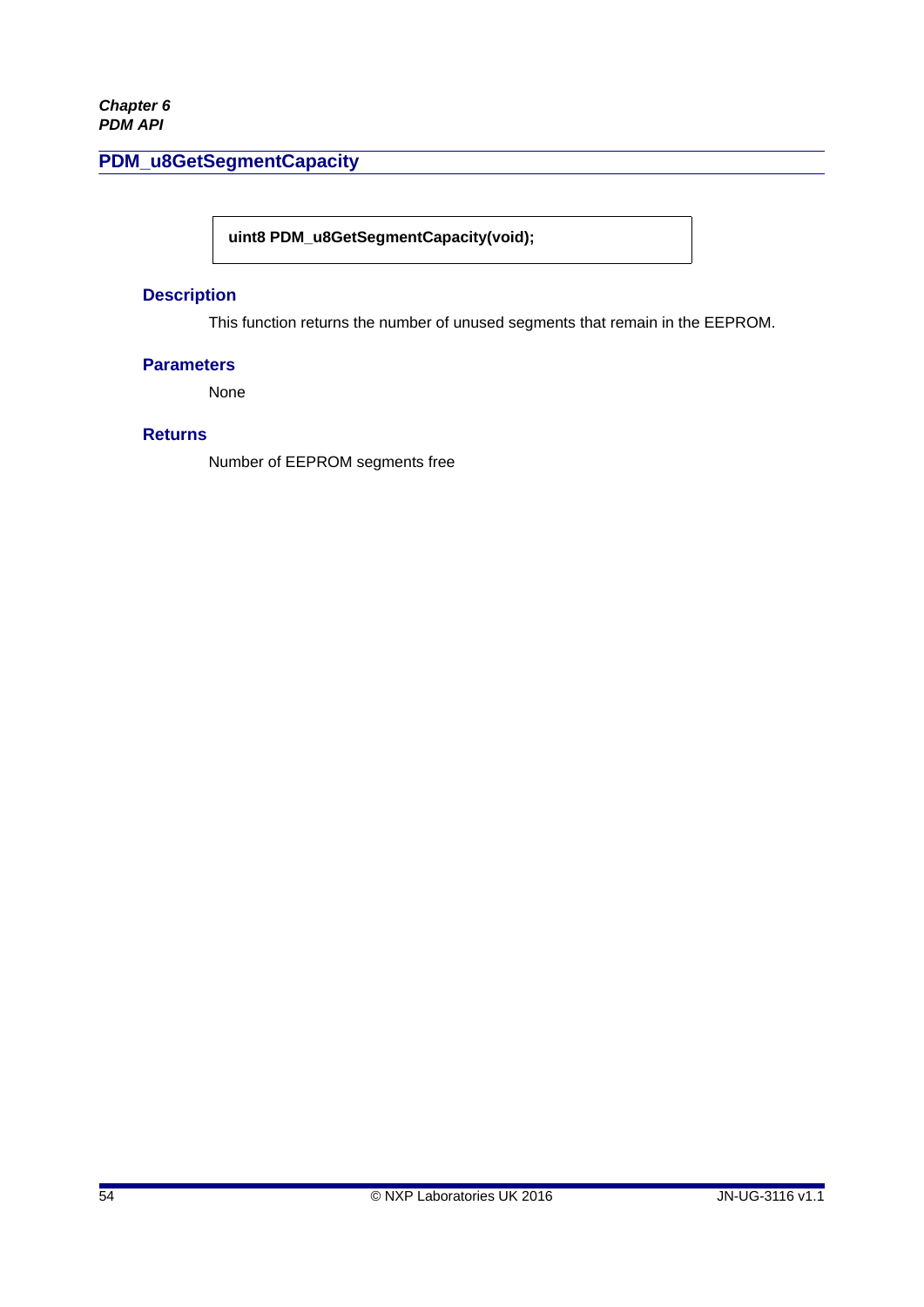# <span id="page-53-0"></span>**PDM\_u8GetSegmentCapacity**

**uint8 PDM\_u8GetSegmentCapacity(void);**

# **Description**

This function returns the number of unused segments that remain in the EEPROM.

#### **Parameters**

None

# **Returns**

Number of EEPROM segments free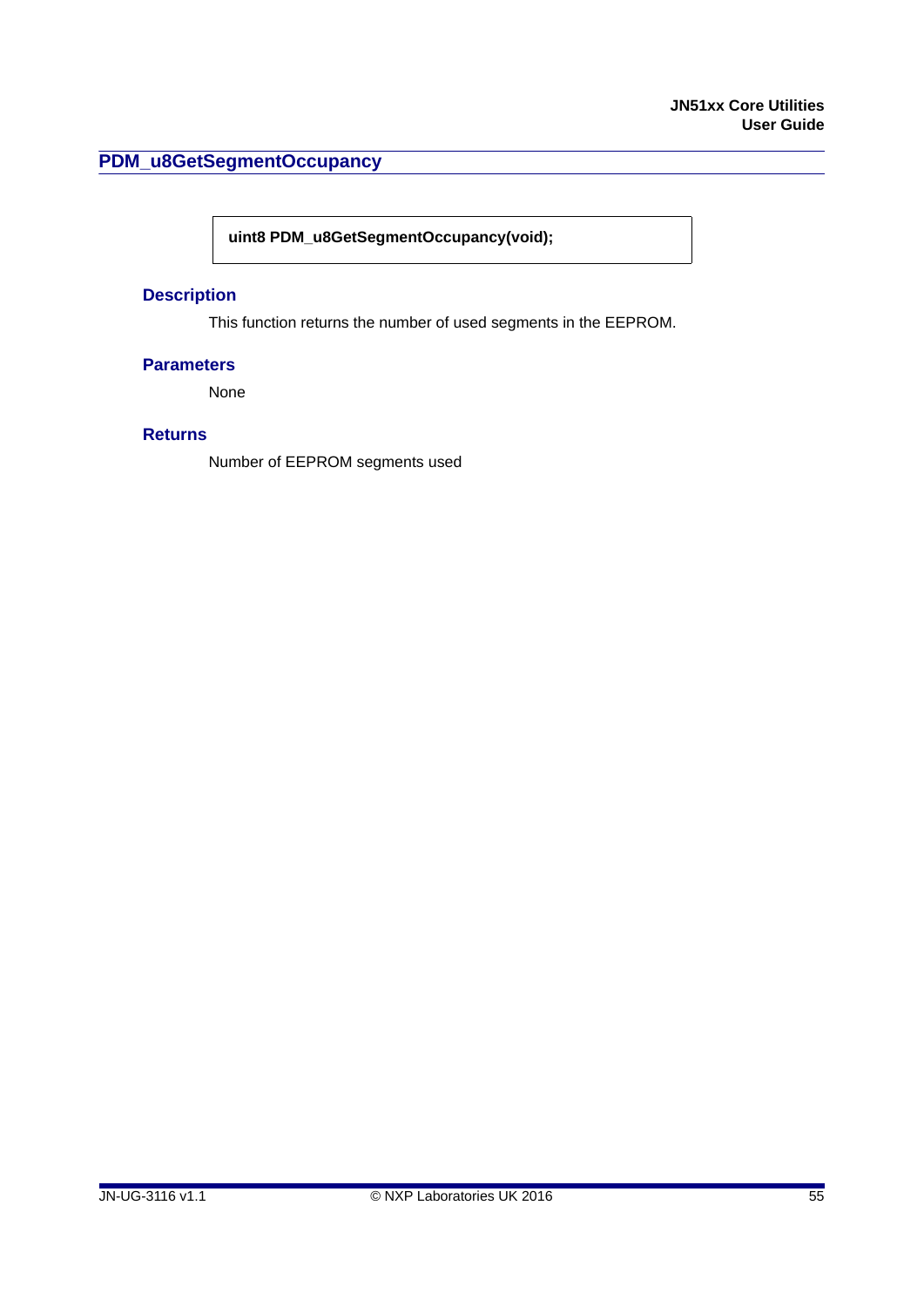# <span id="page-54-0"></span>**PDM\_u8GetSegmentOccupancy**

# **uint8 PDM\_u8GetSegmentOccupancy(void);**

# **Description**

This function returns the number of used segments in the EEPROM.

### **Parameters**

None

# **Returns**

Number of EEPROM segments used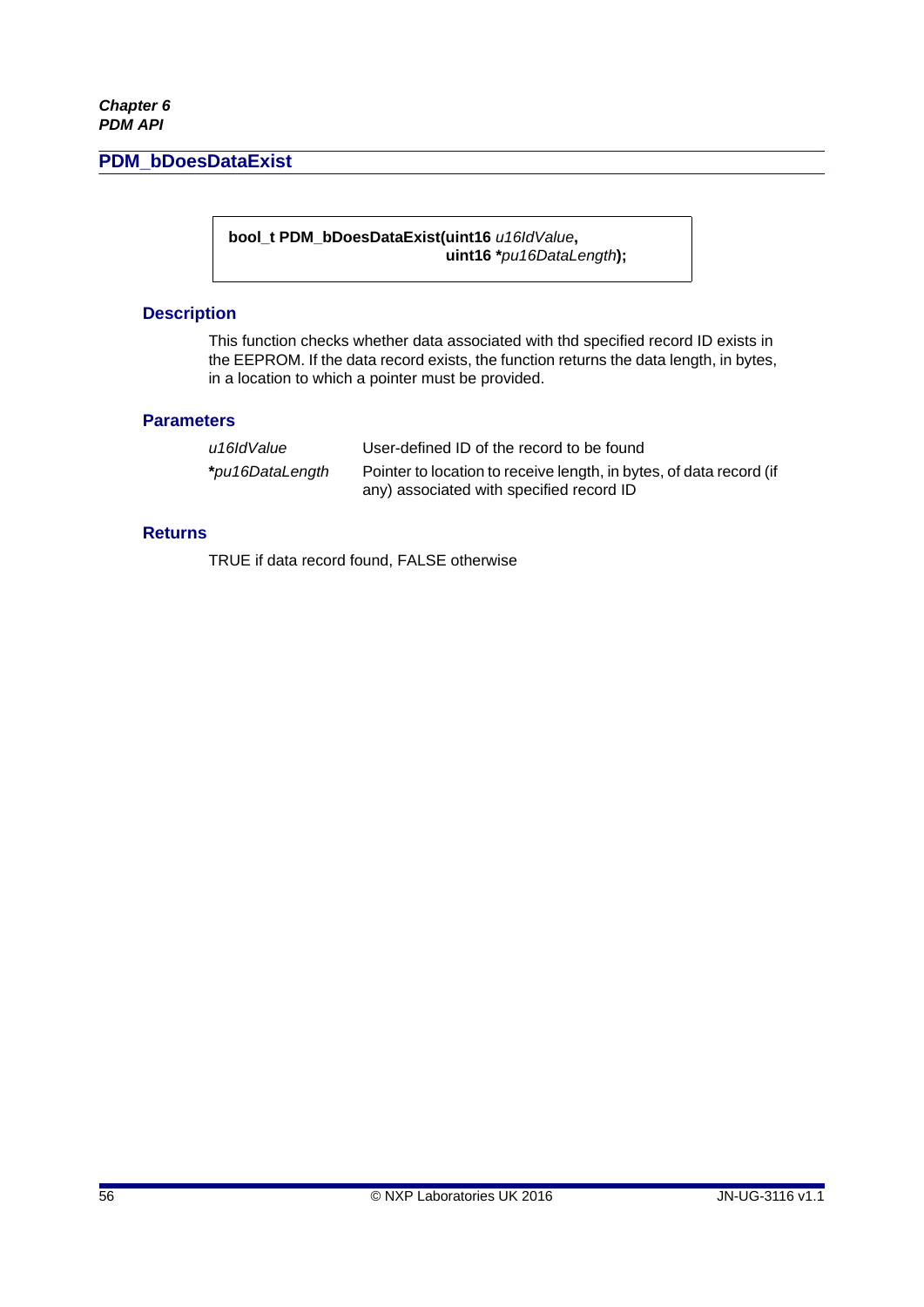# <span id="page-55-0"></span>**PDM\_bDoesDataExist**

**bool\_t PDM\_bDoesDataExist(uint16** *u16IdValue***, uint16 \****pu16DataLength***);**

# **Description**

This function checks whether data associated with thd specified record ID exists in the EEPROM. If the data record exists, the function returns the data length, in bytes, in a location to which a pointer must be provided.

#### **Parameters**

| u16ldValue      | User-defined ID of the record to be found                                                                       |
|-----------------|-----------------------------------------------------------------------------------------------------------------|
| *pu16DataLength | Pointer to location to receive length, in bytes, of data record (if<br>any) associated with specified record ID |

### **Returns**

TRUE if data record found, FALSE otherwise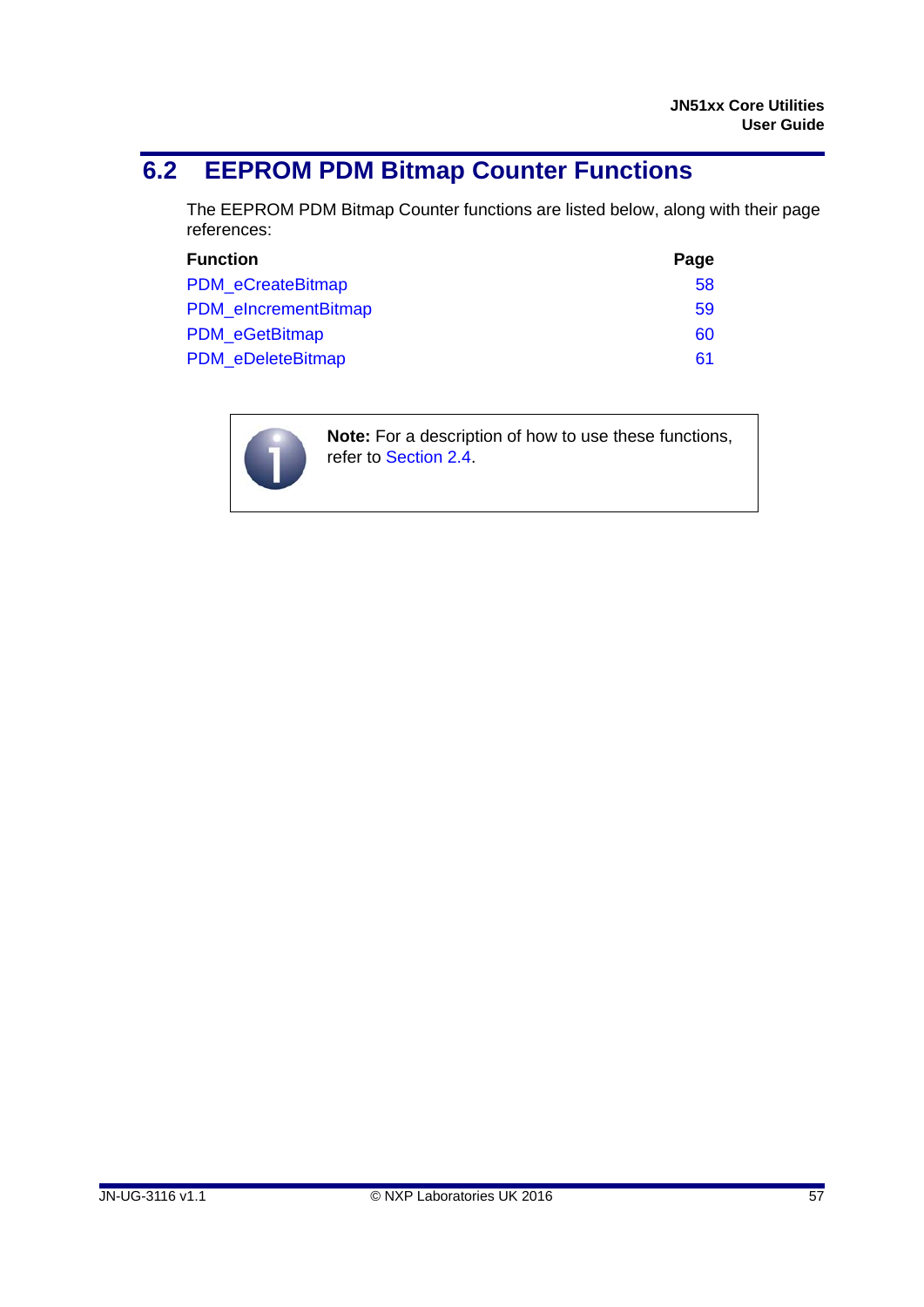# <span id="page-56-0"></span>**6.2 EEPROM PDM Bitmap Counter Functions**

The EEPROM PDM Bitmap Counter functions are listed below, along with their page references:

| Function                    | Page |
|-----------------------------|------|
| <b>PDM</b> eCreateBitmap    | 58   |
| <b>PDM</b> eIncrementBitmap | 59   |
| <b>PDM</b> eGetBitmap       | 60   |
| <b>PDM</b> eDeleteBitmap    | 61   |



**Note:** For a description of how to use these functions, refer to [Section 2.4.](#page-19-0)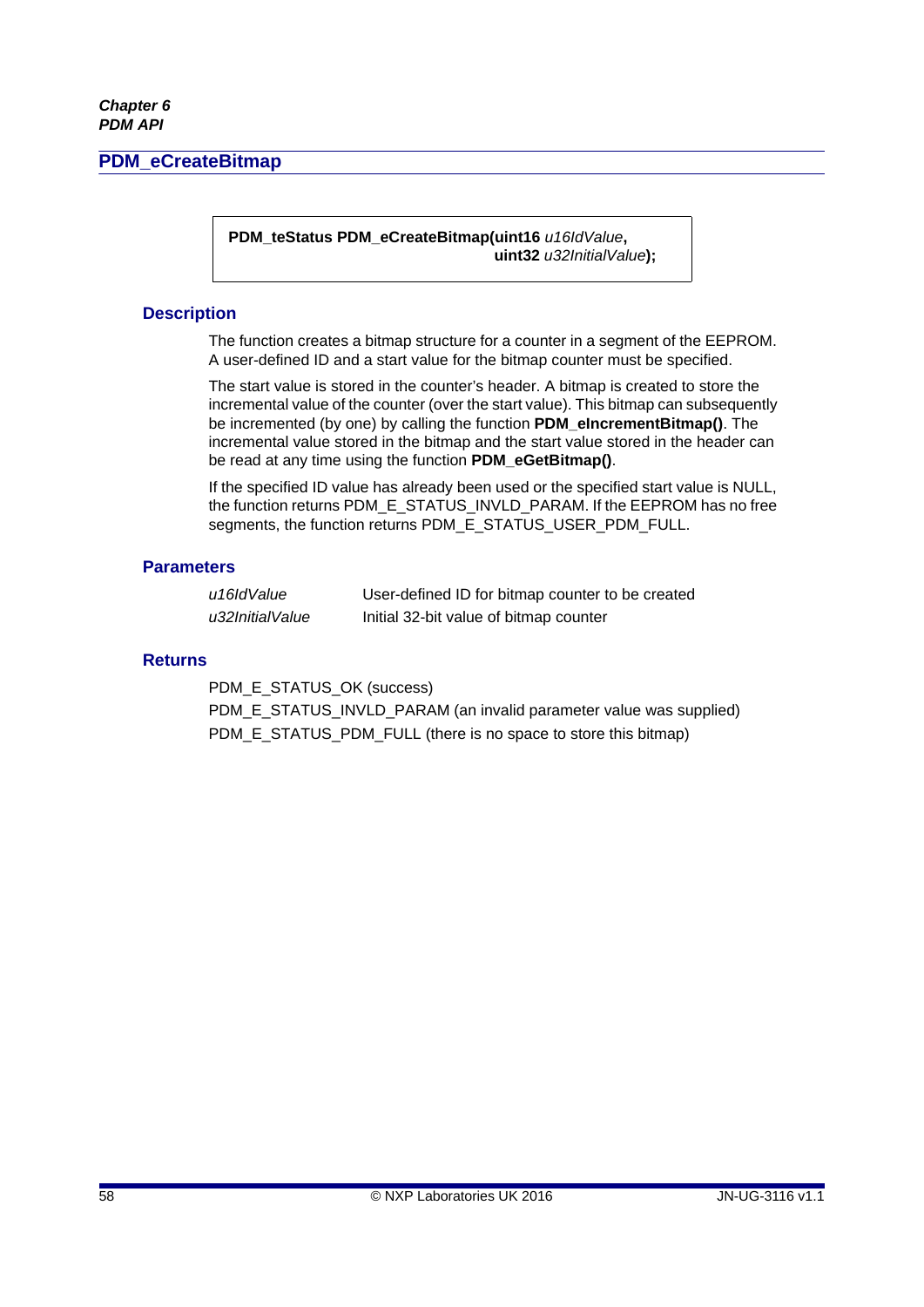# <span id="page-57-0"></span>**PDM\_eCreateBitmap**

**PDM\_teStatus PDM\_eCreateBitmap(uint16** *u16IdValue***, uint32** *u32InitialValue***);**

### **Description**

The function creates a bitmap structure for a counter in a segment of the EEPROM. A user-defined ID and a start value for the bitmap counter must be specified.

The start value is stored in the counter's header. A bitmap is created to store the incremental value of the counter (over the start value). This bitmap can subsequently be incremented (by one) by calling the function **PDM\_eIncrementBitmap()**. The incremental value stored in the bitmap and the start value stored in the header can be read at any time using the function **PDM\_eGetBitmap()**.

If the specified ID value has already been used or the specified start value is NULL, the function returns PDM\_E\_STATUS\_INVLD\_PARAM. If the EEPROM has no free segments, the function returns PDM\_E\_STATUS\_USER\_PDM\_FULL.

# **Parameters**

| u16ldValue      | User-defined ID for bitmap counter to be created |
|-----------------|--------------------------------------------------|
| u32InitialValue | Initial 32-bit value of bitmap counter           |

### **Returns**

PDM\_E\_STATUS\_OK (success) PDM\_E\_STATUS\_INVLD\_PARAM (an invalid parameter value was supplied) PDM\_E\_STATUS\_PDM\_FULL (there is no space to store this bitmap)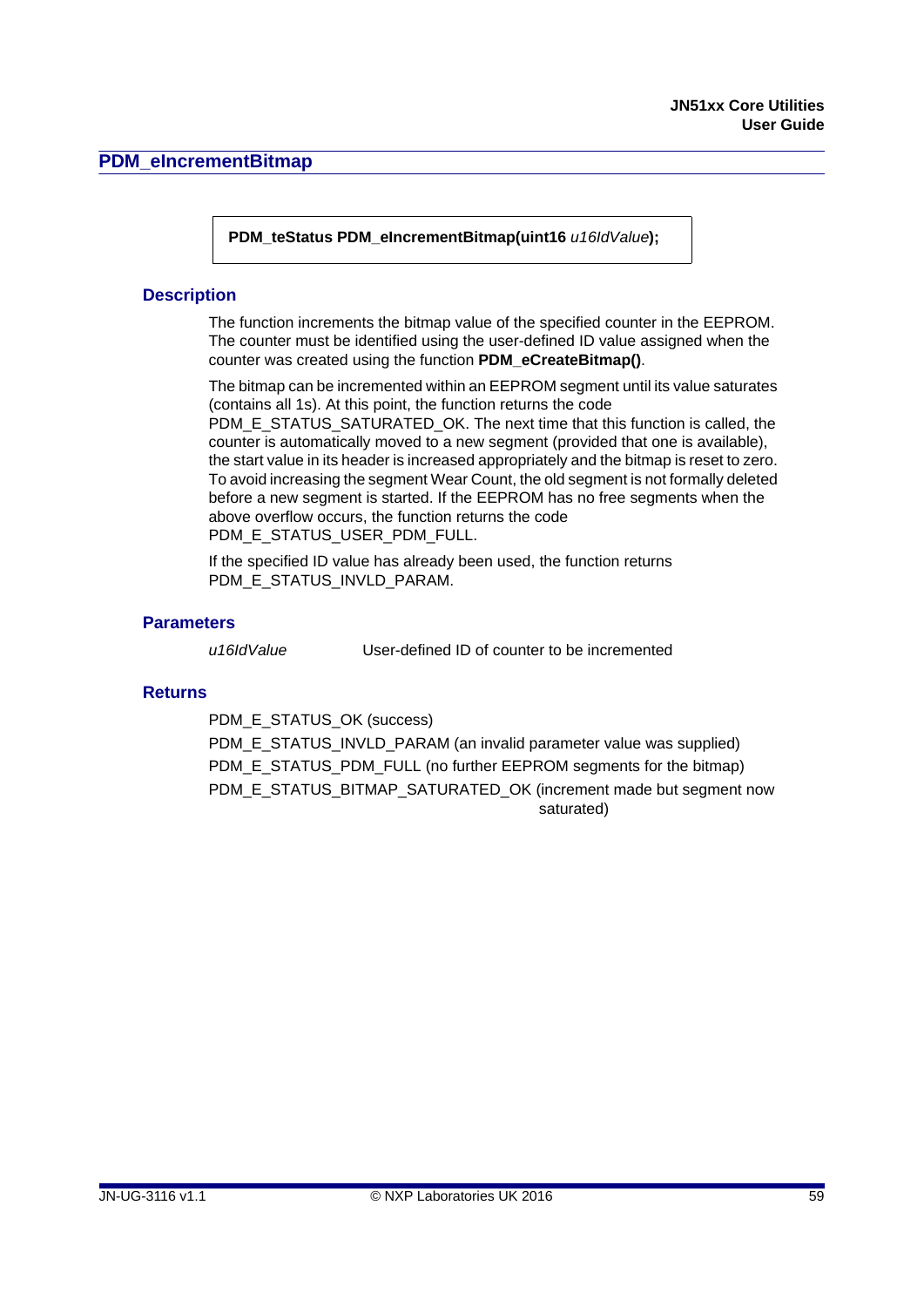**PDM\_teStatus PDM\_eIncrementBitmap(uint16** *u16IdValue***);**

# <span id="page-58-0"></span>**Description**

The function increments the bitmap value of the specified counter in the EEPROM. The counter must be identified using the user-defined ID value assigned when the counter was created using the function **PDM\_eCreateBitmap()**.

The bitmap can be incremented within an EEPROM segment until its value saturates (contains all 1s). At this point, the function returns the code PDM\_E\_STATUS\_SATURATED\_OK. The next time that this function is called, the counter is automatically moved to a new segment (provided that one is available), the start value in its header is increased appropriately and the bitmap is reset to zero. To avoid increasing the segment Wear Count, the old segment is not formally deleted before a new segment is started. If the EEPROM has no free segments when the above overflow occurs, the function returns the code PDM\_E\_STATUS\_USER\_PDM\_FULL.

If the specified ID value has already been used, the function returns PDM\_E\_STATUS\_INVLD\_PARAM.

### **Parameters**

*u16IdValue* User-defined ID of counter to be incremented

# **Returns**

PDM\_E\_STATUS\_OK (success)

PDM\_E\_STATUS\_INVLD\_PARAM (an invalid parameter value was supplied) PDM\_E\_STATUS\_PDM\_FULL (no further EEPROM segments for the bitmap) PDM\_E\_STATUS\_BITMAP\_SATURATED\_OK (increment made but segment now saturated)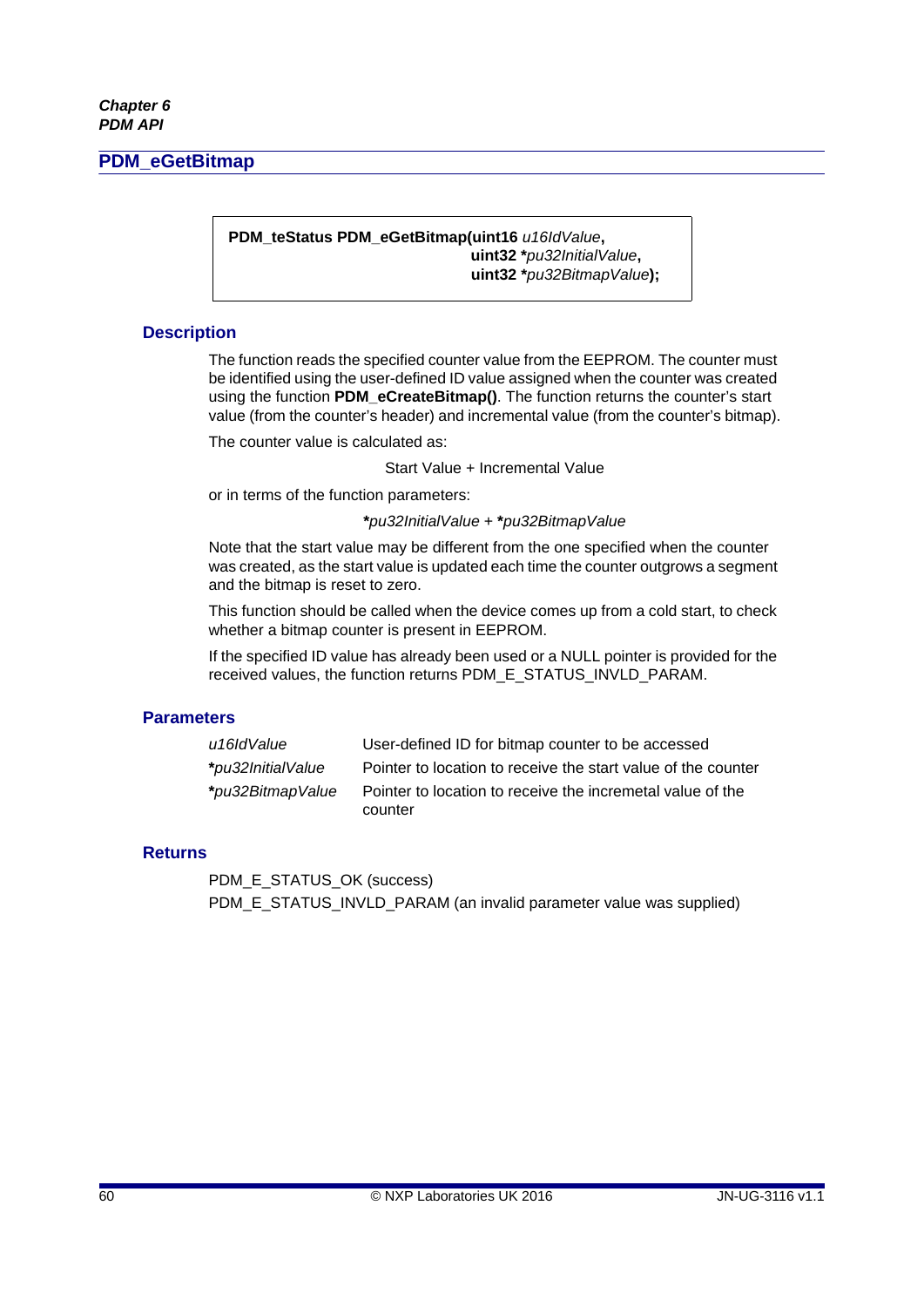# <span id="page-59-0"></span>**PDM\_eGetBitmap**

**PDM\_teStatus PDM\_eGetBitmap(uint16** *u16IdValue***, uint32 \****pu32InitialValue***, uint32 \****pu32BitmapValue***);**

# **Description**

The function reads the specified counter value from the EEPROM. The counter must be identified using the user-defined ID value assigned when the counter was created using the function **PDM\_eCreateBitmap()**. The function returns the counter's start value (from the counter's header) and incremental value (from the counter's bitmap).

The counter value is calculated as:

Start Value + Incremental Value

or in terms of the function parameters:

**\****pu32InitialValue* + **\****pu32BitmapValue*

Note that the start value may be different from the one specified when the counter was created, as the start value is updated each time the counter outgrows a segment and the bitmap is reset to zero.

This function should be called when the device comes up from a cold start, to check whether a bitmap counter is present in EEPROM.

If the specified ID value has already been used or a NULL pointer is provided for the received values, the function returns PDM\_E\_STATUS\_INVLD\_PARAM.

### **Parameters**

| u16ldValue        | User-defined ID for bitmap counter to be accessed                     |
|-------------------|-----------------------------------------------------------------------|
| *pu32InitialValue | Pointer to location to receive the start value of the counter         |
| *pu32BitmapValue  | Pointer to location to receive the incremetal value of the<br>counter |

### **Returns**

PDM\_E\_STATUS\_OK (success) PDM\_E\_STATUS\_INVLD\_PARAM (an invalid parameter value was supplied)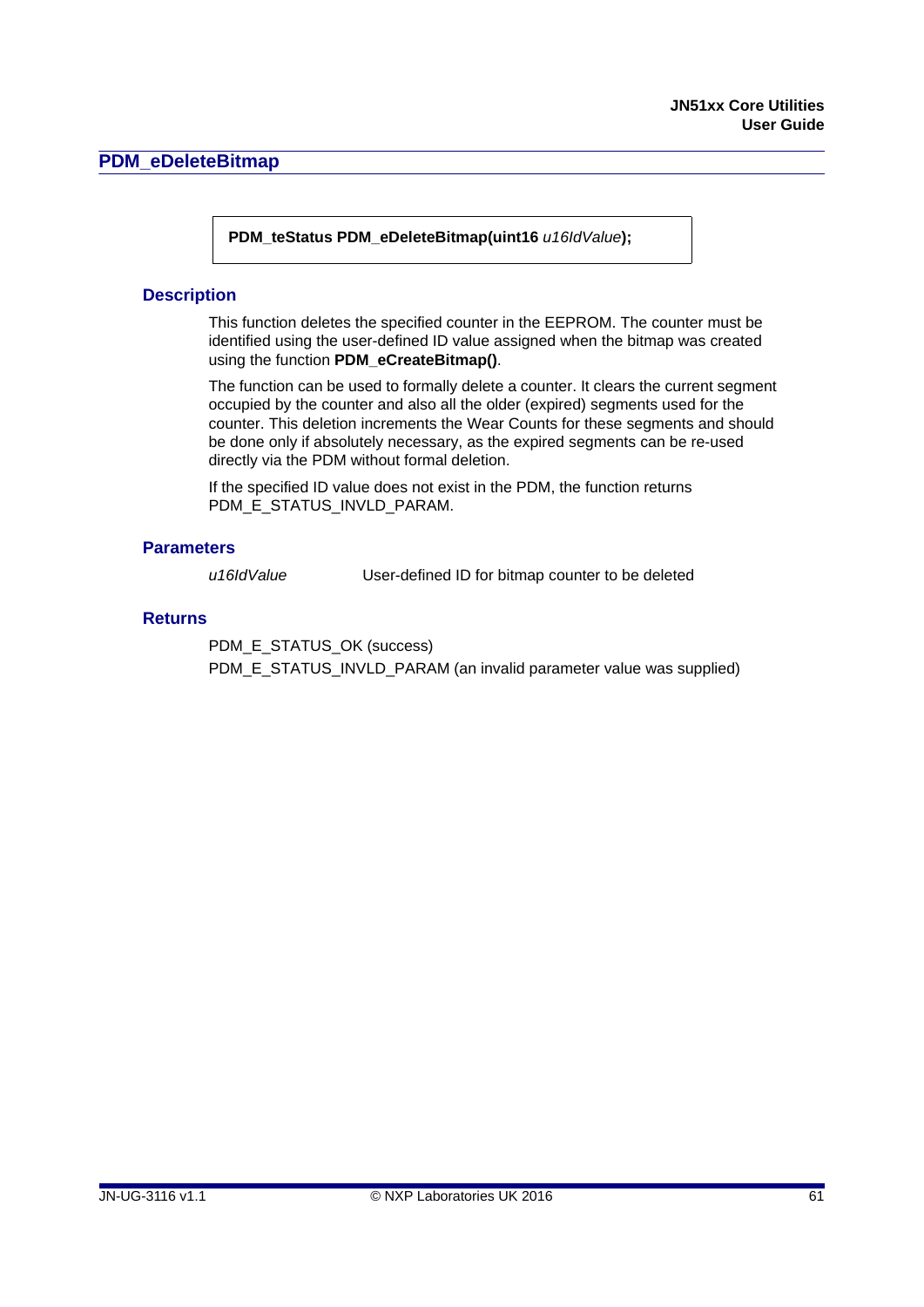# <span id="page-60-0"></span>**PDM\_eDeleteBitmap**

#### **PDM\_teStatus PDM\_eDeleteBitmap(uint16** *u16IdValue***);**

# **Description**

This function deletes the specified counter in the EEPROM. The counter must be identified using the user-defined ID value assigned when the bitmap was created using the function **PDM\_eCreateBitmap()**.

The function can be used to formally delete a counter. It clears the current segment occupied by the counter and also all the older (expired) segments used for the counter. This deletion increments the Wear Counts for these segments and should be done only if absolutely necessary, as the expired segments can be re-used directly via the PDM without formal deletion.

If the specified ID value does not exist in the PDM, the function returns PDM\_E\_STATUS\_INVLD\_PARAM.

#### **Parameters**

*u16IdValue* User-defined ID for bitmap counter to be deleted

### **Returns**

PDM\_E\_STATUS\_OK (success) PDM\_E\_STATUS\_INVLD\_PARAM (an invalid parameter value was supplied)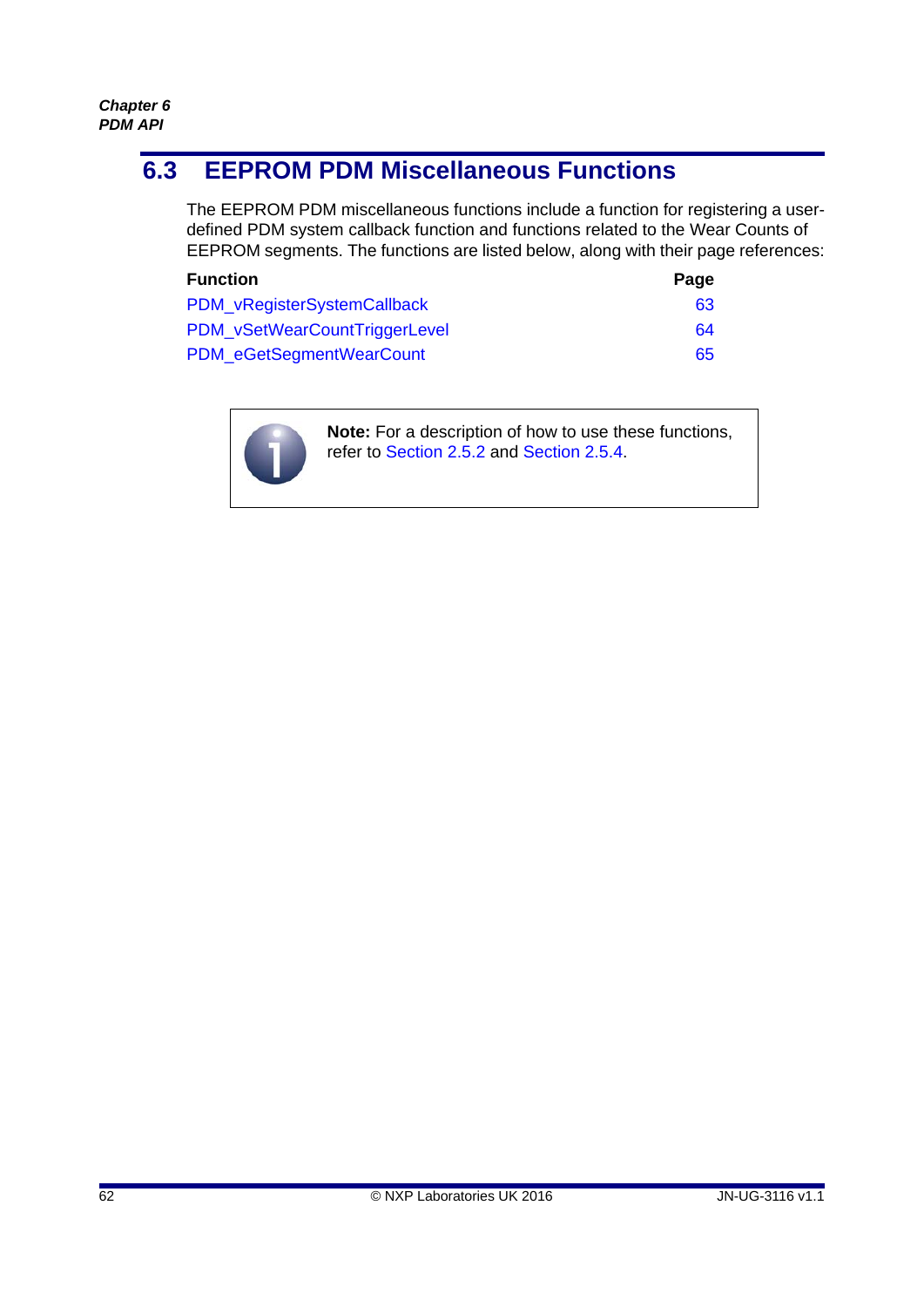# <span id="page-61-0"></span>**6.3 EEPROM PDM Miscellaneous Functions**

The EEPROM PDM miscellaneous functions include a function for registering a userdefined PDM system callback function and functions related to the Wear Counts of EEPROM segments. The functions are listed below, along with their page references:

| Function                             | Page |  |
|--------------------------------------|------|--|
| PDM_vRegisterSystemCallback          | 63   |  |
| <b>PDM</b> vSetWearCountTriggerLevel | 64   |  |
| <b>PDM eGetSegmentWearCount</b>      | 65   |  |



**Note:** For a description of how to use these functions, refer to [Section 2.5.2](#page-20-0) and [Section 2.5.4](#page-21-0).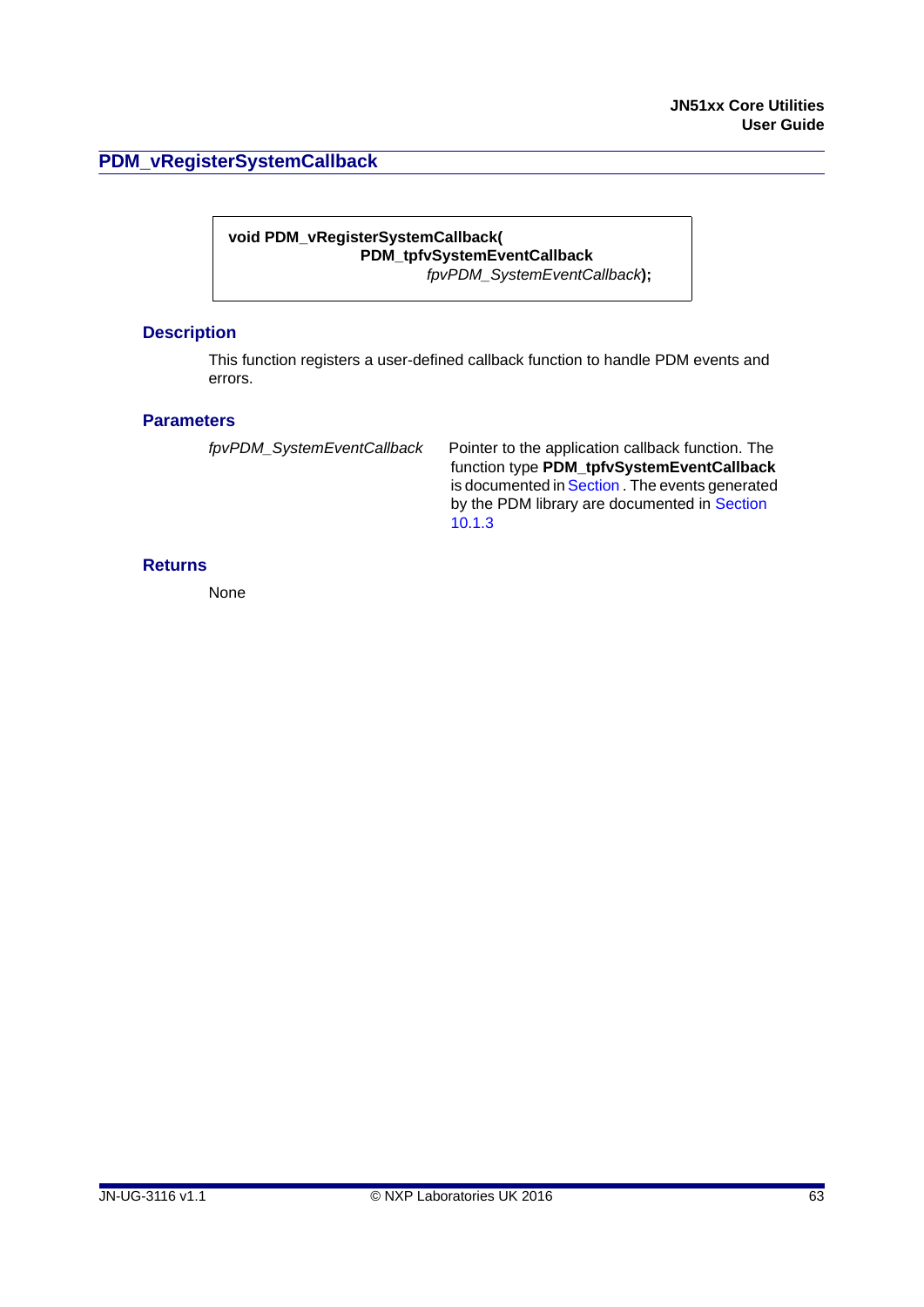# <span id="page-62-0"></span>**PDM\_vRegisterSystemCallback**

**void PDM\_vRegisterSystemCallback( PDM\_tpfvSystemEventCallback** *fpvPDM\_SystemEventCallback***);**

# **Description**

This function registers a user-defined callback function to handle PDM events and errors.

#### **Parameters**

*fpvPDM\_SystemEventCallback* Pointer to the application callback function. The function type **PDM\_tpfvSystemEventCallback**  is documented in [Section](#page-111-0) . The events generated by the PDM library are documented in [Section](#page-107-0)  [10.1.3](#page-107-0)

# **Returns**

None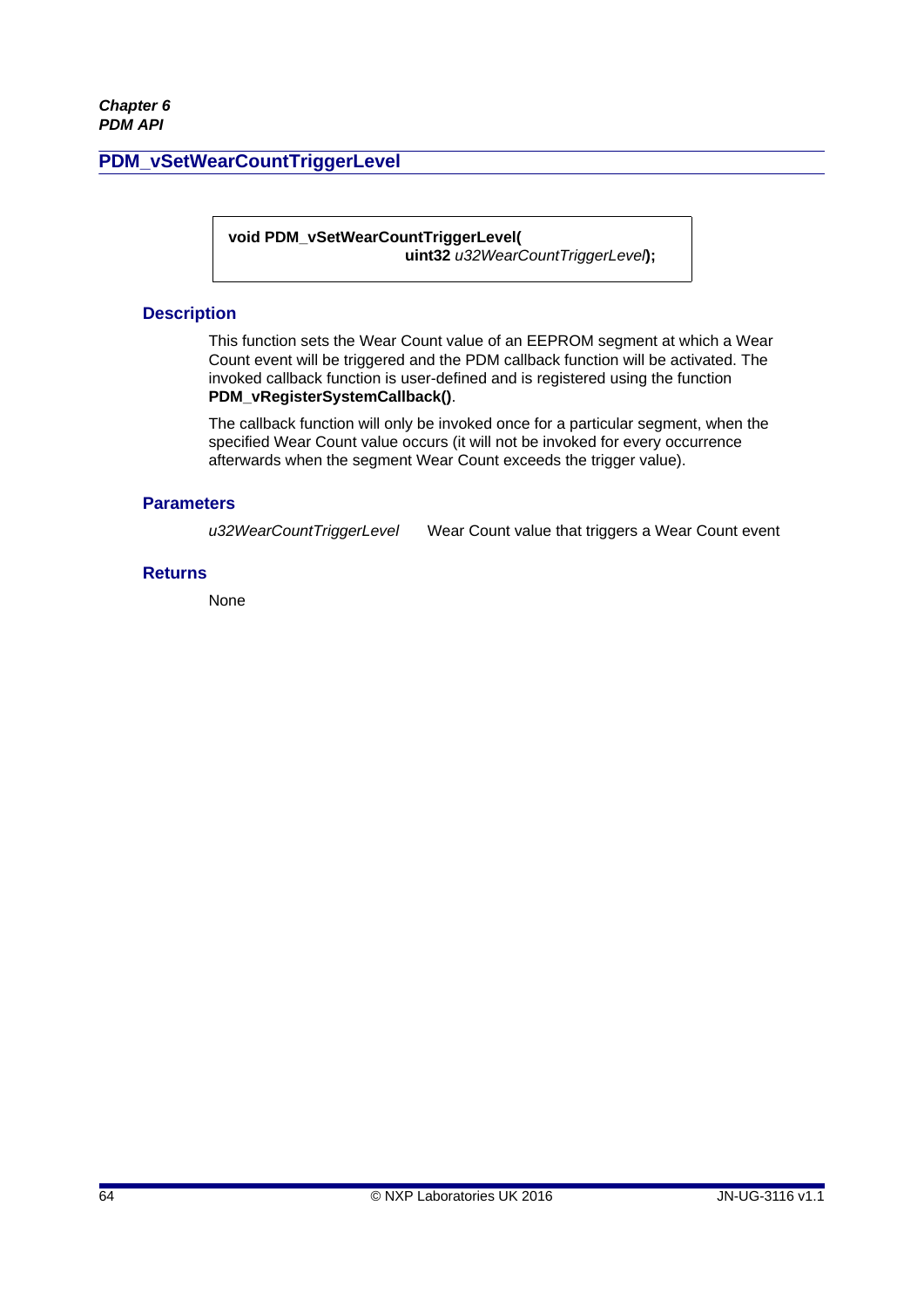# <span id="page-63-0"></span>**PDM\_vSetWearCountTriggerLevel**

**void PDM\_vSetWearCountTriggerLevel( uint32** *u32WearCountTriggerLevel***);**

# **Description**

This function sets the Wear Count value of an EEPROM segment at which a Wear Count event will be triggered and the PDM callback function will be activated. The invoked callback function is user-defined and is registered using the function **PDM\_vRegisterSystemCallback()**.

The callback function will only be invoked once for a particular segment, when the specified Wear Count value occurs (it will not be invoked for every occurrence afterwards when the segment Wear Count exceeds the trigger value).

# **Parameters**

*u32WearCountTriggerLevel* Wear Count value that triggers a Wear Count event

### **Returns**

None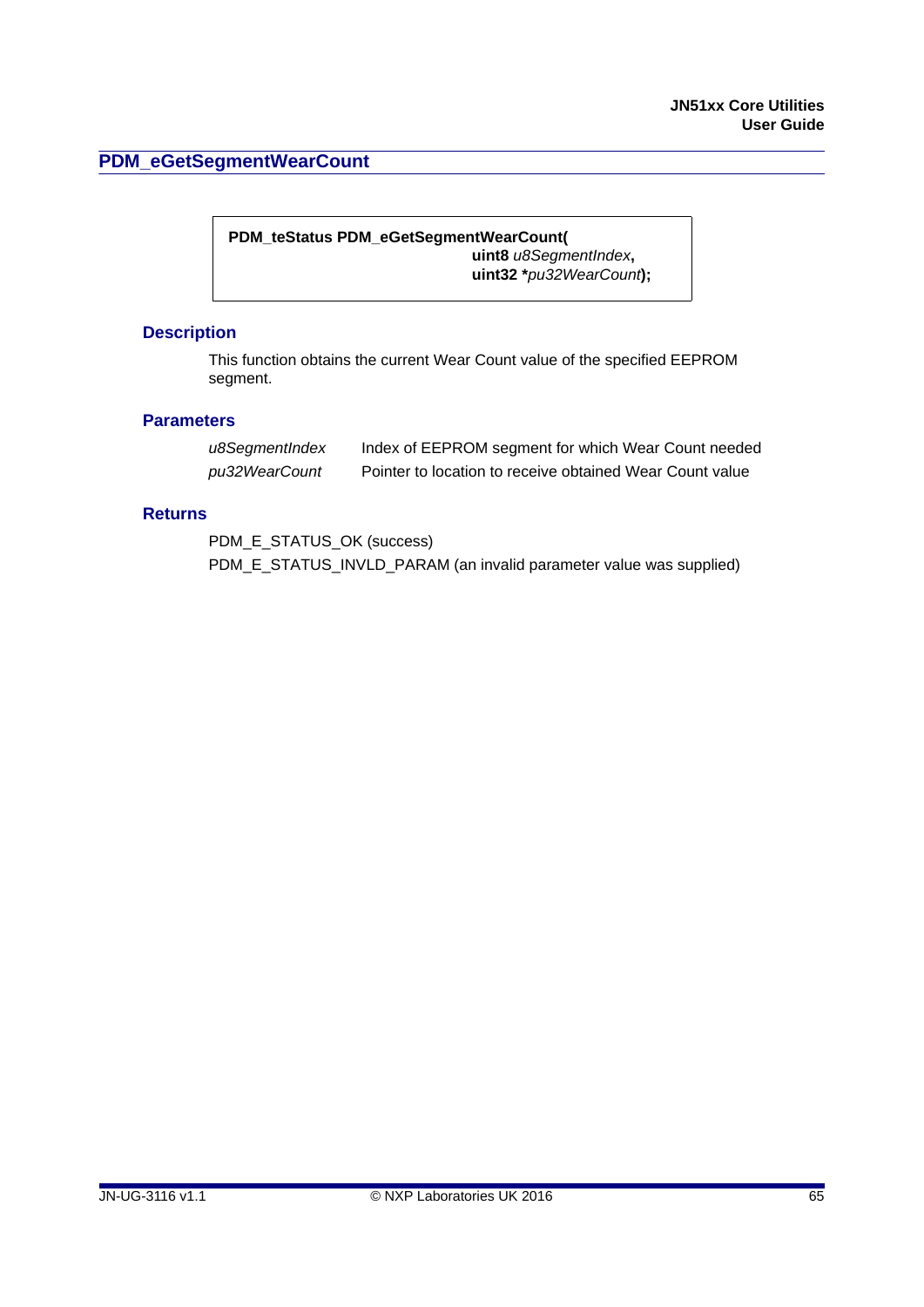# <span id="page-64-0"></span>**PDM\_eGetSegmentWearCount**

**PDM\_teStatus PDM\_eGetSegmentWearCount( uint8** *u8SegmentIndex***, uint32 \****pu32WearCount***);**

# **Description**

This function obtains the current Wear Count value of the specified EEPROM segment.

#### **Parameters**

| u8SegmentIndex | Index of EEPROM segment for which Wear Count needed      |
|----------------|----------------------------------------------------------|
| pu32WearCount  | Pointer to location to receive obtained Wear Count value |

# **Returns**

PDM\_E\_STATUS\_OK (success) PDM\_E\_STATUS\_INVLD\_PARAM (an invalid parameter value was supplied)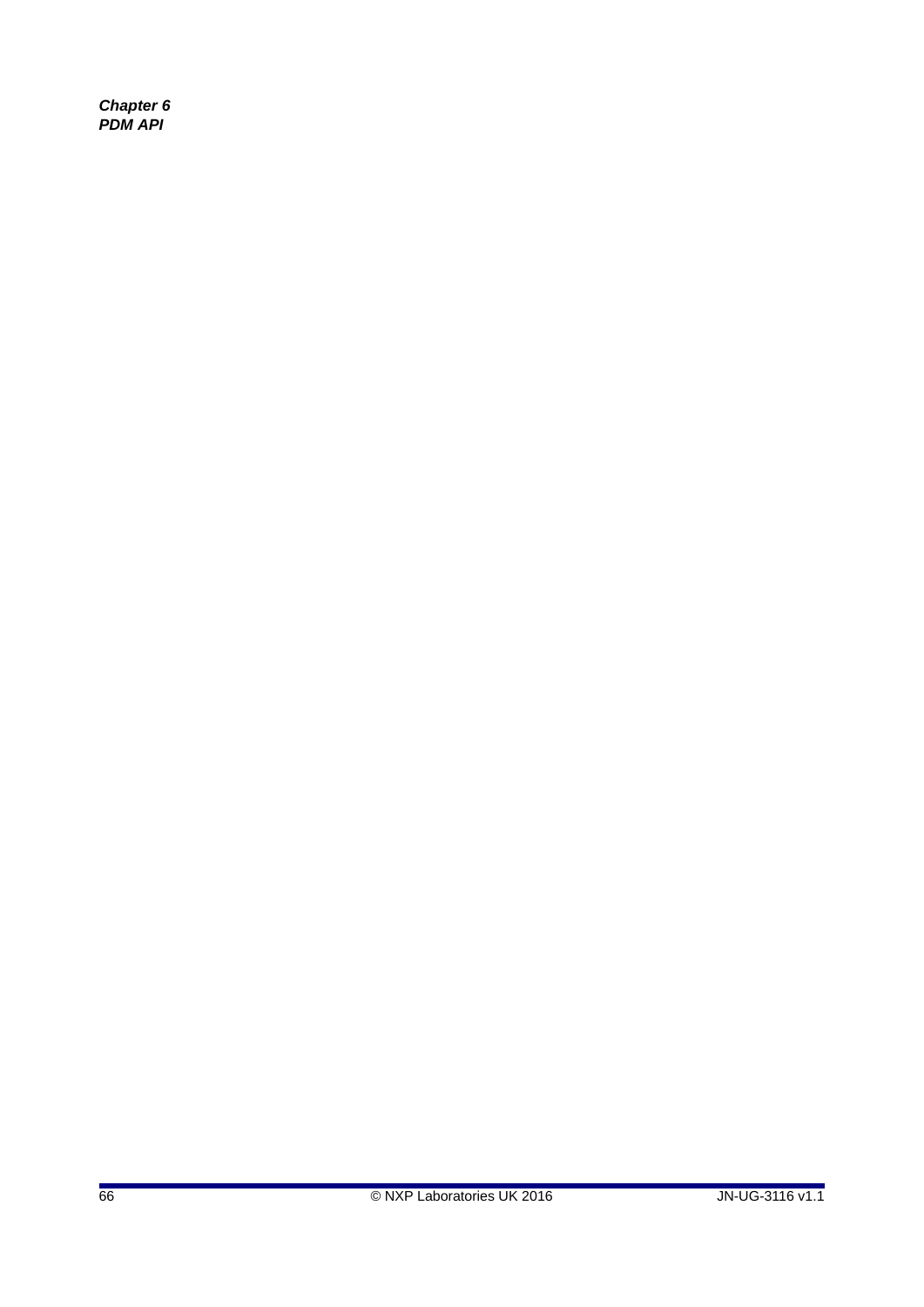*Chapter 6 PDM API*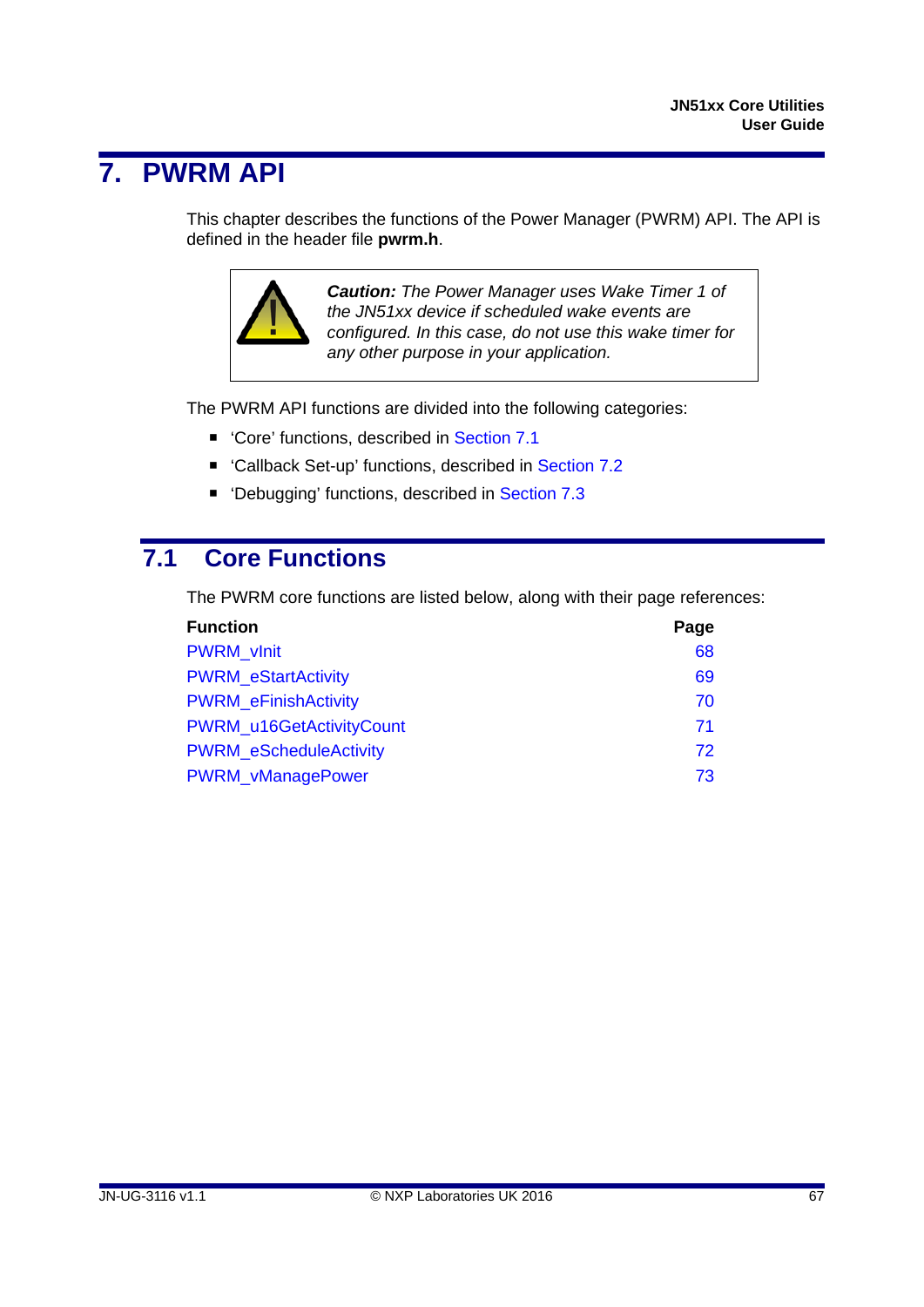# **7. PWRM API**

This chapter describes the functions of the Power Manager (PWRM) API. The API is defined in the header file **pwrm.h**.



*Caution: The Power Manager uses Wake Timer 1 of the JN51xx device if scheduled wake events are configured. In this case, do not use this wake timer for any other purpose in your application.*

The PWRM API functions are divided into the following categories:

- 'Core' functions, described in [Section 7.1](#page-66-0)
- 'Callback Set-up' functions, described in [Section 7.2](#page-73-0)
- 'Debugging' functions, described in [Section 7.3](#page-79-0)

# <span id="page-66-0"></span>**7.1 Core Functions**

The PWRM core functions are listed below, along with their page references:

| <b>Function</b>               | Page |
|-------------------------------|------|
| <b>PWRM</b> vlnit             | 68   |
| <b>PWRM_eStartActivity</b>    | 69   |
| <b>PWRM_eFinishActivity</b>   | 70   |
| PWRM_u16GetActivityCount      | 71   |
| <b>PWRM_eScheduleActivity</b> | 72   |
| PWRM_vManagePower             | 73   |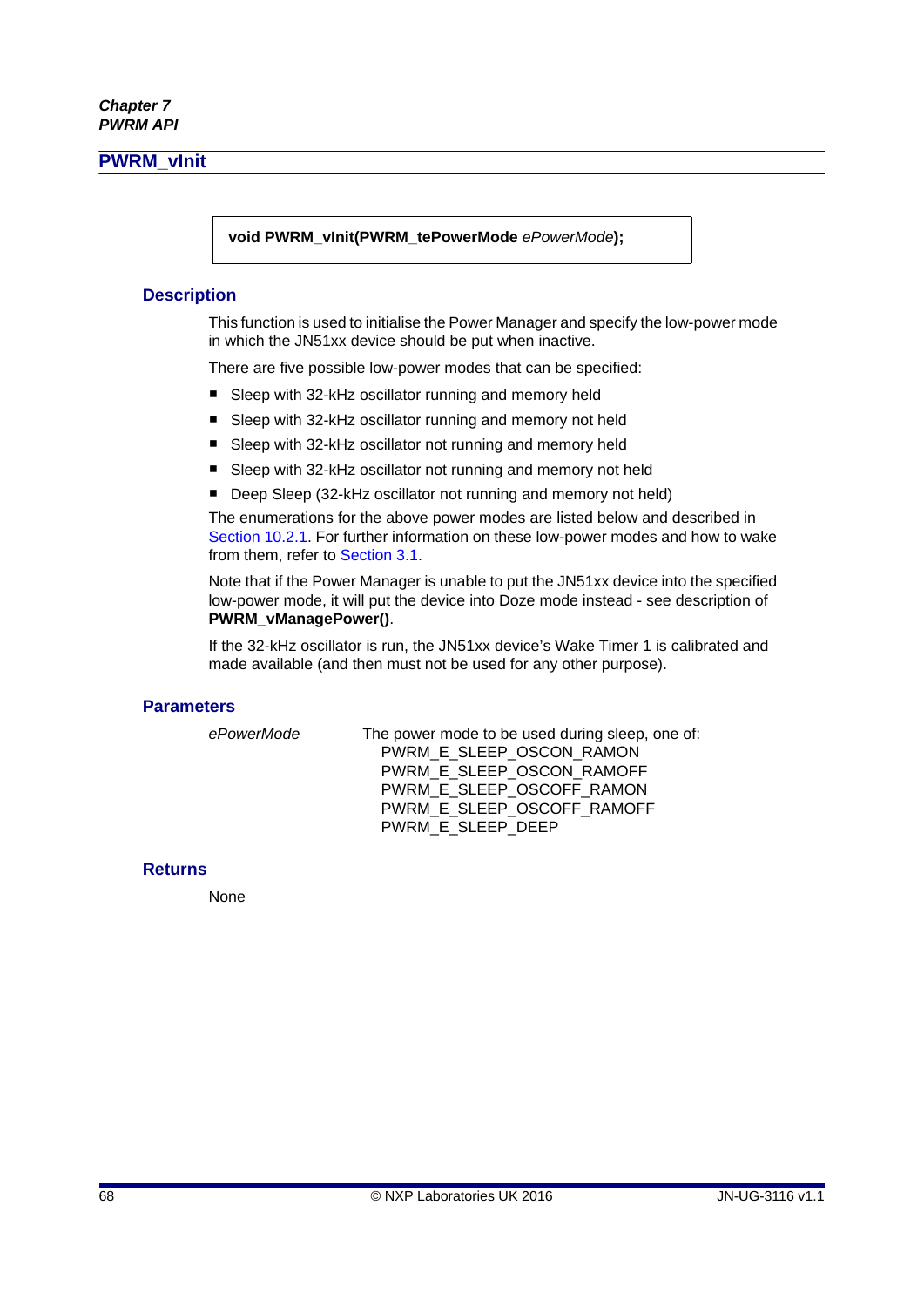<span id="page-67-0"></span>**PWRM\_vInit**

**void PWRM\_vInit(PWRM\_tePowerMode** *ePowerMode***);**

#### **Description**

This function is used to initialise the Power Manager and specify the low-power mode in which the JN51xx device should be put when inactive.

There are five possible low-power modes that can be specified:

- Sleep with 32-kHz oscillator running and memory held
- Sleep with 32-kHz oscillator running and memory not held
- Sleep with 32-kHz oscillator not running and memory held
- Sleep with 32-kHz oscillator not running and memory not held
- Deep Sleep (32-kHz oscillator not running and memory not held)

The enumerations for the above power modes are listed below and described in [Section 10.2.1](#page-111-1). For further information on these low-power modes and how to wake from them, refer to [Section 3.1](#page-24-0).

Note that if the Power Manager is unable to put the JN51xx device into the specified low-power mode, it will put the device into Doze mode instead - see description of **PWRM\_vManagePower()**.

If the 32-kHz oscillator is run, the JN51xx device's Wake Timer 1 is calibrated and made available (and then must not be used for any other purpose).

# **Parameters**

*ePowerMode* The power mode to be used during sleep, one of: PWRM\_E\_SLEEP\_OSCON\_RAMON PWRM\_E\_SLEEP\_OSCON\_RAMOFF PWRM\_E\_SLEEP\_OSCOFF\_RAMON PWRM\_E\_SLEEP\_OSCOFF\_RAMOFF PWRM\_E\_SLEEP\_DEEP

### **Returns**

None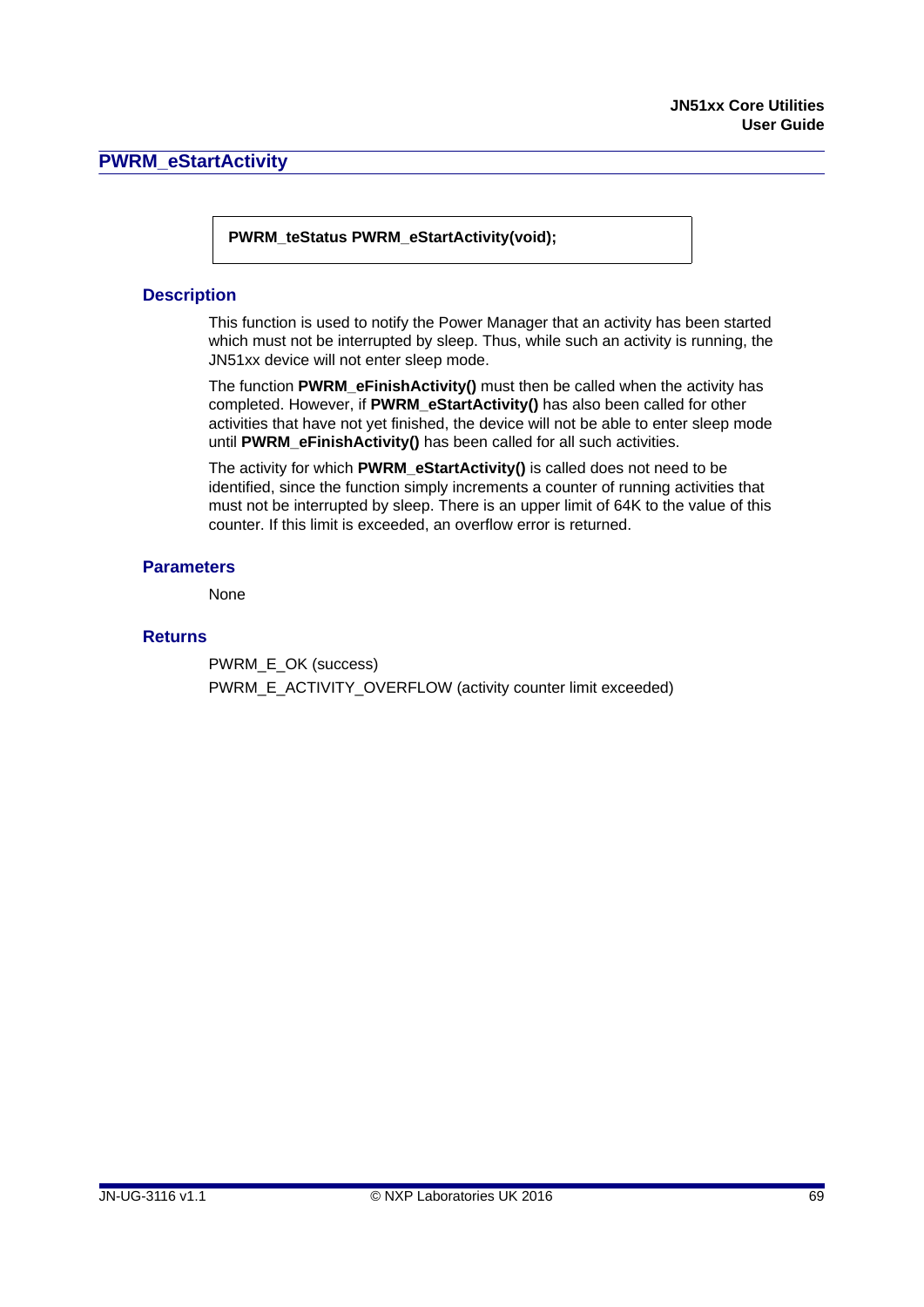# <span id="page-68-0"></span>**PWRM\_eStartActivity**

### **PWRM\_teStatus PWRM\_eStartActivity(void);**

# **Description**

This function is used to notify the Power Manager that an activity has been started which must not be interrupted by sleep. Thus, while such an activity is running, the JN51xx device will not enter sleep mode.

The function **PWRM\_eFinishActivity()** must then be called when the activity has completed. However, if **PWRM\_eStartActivity()** has also been called for other activities that have not yet finished, the device will not be able to enter sleep mode until **PWRM** eFinishActivity() has been called for all such activities.

The activity for which **PWRM\_eStartActivity()** is called does not need to be identified, since the function simply increments a counter of running activities that must not be interrupted by sleep. There is an upper limit of 64K to the value of this counter. If this limit is exceeded, an overflow error is returned.

#### **Parameters**

None

### **Returns**

PWRM\_E\_OK (success) PWRM\_E\_ACTIVITY\_OVERFLOW (activity counter limit exceeded)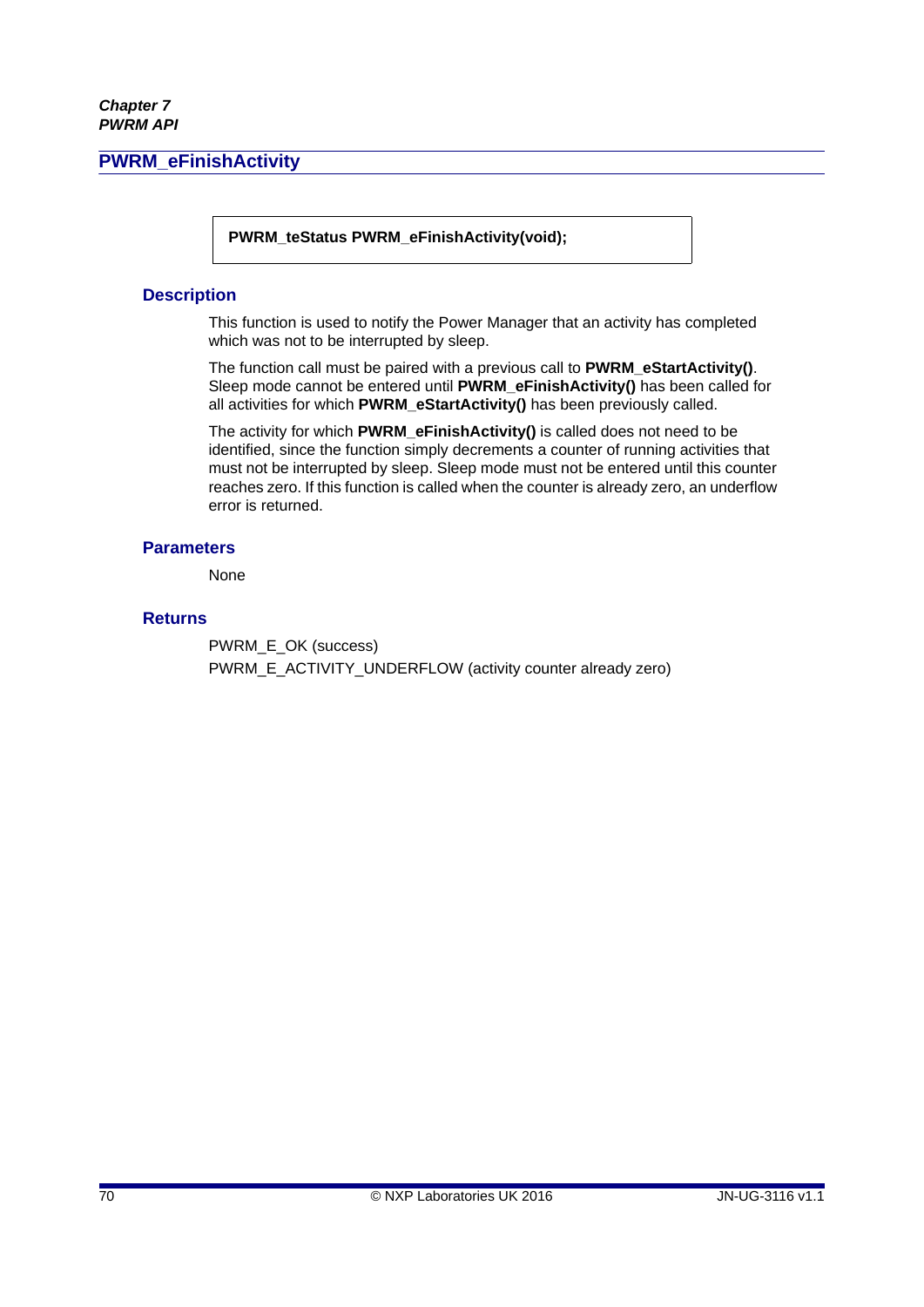# <span id="page-69-0"></span>**PWRM\_eFinishActivity**

### **PWRM\_teStatus PWRM\_eFinishActivity(void);**

# **Description**

This function is used to notify the Power Manager that an activity has completed which was not to be interrupted by sleep.

The function call must be paired with a previous call to **PWRM\_eStartActivity()**. Sleep mode cannot be entered until **PWRM\_eFinishActivity()** has been called for all activities for which **PWRM\_eStartActivity()** has been previously called.

The activity for which **PWRM\_eFinishActivity()** is called does not need to be identified, since the function simply decrements a counter of running activities that must not be interrupted by sleep. Sleep mode must not be entered until this counter reaches zero. If this function is called when the counter is already zero, an underflow error is returned.

#### **Parameters**

None

### **Returns**

PWRM\_E\_OK (success) PWRM\_E\_ACTIVITY\_UNDERFLOW (activity counter already zero)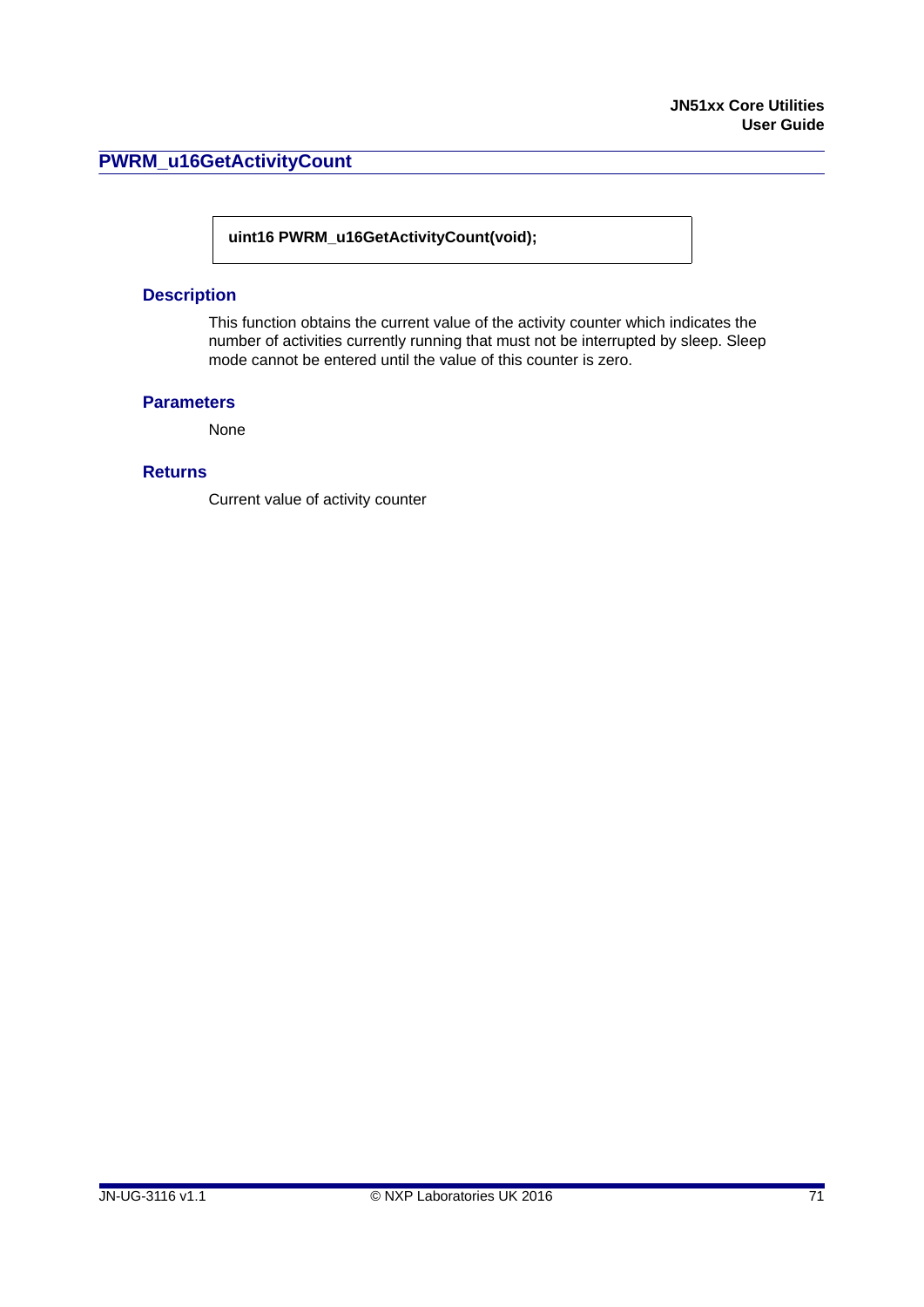# <span id="page-70-0"></span>**PWRM\_u16GetActivityCount**

# **uint16 PWRM\_u16GetActivityCount(void);**

# **Description**

This function obtains the current value of the activity counter which indicates the number of activities currently running that must not be interrupted by sleep. Sleep mode cannot be entered until the value of this counter is zero.

# **Parameters**

None

# **Returns**

Current value of activity counter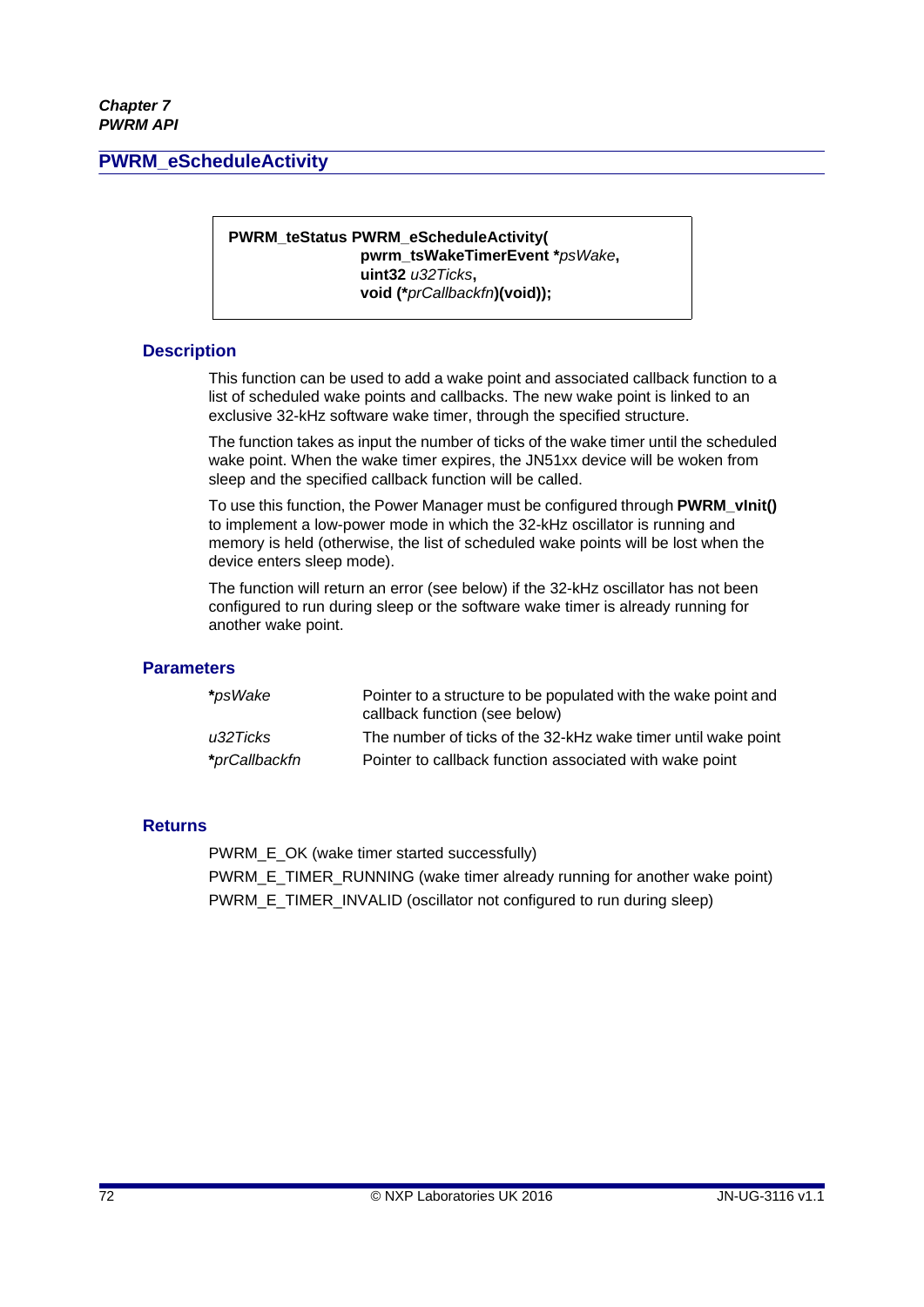# <span id="page-71-0"></span>**PWRM\_eScheduleActivity**

# **PWRM\_teStatus PWRM\_eScheduleActivity( pwrm\_tsWakeTimerEvent \****psWake***, uint32** *u32Ticks***, void (\****prCallbackfn***)(void));**

# **Description**

This function can be used to add a wake point and associated callback function to a list of scheduled wake points and callbacks. The new wake point is linked to an exclusive 32-kHz software wake timer, through the specified structure.

The function takes as input the number of ticks of the wake timer until the scheduled wake point. When the wake timer expires, the JN51xx device will be woken from sleep and the specified callback function will be called.

To use this function, the Power Manager must be configured through **PWRM\_vInit()** to implement a low-power mode in which the 32-kHz oscillator is running and memory is held (otherwise, the list of scheduled wake points will be lost when the device enters sleep mode).

The function will return an error (see below) if the 32-kHz oscillator has not been configured to run during sleep or the software wake timer is already running for another wake point.

# **Parameters**

| *psWake       | Pointer to a structure to be populated with the wake point and<br>callback function (see below) |
|---------------|-------------------------------------------------------------------------------------------------|
| u32Ticks      | The number of ticks of the 32-kHz wake timer until wake point                                   |
| *prCallbackfn | Pointer to callback function associated with wake point                                         |

# **Returns**

PWRM\_E\_OK (wake timer started successfully) PWRM\_E\_TIMER\_RUNNING (wake timer already running for another wake point) PWRM\_E\_TIMER\_INVALID (oscillator not configured to run during sleep)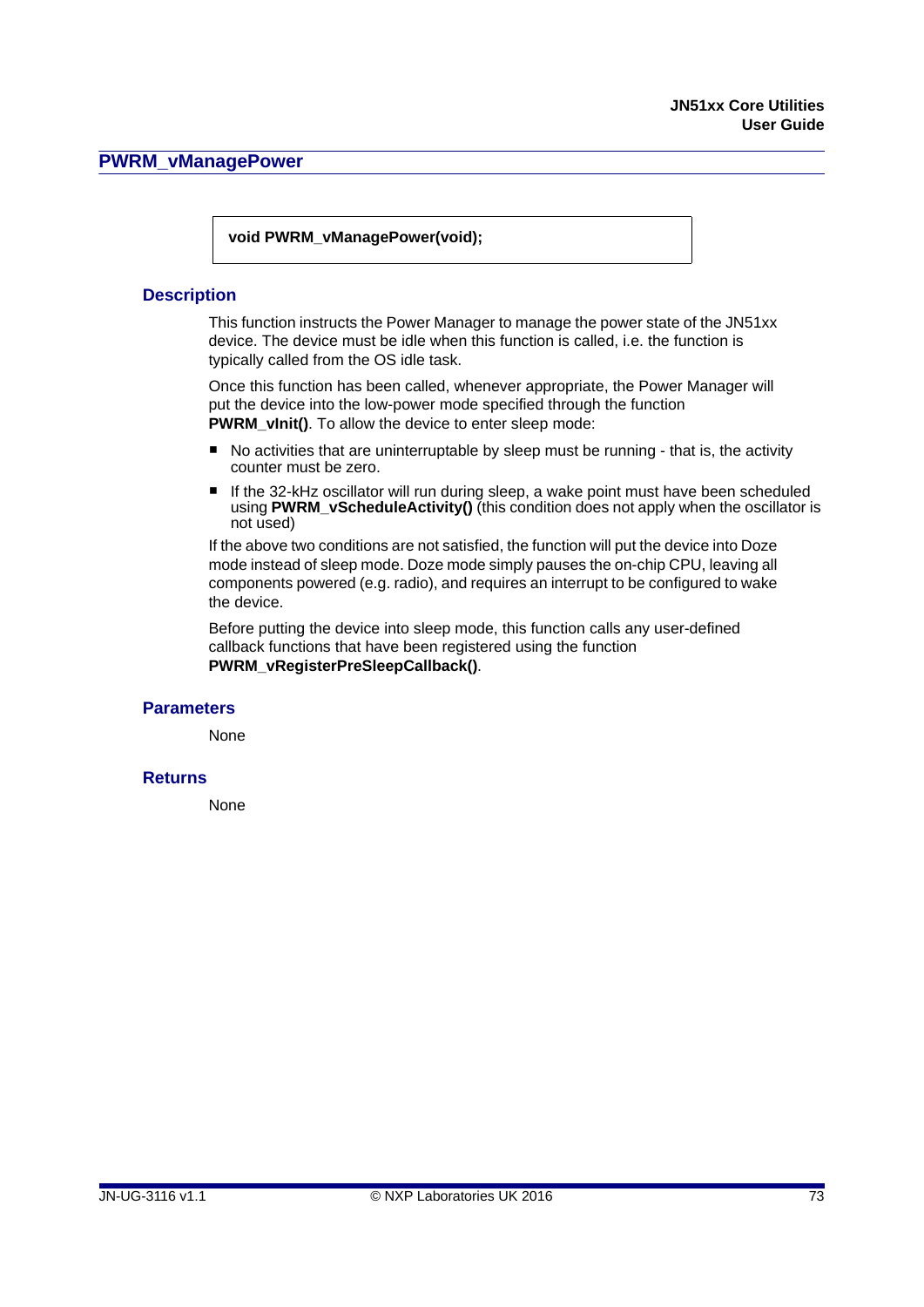### **PWRM\_vManagePower**

#### **void PWRM\_vManagePower(void);**

### **Description**

This function instructs the Power Manager to manage the power state of the JN51xx device. The device must be idle when this function is called, i.e. the function is typically called from the OS idle task.

Once this function has been called, whenever appropriate, the Power Manager will put the device into the low-power mode specified through the function **PWRM\_vInit()**. To allow the device to enter sleep mode:

- $\blacksquare$  No activities that are uninterruptable by sleep must be running that is, the activity counter must be zero.
- If the 32-kHz oscillator will run during sleep, a wake point must have been scheduled using **PWRM\_vScheduleActivity()** (this condition does not apply when the oscillator is not used)

If the above two conditions are not satisfied, the function will put the device into Doze mode instead of sleep mode. Doze mode simply pauses the on-chip CPU, leaving all components powered (e.g. radio), and requires an interrupt to be configured to wake the device.

Before putting the device into sleep mode, this function calls any user-defined callback functions that have been registered using the function **PWRM\_vRegisterPreSleepCallback()**.

#### **Parameters**

None

#### **Returns**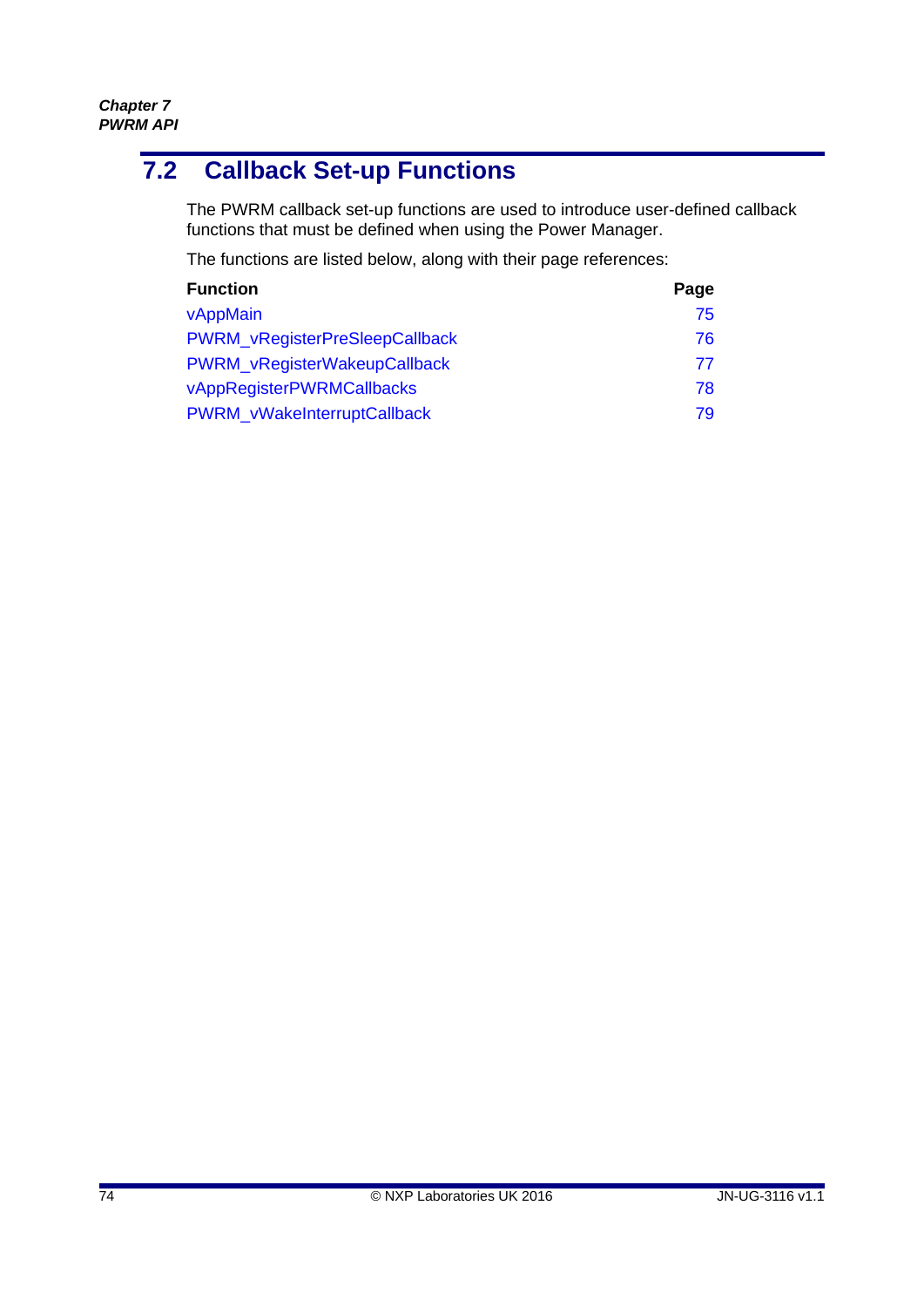# **7.2 Callback Set-up Functions**

The PWRM callback set-up functions are used to introduce user-defined callback functions that must be defined when using the Power Manager.

The functions are listed below, along with their page references:

| <b>Function</b>                       | Page |
|---------------------------------------|------|
| vAppMain                              | 75   |
| <b>PWRM vRegisterPreSleepCallback</b> | 76   |
| PWRM_vRegisterWakeupCallback          | 77   |
| vAppRegisterPWRMCallbacks             | 78   |
| <b>PWRM</b> vWakeInterruptCallback    | 79   |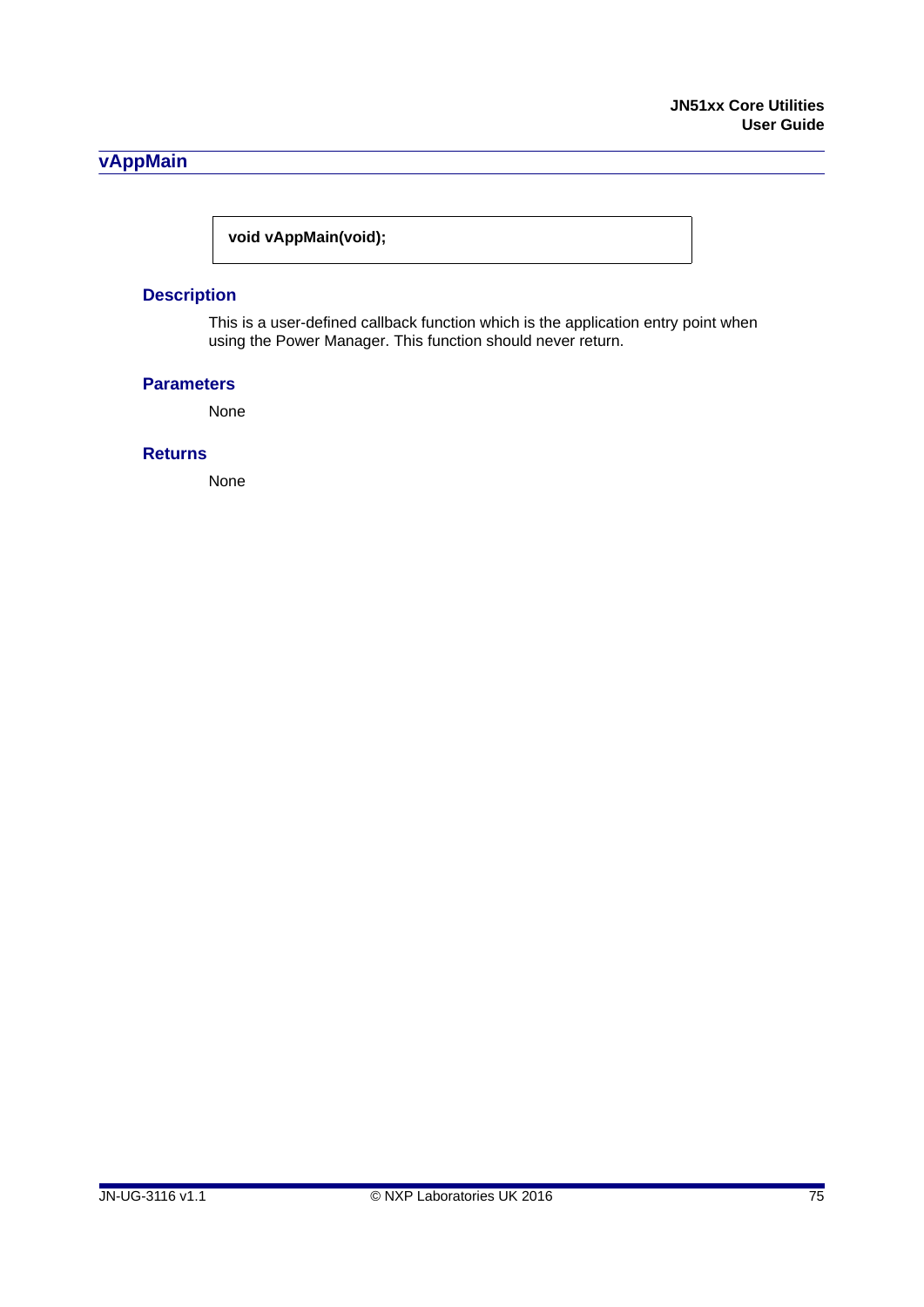### <span id="page-74-0"></span>**vAppMain**

**void vAppMain(void);**

### **Description**

This is a user-defined callback function which is the application entry point when using the Power Manager. This function should never return.

### **Parameters**

None

#### **Returns**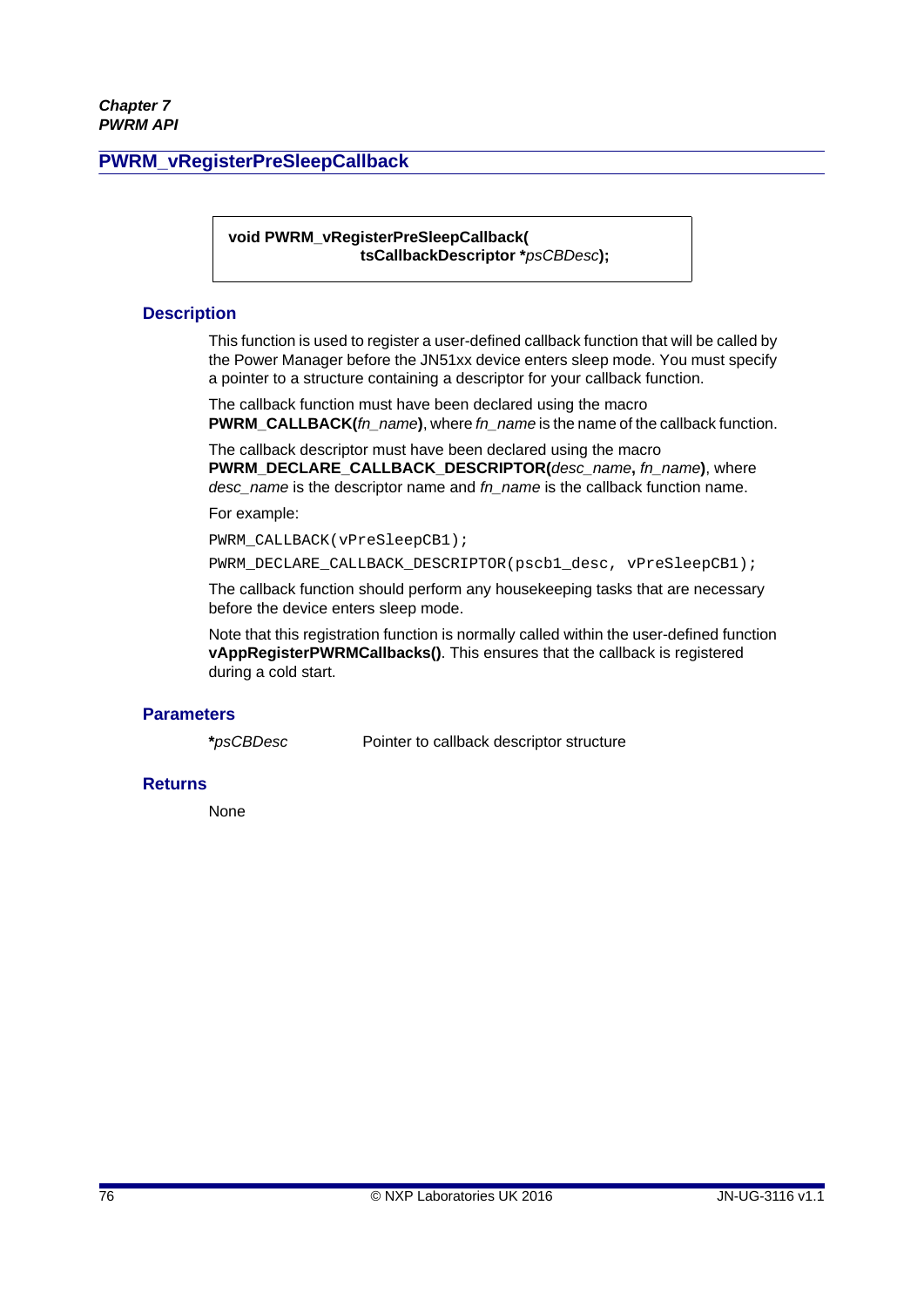<span id="page-75-0"></span>**PWRM\_vRegisterPreSleepCallback**

**void PWRM\_vRegisterPreSleepCallback( tsCallbackDescriptor \****psCBDesc***);**

### **Description**

This function is used to register a user-defined callback function that will be called by the Power Manager before the JN51xx device enters sleep mode. You must specify a pointer to a structure containing a descriptor for your callback function.

The callback function must have been declared using the macro **PWRM\_CALLBACK(***fn\_name***)**, where *fn\_name* is the name of the callback function.

The callback descriptor must have been declared using the macro **PWRM\_DECLARE\_CALLBACK\_DESCRIPTOR(***desc\_name***,** *fn\_name***)**, where *desc\_name* is the descriptor name and *fn\_name* is the callback function name.

For example:

PWRM\_CALLBACK(vPreSleepCB1);

PWRM\_DECLARE\_CALLBACK\_DESCRIPTOR(pscb1\_desc, vPreSleepCB1);

The callback function should perform any housekeeping tasks that are necessary before the device enters sleep mode.

Note that this registration function is normally called within the user-defined function **vAppRegisterPWRMCallbacks()**. This ensures that the callback is registered during a cold start.

#### **Parameters**

**\****psCBDesc* Pointer to callback descriptor structure

#### **Returns**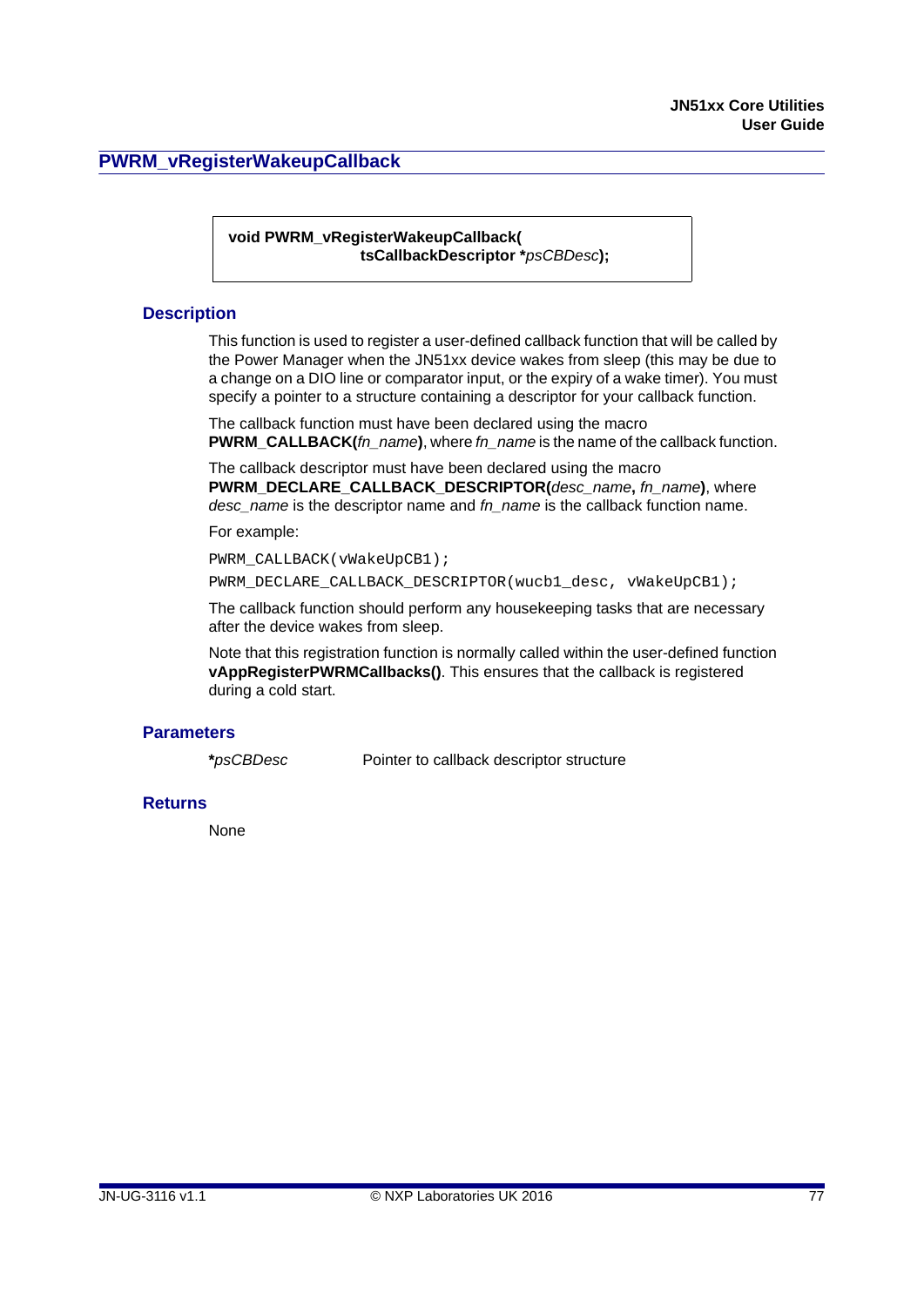<span id="page-76-0"></span>**void PWRM\_vRegisterWakeupCallback( tsCallbackDescriptor \****psCBDesc***);**

### **Description**

This function is used to register a user-defined callback function that will be called by the Power Manager when the JN51xx device wakes from sleep (this may be due to a change on a DIO line or comparator input, or the expiry of a wake timer). You must specify a pointer to a structure containing a descriptor for your callback function.

The callback function must have been declared using the macro **PWRM\_CALLBACK(***fn\_name***)**, where *fn\_name* is the name of the callback function.

The callback descriptor must have been declared using the macro **PWRM\_DECLARE\_CALLBACK\_DESCRIPTOR(***desc\_name***,** *fn\_name***)**, where *desc\_name* is the descriptor name and *fn\_name* is the callback function name.

For example:

PWRM CALLBACK(vWakeUpCB1);

PWRM\_DECLARE\_CALLBACK\_DESCRIPTOR(wucb1\_desc, vWakeUpCB1);

The callback function should perform any housekeeping tasks that are necessary after the device wakes from sleep.

Note that this registration function is normally called within the user-defined function **vAppRegisterPWRMCallbacks()**. This ensures that the callback is registered during a cold start.

#### **Parameters**

**\****psCBDesc* Pointer to callback descriptor structure

#### **Returns**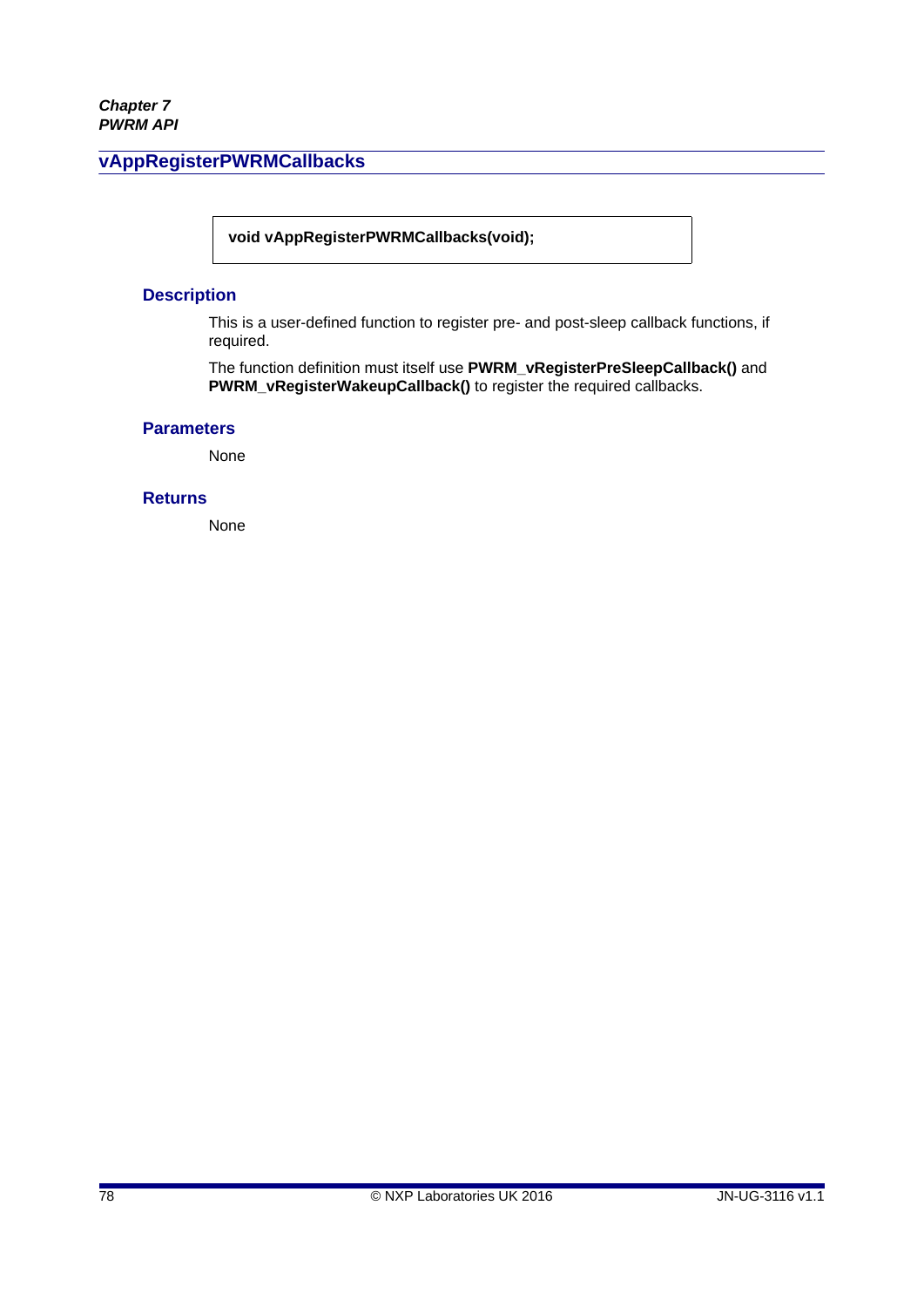## <span id="page-77-0"></span>**vAppRegisterPWRMCallbacks**

### **void vAppRegisterPWRMCallbacks(void);**

### **Description**

This is a user-defined function to register pre- and post-sleep callback functions, if required.

The function definition must itself use **PWRM\_vRegisterPreSleepCallback()** and **PWRM\_vRegisterWakeupCallback()** to register the required callbacks.

#### **Parameters**

None

#### **Returns**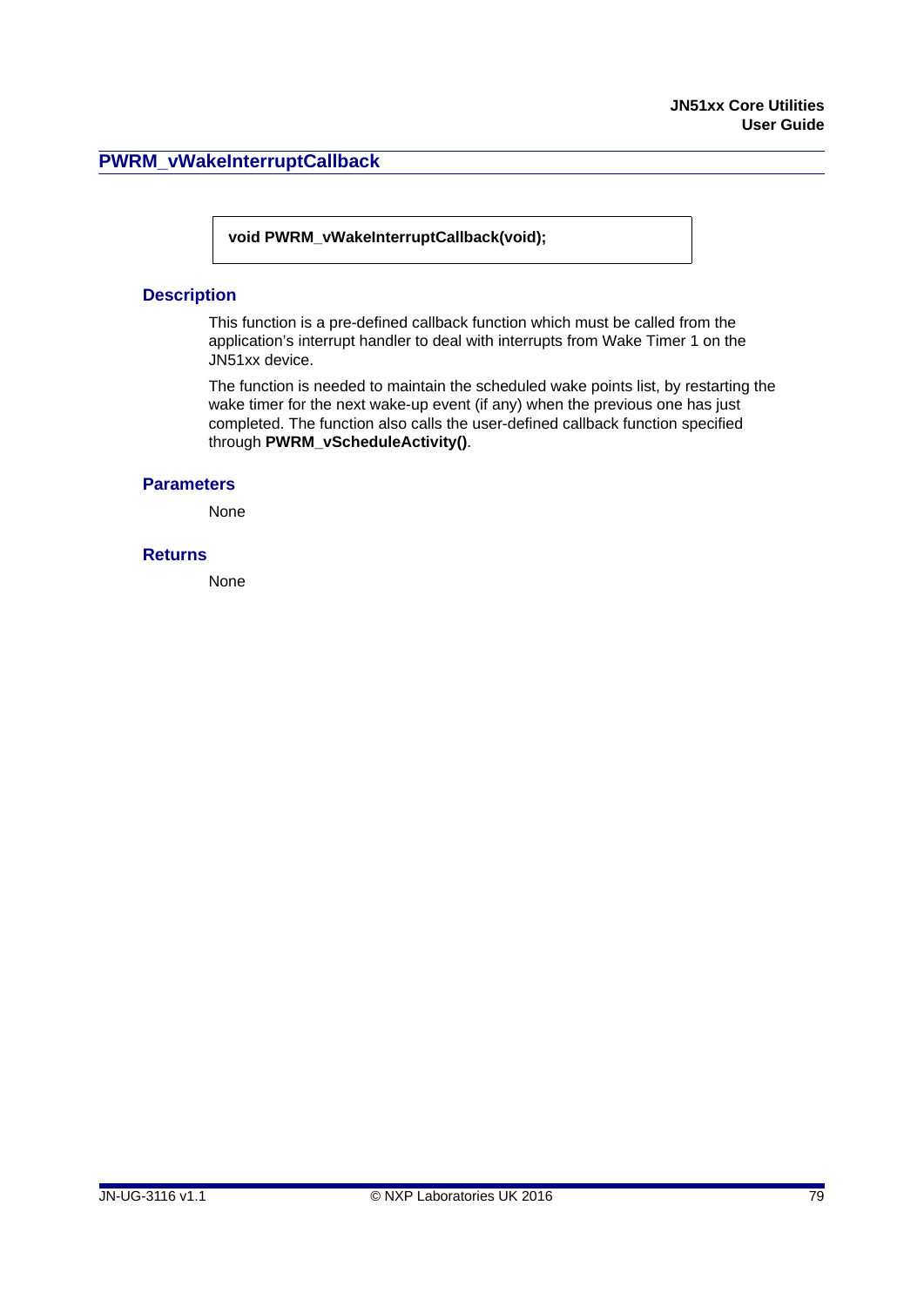### **void PWRM\_vWakeInterruptCallback(void);**

### <span id="page-78-0"></span>**Description**

This function is a pre-defined callback function which must be called from the application's interrupt handler to deal with interrupts from Wake Timer 1 on the JN51xx device.

The function is needed to maintain the scheduled wake points list, by restarting the wake timer for the next wake-up event (if any) when the previous one has just completed. The function also calls the user-defined callback function specified through **PWRM\_vScheduleActivity()**.

### **Parameters**

None

#### **Returns**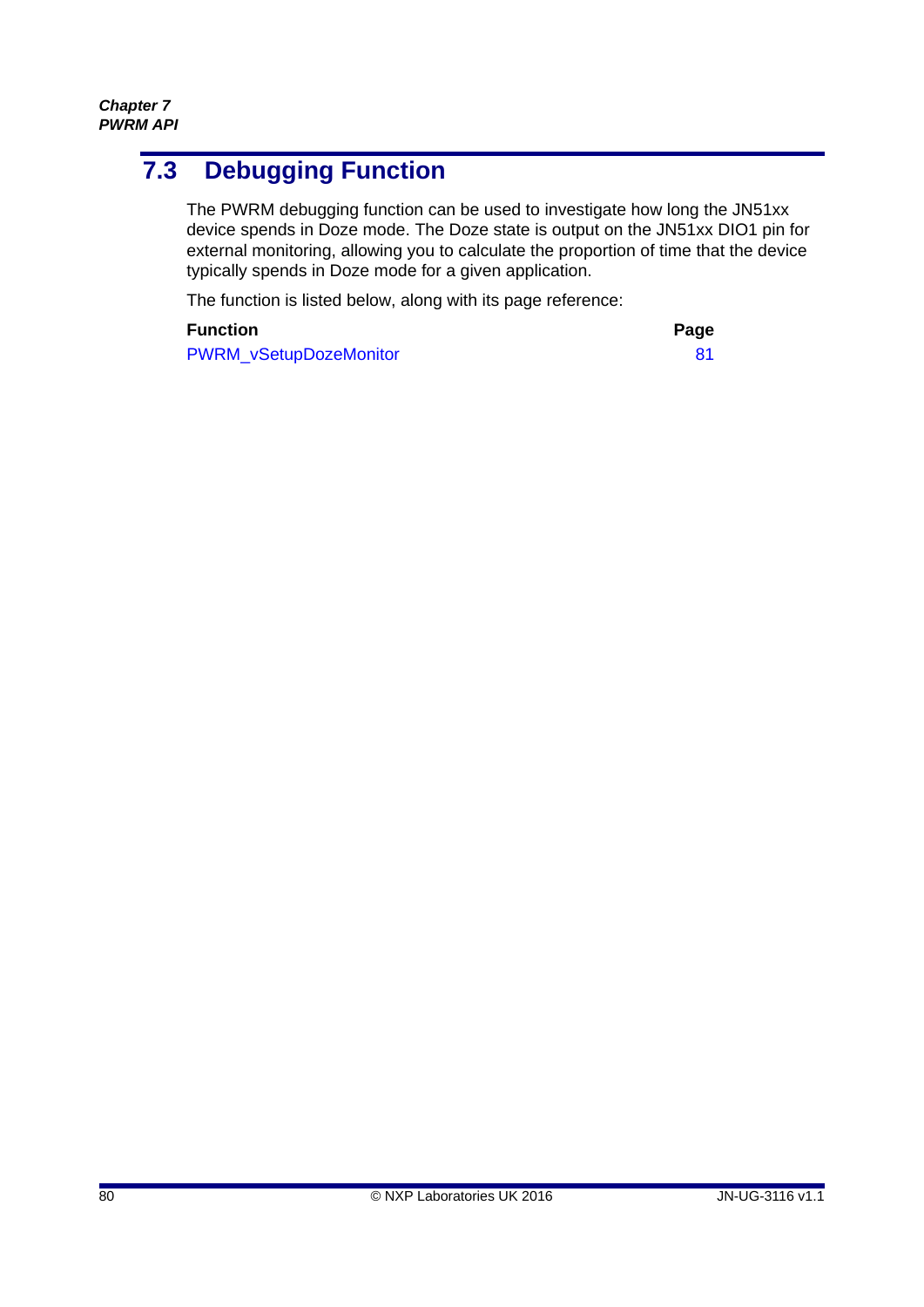## **7.3 Debugging Function**

The PWRM debugging function can be used to investigate how long the JN51xx device spends in Doze mode. The Doze state is output on the JN51xx DIO1 pin for external monitoring, allowing you to calculate the proportion of time that the device typically spends in Doze mode for a given application.

The function is listed below, along with its page reference:

### **Function Page**

[PWRM\\_vSetupDozeMonitor 81](#page-80-0)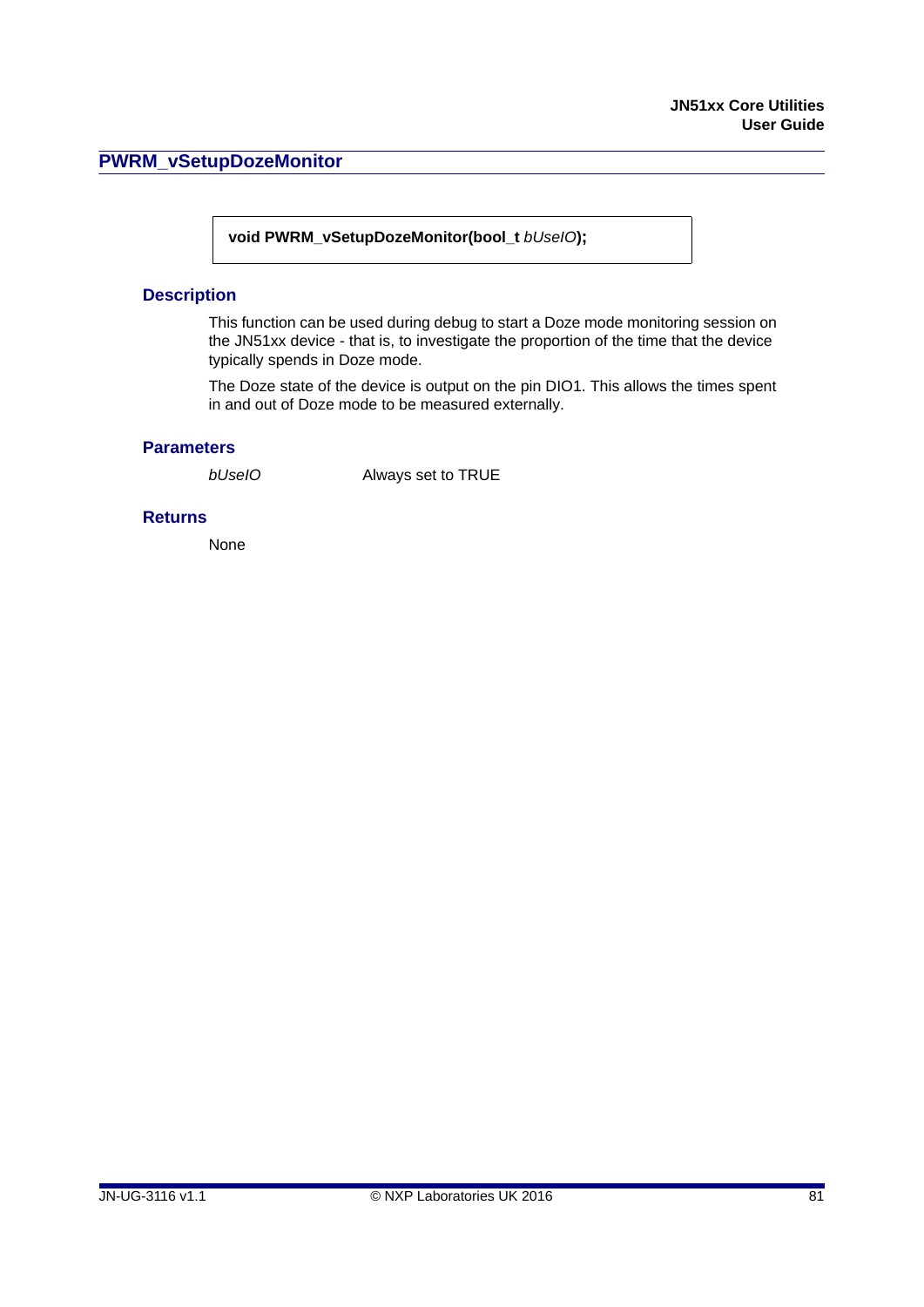### <span id="page-80-0"></span>**PWRM\_vSetupDozeMonitor**

### **void PWRM\_vSetupDozeMonitor(bool\_t** *bUseIO***);**

### **Description**

This function can be used during debug to start a Doze mode monitoring session on the JN51xx device - that is, to investigate the proportion of the time that the device typically spends in Doze mode.

The Doze state of the device is output on the pin DIO1. This allows the times spent in and out of Doze mode to be measured externally.

### **Parameters**

*bUseIO* Always set to TRUE

### **Returns**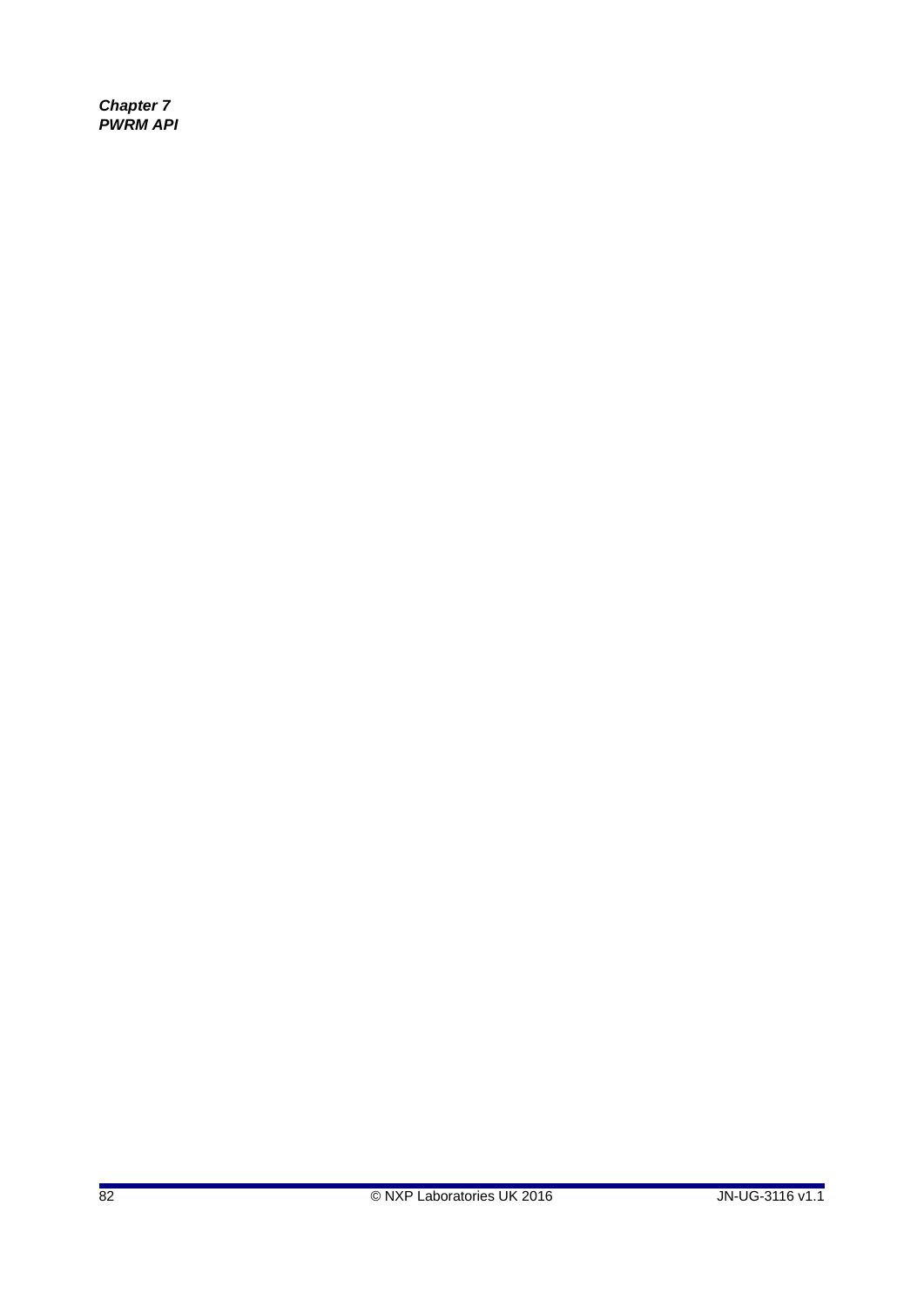*Chapter 7 PWRM API*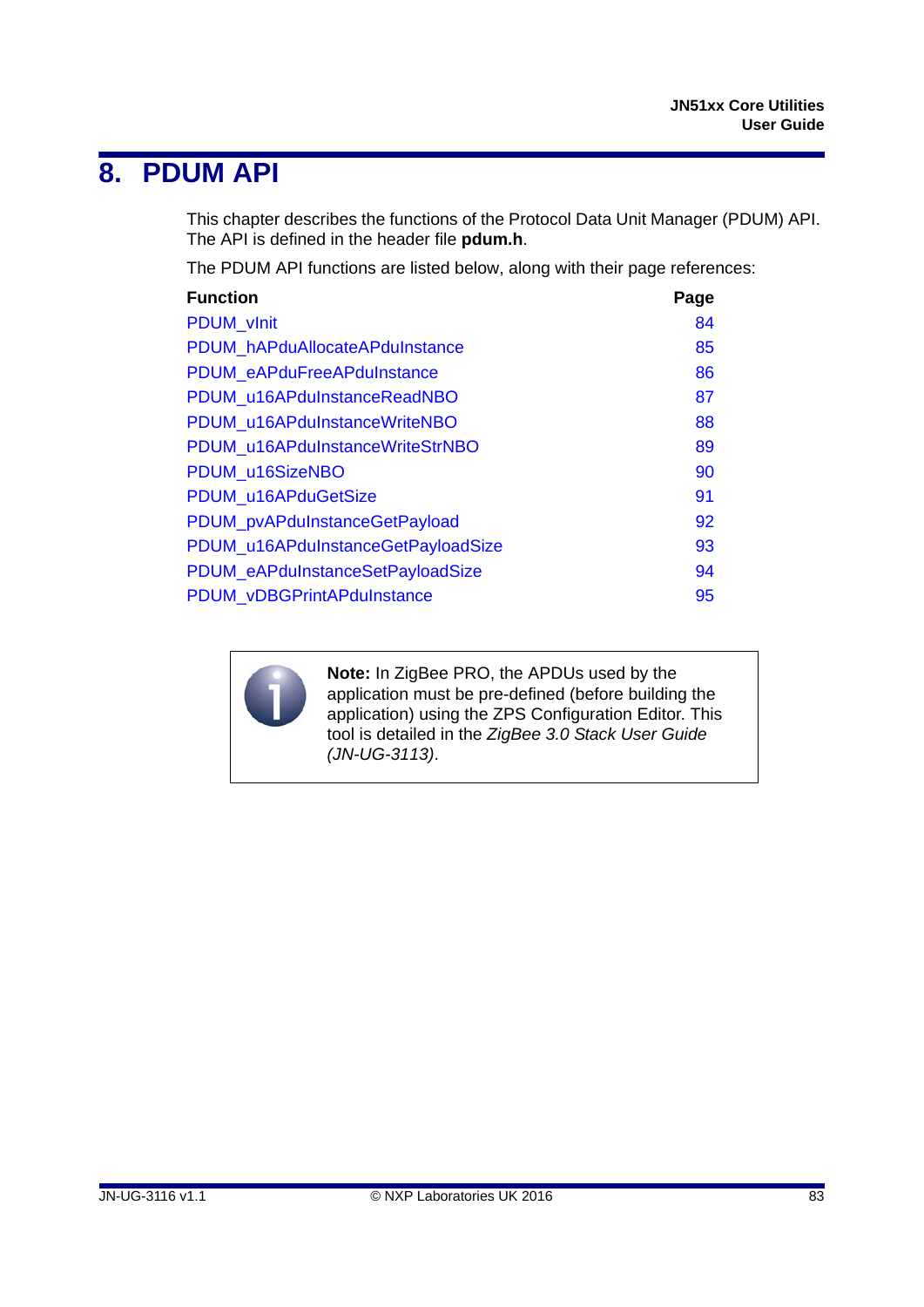# <span id="page-82-0"></span>**8. PDUM API**

This chapter describes the functions of the Protocol Data Unit Manager (PDUM) API. The API is defined in the header file **pdum.h**.

The PDUM API functions are listed below, along with their page references:

| <b>Function</b>                    | Page |
|------------------------------------|------|
| <b>PDUM</b> vlnit                  | 84   |
| PDUM hAPduAllocateAPduInstance     | 85   |
| PDUM eAPduFreeAPduInstance         | 86   |
| PDUM u16APduInstanceReadNBO        | 87   |
| PDUM u16APduInstanceWriteNBO       | 88   |
| PDUM u16APduInstanceWriteStrNBO    | 89   |
| PDUM u16SizeNBO                    | 90   |
| PDUM u16APduGetSize                | 91   |
| PDUM pvAPduInstanceGetPayload      | 92   |
| PDUM_u16APduInstanceGetPayloadSize | 93   |
| PDUM_eAPduInstanceSetPayloadSize   | 94   |
| <b>PDUM vDBGPrintAPduInstance</b>  | 95   |



**Note:** In ZigBee PRO, the APDUs used by the application must be pre-defined (before building the application) using the ZPS Configuration Editor. This tool is detailed in the *ZigBee 3.0 Stack User Guide (JN-UG-3113)*.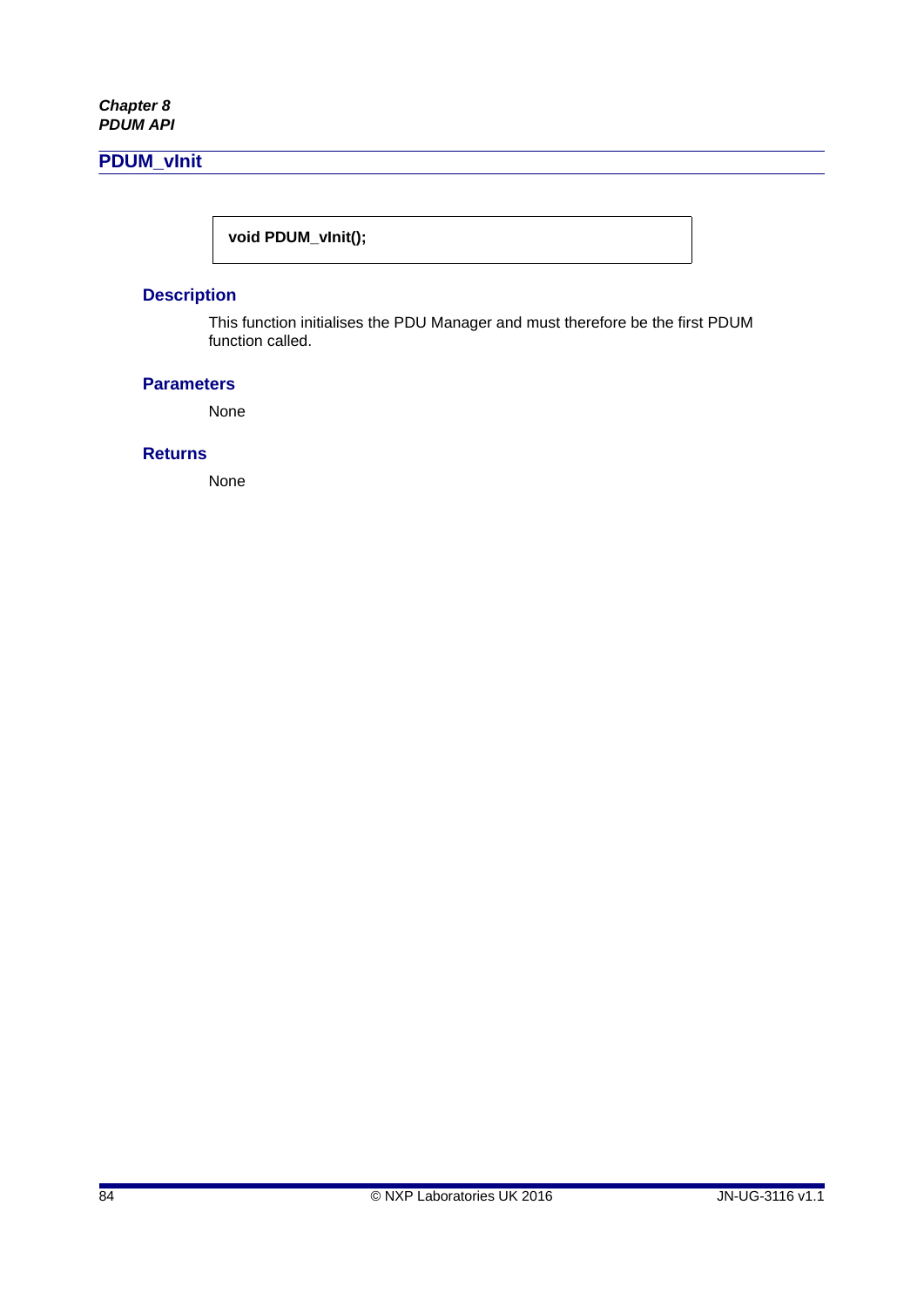### <span id="page-83-0"></span>**PDUM\_vInit**

**void PDUM\_vInit();**

### **Description**

This function initialises the PDU Manager and must therefore be the first PDUM function called.

### **Parameters**

None

#### **Returns**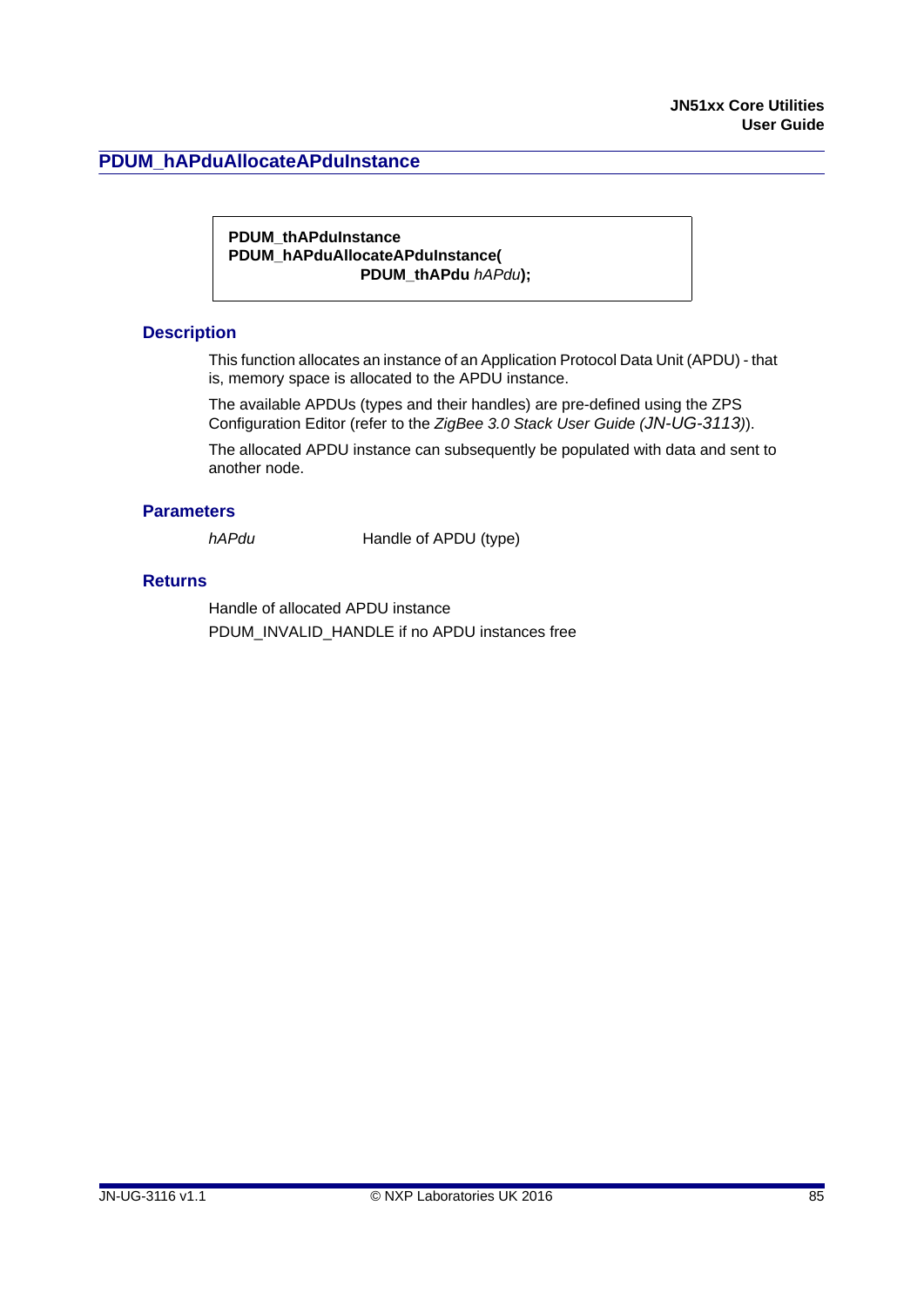### <span id="page-84-0"></span>**PDUM\_hAPduAllocateAPduInstance**

**PDUM\_thAPduInstance PDUM\_hAPduAllocateAPduInstance( PDUM\_thAPdu** *hAPdu***);**

### **Description**

This function allocates an instance of an Application Protocol Data Unit (APDU) - that is, memory space is allocated to the APDU instance.

The available APDUs (types and their handles) are pre-defined using the ZPS Configuration Editor (refer to the *ZigBee 3.0 Stack User Guide (JN-UG-3113)*).

The allocated APDU instance can subsequently be populated with data and sent to another node.

### **Parameters**

*hAPdu* Handle of APDU (type)

#### **Returns**

Handle of allocated APDU instance PDUM\_INVALID\_HANDLE if no APDU instances free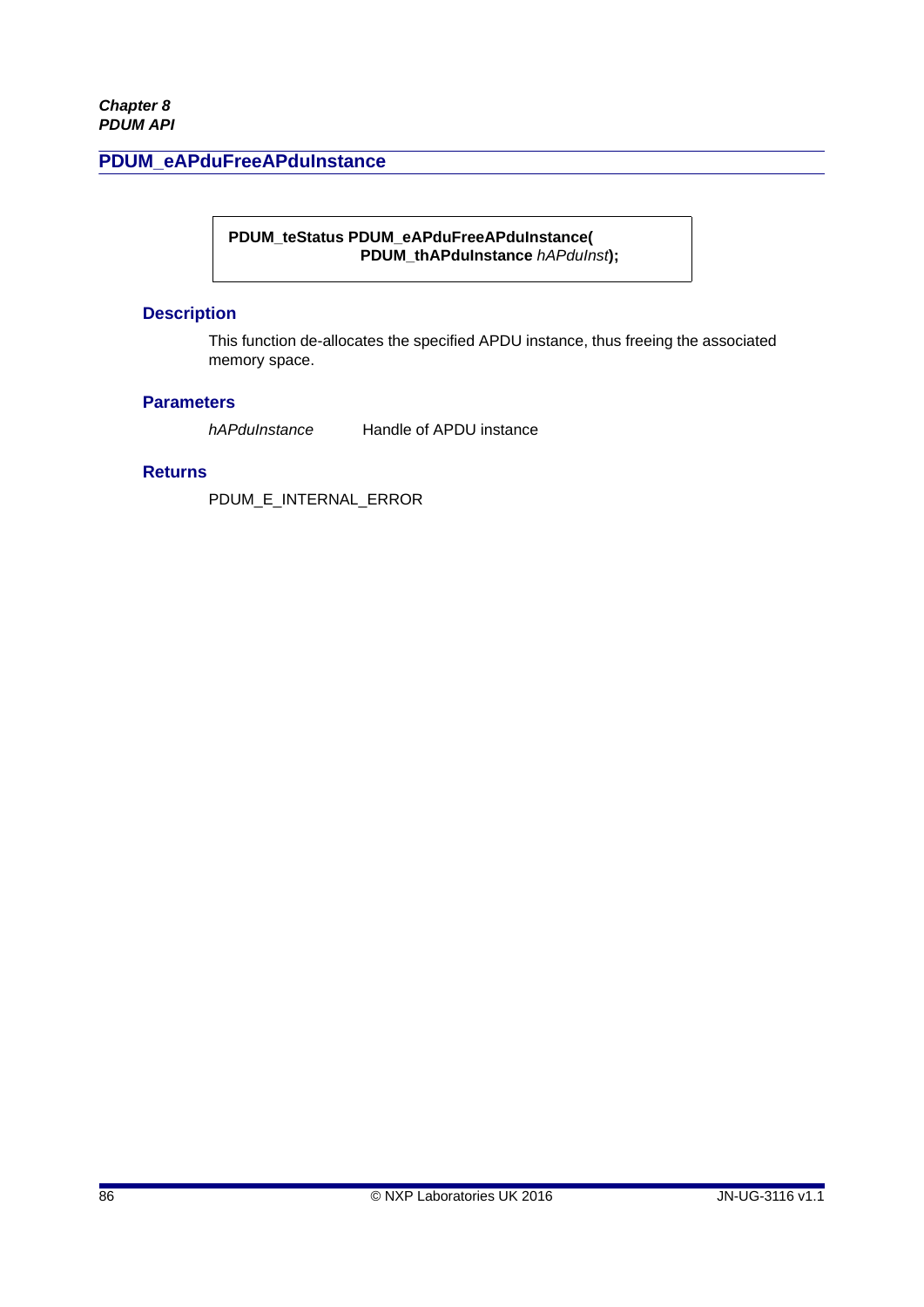### <span id="page-85-0"></span>**PDUM\_eAPduFreeAPduInstance**

### **PDUM\_teStatus PDUM\_eAPduFreeAPduInstance( PDUM\_thAPduInstance** *hAPduInst***);**

### **Description**

This function de-allocates the specified APDU instance, thus freeing the associated memory space.

### **Parameters**

*hAPduInstance* Handle of APDU instance

### **Returns**

PDUM\_E\_INTERNAL\_ERROR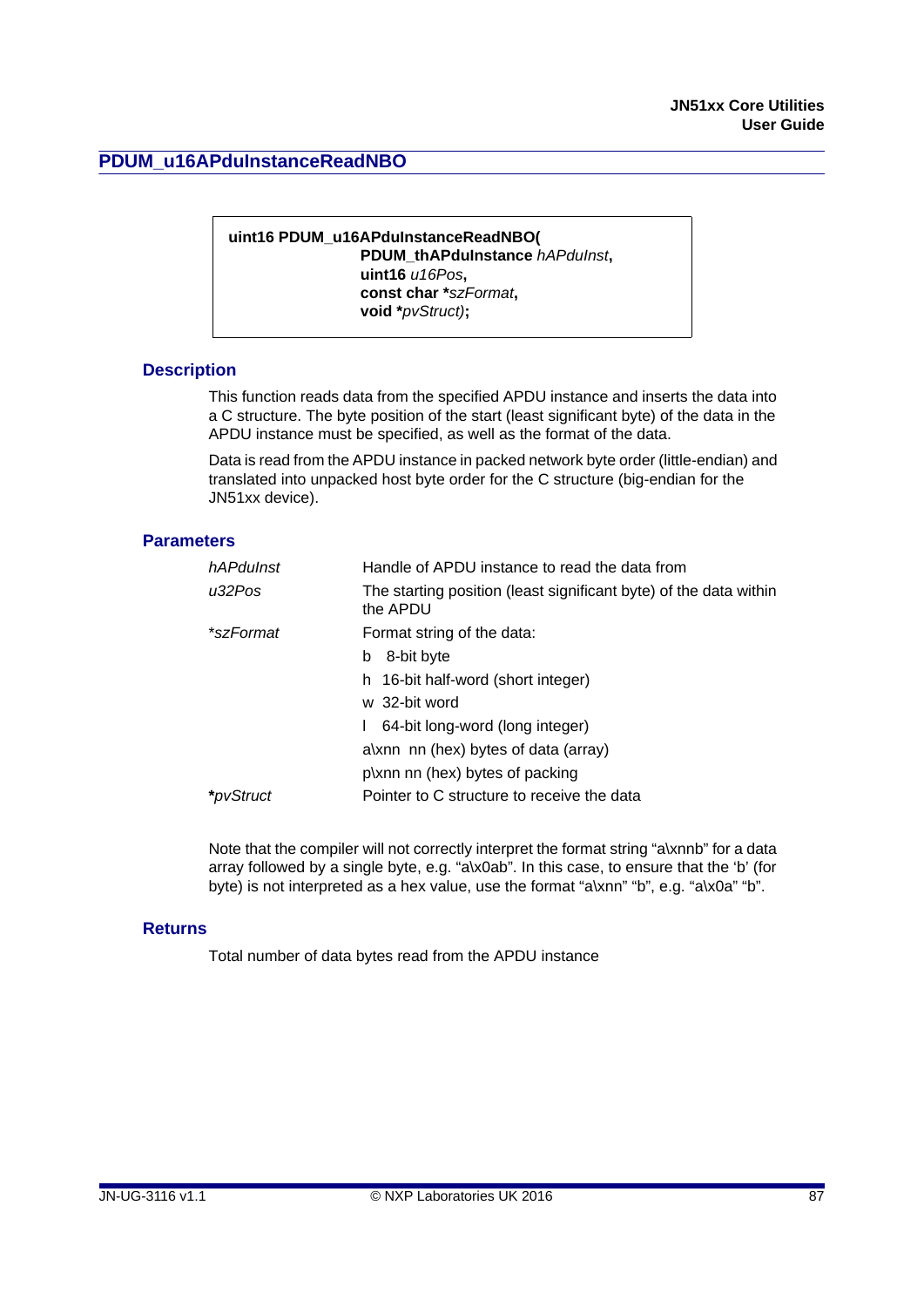```
uint16 PDUM_u16APduInstanceReadNBO(
```
**PDUM\_thAPduInstance** *hAPduInst***, uint16** *u16Pos***, const char \****szFormat***, void \****pvStruct)***;**

### **Description**

This function reads data from the specified APDU instance and inserts the data into a C structure. The byte position of the start (least significant byte) of the data in the APDU instance must be specified, as well as the format of the data.

Data is read from the APDU instance in packed network byte order (little-endian) and translated into unpacked host byte order for the C structure (big-endian for the JN51xx device).

### **Parameters**

| hAPdulnst | Handle of APDU instance to read the data from                                 |
|-----------|-------------------------------------------------------------------------------|
| u32Pos    | The starting position (least significant byte) of the data within<br>the APDU |
| *szFormat | Format string of the data:                                                    |
|           | 8-bit byte<br>b                                                               |
|           | h 16-bit half-word (short integer)                                            |
|           | w 32-bit word                                                                 |
|           | 64-bit long-word (long integer)                                               |
|           | a\xnn nn (hex) bytes of data (array)                                          |
|           | p\xnn nn (hex) bytes of packing                                               |
| *pvStruct | Pointer to C structure to receive the data                                    |

Note that the compiler will not correctly interpret the format string "a\xnnb" for a data array followed by a single byte, e.g. "a\x0ab". In this case, to ensure that the 'b' (for byte) is not interpreted as a hex value, use the format "a\xnn" "b", e.g. "a\x0a" "b".

### **Returns**

Total number of data bytes read from the APDU instance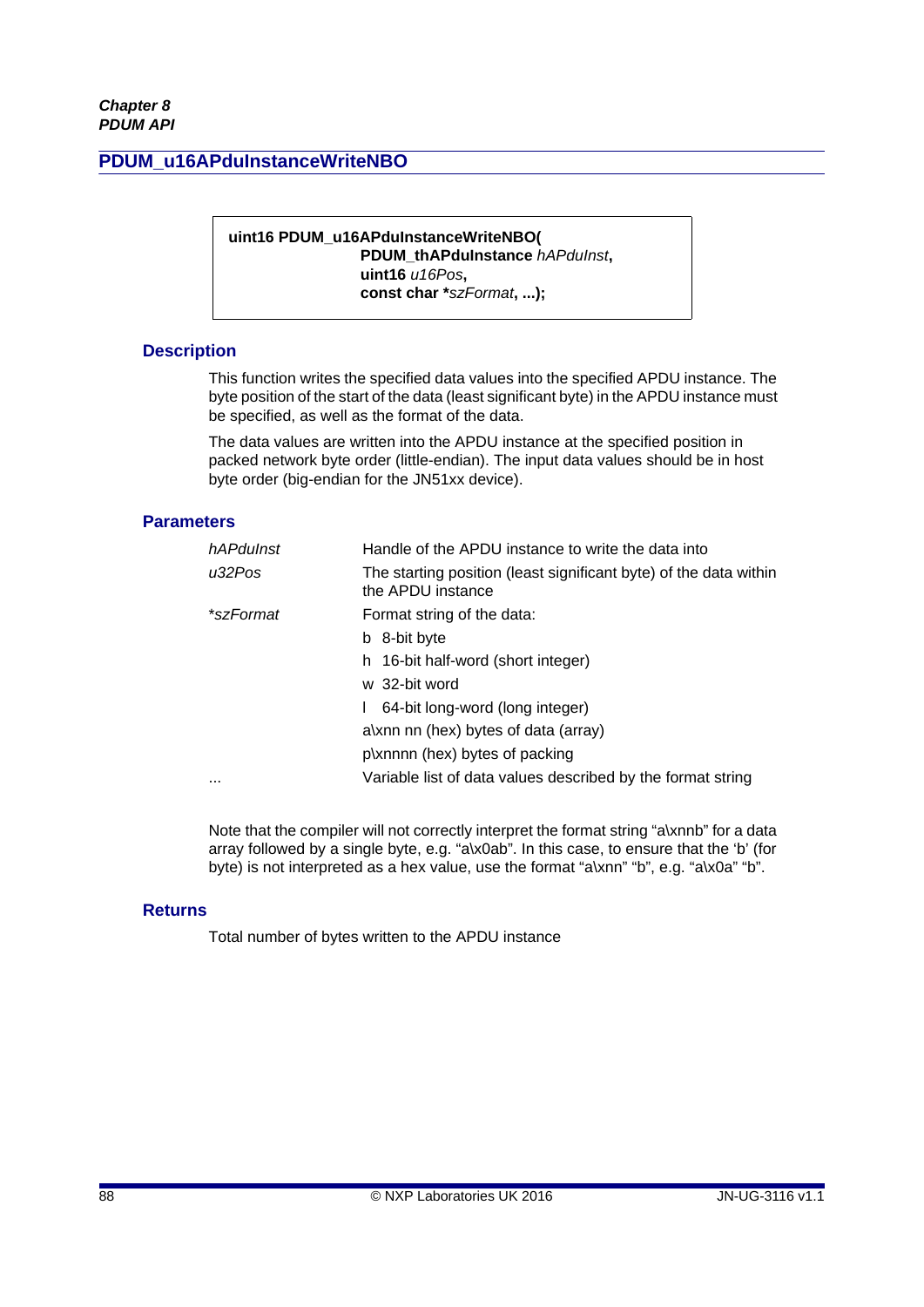### <span id="page-87-0"></span>**PDUM\_u16APduInstanceWriteNBO**

### **uint16 PDUM\_u16APduInstanceWriteNBO( PDUM\_thAPduInstance** *hAPduInst***, uint16** *u16Pos***, const char \****szFormat***, ...);**

### **Description**

This function writes the specified data values into the specified APDU instance. The byte position of the start of the data (least significant byte) in the APDU instance must be specified, as well as the format of the data.

The data values are written into the APDU instance at the specified position in packed network byte order (little-endian). The input data values should be in host byte order (big-endian for the JN51xx device).

### **Parameters**

| hAPdulnst | Handle of the APDU instance to write the data into                                     |
|-----------|----------------------------------------------------------------------------------------|
| u32Pos    | The starting position (least significant byte) of the data within<br>the APDU instance |
| *szFormat | Format string of the data:                                                             |
|           | b 8-bit byte                                                                           |
|           | h 16-bit half-word (short integer)                                                     |
|           | w 32-bit word                                                                          |
|           | 64-bit long-word (long integer)                                                        |
|           | a\xnn nn (hex) bytes of data (array)                                                   |
|           | p\xnnnn (hex) bytes of packing                                                         |
| $\cdots$  | Variable list of data values described by the format string                            |
|           |                                                                                        |

Note that the compiler will not correctly interpret the format string "a\xnnb" for a data array followed by a single byte, e.g. "a\x0ab". In this case, to ensure that the 'b' (for byte) is not interpreted as a hex value, use the format "a\xnn" "b", e.g. "a\x0a" "b".

### **Returns**

Total number of bytes written to the APDU instance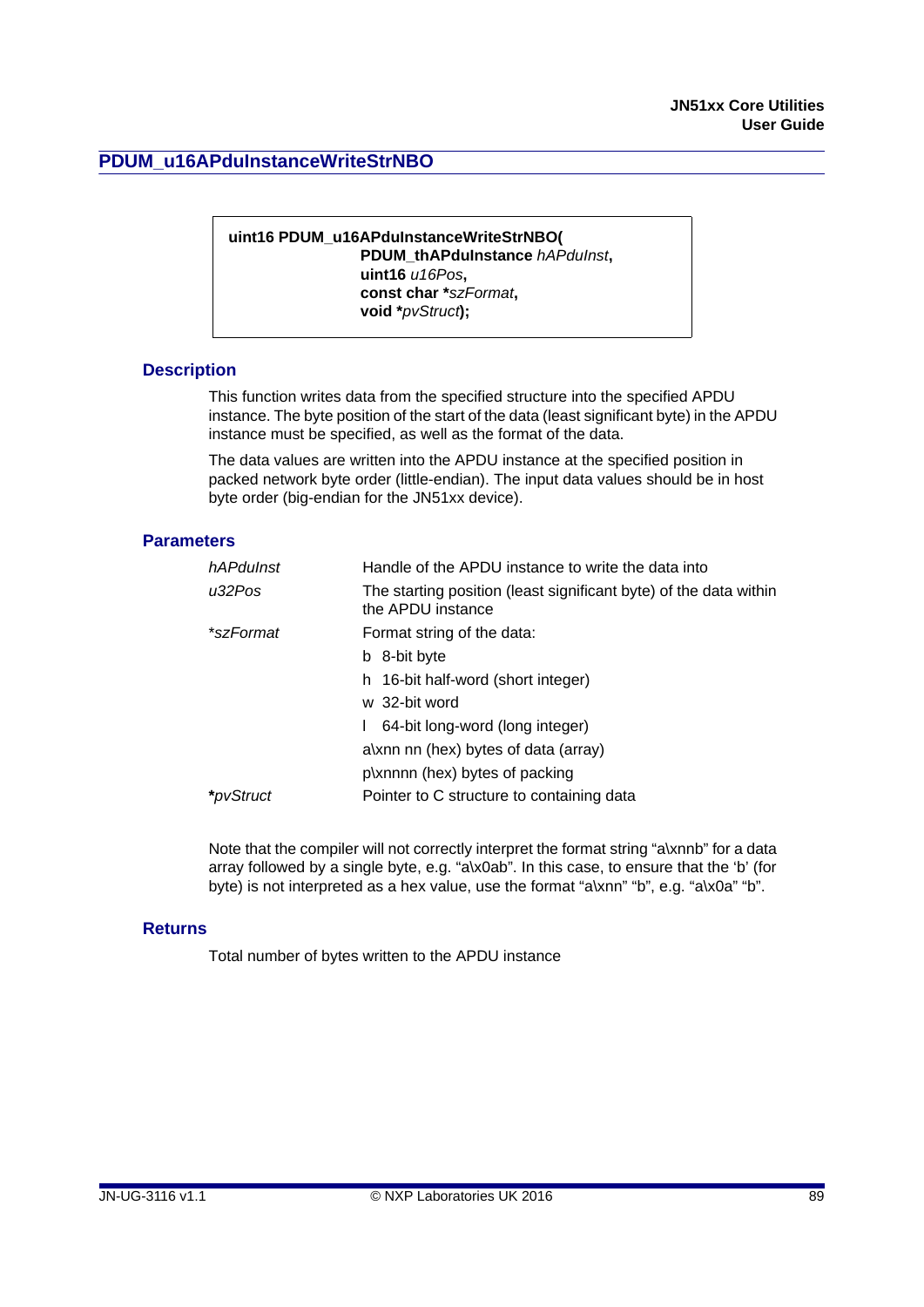### <span id="page-88-0"></span>**PDUM\_u16APduInstanceWriteStrNBO**

```
uint16 PDUM_u16APduInstanceWriteStrNBO(
```
**PDUM\_thAPduInstance** *hAPduInst***, uint16** *u16Pos***, const char \****szFormat***, void \****pvStruct***);**

### **Description**

This function writes data from the specified structure into the specified APDU instance. The byte position of the start of the data (least significant byte) in the APDU instance must be specified, as well as the format of the data.

The data values are written into the APDU instance at the specified position in packed network byte order (little-endian). The input data values should be in host byte order (big-endian for the JN51xx device).

### **Parameters**

| hAPdulnst | Handle of the APDU instance to write the data into                                     |
|-----------|----------------------------------------------------------------------------------------|
| u32Pos    | The starting position (least significant byte) of the data within<br>the APDU instance |
| *szFormat | Format string of the data:                                                             |
|           | b 8-bit byte                                                                           |
|           | h 16-bit half-word (short integer)                                                     |
|           | w 32-bit word                                                                          |
|           | 64-bit long-word (long integer)                                                        |
|           | a\xnn nn (hex) bytes of data (array)                                                   |
|           | p\xnnnn (hex) bytes of packing                                                         |
| *pvStruct | Pointer to C structure to containing data                                              |

Note that the compiler will not correctly interpret the format string "a\xnnb" for a data array followed by a single byte, e.g. "a\x0ab". In this case, to ensure that the 'b' (for byte) is not interpreted as a hex value, use the format "a\xnn" "b", e.g. "a\x0a" "b".

### **Returns**

Total number of bytes written to the APDU instance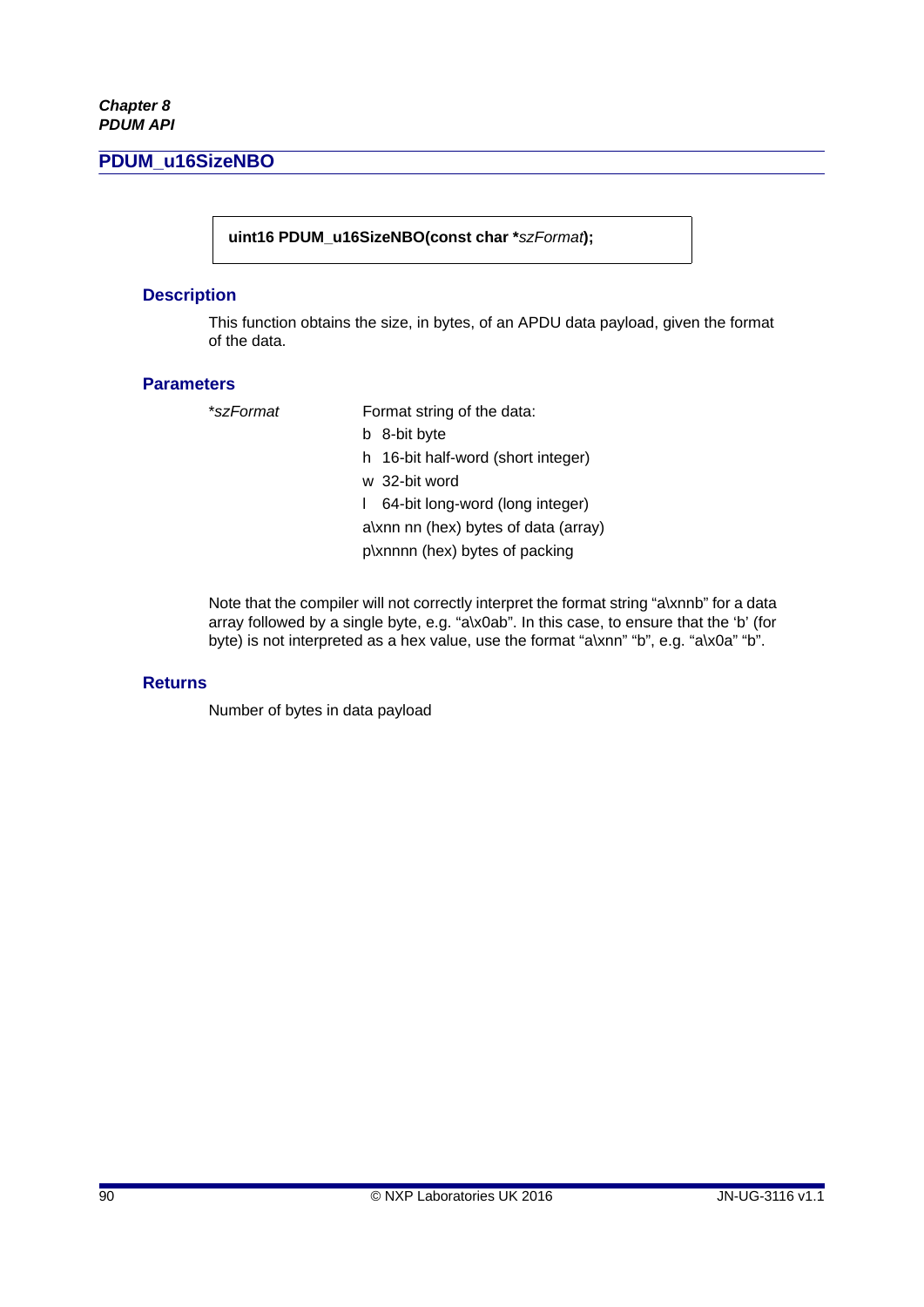### <span id="page-89-0"></span>**PDUM\_u16SizeNBO**

**uint16 PDUM\_u16SizeNBO(const char \****szFormat***);**

### **Description**

This function obtains the size, in bytes, of an APDU data payload, given the format of the data.

#### **Parameters**

\**szFormat* Format string of the data:

b 8-bit byte

h 16-bit half-word (short integer)

w 32-bit word

l 64-bit long-word (long integer)

a\xnn nn (hex) bytes of data (array)

p\xnnnn (hex) bytes of packing

Note that the compiler will not correctly interpret the format string "a\xnnb" for a data array followed by a single byte, e.g. "a\x0ab". In this case, to ensure that the 'b' (for byte) is not interpreted as a hex value, use the format "a\xnn" "b", e.g. "a\x0a" "b".

### **Returns**

Number of bytes in data payload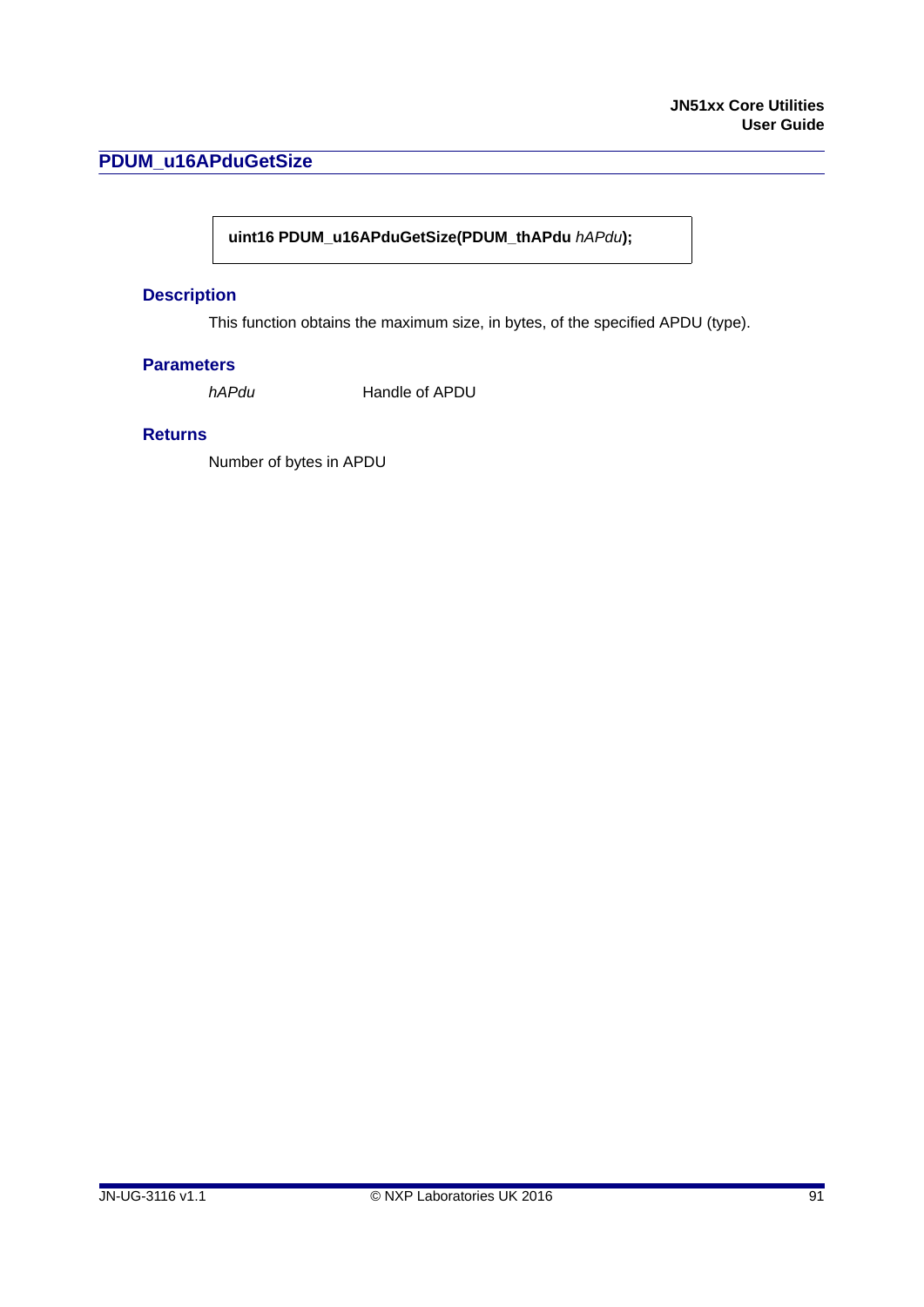### <span id="page-90-0"></span>**PDUM\_u16APduGetSize**

### **uint16 PDUM\_u16APduGetSize(PDUM\_thAPdu** *hAPdu***);**

### **Description**

This function obtains the maximum size, in bytes, of the specified APDU (type).

### **Parameters**

*hAPdu* Handle of APDU

### **Returns**

Number of bytes in APDU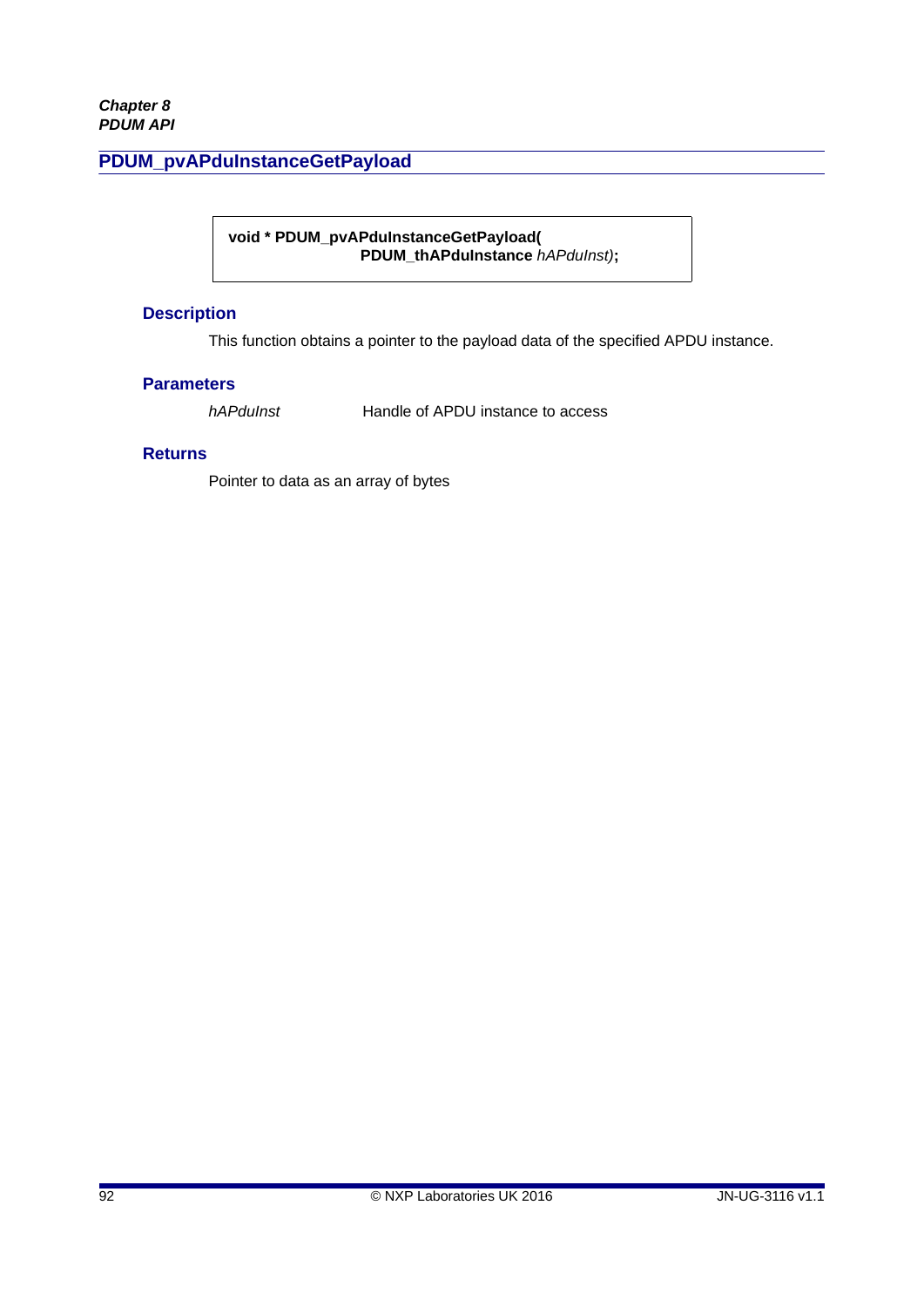### <span id="page-91-0"></span>**PDUM\_pvAPduInstanceGetPayload**

**void \* PDUM\_pvAPduInstanceGetPayload( PDUM\_thAPduInstance** *hAPduInst)***;**

### **Description**

This function obtains a pointer to the payload data of the specified APDU instance.

### **Parameters**

*hAPduInst* Handle of APDU instance to access

### **Returns**

Pointer to data as an array of bytes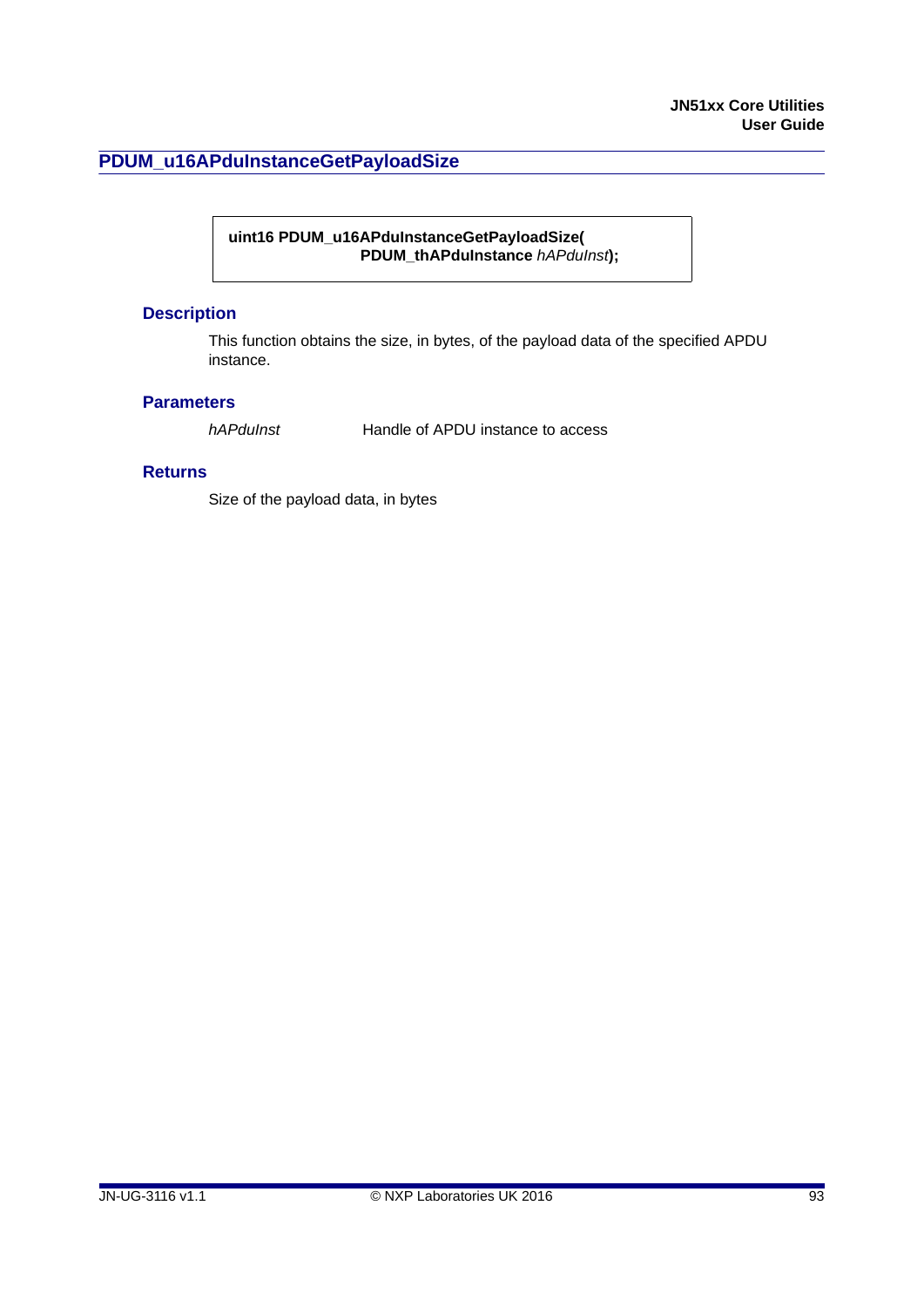### <span id="page-92-0"></span>**PDUM\_u16APduInstanceGetPayloadSize**

### **uint16 PDUM\_u16APduInstanceGetPayloadSize( PDUM\_thAPduInstance** *hAPduInst***);**

### **Description**

This function obtains the size, in bytes, of the payload data of the specified APDU instance.

### **Parameters**

*hAPduInst* Handle of APDU instance to access

### **Returns**

Size of the payload data, in bytes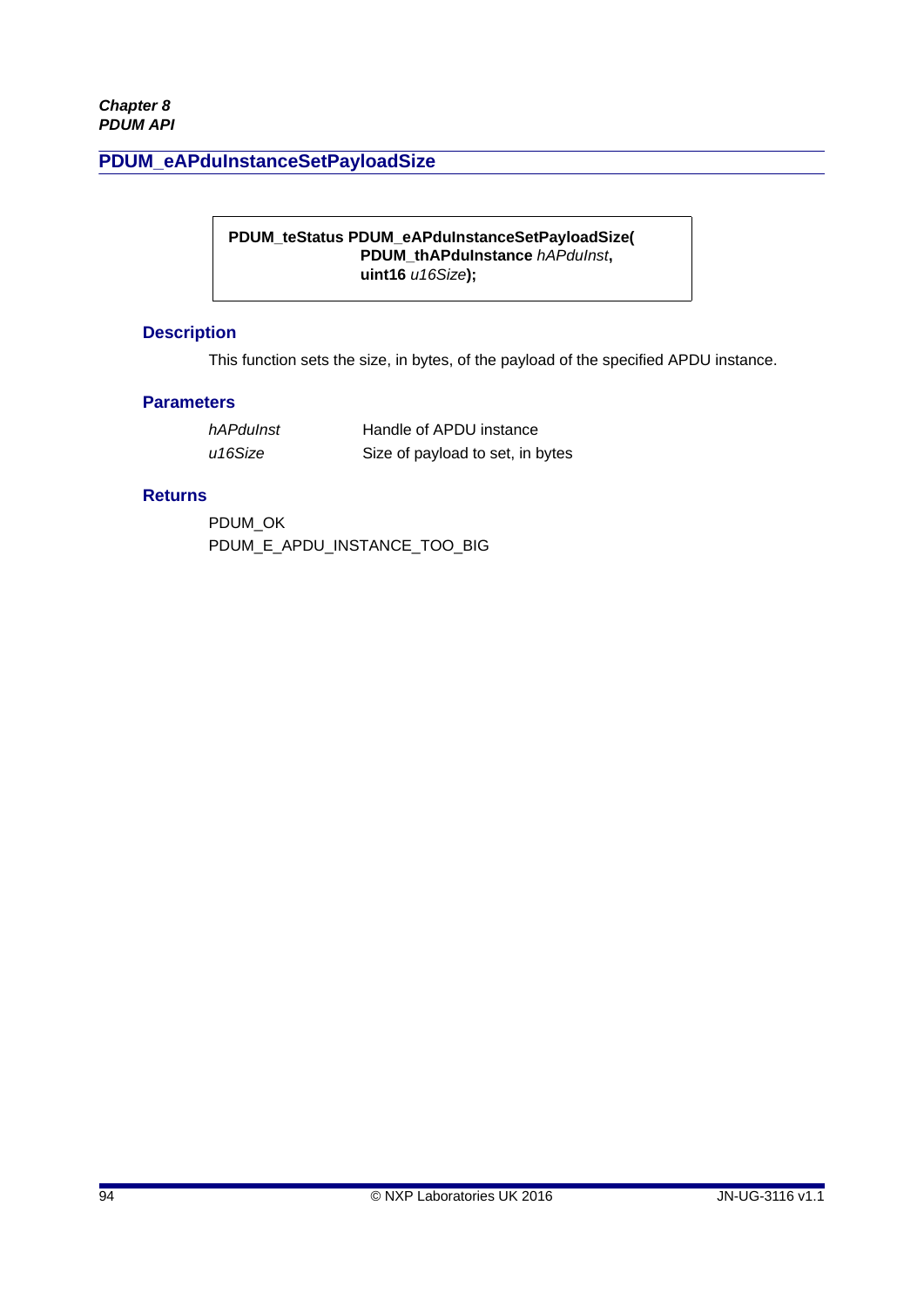### <span id="page-93-0"></span>**PDUM\_eAPduInstanceSetPayloadSize**

**PDUM\_teStatus PDUM\_eAPduInstanceSetPayloadSize( PDUM\_thAPduInstance** *hAPduInst***, uint16** *u16Size***);**

### **Description**

This function sets the size, in bytes, of the payload of the specified APDU instance.

### **Parameters**

| hAPdulnst | Handle of APDU instance          |
|-----------|----------------------------------|
| u16Size   | Size of payload to set, in bytes |

### **Returns**

PDUM\_OK PDUM\_E\_APDU\_INSTANCE\_TOO\_BIG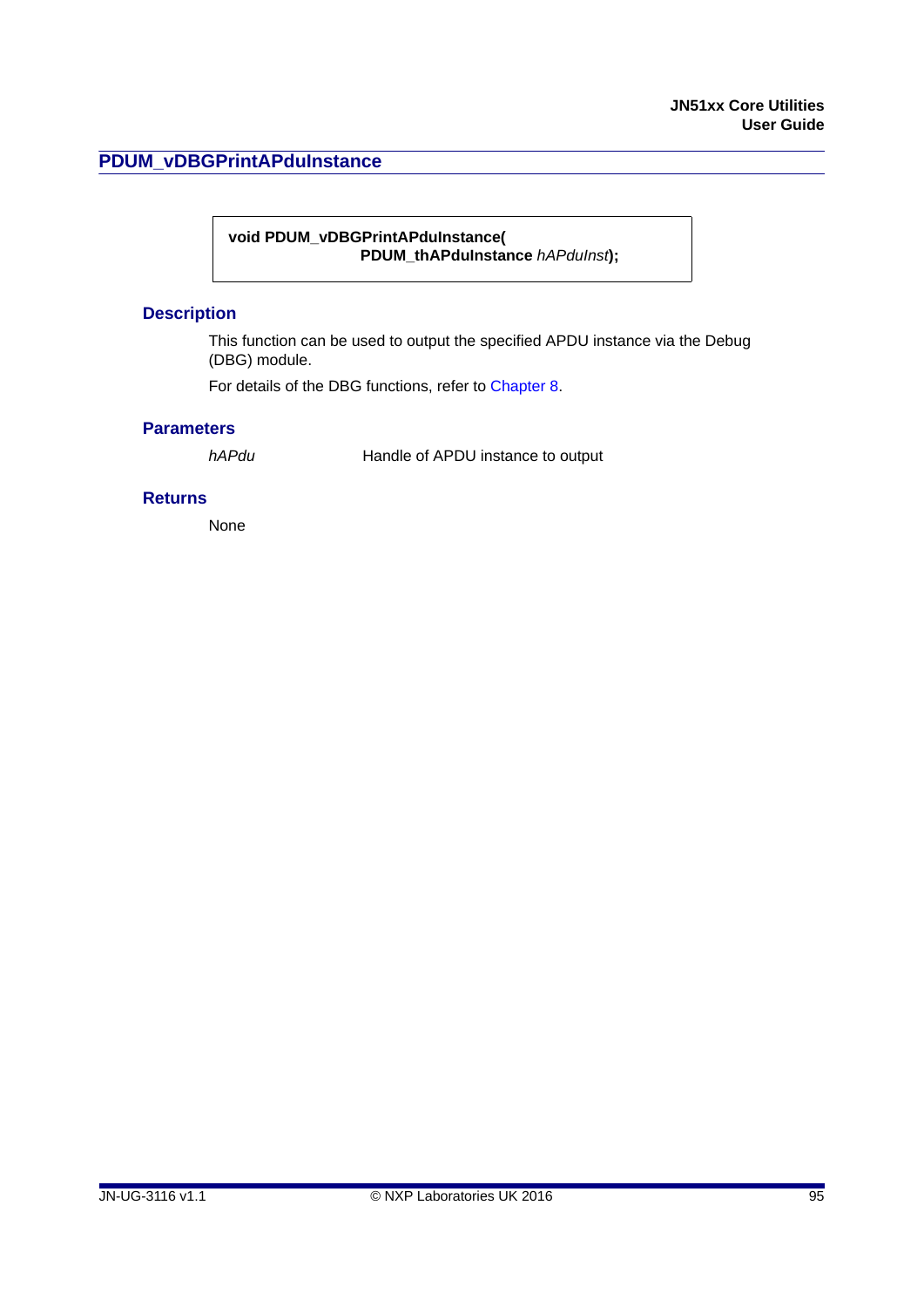### <span id="page-94-0"></span>**PDUM\_vDBGPrintAPduInstance**

### **void PDUM\_vDBGPrintAPduInstance( PDUM\_thAPduInstance** *hAPduInst***);**

### **Description**

This function can be used to output the specified APDU instance via the Debug (DBG) module.

For details of the DBG functions, refer to [Chapter 8](#page-82-0).

#### **Parameters**

*hAPdu* Handle of APDU instance to output

#### **Returns**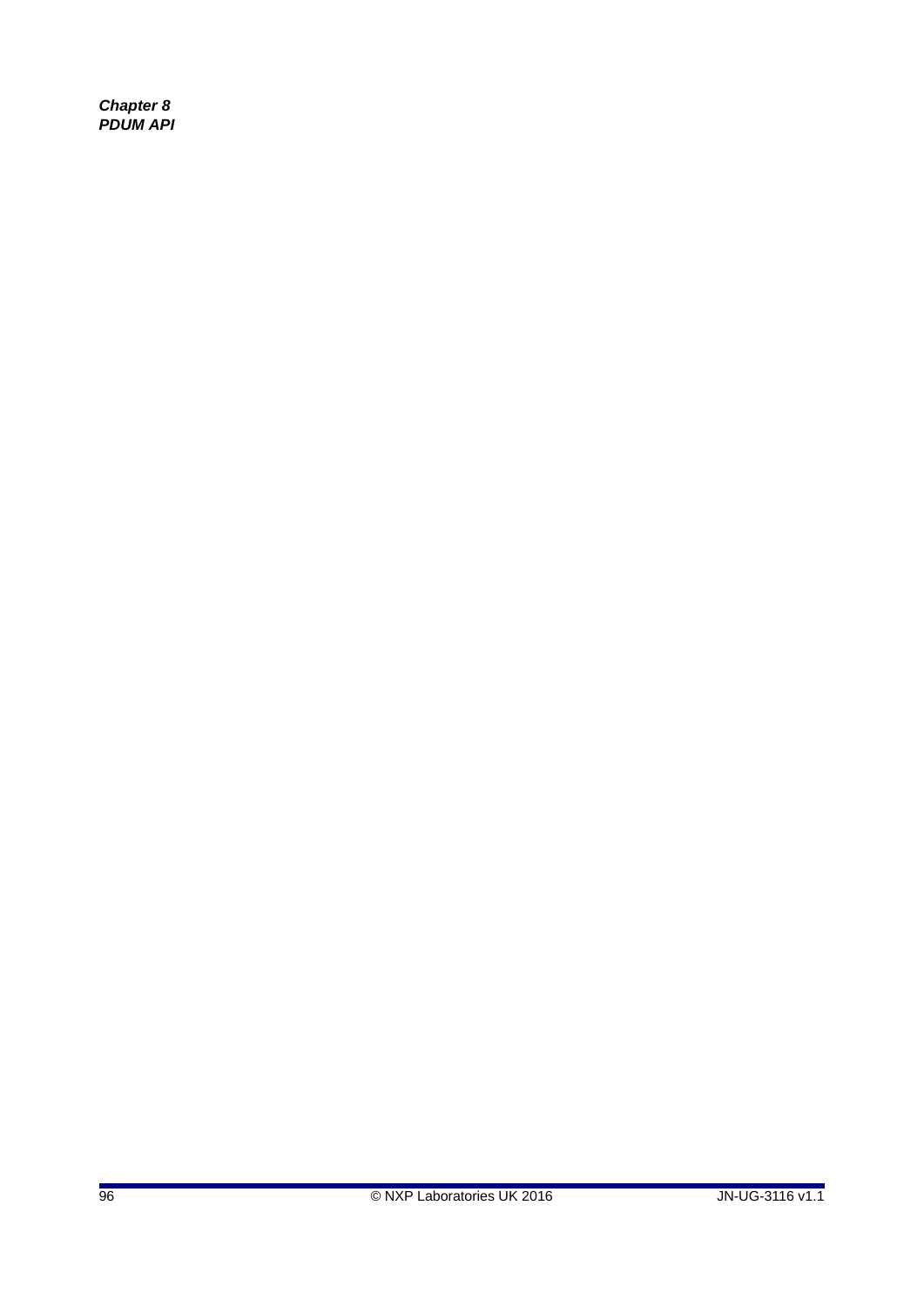*Chapter 8 PDUM API*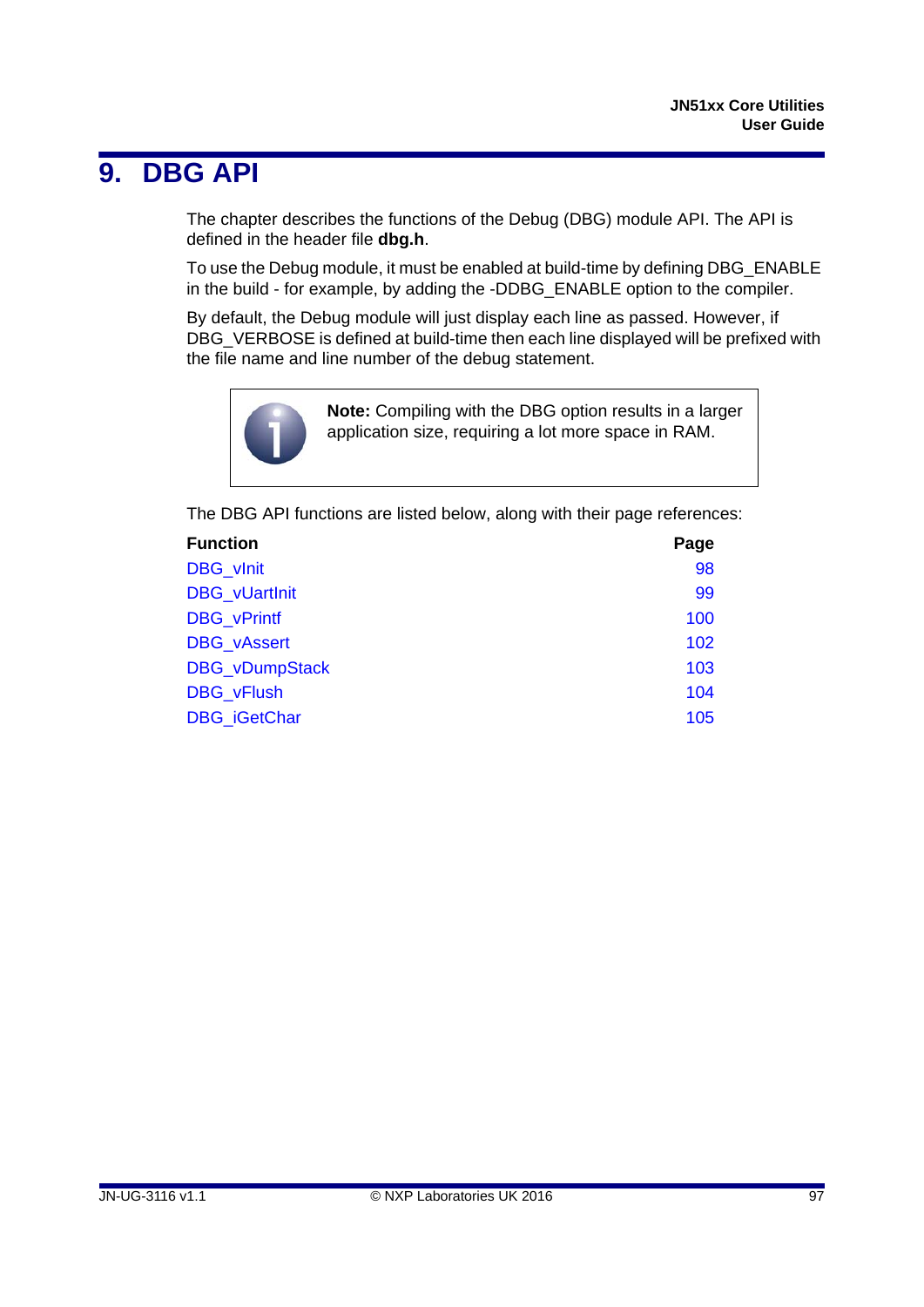# **9. DBG API**

The chapter describes the functions of the Debug (DBG) module API. The API is defined in the header file **dbg.h**.

To use the Debug module, it must be enabled at build-time by defining DBG\_ENABLE in the build - for example, by adding the -DDBG\_ENABLE option to the compiler.

By default, the Debug module will just display each line as passed. However, if DBG\_VERBOSE is defined at build-time then each line displayed will be prefixed with the file name and line number of the debug statement.



**Note:** Compiling with the DBG option results in a larger application size, requiring a lot more space in RAM.

The DBG API functions are listed below, along with their page references:

| <b>Function</b>       | Page |
|-----------------------|------|
| <b>DBG</b> vlnit      | 98   |
| <b>DBG</b> vUartInit  | 99   |
| <b>DBG</b> vPrintf    | 100  |
| <b>DBG</b> vAssert    | 102  |
| <b>DBG</b> vDumpStack | 103  |
| <b>DBG</b> vFlush     | 104  |
| <b>DBG</b> iGetChar   | 105  |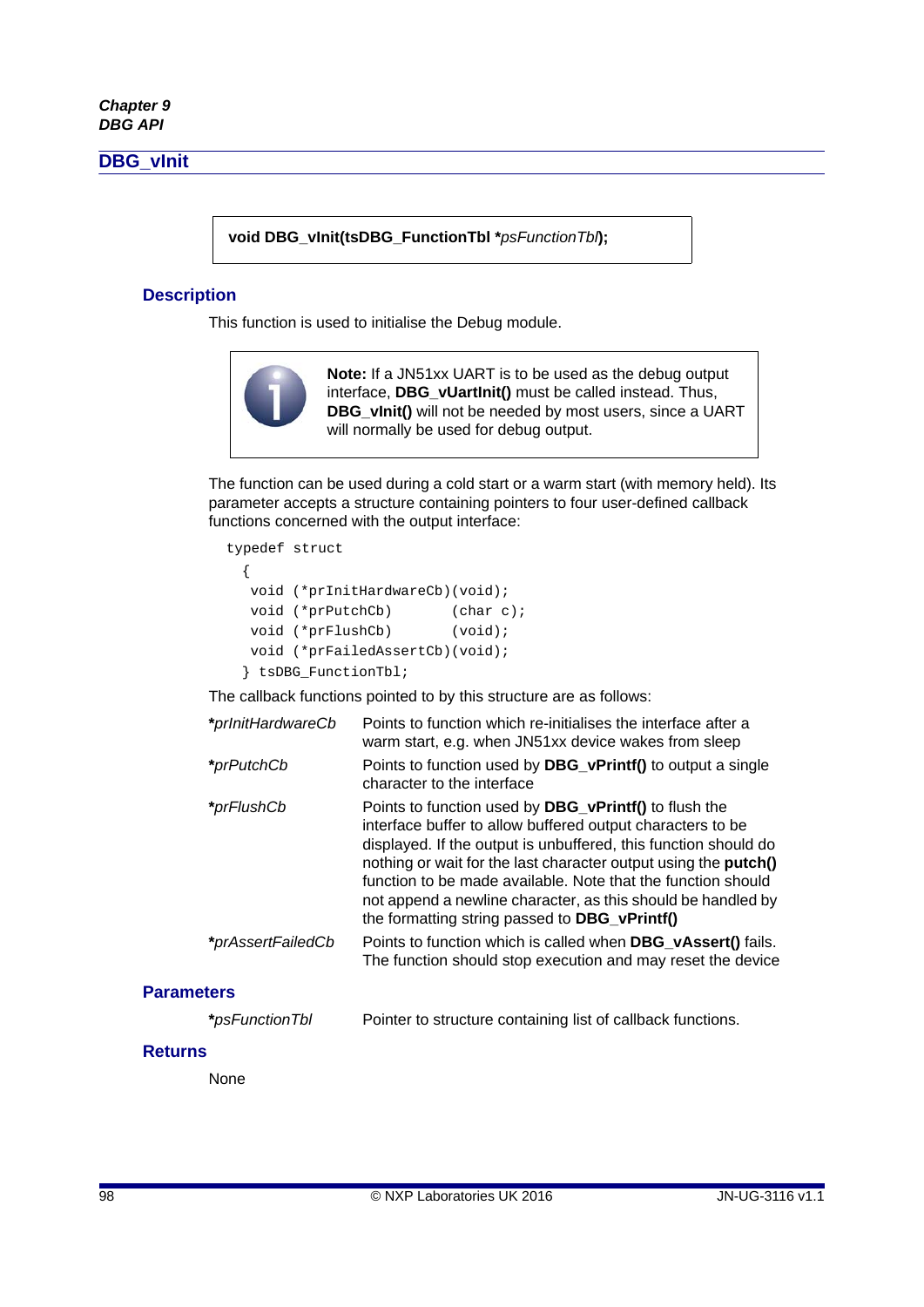**void DBG\_vInit(tsDBG\_FunctionTbl \****psFunctionTbl***);**

### <span id="page-97-0"></span>**Description**

This function is used to initialise the Debug module.



**Note:** If a JN51xx UART is to be used as the debug output interface, **DBG\_vUartInit()** must be called instead. Thus, **DBG** vinit() will not be needed by most users, since a UART will normally be used for debug output.

The function can be used during a cold start or a warm start (with memory held). Its parameter accepts a structure containing pointers to four user-defined callback functions concerned with the output interface:

```
 typedef struct
   {
```

```
 void (*prInitHardwareCb)(void);
void (*prPutchCb) (char c);
void (*prFlushCb) (void);
 void (*prFailedAssertCb)(void);
 } tsDBG_FunctionTbl;
```
The callback functions pointed to by this structure are as follows:

|                   | *prInitHardwareCb | Points to function which re-initialises the interface after a<br>warm start, e.g. when JN51xx device wakes from sleep                                                                                                                                                                                                                                                                                                                      |
|-------------------|-------------------|--------------------------------------------------------------------------------------------------------------------------------------------------------------------------------------------------------------------------------------------------------------------------------------------------------------------------------------------------------------------------------------------------------------------------------------------|
|                   | *prPutchCb        | Points to function used by <b>DBG_vPrintf()</b> to output a single<br>character to the interface                                                                                                                                                                                                                                                                                                                                           |
|                   | *prFlushCb        | Points to function used by DBG_vPrintf() to flush the<br>interface buffer to allow buffered output characters to be<br>displayed. If the output is unbuffered, this function should do<br>nothing or wait for the last character output using the putch()<br>function to be made available. Note that the function should<br>not append a newline character, as this should be handled by<br>the formatting string passed to DBG_vPrintf() |
|                   | *prAssertFailedCb | Points to function which is called when DBG_vAssert() fails.<br>The function should stop execution and may reset the device                                                                                                                                                                                                                                                                                                                |
| <b>Parameters</b> |                   |                                                                                                                                                                                                                                                                                                                                                                                                                                            |
|                   | *psFunctionTbl    | Pointer to structure containing list of callback functions.                                                                                                                                                                                                                                                                                                                                                                                |

#### **Returns**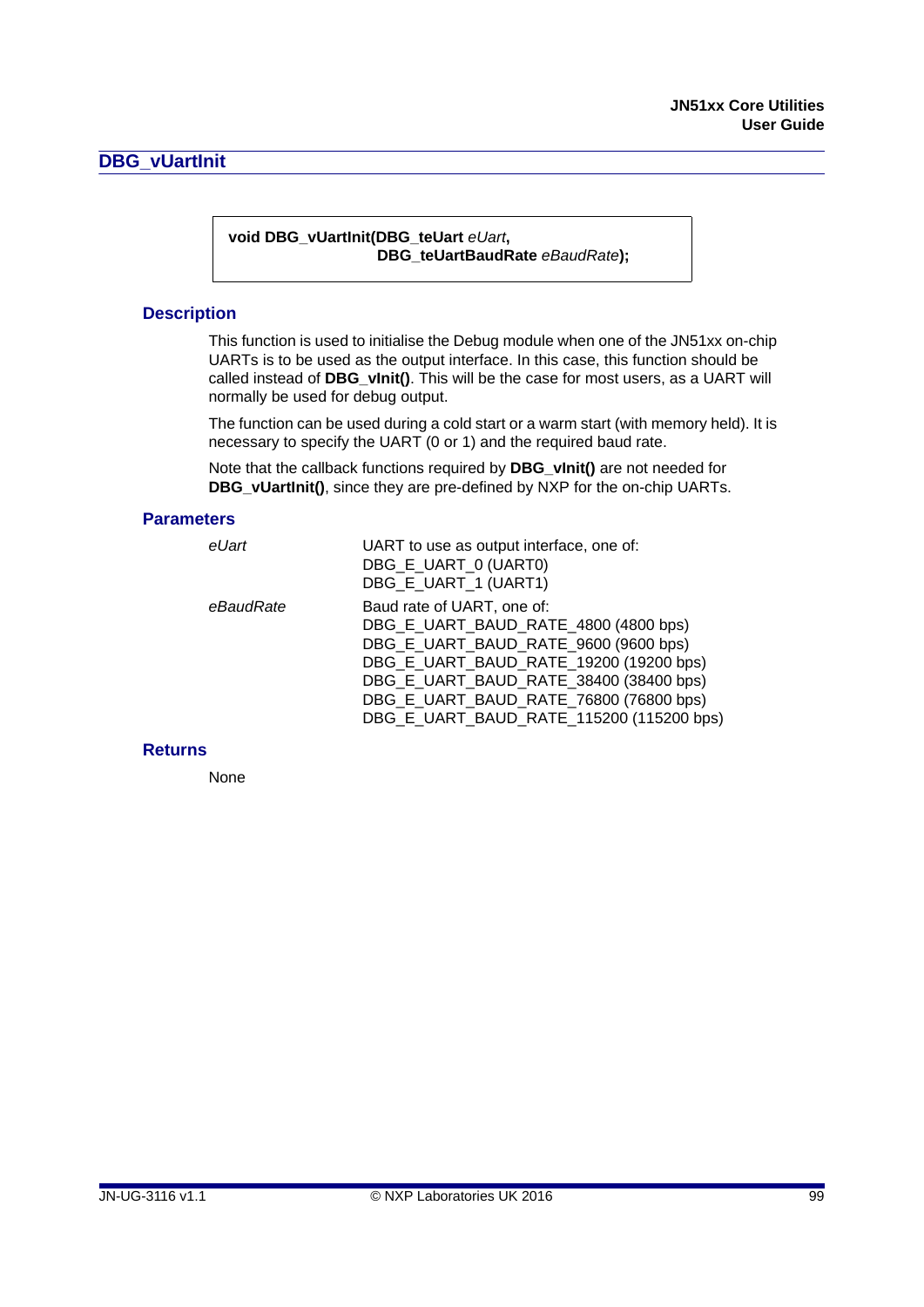<span id="page-98-0"></span>**void DBG\_vUartInit(DBG\_teUart** *eUart***, DBG\_teUartBaudRate** *eBaudRate***);**

### **Description**

This function is used to initialise the Debug module when one of the JN51xx on-chip UARTs is to be used as the output interface. In this case, this function should be called instead of **DBG\_vInit()**. This will be the case for most users, as a UART will normally be used for debug output.

The function can be used during a cold start or a warm start (with memory held). It is necessary to specify the UART (0 or 1) and the required baud rate.

Note that the callback functions required by **DBG\_vInit()** are not needed for **DBG\_vUartInit()**, since they are pre-defined by NXP for the on-chip UARTs.

#### **Parameters**

| eUart     | UART to use as output interface, one of:<br>DBG_E_UART_0 (UART0)<br>DBG_E_UART_1 (UART1)                                                                                                                                                                                             |
|-----------|--------------------------------------------------------------------------------------------------------------------------------------------------------------------------------------------------------------------------------------------------------------------------------------|
| eBaudRate | Baud rate of UART, one of:<br>DBG_E_UART_BAUD_RATE_4800 (4800 bps)<br>DBG_E_UART_BAUD_RATE_9600 (9600 bps)<br>DBG_E_UART_BAUD_RATE_19200 (19200 bps)<br>DBG_E_UART_BAUD_RATE_38400 (38400 bps)<br>DBG_E_UART_BAUD_RATE_76800 (76800 bps)<br>DBG_E_UART_BAUD_RATE_115200 (115200 bps) |

### **Returns**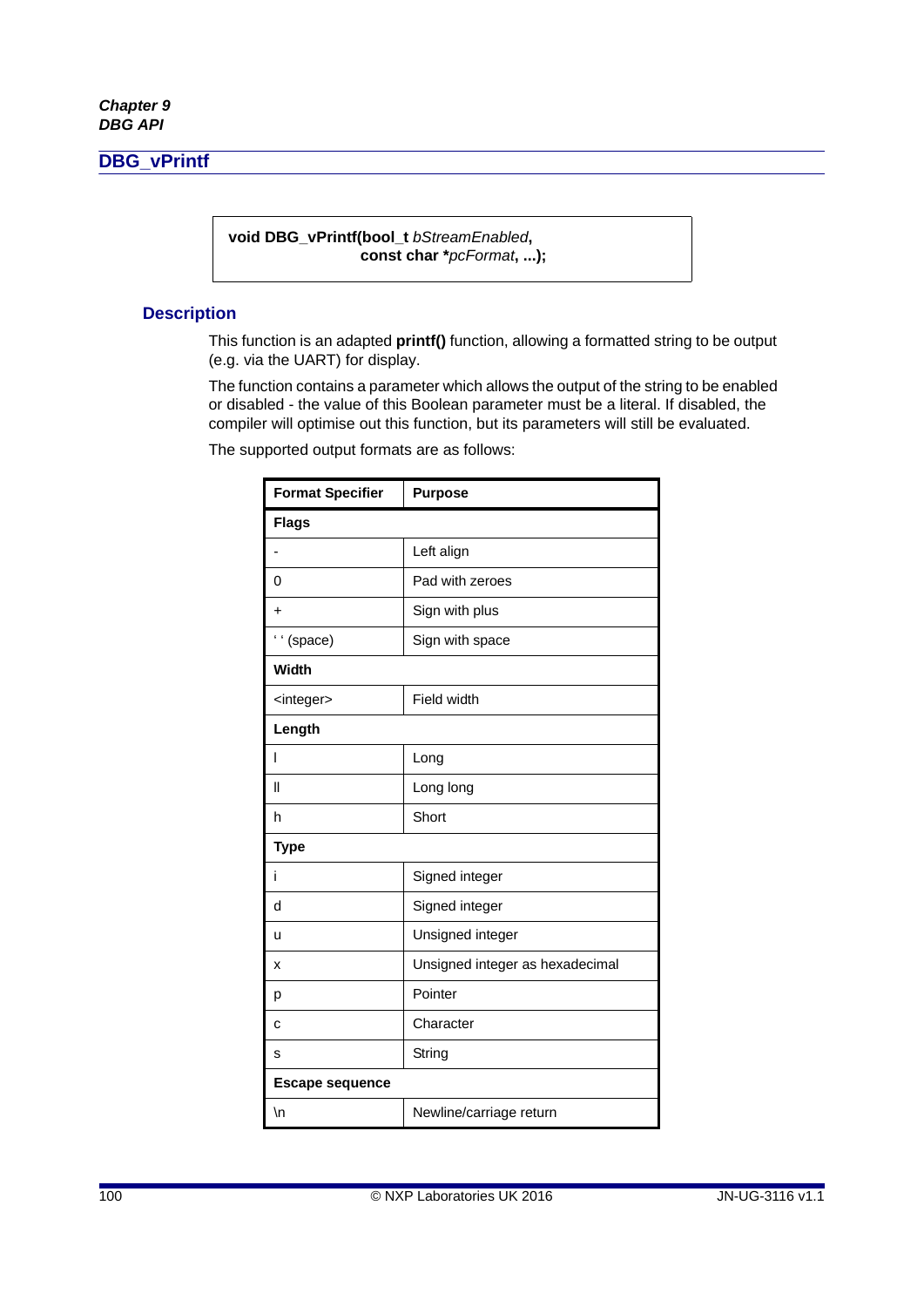<span id="page-99-0"></span>**DBG\_vPrintf**

**void DBG\_vPrintf(bool\_t** *bStreamEnabled***, const char \****pcFormat***, ...);**

### **Description**

This function is an adapted **printf()** function, allowing a formatted string to be output (e.g. via the UART) for display.

The function contains a parameter which allows the output of the string to be enabled or disabled - the value of this Boolean parameter must be a literal. If disabled, the compiler will optimise out this function, but its parameters will still be evaluated.

The supported output formats are as follows:

| <b>Format Specifier</b>  | <b>Purpose</b>                  |
|--------------------------|---------------------------------|
| <b>Flags</b>             |                                 |
| $\overline{\phantom{0}}$ | Left align                      |
| 0                        | Pad with zeroes                 |
| $\ddot{}$                | Sign with plus                  |
| " (space)                | Sign with space                 |
| Width                    |                                 |
| <integer></integer>      | Field width                     |
| Length                   |                                 |
| T                        | Long                            |
| $\mathbf{I}$             | Long long                       |
| h                        | Short                           |
| <b>Type</b>              |                                 |
| i                        | Signed integer                  |
| d                        | Signed integer                  |
| u                        | Unsigned integer                |
| x                        | Unsigned integer as hexadecimal |
| p                        | Pointer                         |
| C                        | Character                       |
| s                        | String                          |
| <b>Escape sequence</b>   |                                 |
| $\sqrt{n}$               | Newline/carriage return         |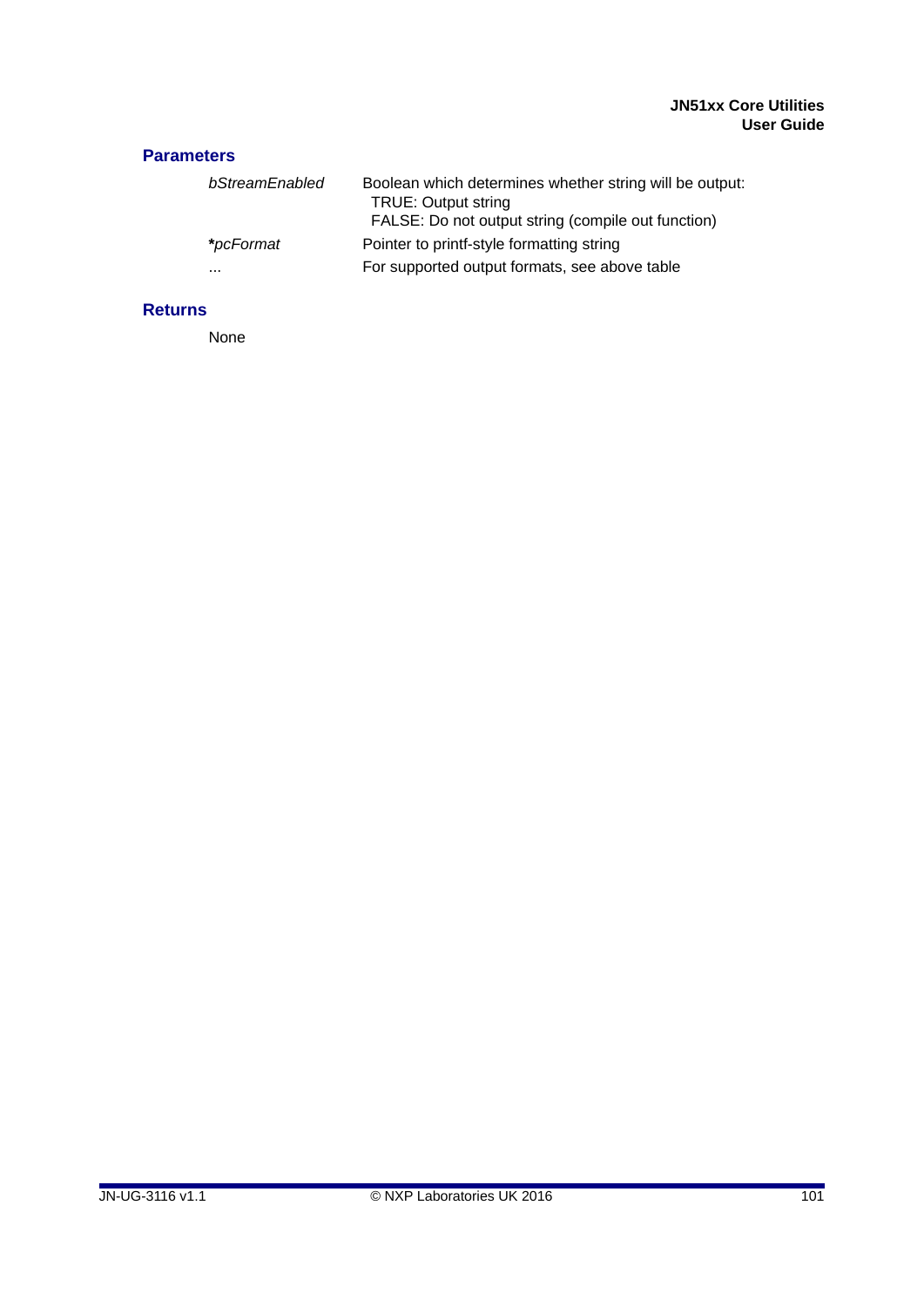### **Parameters**

| bStreamEnabled | Boolean which determines whether string will be output: |
|----------------|---------------------------------------------------------|
|                | <b>TRUE: Output string</b>                              |
|                | FALSE: Do not output string (compile out function)      |
| *pcFormat      | Pointer to printf-style formatting string               |
| $\cdots$       | For supported output formats, see above table           |

### **Returns**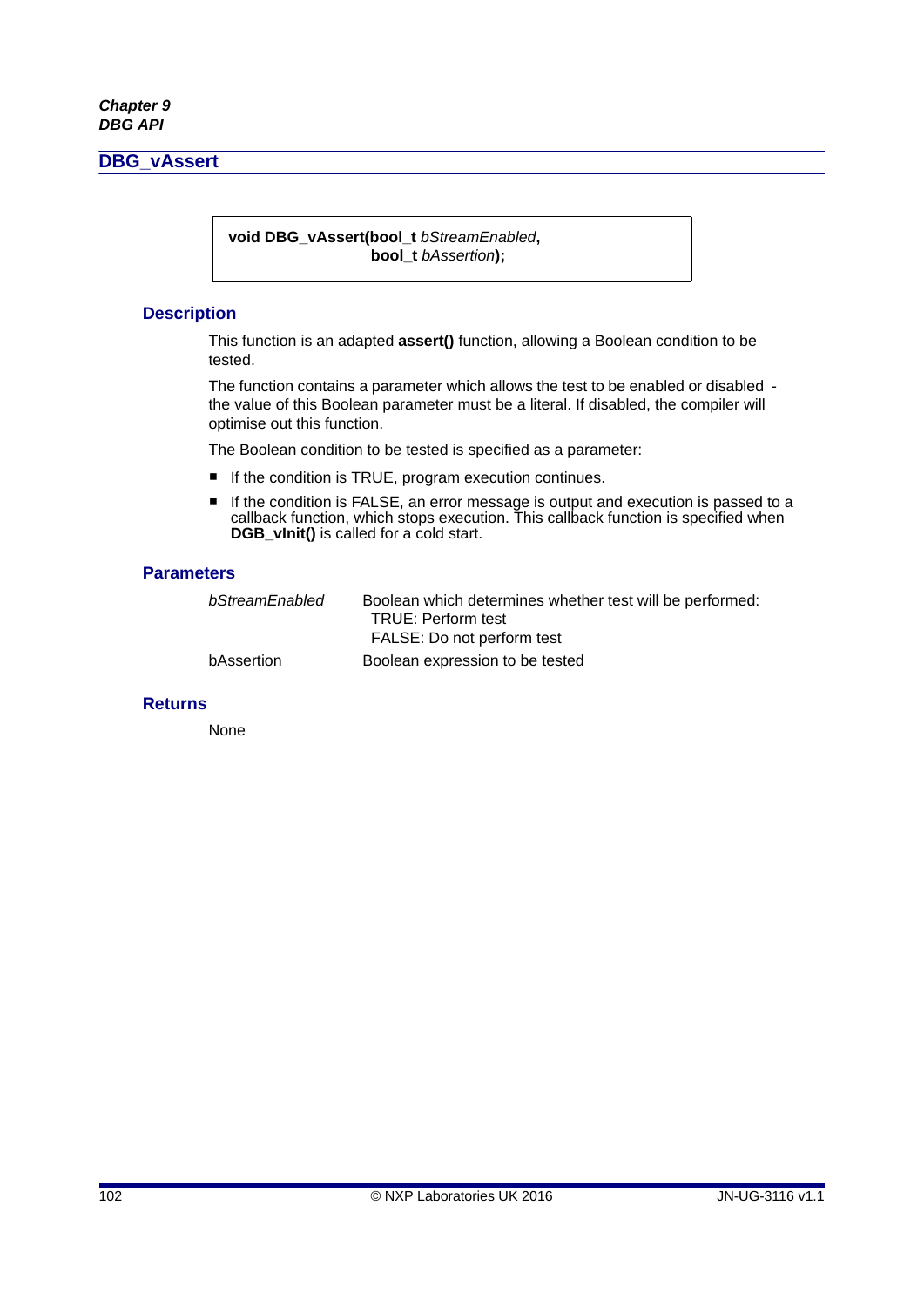<span id="page-101-0"></span>**DBG\_vAssert**

**void DBG\_vAssert(bool\_t** *bStreamEnabled***, bool\_t** *bAssertion***);**

### **Description**

This function is an adapted **assert()** function, allowing a Boolean condition to be tested.

The function contains a parameter which allows the test to be enabled or disabled the value of this Boolean parameter must be a literal. If disabled, the compiler will optimise out this function.

The Boolean condition to be tested is specified as a parameter:

- If the condition is TRUE, program execution continues.
- If the condition is FALSE, an error message is output and execution is passed to a callback function, which stops execution. This callback function is specified when **DGB\_vInit()** is called for a cold start.

#### **Parameters**

| bStreamEnabled | Boolean which determines whether test will be performed: |
|----------------|----------------------------------------------------------|
|                | TRUE: Perform test                                       |
|                | FALSE: Do not perform test                               |
| bAssertion     | Boolean expression to be tested                          |

#### **Returns**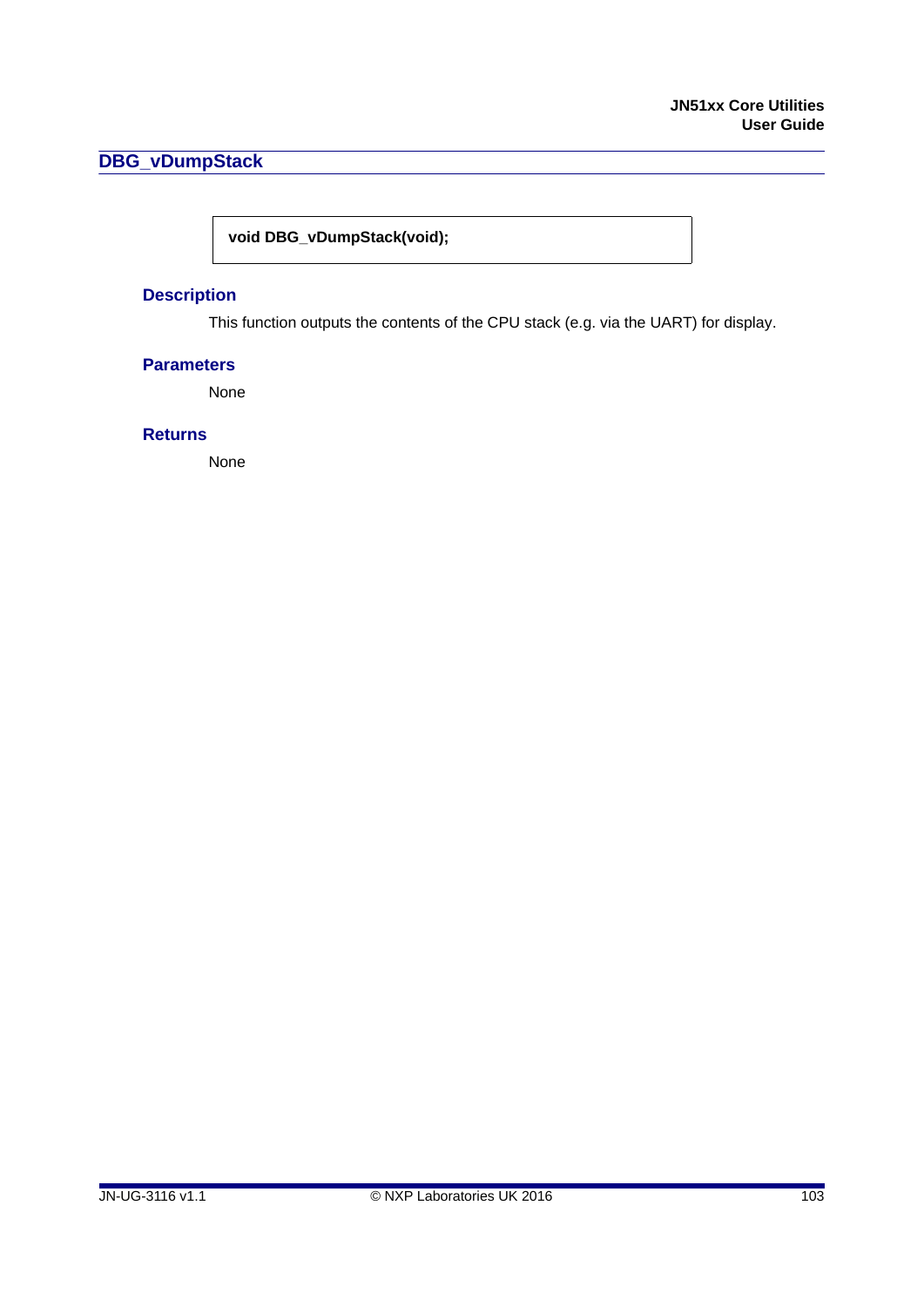### <span id="page-102-0"></span>**DBG\_vDumpStack**

**void DBG\_vDumpStack(void);**

### **Description**

This function outputs the contents of the CPU stack (e.g. via the UART) for display.

### **Parameters**

None

### **Returns**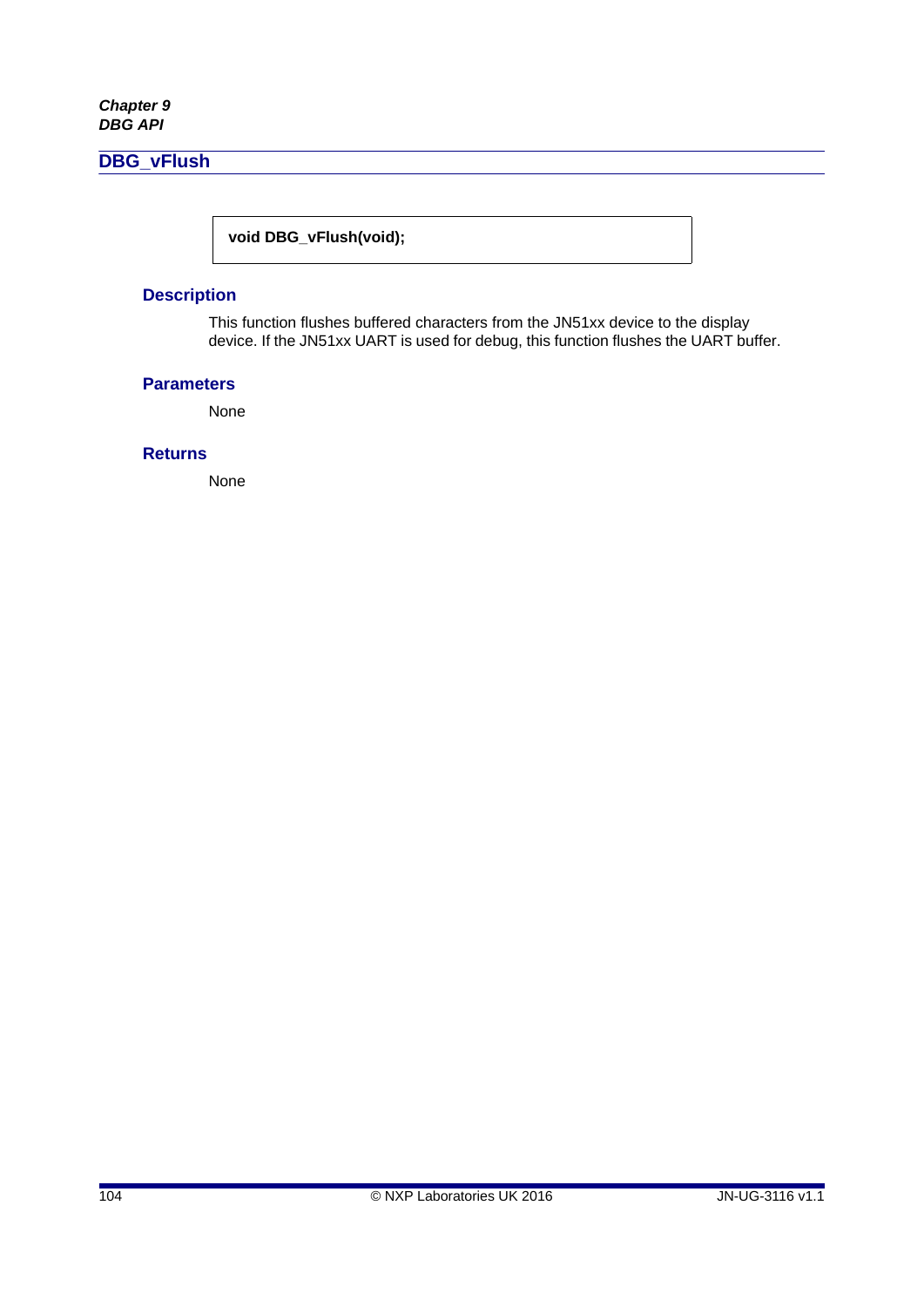### <span id="page-103-0"></span>**DBG\_vFlush**

**void DBG\_vFlush(void);**

### **Description**

This function flushes buffered characters from the JN51xx device to the display device. If the JN51xx UART is used for debug, this function flushes the UART buffer.

### **Parameters**

None

#### **Returns**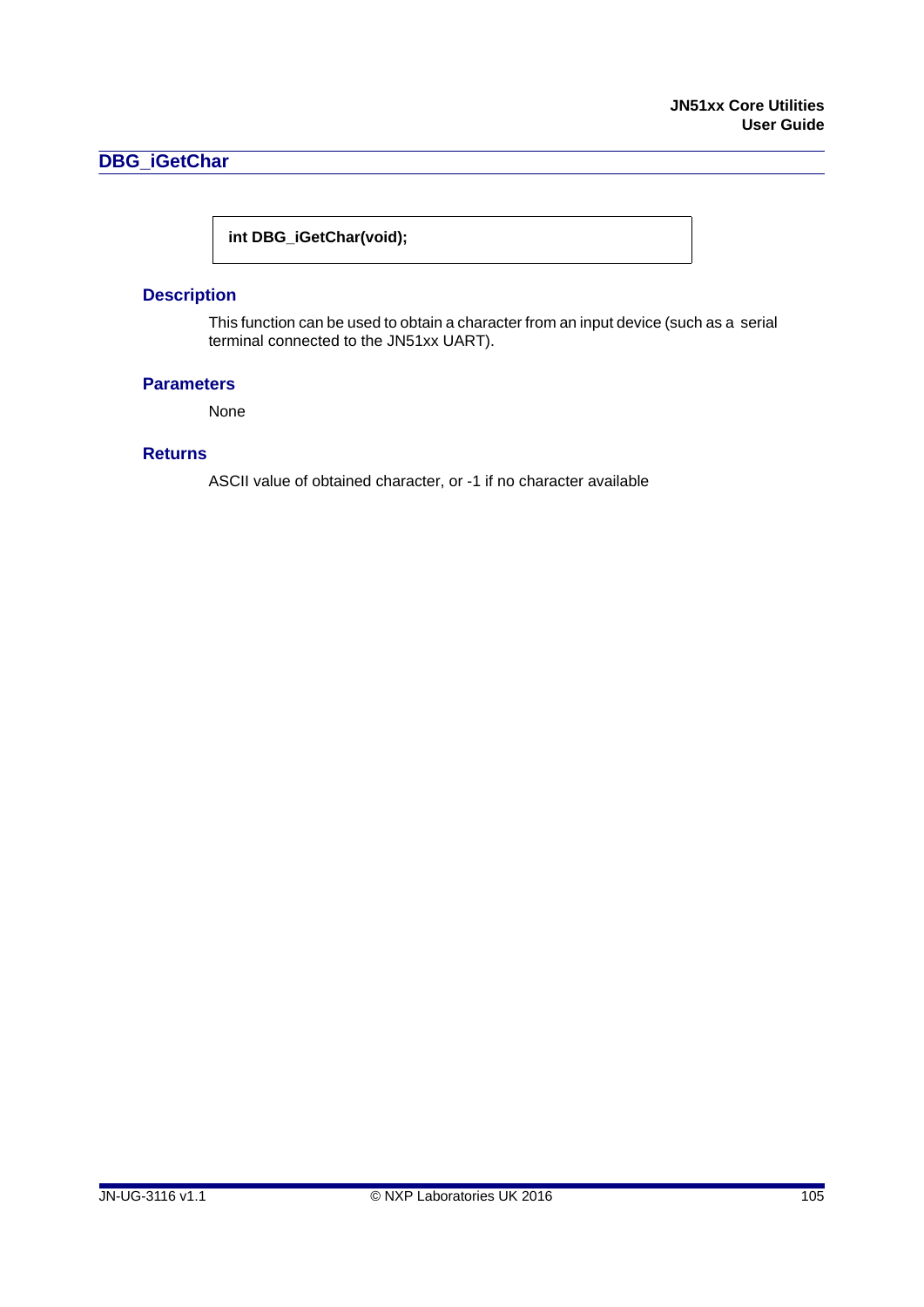### <span id="page-104-0"></span>**DBG\_iGetChar**

**int DBG\_iGetChar(void);**

### **Description**

This function can be used to obtain a character from an input device (such as a serial terminal connected to the JN51xx UART).

### **Parameters**

None

### **Returns**

ASCII value of obtained character, or -1 if no character available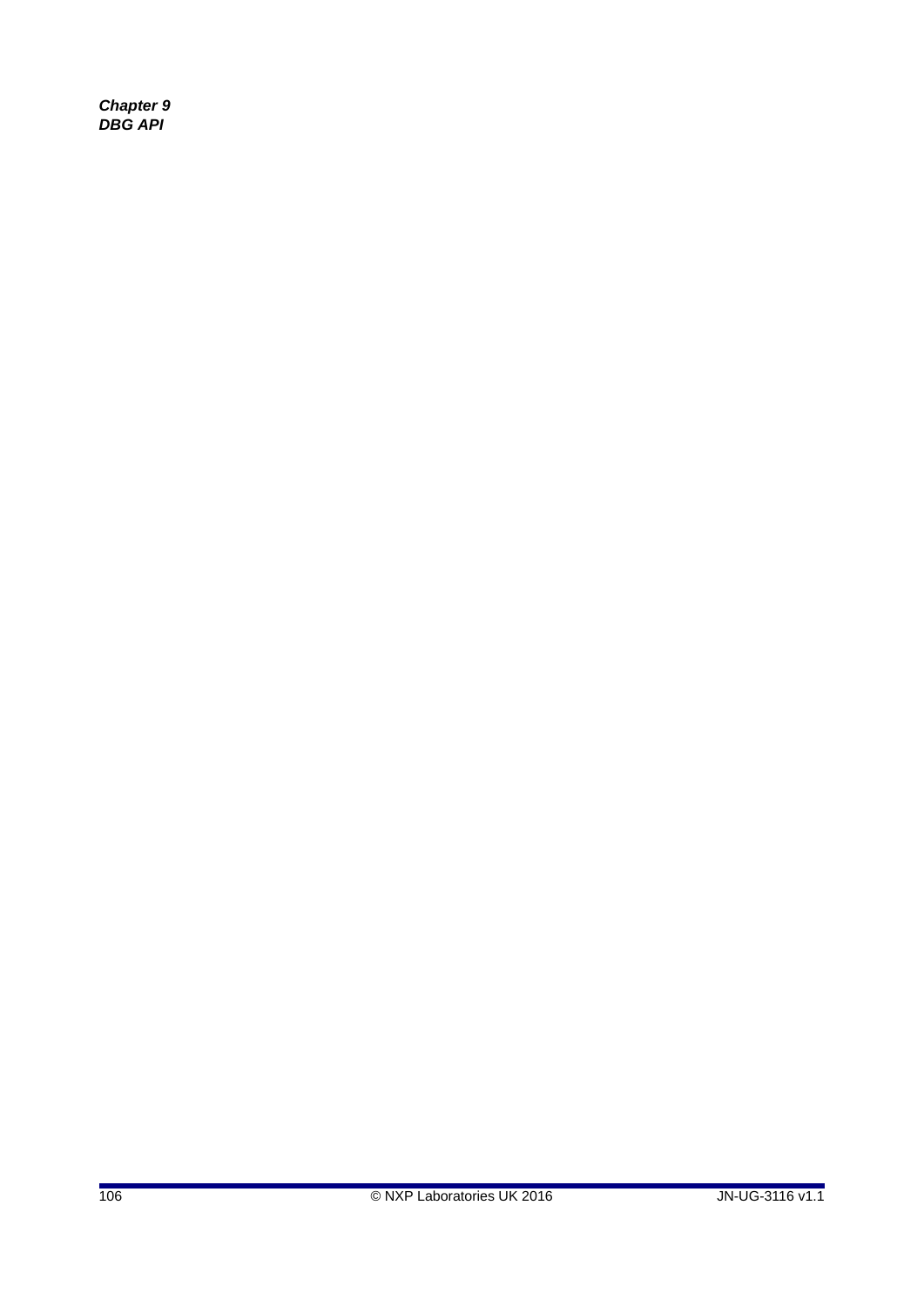*Chapter 9 DBG API*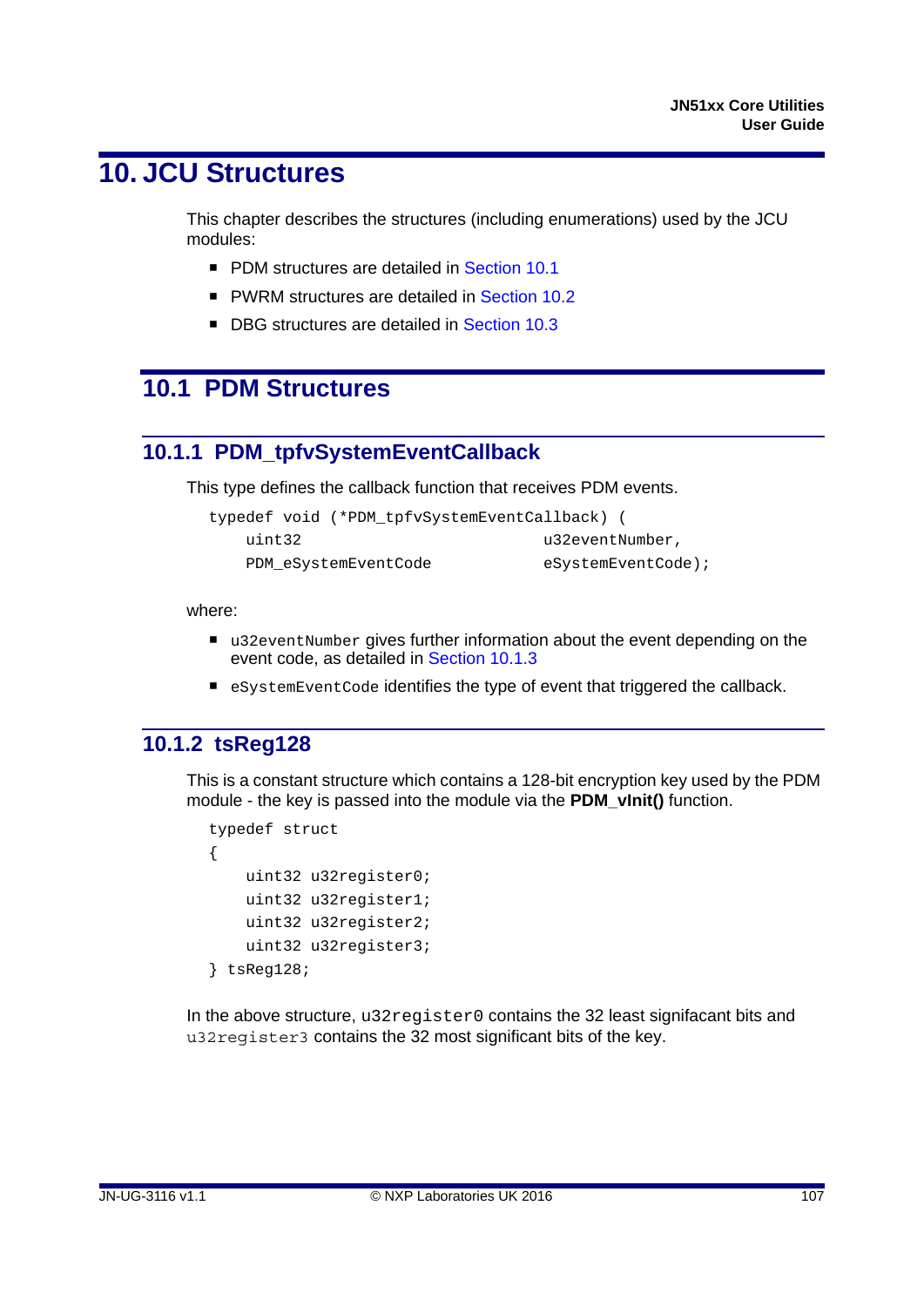## **10. JCU Structures**

This chapter describes the structures (including enumerations) used by the JCU modules:

- PDM structures are detailed in [Section 10.1](#page-106-0)
- PWRM structures are detailed in [Section 10.2](#page-111-0)
- DBG structures are detailed in [Section 10.3](#page-111-1)

## <span id="page-106-0"></span>**10.1 PDM Structures**

## **10.1.1 PDM\_tpfvSystemEventCallback**

This type defines the callback function that receives PDM events.

| typedef void (*PDM tpfvSystemEventCallback) ( |                    |
|-----------------------------------------------|--------------------|
| uint32                                        | u32eventNumber,    |
| PDM eSystemEventCode                          | eSystemEventCode); |

where:

- u32eventNumber gives further information about the event depending on the event code, as detailed in [Section 10.1.3](#page-107-0)
- eSystemEventCode identifies the type of event that triggered the callback.

### **10.1.2 tsReg128**

This is a constant structure which contains a 128-bit encryption key used by the PDM module - the key is passed into the module via the **PDM\_vInit()** function.

```
typedef struct
{
     uint32 u32register0;
     uint32 u32register1;
     uint32 u32register2;
     uint32 u32register3;
} tsReg128;
```
In the above structure, u32register0 contains the 32 least signifacant bits and u32register3 contains the 32 most significant bits of the key.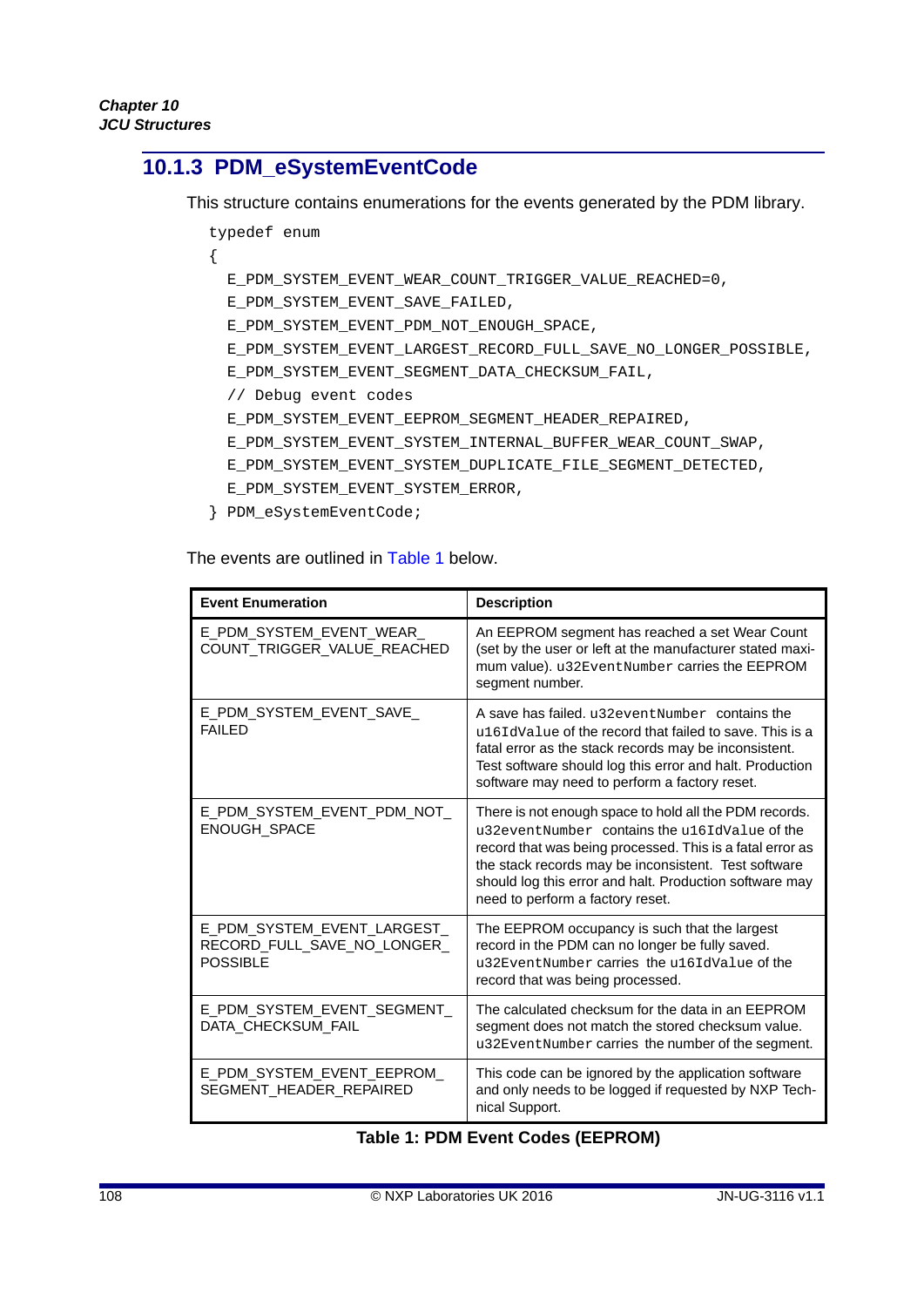### <span id="page-107-0"></span>**10.1.3 PDM\_eSystemEventCode**

This structure contains enumerations for the events generated by the PDM library.

```
typedef enum
{
  E_PDM_SYSTEM_EVENT_WEAR_COUNT_TRIGGER_VALUE_REACHED=0,
  E_PDM_SYSTEM_EVENT_SAVE_FAILED,
  E_PDM_SYSTEM_EVENT_PDM_NOT_ENOUGH_SPACE,
  E_PDM_SYSTEM_EVENT_LARGEST_RECORD_FULL_SAVE_NO_LONGER_POSSIBLE,
  E_PDM_SYSTEM_EVENT_SEGMENT_DATA_CHECKSUM_FAIL,
  // Debug event codes
  E_PDM_SYSTEM_EVENT_EEPROM_SEGMENT_HEADER_REPAIRED,
  E_PDM_SYSTEM_EVENT_SYSTEM_INTERNAL_BUFFER_WEAR_COUNT_SWAP,
  E_PDM_SYSTEM_EVENT_SYSTEM_DUPLICATE_FILE_SEGMENT_DETECTED,
   E_PDM_SYSTEM_EVENT_SYSTEM_ERROR,
```
} PDM\_eSystemEventCode;

The events are outlined in Table 1 below.

| <b>Event Enumeration</b>                                                     | <b>Description</b>                                                                                                                                                                                                                                                                                                          |
|------------------------------------------------------------------------------|-----------------------------------------------------------------------------------------------------------------------------------------------------------------------------------------------------------------------------------------------------------------------------------------------------------------------------|
| E_PDM_SYSTEM_EVENT_WEAR_<br>COUNT_TRIGGER_VALUE_REACHED                      | An EEPROM segment has reached a set Wear Count<br>(set by the user or left at the manufacturer stated maxi-<br>mum value). u32EventNumber carries the EEPROM<br>segment number.                                                                                                                                             |
| E PDM SYSTEM EVENT SAVE<br><b>FAIL FD</b>                                    | A save has failed, u32eventNumber contains the<br>u16IdValue of the record that failed to save. This is a<br>fatal error as the stack records may be inconsistent.<br>Test software should log this error and halt. Production<br>software may need to perform a factory reset.                                             |
| E PDM SYSTEM EVENT PDM NOT<br><b>ENOUGH SPACE</b>                            | There is not enough space to hold all the PDM records.<br>u32eventNumber contains the u16IdValue of the<br>record that was being processed. This is a fatal error as<br>the stack records may be inconsistent. Test software<br>should log this error and halt. Production software may<br>need to perform a factory reset. |
| E PDM SYSTEM EVENT LARGEST<br>RECORD_FULL_SAVE_NO_LONGER_<br><b>POSSIBLE</b> | The EEPROM occupancy is such that the largest<br>record in the PDM can no longer be fully saved.<br>u32EventNumber carries the u16IdValue of the<br>record that was being processed.                                                                                                                                        |
| E PDM SYSTEM EVENT SEGMENT<br>DATA CHECKSUM FAIL                             | The calculated checksum for the data in an EEPROM<br>segment does not match the stored checksum value.<br>u32EventNumber carries the number of the segment.                                                                                                                                                                 |
| E_PDM_SYSTEM_EVENT_EEPROM_<br>SEGMENT_HEADER_REPAIRED                        | This code can be ignored by the application software<br>and only needs to be logged if requested by NXP Tech-<br>nical Support.                                                                                                                                                                                             |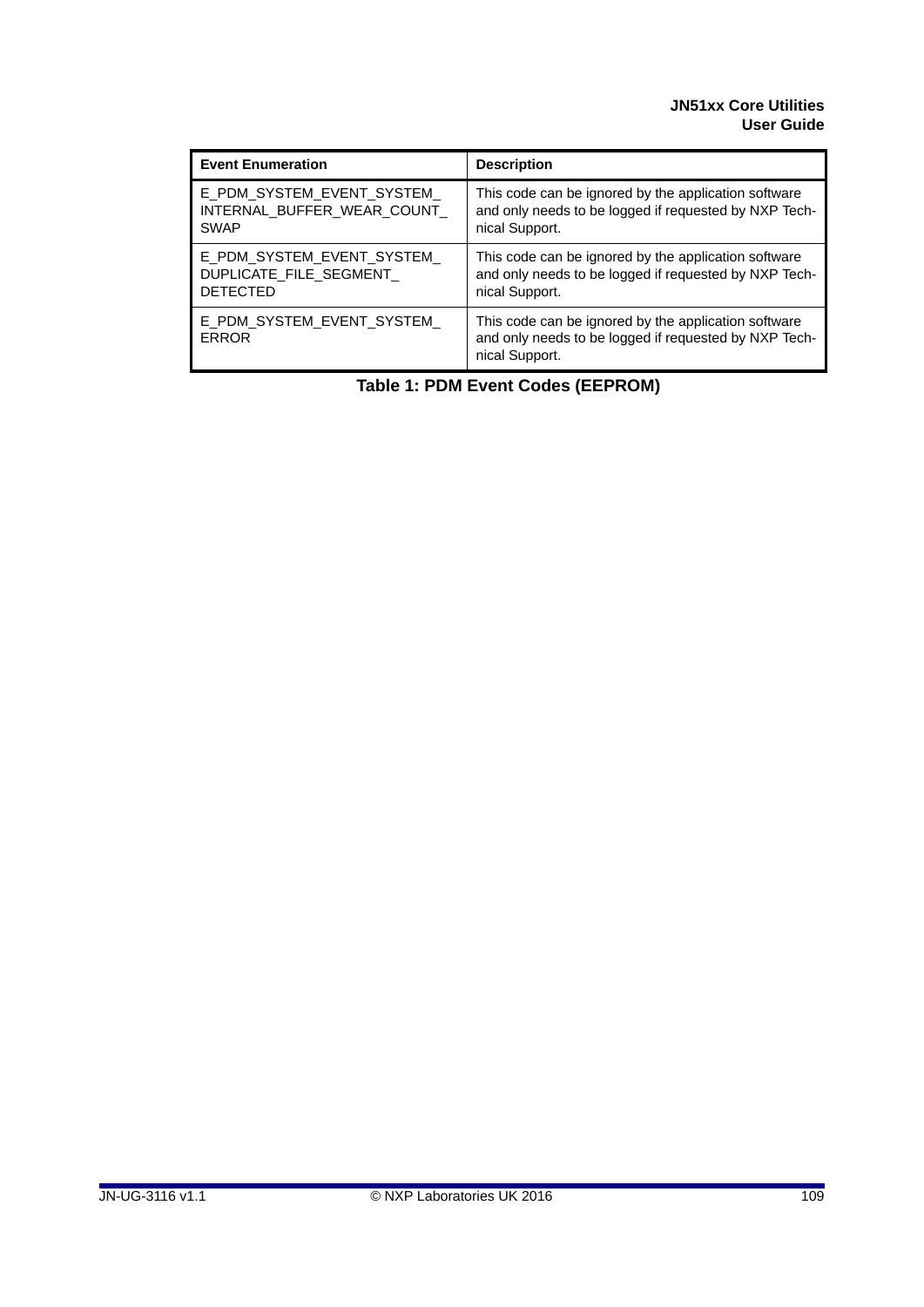| <b>Event Enumeration</b>                  | <b>Description</b>                                                                                                              |
|-------------------------------------------|---------------------------------------------------------------------------------------------------------------------------------|
| E_PDM_SYSTEM_EVENT_SYSTEM_                | This code can be ignored by the application software                                                                            |
| INTERNAL_BUFFER_WEAR_COUNT_               | and only needs to be logged if requested by NXP Tech-                                                                           |
| <b>SWAP</b>                               | nical Support.                                                                                                                  |
| E PDM SYSTEM EVENT SYSTEM                 | This code can be ignored by the application software                                                                            |
| DUPLICATE_FILE_SEGMENT_                   | and only needs to be logged if requested by NXP Tech-                                                                           |
| <b>DETECTED</b>                           | nical Support.                                                                                                                  |
| E PDM SYSTEM EVENT SYSTEM<br><b>ERROR</b> | This code can be ignored by the application software<br>and only needs to be logged if requested by NXP Tech-<br>nical Support. |

**Table 1: PDM Event Codes (EEPROM)**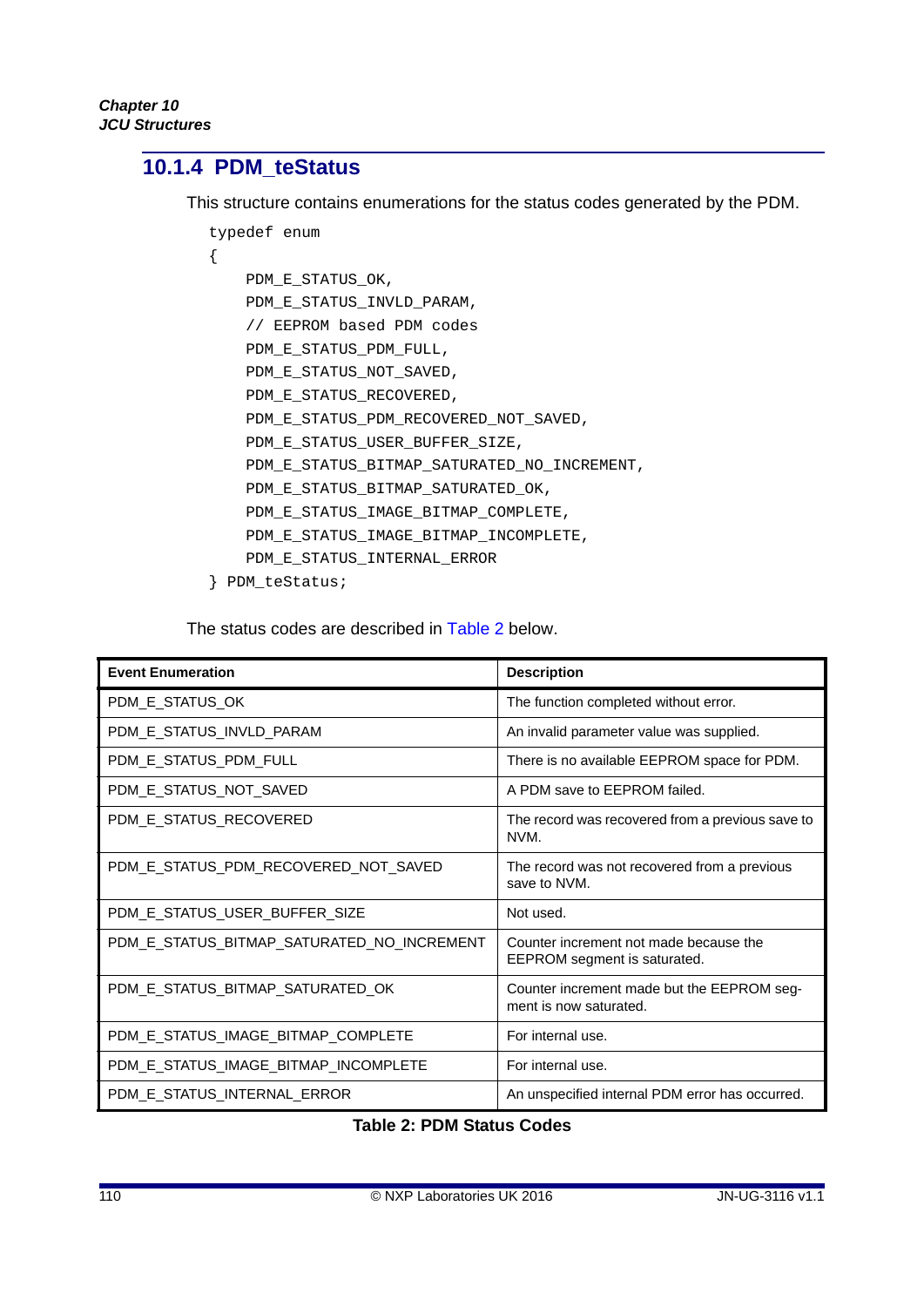### **10.1.4 PDM\_teStatus**

This structure contains enumerations for the status codes generated by the PDM.

```
typedef enum
{
     PDM_E_STATUS_OK,
     PDM_E_STATUS_INVLD_PARAM,
     // EEPROM based PDM codes
     PDM_E_STATUS_PDM_FULL,
     PDM_E_STATUS_NOT_SAVED,
     PDM_E_STATUS_RECOVERED,
     PDM_E_STATUS_PDM_RECOVERED_NOT_SAVED,
     PDM_E_STATUS_USER_BUFFER_SIZE,
     PDM_E_STATUS_BITMAP_SATURATED_NO_INCREMENT,
     PDM_E_STATUS_BITMAP_SATURATED_OK,
     PDM_E_STATUS_IMAGE_BITMAP_COMPLETE,
     PDM_E_STATUS_IMAGE_BITMAP_INCOMPLETE,
     PDM_E_STATUS_INTERNAL_ERROR
```
} PDM\_teStatus;

The status codes are described in Table 2 below.

| <b>Event Enumeration</b>                   | <b>Description</b>                                                     |
|--------------------------------------------|------------------------------------------------------------------------|
| PDM_E_STATUS_OK                            | The function completed without error.                                  |
| PDM_E_STATUS_INVLD_PARAM                   | An invalid parameter value was supplied.                               |
| PDM_E_STATUS_PDM_FULL                      | There is no available EEPROM space for PDM.                            |
| PDM_E_STATUS_NOT_SAVED                     | A PDM save to EEPROM failed.                                           |
| PDM_E_STATUS_RECOVERED                     | The record was recovered from a previous save to<br>NVM.               |
| PDM_E_STATUS_PDM_RECOVERED_NOT_SAVED       | The record was not recovered from a previous<br>save to NVM.           |
| PDM_E_STATUS_USER_BUFFER_SIZE              | Not used.                                                              |
| PDM_E_STATUS_BITMAP_SATURATED_NO_INCREMENT | Counter increment not made because the<br>EEPROM segment is saturated. |
| PDM_E_STATUS_BITMAP_SATURATED_OK           | Counter increment made but the EEPROM seg-<br>ment is now saturated.   |
| PDM_E_STATUS_IMAGE_BITMAP_COMPLETE         | For internal use.                                                      |
| PDM_E_STATUS_IMAGE_BITMAP_INCOMPLETE       | For internal use.                                                      |
| PDM_E_STATUS_INTERNAL_ERROR                | An unspecified internal PDM error has occurred.                        |

### **Table 2: PDM Status Codes**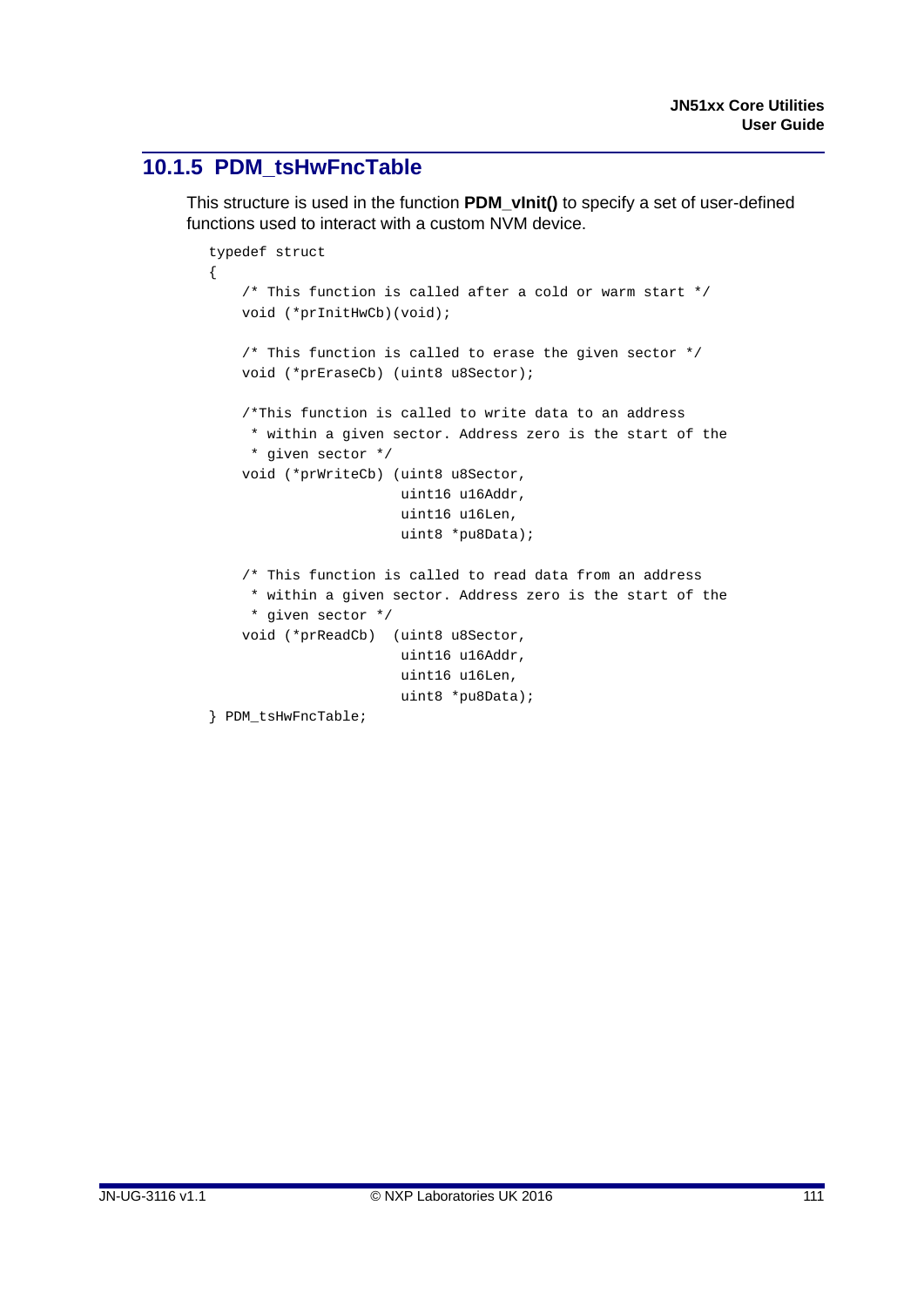## **10.1.5 PDM\_tsHwFncTable**

This structure is used in the function **PDM\_vInit()** to specify a set of user-defined functions used to interact with a custom NVM device.

```
typedef struct
{
     /* This function is called after a cold or warm start */
    void (*prInitHwCb)(void);
    /* This function is called to erase the given sector */
    void (*prEraseCb) (uint8 u8Sector);
     /*This function is called to write data to an address 
      * within a given sector. Address zero is the start of the 
      * given sector */
    void (*prWriteCb) (uint8 u8Sector, 
                        uint16 u16Addr, 
                        uint16 u16Len, 
                        uint8 *pu8Data);
    /* This function is called to read data from an address 
      * within a given sector. Address zero is the start of the 
      * given sector */
    void (*prReadCb) (uint8 u8Sector, 
                        uint16 u16Addr,
                         uint16 u16Len, 
                        uint8 *pu8Data); 
} PDM_tsHwFncTable;
```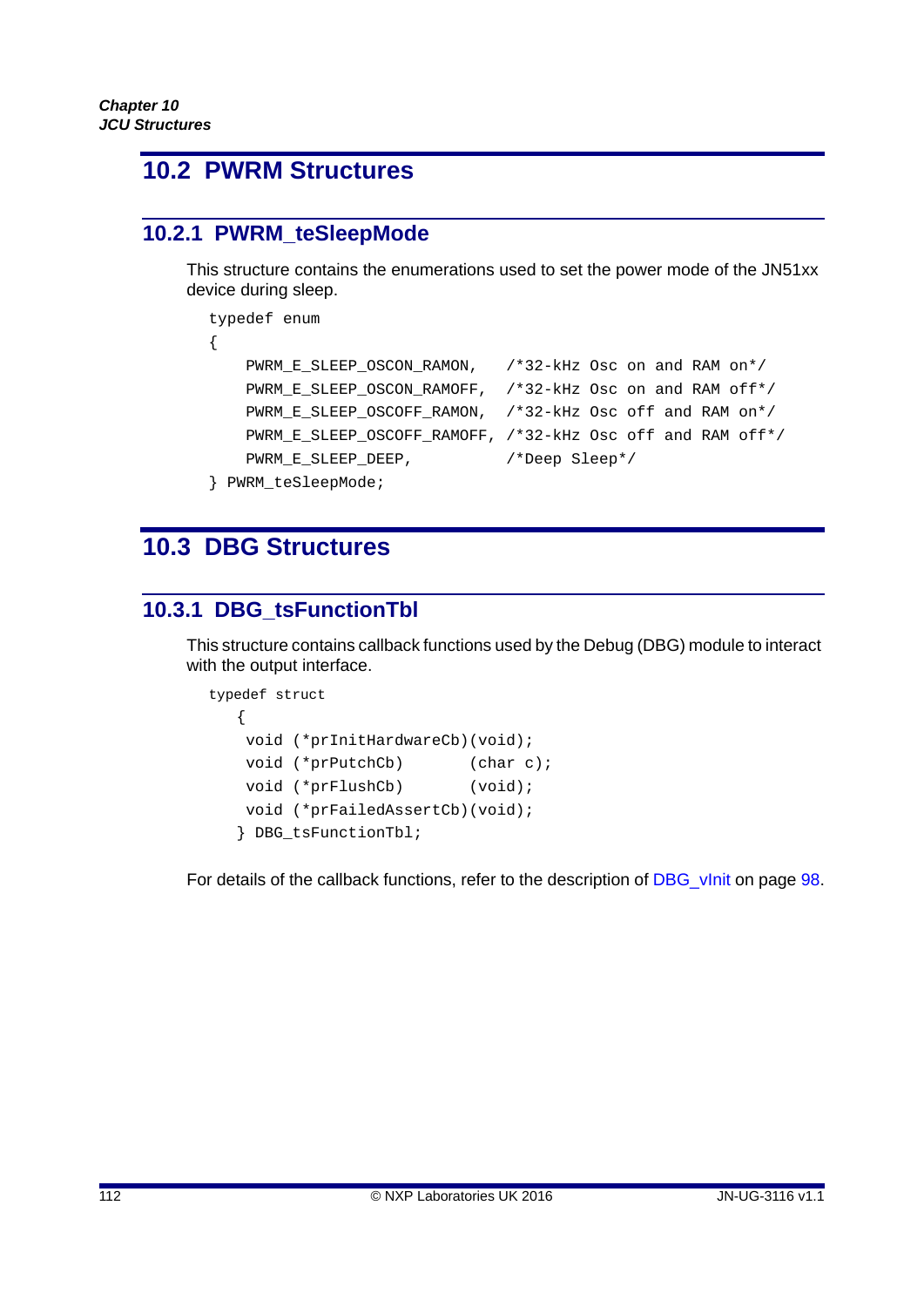# **10.2 PWRM Structures**

# **10.2.1 PWRM\_teSleepMode**

This structure contains the enumerations used to set the power mode of the JN51xx device during sleep.

```
typedef enum
{
   PWRM E_SLEEP_OSCON_RAMON, /*32-kHz Osc on and RAM on*/
    PWRM_E_SLEEP_OSCON_RAMOFF, /*32-kHz Osc on and RAM off*/
    PWRM_E_SLEEP_OSCOFF_RAMON, /*32-kHz Osc off and RAM on*/
   PWRM E SLEEP OSCOFF RAMOFF, /*32-kHz Osc off and RAM off*/
   PWRM_E_SLEEP_DEEP, /*Deep Sleep*/
} PWRM_teSleepMode;
```
# **10.3 DBG Structures**

# **10.3.1 DBG\_tsFunctionTbl**

This structure contains callback functions used by the Debug (DBG) module to interact with the output interface.

```
typedef struct
    {
    void (*prInitHardwareCb)(void);
    void (*prPutchCb) (char c);
   void (*prFlushCb) (void);
    void (*prFailedAssertCb)(void);
    } DBG_tsFunctionTbl;
```
For details of the callback functions, refer to the description of [DBG\\_vInit](#page-97-0) on page [98.](#page-97-0)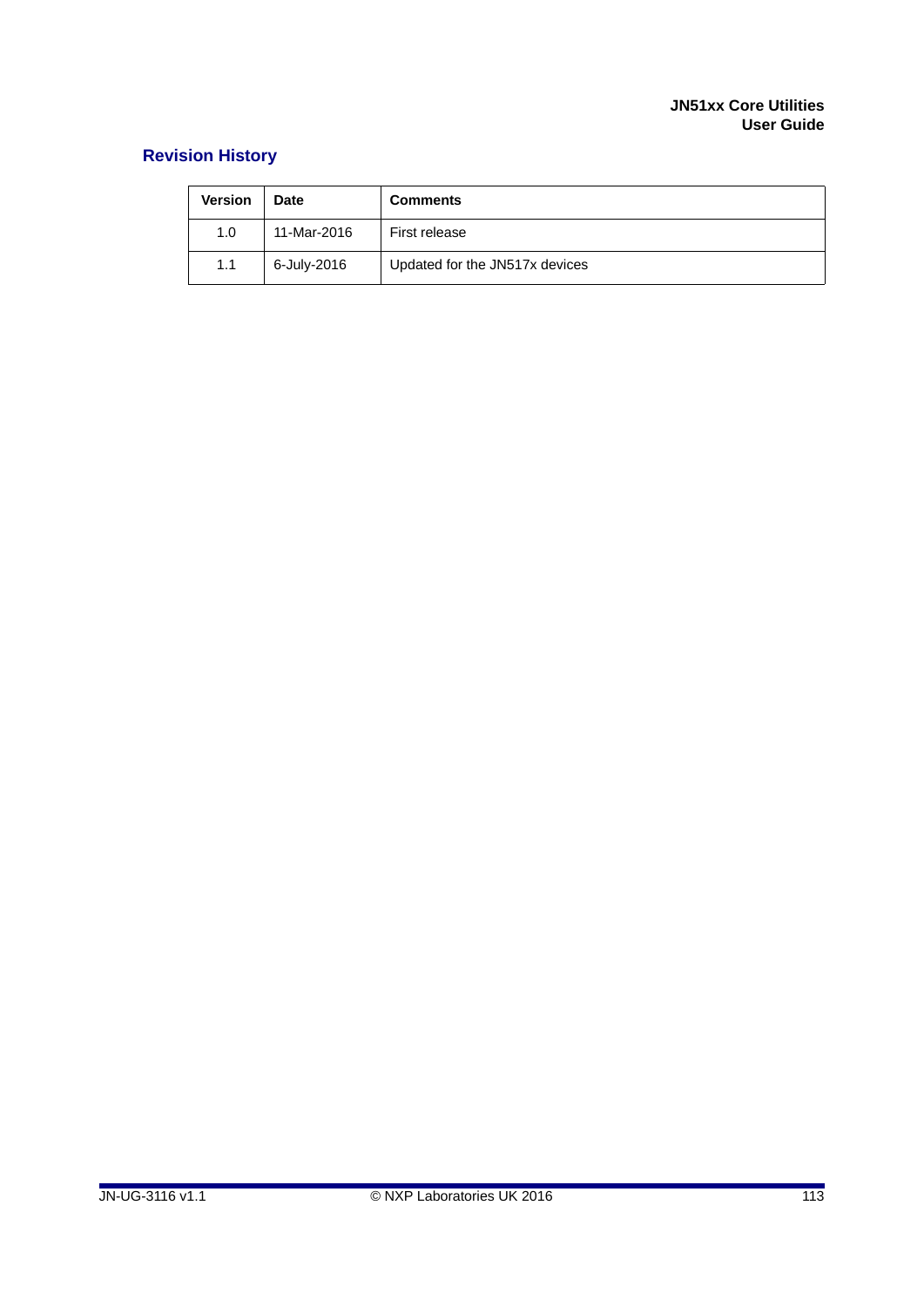### **Revision History**

| <b>Version</b> | Date        | <b>Comments</b>                |
|----------------|-------------|--------------------------------|
| 1.0            | 11-Mar-2016 | First release                  |
| 1.1            | 6-July-2016 | Updated for the JN517x devices |